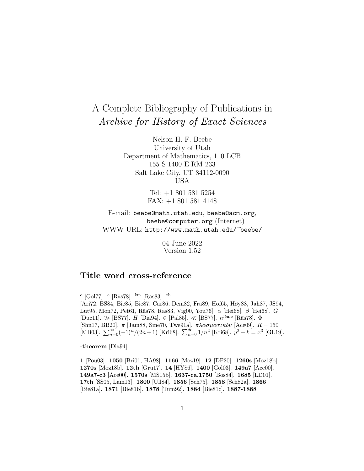# A Complete Bibliography of Publications in Archive for History of Exact Sciences

Nelson H. F. Beebe University of Utah Department of Mathematics, 110 LCB 155 S 1400 E RM 233 Salt Lake City, UT 84112-0090 USA

> Tel: +1 801 581 5254 FAX: +1 801 581 4148

E-mail: beebe@math.utah.edu, beebe@acm.org, beebe@computer.org (Internet) WWW URL: http://www.math.utah.edu/~beebe/

> 04 June 2022 Version 1.52

# **Title word cross-reference**

<sup>c</sup> [Gol77]. <sup>e</sup> [Ras78]. <sup>em</sup> [Ras83]. <sup>th</sup> [Ari72, BS84, Bie85, Bie87, Car86, Dem82, Fra89, Hof65, Høy88, Jah87, JS94, Lüt95, Mon72, Pet61, Rās78, Ras83, Vig00, You76].  $\alpha$  [Hei68].  $\beta$  [Hei68].  $G$  $[{\rm Duc11}]$ .  $\gg$  [BS77]. *H* [Dia94].  $\in$  [Pal85].  $\ll$  [BS77].  $n^{\text{i\`eme}}$  [Ras78].  $\Phi$ [Shn17, BB20].  $\pi$  [Jam88, Sme70, Twe91a].  $\pi \lambda \alpha \sigma \mu \alpha \tau \iota \kappa \delta \nu$  [Ace09].  $R = 150$ [MB03].  $\sum_{n=0}^{\infty} (-1)^n/(2n+1)$  [Kri68].  $\sum_{n=0}^{\infty} 1/n^2$  [Kri68].  $y^2 - k = x^3$  [GL19].

**-theorem** [Dia94].

**1** [Pou03]. **1050** [Bri01, HA98]. **1166** [Moz19]. **12** [DF20]. **1260s** [Moz18b]. **1270s** [Moz18b]. **12th** [Gru17]. **14** [HY86]. **1400** [Gol03]. **149a7** [Ace00]. **149a7-c3** [Ace00]. **1570s** [MS15b]. **1637-ca.1750** [Bos84]. **1685** [LD01]. **17th** [SS05, Lam13]. **1800** [Ull84]. **1856** [Sch75]. **1858** [Sch82a]. **1866** [Bie81a]. **1871** [Bie81b]. **1878** [Tum92]. **1884** [Bie81c]. **1887-1888**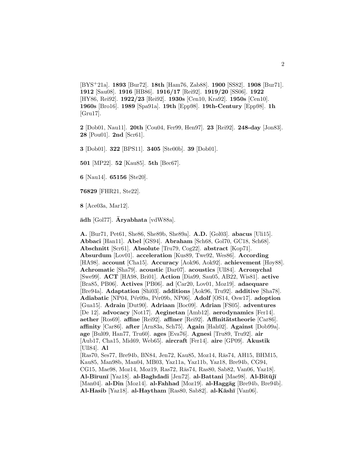[BYS<sup>+</sup>21a]. **1893** [Bur72]. **18th** [Ham76, Zab88]. **1900** [SS82]. **1908** [Bur71]. **1912** [Sau08]. **1916** [HB86]. **1916/17** [Rei92]. **1919/20** [SS06]. **1922** [HY86, Rei92]. **1922/23** [Rei92]. **1930s** [Cen10, Kra92]. **1950s** [Cen10]. **1960s** [Bro16]. **1989** [Spa91a]. **19th** [Epp98]. **19th-Century** [Epp98]. **1h** [Gru17].

**2** [Dob01, Nau11]. **20th** [Cou04, Fer99, Hen97]. **23** [Rei92]. **248-day** [Jon83]. **28** [Pou01]. **2nd** [Scr61].

**3** [Dob01]. **322** [BPS11]. **3405** [Ste00b]. **39** [Dob01].

**501** [MP22]. **52** [Kau85]. **5th** [Bec67].

**6** [Nau14]. **65156** [Ste20].

**76829** [FHR21, Ste22].

**8** [Ace03a, Mar12].

 $\bar{\mathbf{a}}$ dh [Gol77].  $\bar{\mathbf{A}}$ ryabhata [vdW88a].

**A.** [Bur71, Pet61, She86, She89b, She89a]. **A.D.** [Gol03]. **abacus** [Uli15]. **Abbaci** [Han11]. **Abel** [GS94]. **Abraham** [Sch68, Gol70, GC18, Sch68]. **Abschnitt** [Scr61]. **Absolute** [Tru79, Cog22]. **abstract** [Kop71]. **Absurdum** [Lov01]. **acceleration** [Kus89, Twe92, Wes86]. **According** [HA98]. **account** [Cha15]. **Accuracy** [Aok96, Aok92]. **achievement** [Høy88]. **Achromatic** [Sha79]. **acoustic** [Dar07]. **acoustics** [Ull84]. **Acronychal** [Swe99]. **ACT** [HA98, Bri01]. **Action** [Dia99, Sau05, AB22, Wis81]. **active** [Bra85, PB06]. **Actives** [PB06]. **ad** [Car20, Lov01, Moz19]. **adaequare** [Bre94a]. **Adaptation** [Shi03]. **additions** [Aok96, Tru92]. **additive** [Sha78]. **Adiabatic** [NP04, P´er09a, P´er09b, NP06]. **Adolf** [OS14, Osw17]. **adoption** [Gua15]. **Adrain** [Dut90]. **Adriaan** [Boc09]. **Adrian** [FS05]. **adventures** [De 12]. **advocacy** [Not17]. **Aeginetan** [Amb12]. **aerodynamics** [Fer14]. **aether** [Ros69]. **affine** [Rei92]. **affiner** [Rei92]. **Affinit¨atstheorie** [Car86]. **affinity** [Car86]. **after** [Arn83a, Sch75]. **Again** [Hah02]. **Against** [Dob99a]. **age** [Bul09, Han77, Tru60]. **ages** [Eva76]. **Agnesi** [Tru89, Tru92]. **air** [Aub17, Cha15, Mid69, Web65]. **aircraft** [Fer14]. **aire** [GP09]. **Akustik** [Ull84]. **Al** [Ras70, Ses77, Bre94b, BN84, Jen72, Kau85, Moz14, Rās74, AH15, BHM15, Kau85, Man98b, Man04, MB03, Yaz11a, Yaz11b, Yaz18, Bre94b, CG94, CG15, Mae98, Moz14, Moz19, Ras72, Rās74, Ras80, Sab82, Van06, Yaz18]. **Al-B¯ırun¯ı** [Yaz18]. **al-Baghdadi** [Jen72]. **al-Battani** [Mae98]. **Al-Bit¯uj¯ı**

[Man04]. **al-Din** [Moz14]. **al-Fahhad** [Moz19]. **al-Haggag** [Bre94b, Bre94b]. **Al-Hasib** [Yaz18]. **al-Haytham** [Ras80, Sab82]. **al-Kāshī** [Van06].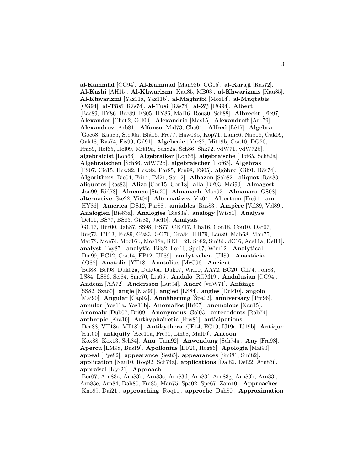**al-Kammˆad** [CG94]. **Al-Kammad** [Man98b, CG15]. **al-Karaji** [Ras72]. **Al-Kashi** [AH15]. **Al-Khw¯arizm¯ı** [Kau85, MB03]. **al-Khw¯arizm¯ıs** [Kau85]. **Al-Khwarizmi** [Yaz11a, Yaz11b]. **al-Maghribi** [Moz14]. **al-Muqtabis** [CG94]. **al-T¯us¯ı** [R¯as74]. **al-Tusi** [R¯as74]. **al-Zˆıj** [CG94]. **Albert** [Bac89, HY86, Bac89, FS05, HY86, Mal16, Rou80, Sch88]. **Albrecht** [Fie97]. **Alexander** [Cha62, GH00]. **Alexandria** [Mas15]. **Alexandroff** [Arb79]. **Alexandrov** [Arb81]. **Alfonso** [Mid73, Cha04]. **Alfred** [Lˆe17]. **Algebra** [Goe68, Kau85, Ste00a, Blå16, Fre77, Haw08b, Kop71, Lam86, Nab08, Oak09, Oak18, R¯as74, Fis99, Gil91]. **Algebraic** [Abr82, Mit19b, Cou10, DG20, Fra89, Hof65, Hol09, Mit19a, Sch82a, Sch86, Shk72, vdW71, vdW72b]. **algebraicist** [Loh66]. **Algebraiker** [Loh66]. **algebraische** [Hof65, Sch82a]. **Algebraischen** [Sch86, vdW72b]. **algebraischer** [Hof65]. **Algebras** [FS07, Cic15, Haw82, Haw88, Par85, Fen98, FS05]. **algèbre** [Gil91, Rās74]. **Algorithms** [Bie04, Fri14, IM21, Sar12]. **Alhazen** [Sab82]. **aliquot** [Ras83]. **aliquotes** [Ras83]. **Aliza** [Con15, Con18]. **alla** [BF93, Mai90]. **Almagest** [Jon99, Rid78]. **Almanac** [Ste20]. **Almanach** [Man92]. **Almanacs** [GS08]. **alternative** [Ste22, Vit04]. **Alternatives** [Vit04]. **Altertum** [Fre91]. **am** [HY86]. **America** [DS12, Par88]. **amiables** [Ras83]. **Ampère** [Vol89, Vol89]. **Analogien** [Bie83a]. **Analogies** [Bie83a]. **analogy** [Wis81]. **Analyse** [Del11, BS77, BS85, Gis83, Jaë10]. **Analysis** [GC17, Hüt00, Jah87, SS98, BS77, CEF17, Cha16, Con18, Cou10, Dar07, Dug73, FT13, Fra89, Gis83, GG70, Gra84, HH79, Lau89, Mah68, Man75, Mat78, Moe74, Moz16b, Moz18a, RKH<sup>+</sup>21, SS82, Smi86, dC16, Ace11a, Del11]. **analyst** [Tay87]. **analytic** [Bil82, Lor16, Spe67, Wim12]. **Analytical** [Dia99, BC12, Cou14, FP12, Ull89]. analytischen [Ull89]. Anastácio [dO88]. **Anatolia** [YT18]. **Anatolius** [McC96]. **Ancient** [Bel88, Bel98, Duk02a, Duk05a, Duk07, Wri00, AA72, BC20, Gil74, Jon83, LS84, LS86, Sei84, Sme70, Liu05]. **Andal`o** [RGM19]. **Andalusian** [CG94]. **Andean** [AA72]. **Andersson** [Lüt94]. **André** [vdW71]. **Anfänge** [SS82, Sza60]. **angle** [Mai90]. **angled** [LS84]. **angles** [Duk10]. **angolo** [Mai90]. **Angular** [Cap02]. **Annäherung** [Spa02]. **anniversary** [Tru96]. **annular** [Yaz11a, Yaz11b]. **Anomalies** [Bri07]. **anomalous** [Nau15]. **Anomaly** [Duk07, Bri09]. **Anonymous** [Gol03]. **antecedents** [Rab74]. **anthropic** [Kra10]. **Anthyphairetic** [Fow81]. **anticipations** [Dea88, VT18a, VT18b]. **Antikythera** [CE14, EC19, IJ19a, IJ19b]. **Antique** [Hüt00]. **antiquity** [Ace11a, Fre91, Lin68, Mal10]. **Antoon** [Kox88, Kox13, Sch84]. **Anu** [Tum92]. **Anwendung** [Sch74a]. **Any** [Fra98]. **Apercu** [LM98, Bus19]. **Apollonius** [DF20, Hog86]. **Apologia** [Mai90]. **appeal** [Pye82]. **appearance** [Ses85]. **appearances** [Smi81, Smi82]. **application** [Nau10, Roq92, Sch74a]. **applications** [Dal82, Del22, Arn83i]. **appraisal** [Kyr21]. **Approach** [Bor07, Arn83a, Arn83b, Arn83c, Arn83d, Arn83f, Arn83g, Arn83h, Arn83i, Arn83e, Arn84, Dah80, Fra85, Man75, Spa02, Spe67, Zam10]. **Approaches**

[Kno99, Dai21]. **approaching** [Roq11]. **approche** [Dah80]. **Approximation**

3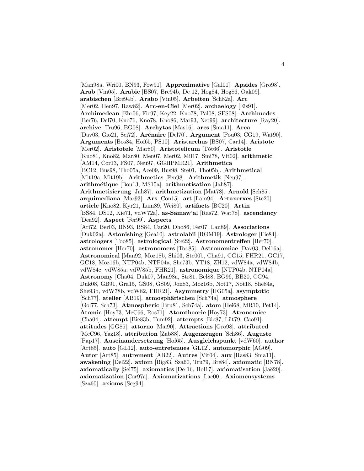[Man98a, Wri00, BN93, Fow91]. **Approximative** [Gal01]. **Apsides** [Gro98]. **Arab** [Vin05]. **Arabic** [BS07, Bre94b, De 12, Hog84, Hog86, Oak09]. **arabischen** [Bre94b]. **Arabo** [Vin05]. **Arbeiten** [Sch82a]. **Arc** [Mer02, Hen97, Raw82]. **Arc-en-Ciel** [Mer02]. **archaelogy** [Eis91]. **Archimedean** [Ehr06, Fie97, Key22, Kno78, Pal08, SFS08]. **Archimedes** [Ber76, Del70, Kno76, Kno78, Kno86, Mar93, Net99]. **architecture** [Ray20]. **archive** [Tru96, BG08]. **Archytas** [Mas16]. **arcs** [Sma11]. **Area** [Dav03, Gio21, Sei72]. **Arénaire** [Del70]. **Argument** [Pou03, CG19, Wat90]. **Arguments** [Bos84, Hof65, PS10]. **Aristarchus** [BS07, Car14]. **Aristote** [Mer02]. **Aristotele** [Mar80]. **Aristotelicum** [Tót66]. **Aristotle** [Kno81, Kno82, Mar80, Men07, Mer02, Mil17, Smi78, Vit02]. **arithmetic** [AM14, Cor13, FS07, Neu97, GGHPMR21]. **Arithmetica** [BC12, Bus98, Tho05a, Ace09, Bus98, Ste01, Tho05b]. **Arithmetical** [Mit19a, Mit19b]. **Arithmetics** [Fen98]. **Arithmetik** [Neu97]. **arithm´etique** [Bou13, MS15a]. **arithmetisation** [Jah87]. **Arithmetisierung** [Jah87]. **arithmetization** [Mat78]. **Arnold** [Sch85]. **arquimediana** [Mar93]. **Ars** [Con15]. **art** [Lam94]. **Artaxerxes** [Ste20]. **article** [Kno82, Kyr21, Lam89, Wei80]. **artifacts** [BC20]. **Artin** [BS84, DS12, Kie71, vdW72a]. **as-Samaw'al** [Ras72, Wat78]. **ascendancy** [Dea92]. **Aspect** [Fer99]. **Aspects** [Ari72, Ber03, BN93, BS84, Car20, Dho86, Fer07, Lau89]. **Associations** [Duk02a]. **Astonishing** [Gea10]. **astrolabii** [RGM19]. **Astrologer** [Fie84]. **astrologers** [Too85]. **astrological** [Ste22]. **Astronomentreffen** [Her70]. **astronomer** [Her70]. **astronomers** [Too85]. **Astronomiae** [Dav03, Del16a]. **Astronomical** [Man92, Moz18b, Shi03, Ste00b, Cha91, CG15, FHR21, GC17, GC18, Moz16b, NTP04b, NTP04a, She73b, YT18, ZH12, vdW84a, vdW84b, vdW84c, vdW85a, vdW85b, FHR21]. **astronomique** [NTP04b, NTP04a]. **Astronomy** [Cha04, Duk07, Man98a, Str81, Bel88, BG96, BB20, CG94, Duk08, GB91, Gra15, GS08, GS09, Jon83, Moz16b, Not17, Not18, She84a, She93b, vdW78b, vdW82, FHR21]. **Asymmetry** [HG05a]. **asymptotic** [Sch77]. **atelier** [AB19]. **atmosphärischen** [Sch74a]. **atmosphere** [Gol77, Sch73]. **Atmospheric** [Bru81, Sch74a]. **atom** [Hei68, MR10, Pet14]. **Atomic** [Hoy73, McC66, Ros71]. **Atomtheorie** [Hoy73]. **Atronomice** [Cha04]. **attempt** [Bie83b, Tum92]. **attempts** [Bie87, Lüt79, Cao91]. **attitudes** [GG85]. **attorno** [Mai90]. **Attractions** [Gro98]. **attributed** [McC96, Yaz18]. **attribution** [Zab88]. **Augenzeugen** [Sch86]. **Auguste** [Pap17]. **Auseinandersetzung** [Hof65]. **Ausgleichspunkt** [vdW60]. **author** [Art85]. **auto** [GL12]. **auto-entretenues** [GL12]. **automorphic** [AG09]. **Autor** [Art85]. **autrement** [AB22]. **Autres** [Vit04]. **aux** [Ras83, Sma11]. **awakening** [Del22]. **axiom** [Big83, Sza60, Tru79, Bre84]. **axiomatic** [BN78]. **axiomatically** [Sei75]. **axiomatics** [De 16, Hol17]. **axiomatisation** [Jaë20]. **axiomatization** [Cor97a]. **Axiomatizations** [Lac00]. **Axiomensystems** [Sza60]. **axioms** [Seg94].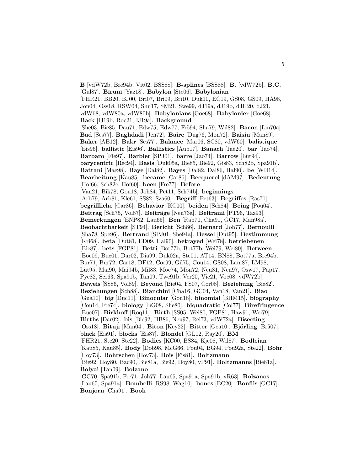**B** [vdW72b, Bre94b, Vit02, BSS88]. **B-splines** [BSS88]. **B.** [vdW72b]. **B.C.** [Gul87]. **B¯ırun¯ı** [Yaz18]. **Babylon** [Ste06]. **Babylonian** [FHR21, BB20, BJ00, Bri07, Bri09, Bri10, Duk10, EC19, GS08, GS09, HA98, Jon04, Oss18, RSW04, Shn17, SM21, Swe99, dJ19a, dJ19b, dJH20, dJ21, vdW68, vdW80a, vdW80b]. **Babylonians** [Goe68]. **Babylonier** [Goe68]. **Back** [IJ19b, Roc21, IJ19a]. **Background** [She03, Bie85, Dau71, Edw75, Edw77, Frö94, Sha79, Wil82]. **Bacon** [Lin70a]. **Bad** [Ses77]. **Baghdadi** [Jen72]. **Baire** [Dug76, Mon72]. **Baisiu** [Man89]. **Baker** [AB12]. **Bakr** [Ses77]. **Balance** [Mar06, SC80, vdW60]. **balistique** [Eis96]. **ballistic** [Eis96]. **Ballistics** [Aub17]. **Banach** [Jaë20]. **bar** [Jao74]. **Barbaro** [Fie97]. **Barbier** [SPJ01]. **barre** [Jao74]. **Barrow** [L¨ut94]. **barycentric** [Rec94]. **Basis** [Duk05a, Bie85, Bie92, Gis83, Sch82b, Spa91b]. **Battani** [Mae98]. **Baye** [Dal82]. **Bayes** [Dal82, Dal86, Hal90]. **be** [WH14]. **Bearbeitung** [Kau85]. **became** [Car86]. **Becquerel** [dAM97]. **Bedeutung** [Hof66, Sch82c, Hof60]. **been** [Fre77]. **Before** [Van21, Bik78, Gou18, Joh84, Pet11, Sch74b]. **beginnings** [Arb79, Arb81, Kle61, SS82, Sza60]. **Begriff** [Pet63]. **Begriffes** [Ras71]. **begriffliche** [Car86]. **Behavior** [KC00]. **beiden** [Sch84]. **Being** [Pou04]. Beitrag [Sch75, Vol87]. Beiträge [Neu73a]. Beltrami [PT96, Taz93]. **Bemerkungen** [ENP82, Lau65]. **Ben** [Rab70, Cha91, GC17, Man98a]. **Beobachtbarkeit** [ST94]. **Bericht** [Sch86]. **Bernard** [Joh77]. **Bernoulli** [Sha78, Spe96]. **Bertrand** [SPJ01, She94a]. **Bessel** [Dut95]. **Bestimmung** [Kri68]. **beta** [Dut81, ED09, Hal90]. **betrayed** [Wei78]. **betriebenen** [Bie87]. **bets** [FGP81]. **Betti** [Bot77b, Bot77b, Wei79, Wei80]. **Between** [Boc09, Buc01, Dar02, Dia99, Duk02a, Ste01, AT14, BN88, Bot77a, Bre94b, Bur71, Bur72, Car18, DF12, Cor99, Gil75, Gou14, GS08, Lam87, LM98, Lüt95, Mai90, Mai94b, Mil83, Moe74, Mon72, Neu81, Neu97, Osw17, Pap17, Pye82, Scr63, Spa91b, Tan09, Twe91b, Ver20, Vie21, Voe08, vdW72b]. **Beweis** [SS86, Vol89]. **Beyond** [Bie04, FS07, Cor08]. **Beziehung** [Bie82]. **Beziehungen** [Sch88]. **Bianchini** [Cha16, GC04, Van18, Van21]. **Biao** [Gua10]. **big** [Duc11]. **Binocular** [Gou18]. **binomial** [BHM15]. **biography** [Cou14, Fre74]. **biology** [BG08, She80]. **biquadratic** [Col77]. **Birefringence** [Buc07]. **Birkhoff** [Roq11]. **Birth** [SS05, Wei80, FGP81, Haw91, Wei79]. **Births** [Dar02]. **bis** [Bie92, HB86, Neu97, Rei73, vdW72a]. **Bisecting** [Oss18]. **Bitūjī** [Man04]. **Biton** [Key22]. **Bitter** [Gea10]. **Björling** [Brå07]. **black** [Eis91]. **blocks** [Eis87]. **Blondel** [GL12, Ray20]. **BM** [FHR21, Ste20, Ste22]. **Bodies** [KC00, BS84, Kje08, Wil87]. **Bodleian** [Kau85, Kau85]. **Body** [Dob98, McG66, Pou04, BG94, Pou92a, Ste22]. **Bohr** [Hoy73]. **Bohrschen** [Hoy73]. **Bois** [Fis81]. **Boltzmann** [Bie92, Hoy80, Bac90, Bie81a, Bie92, Hoy80, vP91]. **Boltzmanns** [Bie81a]. **Bolyai** [Tan09]. **Bolzano** [GG70, Spa91b, Fre71, Joh77, Lau65, Spa91a, Spa91b, vR63]. **Bolzanos** [Lau65, Spa91a]. **Bombelli** [RS98, Wag10]. **bones** [BC20]. **Bonfils** [GC17]. **Bonjorn** [Cha91]. **Book**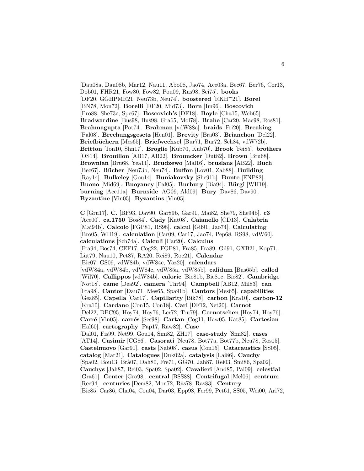[Dau08a, Dau08b, Mar12, Nau11, Abo08, Jao74, Ace03a, Bec67, Ber76, Cor13, Dob01, FHR21, Fow80, Fow82, Pou09, Rus98, Sei75]. **books** [DF20, GGHPMR21, Neu73b, Neu74]. **boostered** [RKH<sup>+</sup>21]. **Borel** [BN78, Mon72]. **Borelli** [DF20, Mid73]. **Born** [Im96]. **Boscovich** [Pro88, She73c, Spe67]. **Boscovich's** [DF18]. **Boyle** [Cha15, Web65]. **Bradwardine** [Bus98, Bus98, Gra65, Mol78]. **Brahe** [Car20, Mae98, Ros81]. **Brahmagupta** [Pot74]. **Brahman** [vdW88a]. **braids** [Fri20]. **Breaking** [Pal08]. **Brechungsgesetz** [Hen01]. **Brevity** [Bra03]. **Brianchon** [Del22]. **Briefb¨uchern** [Mes65]. **Briefwechsel** [Bur71, Bur72, Sch84, vdW72b]. **Britton** [Jon10, Shn17]. **Broglie** [Kub70, Kub70]. **Brook** [Fei85]. **brothers** [OS14]. **Brouillon** [AB17, AB22]. **Brouncker** [Dut82]. **Brown** [Bru68]. **Brownian** [Bru68, Yea11]. **Brudzewo** [Mal16]. **bruslans** [AB22]. **Buch** [Bec67]. **B¨ucher** [Neu73b, Neu74]. **Buffon** [Lov01, Zab88]. **Building** [Ray14]. **Bulkeley** [Gou14]. **Buniakovsky** [She91b]. **Bunte** [ENP82]. **Buono** [Mid69]. **Buoyancy** [Pal05]. **Burbury** [Dia94]. **Bürgi** [WH19]. **burning** [Ace11a]. **Burnside** [AG09, Ald09]. **Bury** [Dav86, Dav90]. **Byzantine** [Vin05]. **Byzantins** [Vin05].

6

**C** [Gru17]. **C.** [BF93, Dav90, Gar89b, Gar91, Mai82, She79, She94b]. **c3** [Ace00]. **ca.1750** [Bos84]. **Cady** [Kat08]. **Caianello** [CD13]. **Calabria** [Mai94b]. **Calcolo** [FGP81, RS98]. **calcul** [Gil91, Jao74]. **Calculating** [Bro05, WH19]. **calculation** [Car09, Car17, Jao74, Pep68, RS98, vdW60]. **calculations** [Sch74a]. **Calculi** [Car20]. **Calculus** [Fra94, Bos74, CEF17, Cog22, FGP81, Fra85, Fra89, Gil91, GXB21, Kop71, L¨ut79, Nau10, Pet87, RA20, Rei89, Roc21]. **Calendar** [Bie07, GS09, vdW84b, vdW84c, Yaz20]. **calendars** [vdW84a, vdW84b, vdW84c, vdW85a, vdW85b]. **calidum** [Bus65b]. **called** [Wil70]. **Callippos** [vdW84b]. **caloric** [Bie81b, Bie81c, Bie82]. **Cambridge** [Not18]. **came** [Dea92]. **camera** [Thr94]. **Campbell** [AB12, Mil83]. **can** [Fra98]. **Cantor** [Dau71, Mes65, Spa91b]. **Cantors** [Mes65]. **capabilities** [Gea85]. **Capella** [Car17]. **Capillarity** [Bik78]. **carbon** [Kra10]. **carbon-12** [Kra10]. **Cardano** [Con15, Con18]. **Carl** [DF12, Net20]. **Carnot** [Del22, DPC95, Hoy74, Hoy76, Ler72, Tru79]. **Carnotschen** [Hoy74, Hoy76]. **Carr´e** [Vin05]. **carr´es** [Ses98]. **Cartan** [Cog11, Haw05, Kat85]. **Cartesian** [Hal60]. **cartography** [Pap17, Raw82]. **Case** [Dal01, Fis99, Net99, Gou14, Smi82, ZH17]. **case-study** [Smi82]. **cases** [AT14]. **Casimir** [CG86]. **Casorati** [Neu78, Bot77a, Bot77b, Neu78, Ros15]. **Castelnuovo** [Gar91]. **casts** [Nab08]. **casus** [Con15]. **Catacaustics** [SS05]. **catalog** [Mar21]. **Catalogues** [Duk02a]. **catalysis** [Lai86]. **Cauchy** [Spa02, Bou13, Brå07, Dah80, Fre71, GG70, Jah87, Rei03, Smi86, Spa02]. **Cauchys** [Jah87, Rei03, Spa02, Spa02]. **Cavalieri** [And85, Pal09]. **celestial** [Gra61]. **Center** [Gro98]. **central** [BSS88]. **Centrifugal** [Mel06]. **centrum** [Rec94]. **centuries** [Dem82, Mon72, Ras78, Ras83]. **Century** [Bie85, Car86, Cha04, Cou04, Dar03, Epp98, Fer99, Pet61, SS05, Wei00, Ari72,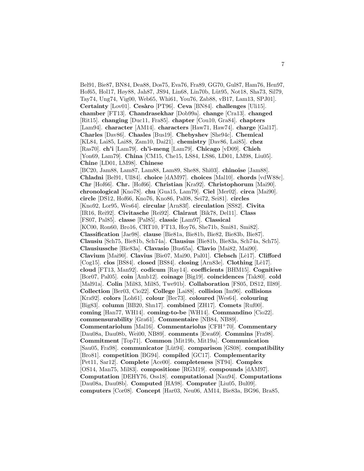Bel91, Bie87, BN84, Dea88, Dos75, Eva76, Fra89, GG70, Gul87, Ham76, Hen97, Hof65, Hol17, Høy88, Jah87, JS94, Lin68, Lin70b, Lüt95, Not18, Sha73, Sil79, Tay74, Ung74, Vig00, Web65, Whi61, You76, Zab88, vB17, Lam13, SPJ01]. **Certainty** [Lov01]. **Cesàro** [PT96]. **Ceva** [BN84]. **challenges** [Uli15]. **chamber** [FT13]. **Chandrasekhar** [Dob99a]. **change** [Cra13]. **changed** [Rit15]. **changing** [Duc11, Fra85]. **chapter** [Cou10, Gra84]. **chapters** [Lam94]. **character** [AM14]. **characters** [Haw71, Haw74]. **charge** [Gal17]. **Charles** [Dav86]. **Chasles** [Bus19]. **Chebyshev** [She94c]. **Chemical** [KL84, Lai85, Lai88, Zam10, Dai21]. **chemistry** [Dav86, Lai85]. **chez** [Ras70]. **ch'i** [Lam79]. **ch'i-meng** [Lam79]. **Chicago** [vD09]. **Chieh** [Yon69, Lam79]. **China** [CM15, Che15, LS84, LS86, LD01, LM98, Liu05]. **Chine** [LD01, LM98]. **Chinese** [BC20, Jam88, Lam87, Lam88, Lam89, She88, Shi03]. **chinoise** [Jam88]. **Chladni** [Bel91, Ull84]. **choice** [dAM97]. **choices** [Mal10]. **chords** [vdW88c]. **Chr** [Hof66]. **Chr.** [Hof66]. **Christian** [Kra92]. **Christophorum** [Mai90]. **chronological** [Kno78]. **chu** [Gua15, Lam79]. **Ciel** [Mer02]. **circa** [Mai90]. **circle** [DS12, Hof66, Kno76, Kno86, Pal08, Sei72, Sei81]. **circles** [Kno92, Lor95, Wes64]. **circular** [Arn83f]. **circulation** [SS82]. **Civita** [IR16, Rei92]. **Civitasche** [Rei92]. **Clairaut** [Bik78, Del11]. **Class** [FS07, Pal85]. **classe** [Pal85]. **classic** [Lam97]. **Classical** [KC00, Ron60, Bro16, CRT10, FT13, Hoy76, She71b, Smi81, Smi82]. **Classification** [Jae98]. **clause** [Bie81a, Bie81b, Bie82, Bie83b, Bie87]. **Clausiu** [Sch75, Bie81b, Sch74a]. **Clausius** [Bie81b, Bie83a, Sch74a, Sch75]. **Clausiussche** [Bie83a]. **Clavasio** [Bus65a]. **Clavio** [Mai82, Mai90]. **Clavium** [Mai90]. **Clavius** [Bie07, Mai90, Pal01]. **Clebsch** [Lˆe17]. **Clifford** [Cog15]. **clos** [BS84]. **closed** [BS84]. **closing** [Arn83e]. **Clothing** [Lˆe17]. **cloud** [FT13, Man92]. **codicum** [Ray14]. **coefficients** [BHM15]. **Cognitive** [Bor07, Pal05]. **coin** [Amb12]. **coinage** [Big19]. **coincidences** [Tak80]. **cold** [Mal91a]. **Colin** [Mil83, Mil85, Twe91b]. **Collaboration** [FS05, DS12, Ill89]. **Collection** [Ber03, Cio22]. **College** [Lai88]. **collision** [Im96]. **collisions** [Kra92]. **colors** [Loh61]. **colour** [Bec73]. **coloured** [Wes64]. **colouring** [Big83]. **column** [BB20, Shn17]. **combined** [ZH17]. **Comets** [Ruf00]. **coming** [Han77, WH14]. **coming-to-be** [WH14]. **Commandino** [Cio22]. **commensurability** [Gra61]. **Commentaire** [NB84, NB89]. **Commentariolum** [Mal16]. **Commentariolus** [CFH<sup>+</sup>70]. **Commentary** [Dau08a, Dau08b, Wei00, NB89]. **comments** [Ewa69]. **Commins** [Fra98]. **Commitment** [Top71]. **Common** [Mit19b, Mit19a]. **Communication** [Sau05, Fra98]. **communicator** [L¨ut94]. **comparison** [GS08]. **compatibility** [Bro81]. **competition** [BG94]. **compiled** [GC17]. **Complementarity** [Pet11, Sar12]. **Complete** [Ace00]. **completeness** [ST94]. **Complex** [OS14, Man75, Mil83]. **compositione** [RGM19]. **compounds** [dAM97]. **Computation** [DEHY76, Oss18]. **computational** [Nau94]. **Computations** [Dau08a, Dau08b]. **Computed** [HA98]. **Computer** [Liu05, Bul09]. **computers** [Cor08]. **Concept** [Har03, Neu06, AM14, Bie83a, BG96, Bra85,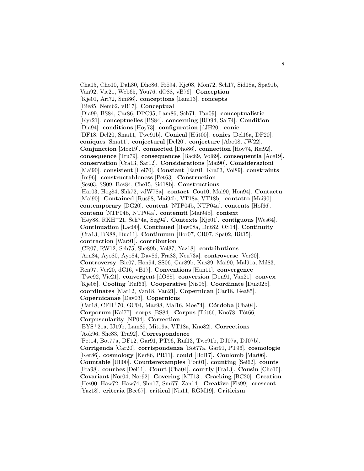Cha15, Cho10, Dah80, Dho86, Frö94, Kje08, Mon72, Sch17, Sid18a, Spa91b, Van92, Vie21, Web65, You76, dO88, vB76]. **Conception** [Kje01, Ari72, Smi86]. **conceptions** [Lam13]. **concepts** [Bie85, Nem62, vB17]. **Conceptual** [Dia99, BS84, Car86, DPC95, Lam86, Sch71, Tan09]. **conceptualistic** [Kyr21]. **conceptuelles** [BS84]. **concerning** [RD94, Sal74]. **Condition** [Dia94]. **conditions** [Hoy73]. **configuration** [dJH20]. **conic** [DF18, Del20, Sma11, Twe91b]. **Conical** [Hüt00]. **conics** [Del16a, DF20]. **coniques** [Sma11]. **conjectural** [Del20]. **conjecture** [Abo08, JW22]. **Conjunction** [Moz19]. **connected** [Dho86]. **connection** [Hoy74, Rei92]. **consequence** [Tru79]. **consequences** [Bac89, Vol89]. **consequentia** [Ace19]. **conservation** [Cra13, Sar12]. **Considerations** [Mai90]. **Considerazioni** [Mai90]. **consistent** [Hei70]. **Constant** [Ear01, Kra03, Vol89]. **constraints** [Im96]. **constructableness** [Pet63]. **Construction** [Ses03, SS09, Bos84, Che15, Sid18b]. **Constructions** [Har03, Hog84, Shk72, vdW78a]. **contact** [Cou10, Mai90, Hon94]. **Contactu** [Mai90]. **Contained** [Rus98, Mai94b, VT18a, VT18b]. **contatto** [Mai90]. **contemporary** [DG20]. **content** [NTP04b, NTP04a]. **contents** [Hof66]. **contenu** [NTP04b, NTP04a]. **contenuti** [Mai94b]. **context** [Høy88, RKH<sup>+</sup>21, Sch74a, Seg94]. **Contexts** [Kje01]. **contiguous** [Wes64]. **Continuation** [Lac00]. **Continued** [Haw08a, Dut82, OS14]. **Continuity** [Cra13, BN88, Duc11]. **Continuum** [Bor07, CR07, Spa02, Rit15]. **contraction** [War91]. **contribution** [CR07, RW12, Sch75, She89b, Vol87, Yaz18]. **contributions** [Arn84, Ayo80, Ayo84, Dav86, Fra83, Neu73a]. **controverse** [Ver20]. **Controversy** [Bie07, Hon94, SS06, Gar89b, Kus89, Mai90, Mal91a, Mil83, Ren97, Ver20, dC16, vB17]. **Conventions** [Han11]. **convergence** [Twe92, Vie21]. **convergent** [dO88]. **conversion** [Don91, Van21]. **convex** [Kje08]. **Cooling** [Ruf63]. **Cooperative** [Nis05]. **Coordinate** [Duk02b]. **coordinates** [Mar12, Van18, Van21]. **Copernican** [Car18, Gea85]. **Copernicanae** [Dav03]. **Copernicus** [Car18, CFH<sup>+</sup>70, GC04, Mae98, Mal16, Moe74]. **C´ordoba** [Cha04]. **Corporum** [Kal77]. **corps** [BS84]. **Corpus** [Tót66, Kno78, Tót66]. **Corpuscularity** [NP04]. **Correction** [BYS<sup>+</sup>21a, IJ19b, Lam89, Mit19a, VT18a, Kno82]. **Corrections** [Aok96, She83, Tru92]. **Correspondence** [Pet14, Bot77a, DF12, Gar91, PT96, Ruf13, Twe91b, DJ07a, DJ07b]. **Corrigenda** [Car20]. **corrispondenza** [Bot77a, Gar91, PT96]. **cosmologie** [Ker86]. **cosmology** [Ker86, PR11]. **could** [Hol17]. **Coulomb** [Mar06]. **Countable** [Ull00]. **Counterexamples** [Pou01]. **counting** [Sei62]. **counts** [Fra98]. **courbes** [Del11]. **Court** [Cha04]. **courtly** [Fra13]. **Cousin** [Cho10]. **Covariant** [Nor04, Nor92]. **Covering** [MT13]. **Cracking** [BC20]. **Creation** [Hes00, Haw72, Haw74, Shn17, Smi77, Zan14]. **Creative** [Fis99]. **crescent**

[Yaz18]. **criteria** [Bec67]. **critical** [Nis11, RGM19]. **Criticism**

8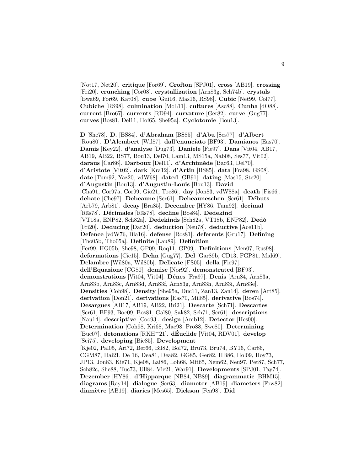[Not17, Net20]. **critique** [For69]. **Crofton** [SPJ01]. **cross** [AB19]. **crossing** [Fri20]. **crunching** [Cor08]. **crystallization** [Arn83g, Sch74b]. **crystals** [Ewa69, For69, Kat08]. **cube** [Gui16, Mas16, RS98]. **Cubic** [Net99, Col77]. **Cubiche** [RS98]. **culmination** [McL11]. **cultures** [Asc88]. **Cunha** [dO88]. **current** [Bro67]. **currents** [RD94]. **curvature** [Ger82]. **curve** [Gug77]. **curves** [Bos81, Del11, Hof65, She95a]. **Cyclotomie** [Bou13].

**D** [She78]. **D.** [BS84]. **d'Abraham** [BS85]. **d'Abu** [Ses77]. **d'Albert** [Rou80]. **D'Alembert** [Wil87]. **dall'enunciato** [BF93]. **Damianos** [Eas70]. **Damis** [Key22]. **d'analyse** [Dug73]. **Daniele** [Fie97]. **Dans** [Vit04, AB17, AB19, AB22, BS77, Bou13, Del70, Lam13, MS15a, Nab08, Ses77, Vit02]. **daraus** [Car86]. **Darboux** [Del11]. **d'Archim`ede** [Bac63, Del70]. **d'Aristote** [Vit02]. **dark** [Kra12]. **d'Artin** [BS85]. **data** [Fra98, GS08]. **date** [Tum92, Yaz20, vdW68]. **dated** [GB91]. **dating** [Mas15, Ste20]. **d'Augustin** [Bou13]. **d'Augustin-Louis** [Bou13]. **David** [Cha91, Cor97a, Cor99, Gio21, Toe86]. **day** [Jon83, vdW88a]. **death** [Fis66]. **debate** [Che97]. **Debeaune** [Scr61]. **Debeauneschen** [Scr61]. **D´ebuts** [Arb79, Arb81]. **decay** [Bra85]. **December** [HY86, Tum92]. **decimal** [Rās78]. **Décimales** [Rās78]. decline [Bos84]. **Dedekind** [VT18a, ENP82, Sch82a]. **Dedekinds** [Sch82a, VT18b, ENP82]. **Ded`o** [Fri20]. **Deducing** [Dar20]. **deduction** [Neu78]. **deductive** [Ace11b]. **Defence** [vdW76, Blå16]. **defense** [Ros81]. **deferents** [Gru17]. **Defining** [Tho05b, Tho05a]. **Definite** [Lau89]. **Definition** [Fer99, HG05b, She98, GP09, Roq11, GP09]. **Definitions** [Men07, Rus98]. **deformations** [Cic15]. **Dehn** [Gug77]. **Del** [Gar89b, CD13, FGP81, Mid69]. **Delambre** [Wil80a, Wil80b]. **Delicate** [FS05]. **della** [Fie97]. **dell'Equazione** [CG80]. **demise** [Nor92]. **demonstrated** [BF93]. **demonstrations** [Vit04, Vit04]. **D´enes** [Fra97]. **Denis** [Arn84, Arn83a, Arn83b, Arn83c, Arn83d, Arn83f, Arn83g, Arn83h, Arn83i, Arn83e]. **Densities** [Coh98]. **Density** [She95a, Duc11, Zan13, Zan14]. **deren** [Art85]. **derivation** [Don21]. **derivations** [Eas70, Mil85]. **derivative** [Bos74]. **Desargues** [AB17, AB19, AB22, Bri21]. **Descarte** [Sch71]. **Descartes** [Scr61, BF93, Boc09, Bos81, Gal80, Sak82, Sch71, Scr61]. **descriptions** [Nau14]. **descriptive** [Coo93]. **design** [Amb12]. **Detector** [Hes00]. **Determination** [Coh98, Kri68, Mae98, Pro88, Swe80]. **Determining** [Buc07]. **detonations** [RKH<sup>+</sup>21]. **dEuclide ´** [Vit04, RDV01]. **develop** [Sei75]. **developing** [Bie85]. **Development** [Kje02, Pal05, Ari72, Ber66, Bil82, Bol72, Bru73, Bru74, BY16, Car86, CGM87, Dai21, De 16, Dea81, Dea82, GG85, Ger82, HB86, Hol09, Hoy73, JP13, Jon83, Kie71, Kje08, Lai86, Loh68, Mit65, Nem62, Neu97, Pet87, Sch77, Sch82c, She88, Tuc73, Ull84, Vie21, War91]. **Developments** [SPJ01, Tay74]. **Dezember** [HY86]. **d'Hipparque** [NB84, NB89]. **diagrammatic** [BHM15]. **diagrams** [Ray14]. **dialogue** [Scr63]. **diameter** [AB19]. **diameters** [Fow82]. **diam`etre** [AB19]. **diaries** [Mes65]. **Dickson** [Fen98]. **Did**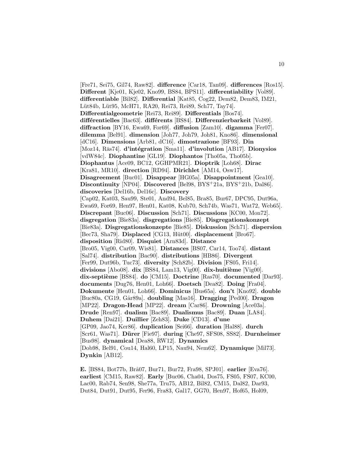[Fre71, Sei75, Gil74, Raw82]. **difference** [Car18, Tan09]. **differences** [Ros15]. **Different** [Kje01, Kje02, Kno99, BS84, BPS11]. **differentiability** [Vol89]. **differentiable** [Bil82]. **Differential** [Kat85, Cog22, Dem82, Dem83, IM21, Lüt84b, Lüt95, McH71, RA20, Rei73, Rei89, Sch77, Tay74]. **Differentialgeometrie** [Rei73, Rei89]. **Differentials** [Bos74]. **diff´erentielles** [Bac63]. **diff´erents** [BS84]. **Differenzierbarkeit** [Vol89]. **diffraction** [BY16, Ewa69, For69]. **diffusion** [Zam10]. **digamma** [Fer07]. **dilemma** [Bel91]. **dimension** [Joh77, Joh79, Joh81, Kno86]. **dimensional** [dC16]. **Dimensions** [Arb81, dC16]. **dimostrazione** [BF93]. **Din** [Moz14, R¯as74]. **d'int´egration** [Sma11]. **d'involution** [AB17]. **Dionysios** [vdW84c]. **Diophantine** [GL19]. **Diophantos** [Tho05a, Tho05b]. **Diophantus** [Ace09, BC12, GGHPMR21]. **Dioptrik** [Loh68]. **Dirac** [Kra81, MR10]. **direction** [RD94]. **Dirichlet** [AM14, Osw17]. **Disagreement** [Buc01]. **Disappear** [HG05a]. **Disappointment** [Gea10]. **Discontinuity** [NP04]. **Discovered** [Bel98, BYS<sup>+</sup>21a, BYS<sup>+</sup>21b, Dal86]. **discoveries** [Del16b, Del16c]. **Discovery** [Cap02, Kat03, Sau99, Ste01, And94, Bel85, Bra85, Bur67, DPC95, Dut96a, Ewa69, For69, Hen97, Hen01, Kat08, Kub70, Sch74b, Was71, Wat72, Web65]. **Discrepant** [Buc06]. **Discussion** [Sch71]. **Discussions** [KC00, Mon72]. **disgregation** [Bie83a]. **disgregations** [Bie85]. **Disgregationskonzept** [Bie83a]. **Disgregationskonzepte** [Bie85]. **Diskussion** [Sch71]. **dispersion** [Bec73, Sha79]. **Displaced** [CG13, Hüt00]. **displacement** [Bro67]. **disposition** [Rid80]. **Disquiet** [Arn83d]. **Distance** [Bro05, Vig00, Car09, Wis81]. **Distances** [BS07, Car14, Too74]. **distant** [Sal74]. **distribution** [Bac90]. **distributions** [HB86]. **Divergent** [Fer99, Dut96b, Tuc73]. **diversity** [Sch82b]. **Division** [FS05, Fri14]. **divisions** [Abo08]. **dix** [BS84, Lam13, Vig00]. **dix-huitième** [Vig00]. **dix-septi`eme** [BS84]. **do** [CM15]. **Doctrine** [Ras70]. **documented** [Dar93]. **documents** [Dug76, Hen01, Loh66]. **Doetsch** [Dea82]. **Doing** [Fra04]. **Dokumente** [Hen01, Loh66]. **Dominicus** [Bus65a]. **don't** [Kno92]. **double** [Buc80a, CG19, G˚ar89a]. **doubling** [Mas16]. **Dragging** [Ped00]. **Dragon** [MP22]. **Dragon-Head** [MP22]. **dream** [Car86]. **Drowning** [Ace03a]. **Drude** [Ren97]. **dualism** [Bac89]. **Dualismus** [Bac89]. **Duan** [LA84]. **Duhem** [Dai21]. **Duillier** [Zeh83]. **Duke** [CD13]. **d'une** [GP09, Jao74, Ker86]. **duplication** [Sei66]. **duration** [Hal88]. **durch** [Scr61, Was71]. **D¨urer** [Fie97]. **during** [Che97, SFS08, SS82]. **Durnheimer** [Bus98]. **dynamical** [Dea88, RW12]. **Dynamics** [Dob98, Bel91, Cou14, Hal60, LP15, Nau94, Nem62]. **Dynamique** [Mil73]. **Dynkin** [AB12].

**E.** [BS84, Bot77b, Br˚a07, Bur71, Bur72, Fra98, SPJ01]. **earlier** [Eva76]. **earliest** [CM15, Raw82]. **Early** [Buc06, Cha04, Dos75, FS05, FS07, KC00, Lac00, Rab74, Sen98, She77a, Tru75, AB12, Bil82, CM15, Dal82, Dar93, Dut84, Dut91, Dut95, Fer96, Fra83, Gal17, GG70, Hen97, Hof65, Hol09,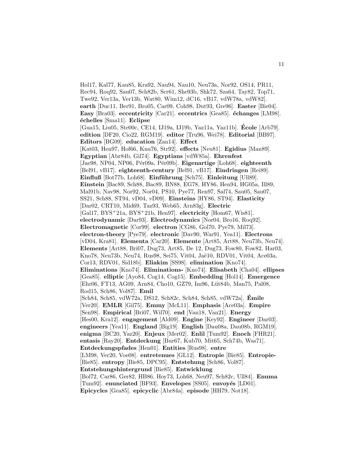Hol17, Kal77, Kau85, Kra92, Nau94, Nau10, Neu73a, Nor92, OS14, PR11, Rec94, Roq92, Sau07, Sch82b, Scr61, She93b, Shk72, Sza64, Tay82, Top71, Twe92, Ver13a, Ver13b, Wat80, Wim12, dC16, vB17, vdW78a, vdW82]. **earth** [Duc11, Ber91, Bro05, Car09, Coh98, Dut93, Gre96]. **Easter** [Bie04]. **Easy** [Bra03]. **eccentricity** [Car21]. **eccentrics** [Gea85]. **´echanges** [LM98]. **´echelles** [Sma11]. **Eclipse** [Gua15, Liu05, Ste00c, CE14, IJ19a, IJ19b, Yaz11a, Yaz11b]. **Ecole ´** [Arb79]. **edition** [DF20, Cio22, RGM19]. **editor** [Tru96, Wei78]. **Editorial** [BB97]. **Editors** [BG09]. **education** [Zan14]. **Effect** [Kat03, Hen97, Hof66, Knu76, Str92]. **effects** [Neu81]. **Egidius** [Man89]. **Egyptian** [Abr84b, Gil74]. **Egyptians** [vdW85a]. **Ehrenfest** [Jae98, NP04, NP06, P´er09a, P´er09b]. **Eigenartige** [Loh68]. **eighteenth** [Bel91, vB17]. **eighteenth-century** [Bel91, vB17]. **Eindringen** [Rei89]. **Einfluß** [Bot77b, Loh68]. **Einführung** [Sch75]. **Einleitung** [Ull89]. **Einstein** [Bac89, Sch88, Bac89, BN88, EG78, HY86, Hen94, HG05a, Ill89, Mal91b, Nav98, Nor92, Nor04, PS10, Pye77, Ren97, Sal74, Sau05, Sau07, SS21, Sch88, ST94, vD04, vD09]. **Einsteins** [HY86, ST94]. **Elasticity** [Dar02, CRT10, Mid69, Taz93, Web65, Arn83g]. **Electric** [Gal17, BYS<sup>+</sup>21a, BYS<sup>+</sup>21b, Hen97]. **electricity** [Hom67, Wis81]. **electrodynamic** [Dar93]. **Electrodynamics** [Nor04, Bro16, Roq92]. **Electromagnetic** [Cor99]. **electron** [CG86, Gol70, Pye79, Mil73]. **electron-theory** [Pye79]. **electronic** [Dav90, War91, Yea11]. **Electrons** [vD04, Kra81]. **Elementa** [Car20]. **Elemente** [Art85, Art88, Neu73b, Neu74]. **Elements** [Art88, Bri07, Dug73, Art85, De 12, Dug73, Fow80, Fow82, Har03, Kno78, Neu73b, Neu74, Rus98, Sei75, Vit04, Jaë10, RDV01, Vit04, Ace03a, Cor13, RDV01, Sid18b]. **Eliakim** [SS98]. **elimination** [Kno74]. **Eliminations** [Kno74]. **Eliminations-** [Kno74]. **Elisabeth** [Cha04]. **ellipses** [Gea85]. **elliptic** [Ayo84, Cog14, Cog15]. **Embedding** [Hol14]. **Emergence** [Ehr06, FT13, AG09, Arn84, Cho10, GZ79, Im96, Lüt84b, Man75, Pal08, Rod15, Sch86, Vol87]. **Emil** [Sch84, Sch85, vdW72a, DS12, Sch82c, Sch84, Sch85, vdW72a]. **Emile ´** [Ver20]. **EMLR** [Gil75]. **Emmy** [McL11]. **Emphasis** [Ace03a]. **Empire** [Sen98]. **Empirical** [Bri07, Wil70]. **end** [Van18, Van21]. **Energy** [Hes00, Kra12]. **engagement** [Ald09]. **Engine** [Key92]. **Engineer** [Dar03]. **engineers** [Yea11]. **England** [Big19]. **English** [Dau08a, Dau08b, RGM19]. **enigma** [BC20, Yaz20]. **Enjeux** [Mer02]. **Enlil** [Tum92]. **Enoch** [FHR21]. **entasis** [Ray20]. **Entdeckung** [Bur67, Kub70, Mit65, Sch74b, Was71]. **Entdeckungspfades** [Hen01]. **Entities** [Rus98]. **entre** [LM98, Ver20, Voe08]. **entretenues** [GL12]. **Entropie** [Bie85]. **Entropie-** [Bie85]. **entropy** [Bie85, DPC95]. **Entstehung** [Sch86, Vol87]. **Entstehungshintergrund** [Bie85]. **Entwicklung** [Bol72, Car86, Ger82, HB86, Hoy73, Loh68, Neu97, Sch82c, Ull84]. **Enuma** [Tum92]. **enunciated** [BF93]. **Envelopes** [SS05]. **envoyés** [LD01]. **Epicycles** [Gea85]. **epicyclic** [Abr84a]. **episode** [HH79, Not18].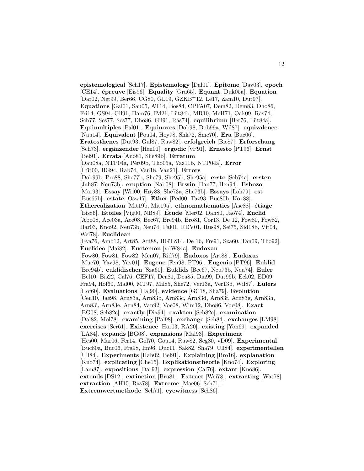**epistemological** [Sch17]. **Epistemology** [Dal01]. **Epitome** [Dav03]. **epoch** [CE14]. **´epreuve** [Eis96]. **Equality** [Gra65]. **Equant** [Duk05a]. **Equation** [Dar02, Net99, Ber66, CG80, GL19, GZKB<sup>+</sup>12, Lê17, Zam10, Dut97]. **Equations** [Gal01, Sau05, AT14, Bos84, CPFA07, Dem82, Dem83, Dho86, Fri14, GS94, Gil91, Ham76, IM21, Lüt84b, MR10, McH71, Oak09, Rās74, Sch77, Ses77, Ses77, Dho86, Gil91, Rās74]. **equilibrium** [Ber76, Lüt84a]. **Equimultiples** [Pal01]. **Equinoxes** [Dob98, Dob99a, Wil87]. **equivalence** [Nau14]. **Equivalent** [Pou04, Hoy78, Shk72, Sme70]. **Era** [Buc06]. **Eratosthenes** [Dut93, Gul87, Raw82]. **erfolgreich** [Bie87]. **Erforschung** [Sch73]. **erg¨anzender** [Hen01]. **ergodic** [vP91]. **Ernesto** [PT96]. **Ernst** [Bel91]. **Errata** [Ano81, She89b]. **Erratum** [Dau08a, NTP04a, P´er09b, Tho05a, Yaz11b, NTP04a]. **Error** [H¨ut00, BG94, Rab74, Van18, Van21]. **Errors** [Dob99b, Pro88, She77b, She79, She95b, She95a]. **erste** [Sch74a]. **ersten** [Jah87, Neu73b]. **eruption** [Nab08]. **Erwin** [Han77, Hen94]. **Esbozo** [Mar93]. **Essay** [Wri00, Høy88, She73a, She73b]. **Essays** [Loh79]. **est** [Bus65b]. **estate** [Osw17]. **Ether** [Ped00, Taz93, Buc80b, Kox88]. **Etherealization** [Mit19b, Mit19a]. **ethnomathematics** [Asc88]. **´etiage** [Eis86]. **Etoiles ´** [Vig00, NB89]. **Etude ´** [Mer02, Dah80, Jao74]. **Euclid** [Abo08, Ace03a, Ace08, Bec67, Bre94b, Bro81, Cor13, De 12, Fow80, Fow82, Har03, Kno92, Neu73b, Neu74, Pal01, RDV01, Rus98, Sei75, Sid18b, Vit04, Wei78]. **Euclidean** [Eva76, Amb12, Art85, Art88, BGTZ14, De 16, Fre91, Sza60, Tan09, Tho92]. **Euclideo** [Mai82]. **Euctemon** [vdW84a]. **Eudoxan** [Fow80, Fow81, Fow82, Men07, Rid79]. **Eudoxos** [Art88]. **Eudoxus** [Mue70, Yav98, Yav01]. **Eugene** [Fen98, PT96]. **Eugenio** [PT96]. **Euklid** [Bre94b]. **euklidischen** [Sza60]. **Euklids** [Bec67, Neu73b, Neu74]. **Euler** [Bel10, Bis22, Cal76, CEF17, Dea81, Dea85, Dia99, Dut96b, Eck02, ED09, Fra94, Hof60, Mal00, MT97, Mil85, She72, Ver13a, Ver13b, Wil87]. **Eulers** [Hof60]. **Evaluations** [Hal90]. **evidence** [GC18, Sha79]. **Evolution** [Cen10, Jae98, Arn83a, Arn83b, Arn83c, Arn83d, Arn83f, Arn83g, Arn83h, Arn83i, Arn83e, Arn84, Van92, Voe08, Wim12, Dho86, Voe08]. **Exact** [BG08, Sch82c]. **exactly** [Dia94]. **exakten** [Sch82c]. **examination** [Dal82, Mol78]. **examining** [Pal98]. **exchange** [Sch84]. **exchanges** [LM98]. **exercises** [Scr61]. **Existence** [Har03, RA20]. **existing** [Yon69]. **expanded** [LA84]. **expands** [BG08]. **expansions** [Mal93]. **Experiment** [Hes00, Mar06, Fer14, Gol70, Gou14, Raw82, Seg80, vD09]. **Experimental** [Buc80a, Buc06, Fra98, Im96, Duc11, Sak82, Sha79, Ull84]. **experimentellen** [Ull84]. **Experiments** [Hah02, Bel91]. **Explaining** [Bro16]. **explanation** [Kno74]. **explicating** [Che15]. **Explikationstheorie** [Kno74]. **Exploring** [Lam87]. **expositions** [Dar93]. **expression** [Cal76]. **extant** [Kno86]. **extends** [DS12]. **extinction** [Bru81]. **Extract** [Wei78]. **extracting** [Wat78]. extraction [AH15, Ras78]. **Extreme** [Mae06, Sch71]. **Extremwertmethode** [Sch71]. **eyewitness** [Sch86].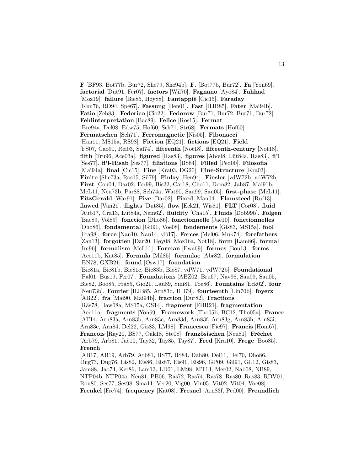**F** [BF93, Bot77b, Bur72, She79, She94b]. **F.** [Bot77b, Bur72]. **Fa** [Yon69]. **factorial** [Dut91, Fer07]. **factors** [Wil70]. **Fagnano** [Ayo84]. **Fahhad** [Moz19]. **failure** [Bie85, Høy88]. **Fantappiè** [Cic15]. **Faraday** [Knu76, RD94, Spe67]. **Fassung** [Hen01]. **Fast** [HJB85]. **Fater** [Mai94b]. **Fatio** [Zeh83]. **Federico** [Cio22]. **Fedorow** [Bur71, Bur72, Bur71, Bur72]. **Fehlinterpretation** [Bac89]. **Felice** [Ros15]. **Fermat** [Bre94a, Del08, Edw75, Hof60, Sch71, Str68]. **Fermats** [Hof60]. **Fermatschen** [Sch71]. **Ferromagnetic** [Nis05]. **Fibonacci** [Han11, MS15a, RS98]. **Fiction** [EQ21]. **fictions** [EQ21]. **Field** [FS07, Cao91, Rei03, Sal74]. **fifteenth** [Not18]. **fifteenth-century** [Not18]. **fifth** [Tru96, Ace03a]. **figured** [Ras83]. **figures** [Abo08, L¨ut84a, Ras83]. **fi'l** [Ses77]. **fi'l-Hisab** [Ses77]. **filiations** [BS84]. **Filled** [Ped00]. **Filosofia** [Mai94a]. **final** [Cic15]. **Fine** [Kra03, DG20]. **Fine-Structure** [Kra03]. **Finite** [She73a, Ros15, Sil79]. **Finlay** [Hen94]. **Finsler** [vdW72b, vdW72b]. **First** [Cou04, Dar02, Fer99, Bis22, Car18, Cho11, Dem82, Jah87, Mal91b, McL11, Neu73b, Par88, Sch74a, Wat90, Sau99, Sau05]. **first-phase** [McL11]. **FitzGerald** [War91]. **Five** [Dar02]. **Fixed** [Man04]. **Flamsteed** [Ruf13]. **flawed** [Van21]. **flights** [Dut85]. **flow** [Eck21, Wis81]. **FLT** [Cor08]. **fluid** [Aub17, Cra13, L¨ut84a, Nem62]. **fluidity** [Cha15]. **Fluids** [Dob99b]. **Folgen** [Bac89, Vol89]. **fonction** [Dho86]. **fonctionnelle** [Jaë10]. **fonctionnelles** [Dho86]. **fondamental** [Gil91, Voe08]. **fondements** [Gis83, MS15a]. **fool** [Fra98]. **force** [Nau10, Nau14, vB17]. **Forces** [Mel06, Muk74]. **forefathers** [Zan13]. **forgotten** [Dar20, Høy08, Moz16a, Not18]. **form** [Lam86]. **formal** [Im96]. **formalism** [McL11]. **Forman** [Ewa69]. **formes** [Bou13]. **forms** [Ace11b, Kat85]. **Formula** [Mil85]. **formulae** [Abr82]. **formulation** [BN78, GXB21]. **found** [Osw17]. **foundation** [Bie81a, Bie81b, Bie81c, Bie83b, Bie87, vdW71, vdW72b]. **Foundational** [Pal01, Bus19, Fer07]. **Foundations** [ABZ02, Bru67, Nav98, Sau99, Sau05, Bie82, Boo85, Fra85, Gio21, Lau89, Smi81, Toe86]. **Fountains** [Eck02]. **four** [Neu73b]. **Fourier** [HJB85, Arn83d, HH79]. **fourteenth** [Lin70b]. **foyerz** [AB22]. **fra** [Mai90, Mai94b]. **fraction** [Dut82]. **Fractions** [R¯as78, Haw08a, MS15a, OS14]. **fragment** [FHR21]. **fragmentation** [Ace11a]. **fragments** [Yon69]. **Framework** [Tho05b, BC12, Tho05a]. **France** [AT14, Arn83a, Arn83b, Arn83c, Arn83d, Arn83f, Arn83g, Arn83h, Arn83i, Arn83e, Arn84, Del22, Gis83, LM98]. **Francesca** [Fie97]. **Francis** [Hom67]. Francois<sup> [Ray20, BS77, Oak18, Ste08]. **französischen** [Neu81]. **Fréchet**</sup> [Arb79, Arb81, Jaë10, Tay82, Tay85, Tay87]. **Fred** [Kra10]. **Frege** [Boo85]. **French** [AB17, AB19, Arb79, Arb81, BS77, BS84, Dah80, Del11, Del70, Dho86, Dug73, Dug76, Eis82, Eis86, Eis87, Eis91, Eis96, GP09, Gil91, GL12, Gis83, Jam88, Jao74, Ker86, Lam13, LD01, LM98, MT13, Mer02, Nab08, NB89, NTP04b, NTP04a, Neu81, PB06, Ras72, Rās74, Rās78, Ras80, Ras83, RDV01,

Rou80, Ses77, Ses98, Sma11, Ver20, Vig00, Vin05, Vit02, Vit04, Voe08].

**Frenkel** [Fre74]. **frequency** [Kat08]. **Fresnel** [Arn83f, Ped00]. **Freundlich**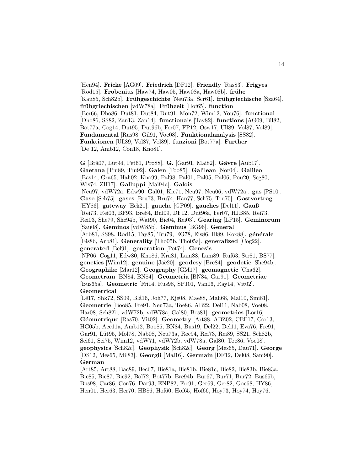[Hen94]. **Fricke** [AG09]. **Friedrich** [DF12]. **Friendly** [Ras83]. **Frigyes** [Rod15]. **Frobenius** [Haw74, Haw05, Haw08a, Haw08b]. **frühe** [Kau85, Sch82b]. **Fr¨uhgeschichte** [Neu73a, Scr61]. **fr¨uhgriechische** [Sza64]. **frühgriechischen** [vdW78a]. **Frühzeit** [Hof65]. **function** [Ber66, Dho86, Dut81, Dut84, Dut91, Mon72, Wim12, You76]. **functional** [Dho86, SS82, Zan13, Zan14]. **functionals** [Tay82]. **functions** [AG09, Bil82, Bot77a, Cog14, Dut95, Dut96b, Fer07, FP12, Osw17, Ull89, Vol87, Vol89]. **Fundamental** [Rus98, Gil91, Voe08]. **Funktionalanalysis** [SS82]. **Funktionen** [Ull89, Vol87, Vol89]. **funzioni** [Bot77a]. **Further** [De 12, Amb12, Con18, Kno81].

**G** [Br˚a07, L¨ut94, Pet61, Pro88]. **G.** [Gar91, Mai82]. **Gˆavre** [Aub17]. **Gaetana** [Tru89, Tru92]. **Galen** [Too85]. **Galilean** [Nor04]. **Galileo** [Bas14, Gra65, Hah02, Kno99, Pal98, Pal01, Pal05, Pal06, Pou20, Seg80, Wis74, ZH17]. **Galluppi** [Mai94a]. **Galois** [Neu97, vdW72a, Edw90, Gal01, Kie71, Neu97, Neu06, vdW72a]. **gas** [PS10]. **Gase** [Sch75]. **gases** [Bru73, Bru74, Han77, Sch75, Tru75]. **Gastvortrag** [HY86]. **gateway** [Eck21]. **gauche** [GP09]. **gauches** [Del11]. **Gauß** [Rei73, Rei03, BF93, Bre84, Bul09, DF12, Dut96a, Fer07, HJB85, Rei73, Rei03, She79, She94b, Wat90, Bie04, Rei03]. **Gearing** [LP15]. **Geminorum** [Sau08]. **Geminos** [vdW85b]. **Geminus** [BG96]. **General** [Arb81, SS98, Rod15, Tay85, Tru79, EG78, Eis86, Ill89, Kox88]. **générale** [Eis86, Arb81]. **Generality** [Tho05b, Tho05a]. **generalized** [Cog22]. **generated** [Bel91]. **generation** [Pot74]. **Genesis** [NP06, Cog11, Edw80, Kno86, Kra81, Lam88, Lam89, Ruf63, Str81, BS77]. **genetics** [Wim12]. **genuine** [Jaë20]. **geodesy** [Bre84]. **geodetic** [She94b]. **Geographike** [Mar12]. **Geography** [GM17]. **geomagnetic** [Cha62]. **Geometram** [BN84, BN84]. **Geometria** [BN84, Gar91]. **Geometriae** [Bus65a]. **Geometric** [Fri14, Rus98, SPJ01, Van06, Ray14, Vit02]. **Geometrical** [Lê17, Shk72, SS09, Blå16, Joh77, Kje08, Mae88, Mah68, Mal10, Smi81]. **Geometrie** [Boo85, Fre91, Neu73a, Toe86, AB22, Del11, Nab08, Voe08, Har08, Sch82b, vdW72b, vdW78a, Gal80, Bos81]. **geometries** [Lor16]. **G´eometrique** [Ras70, Vit02]. **Geometry** [Art88, ABZ02, CEF17, Cor13, HG05b, Ace11a, Amb12, Boo85, BN84, Bus19, Del22, Del11, Eva76, Fre91, Gar91, Lüt95, Mol78, Nab08, Neu73a, Rec94, Rei73, Rei89, SS21, Sch82b, Sei61, Sei75, Wim12, vdW71, vdW72b, vdW78a, Gal80, Toe86, Voe08]. **geophysics** [Sch82c]. **Geophysik** [Sch82c]. **Georg** [Mes65, Dau71]. **George** [DS12, Mes65, Mil83]. **Georgii** [Mal16]. **Germain** [DF12, Del08, Sam90]. **German**

[Art85, Art88, Bac89, Bec67, Bie81a, Bie81b, Bie81c, Bie82, Bie83b, Bie83a, Bie85, Bie87, Bie92, Bol72, Bot77b, Bre94b, Bur67, Bur71, Bur72, Bus65b, Bus98, Car86, Con76, Dar93, ENP82, Fre91, Ger69, Ger82, Goe68, HY86, Hen01, Her63, Her70, HB86, Hof60, Hof65, Hof66, Hoy73, Hoy74, Hoy76,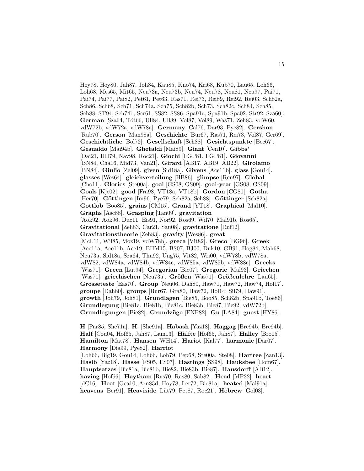Hoy78, Hoy80, Jah87, Joh84, Kau85, Kno74, Kri68, Kub70, Lau65, Loh66, Loh68, Mes65, Mit65, Neu73a, Neu73b, Neu74, Neu78, Neu81, Neu97, Pai71, Pai74, Pai77, Pai82, Pet61, Pet63, Ras71, Rei73, Rei89, Rei92, Rei03, Sch82a, Sch86, Sch68, Sch71, Sch74a, Sch75, Sch82b, Sch73, Sch82c, Sch84, Sch85, Sch88, ST94, Sch74b, Scr61, SS82, SS86, Spa91a, Spa91b, Spa02, Str92, Sza60]. German [Sza64, Tót66, Ull84, Ull89, Vol87, Vol89, Was71, Zeh83, vdW60, vdW72b, vdW72a, vdW78a]. **Germany** [Cal76, Dar93, Pye82]. **Gershon** [Rab70]. **Gerson** [Man98a]. **Geschichte** [Bur67, Ras71, Rei73, Vol87, Ger69]. **Geschichtliche** [Bol72]. **Gesellschaft** [Sch88]. **Gesichtspunkte** [Bec67]. **Gesualdo** [Mai94b]. **Ghetaldi** [Mai89]. **Giant** [Cen10]. **Gibbs'** [Dai21, HH79, Nav98, Roc21]. **Giochi** [FGP81, FGP81]. **Giovanni** [BN84, Cha16, Mid73, Van21]. **Girard** [AB17, AB19, AB22]. **Girolamo** [BN84]. **Giulio** [Zel09]. **given** [Sid18a]. **Givens** [Ace11b]. **glass** [Gou14]. **glasses** [Wes64]. **gleichverteilung** [HB86]. **glimpse** [Ren97]. **Global** [Cho11]. **Glories** [Ste00a]. **goal** [GS08, GS09]. **goal-year** [GS08, GS09]. **Goals** [Kje02]. **good** [Fra98, VT18a, VT18b]. **Gordon** [CG80]. **Gotha** [Her70]. **Göttingen** [Im96, Pye79, Sch82a, Sch88]. **Göttinger** [Sch82a]. **Gottlob** [Boo85]. **grains** [CM15]. **Grand** [YT18]. **Graphical** [Mal10]. **Graphs** [Asc88]. **Grasping** [Tan09]. **gravitation** [Aok92, Aok96, Duc11, Eis91, Nor92, Ros69, Wil70, Mal91b, Ros65]. **Gravitational** [Zeh83, Car21, Sau08]. **gravitatione** [Ruf12]. **Gravitationstheorie** [Zeh83]. **gravity** [Wes86]. **great** [McL11, Wil85, Moz19, vdW78b]. **greca** [Vit82]. **Greco** [BG96]. **Greek** [Ace11a, Ace11b, Ace19, BHM15, BS07, BJ00, Duk10, GB91, Hog84, Mah68, Neu73a, Sid18a, Sza64, Thu92, Ung75, Vit82, Wri00, vdW78b, vdW78a, vdW82, vdW84a, vdW84b, vdW84c, vdW85a, vdW85b, vdW88c]. **Greeks** [Was71]. **Green** [L¨ut94]. **Gregorian** [Bie07]. **Gregorie** [Mal93]. **Griechen** [Was71]. griechischen [Neu73a]. Größen [Was71]. Größenlehre [Lau65]. **Grosseteste** [Eas70]. **Group** [Neu06, Dah80, Haw71, Haw72, Haw74, Hol17]. **groupe** [Dah80]. **groups** [Bur67, Gra80, Haw72, Hol14, Sil79, Haw91]. **growth** [Joh79, Joh81]. **Grundlagen** [Bie85, Boo85, Sch82b, Spa91b, Toe86]. **Grundlegung** [Bie81a, Bie81b, Bie81c, Bie83b, Bie87, Bie92, vdW72b]. **Grundlegungen** [Bie82]. **Grundz¨uge** [ENP82]. **Gu** [LA84]. **guest** [HY86].

**H** [Par85, She71a]. **H.** [She91a]. **Habash** [Yaz18]. **Haggag** [Bre94b, Bre94b]. **Half** [Cou04, Hof65, Jah87, Lam13]. **H¨alfte** [Hof65, Jah87]. **Halley** [Bro05]. **Hamilton** [Mat78]. **Hansen** [WH14]. **Hariot** [Kal77]. **harmonic** [Dar07]. **Harmony** [Dia99, Pye82]. **Harriot**

[Loh66, Big19, Gou14, Loh66, Loh79, Pep68, Ste00a, Ste08]. **Hartree** [Zan13]. **Hasib** [Yaz18]. **Hasse** [FS05, FS07]. **Hastings** [SS98]. **Hauksbee** [Hom67]. **Hauptsatzes** [Bie81a, Bie81b, Bie82, Bie83b, Bie87]. **Hausdorff** [AB12]. **having** [Hof66]. **Haytham** [Ras70, Ras80, Sab82]. **Head** [MP22]. **heart** [dC16]. **Heat** [Gea10, Arn83d, Hoy78, Ler72, Bie81a]. **heated** [Mal91a]. **heavens** [Ber91]. **Heaviside** [L¨ut79, Pet87, Roc21]. **Hebrew** [Gol03].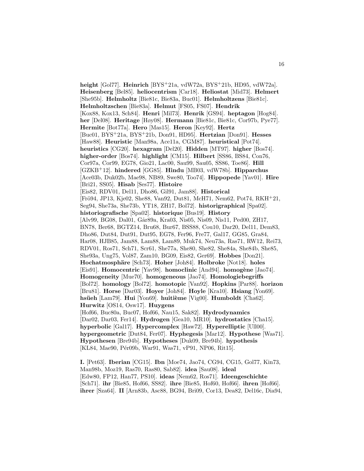**height** [Gol77]. **Heinrich** [BYS<sup>+</sup>21a, vdW72a, BYS<sup>+</sup>21b, HD95, vdW72a]. **Heisenberg** [Bel85]. **heliocentrism** [Car18]. **Heliostat** [Mid73]. **Helmert** [She95b]. **Helmholtz** [Bie81c, Bie83a, Buc01]. **Helmholtzens** [Bie81c]. **Helmholtzschen** [Bie83a]. **Helmut** [FS05, FS07]. **Hendrik** [Kox88, Kox13, Sch84]. **Henri** [Mil73]. **Henrik** [GS94]. **heptagon** [Hog84]. **her** [Del08]. **Heritage** [Høy08]. **Hermann** [Bie81c, Bie81c, Cor97b, Pye77]. **Hermite** [Bot77a]. **Hero** [Mas15]. **Heron** [Key92]. **Hertz** [Buc01, BYS<sup>+</sup>21a, BYS<sup>+</sup>21b, Don91, HD95]. **Hertzian** [Don91]. **Hesses** [Haw88]. **Heuristic** [Man98a, Ace11a, CGM87]. **heuristical** [Pot74]. **heuristics** [CG20]. **hexagram** [Del20]. **Hidden** [MT97]. **higher** [Bos74]. **higher-order** [Bos74]. **highlight** [CM15]. **Hilbert** [SS86, BS84, Con76, Cor97a, Cor99, EG78, Gio21, Lac00, Sau99, Sau05, SS86, Toe86]. **Hill** [GZKB<sup>+</sup>12]. **hindered** [GG85]. **Hindu** [MB03, vdW78b]. **Hipparchus** [Ace03b, Duk02b, Mae98, NB89, Swe80, Too74]. **Hippopede** [Yav01]. **Hire** [Bri21, SS05]. **Hisab** [Ses77]. **Histoire** [Eis82, RDV01, Del11, Dho86, Gil91, Jam88]. **Historical** [Frö94, JP13, Kje02, She88, Van92, Dut81, McH71, Nem62, Pot74, RKH<sup>+</sup>21, Seg94, She73a, She73b, YT18, ZH17, Bol72]. **historigraphical** [Spa02]. **historiografische** [Spa02]. **historique** [Bus19]. **History** [Alv99, BG08, Dal01, Går89a, Kra03, Nis05, Nis09, Nis11, Ped00, ZH17, BN78, Ber68, BGTZ14, Bru68, Bur67, BSS88, Cou10, Dar20, Del11, Dem83, Dho86, Dut84, Dut91, Dut95, EG78, Fer96, Fre77, Gal17, GG85, Gra84, Har08, HJB85, Jam88, Lam88, Lam89, Muk74, Neu73a, Ras71, RW12, Rei73, RDV01, Ros71, Sch71, Scr61, She77a, She80, She82, She84a, She84b, She85, She93a, Ung75, Vol87, Zam10, BG09, Eis82, Ger69]. **Hobbes** [Don21]. **Hochatmosph¨are** [Sch73]. **Hoher** [Joh84]. **Holbroke** [Not18]. **holes** [Eis91]. **Homocentric** [Yav98]. **homoclinic** [And94]. **homog`ene** [Jao74]. **Homogeneity** [Mue70]. **homogeneous** [Jao74]. **Homologiebegriffs** [Bol72]. **homology** [Bol72]. **homotopic** [Van92]. **Hopkins** [Par88]. **horizon** [Bru81]. **Horse** [Dar03]. **Hoyer** [Joh84]. **Hoyle** [Kra10]. **Hsiang** [Yon69]. **hsüeh** [Lam79]. **Hui** [Yon69]. **huitième** [Vig00]. **Humboldt** [Cha62]. **Hurwitz** [OS14, Osw17]. **Huygens** [Hof66, Buc80a, Buc07, Hof66, Nau15, Sak82]. **Hydrodynamics** [Dar02, Dar03, Fer14]. **Hydrogen** [Gea10, MR10]. **hydrostatics** [Cha15]. **hyperbolic** [Gal17]. **Hypercomplex** [Haw72]. **Hyperelliptic** [Ull00]. **hypergeometric** [Dut84, Fer07]. **Hyphegesis** [Mar12]. **Hypothese** [Was71]. **Hypothesen** [Bre94b]. **Hypotheses** [Duk09, Bre94b]. **hypothesis** [KL84, Mae90, Pér09b, War91, Was71, vP91, NP06, Rit15].

**I.** [Pet63]. **Iberian** [CG15]. **Ibn** [Moe74, Jao74, CG94, CG15, Gol77, Kin73, Man98b, Moz19, Ras70, Ras80, Sab82]. **idea** [Sau08]. **ideal** [Edw80, FP12, Han77, PS10]. **ideas** [Nem62, Ros71]. **Ideengeschichte** [Sch71]. **ihr** [Bie85, Hof66, SS82]. **ihre** [Bie85, Hof60, Hof66]. **ihren** [Hof66]. **ihrer** [Sza64]. **II** [Arn83b, Asc88, BG94, Bri09, Cor13, Dea82, Del16c, Dia94,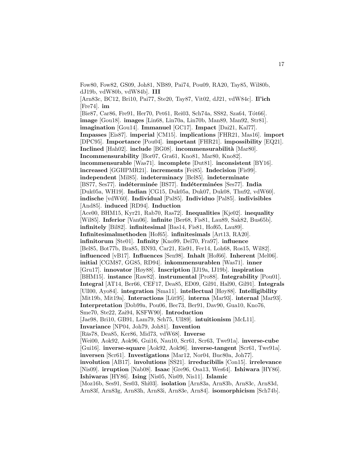Fow80, Fow82, GS09, Joh81, NB89, Pai74, Pou09, RA20, Tay85, Wil80b, dJ19b, vdW80b, vdW84b]. **III**

[Arn83c, BC12, Bri10, Pai77, Ste20, Tay87, Vit02, dJ21, vdW84c]. **Il'ich** [Fre74]. **im**

[Bie87, Car86, Fre91, Her70, Pet61, Rei03, Sch74a, SS82, Sza64, Tót66]. **image** [Gou18]. **images** [Lin68, Lin70a, Lin70b, Man89, Man92, Str81]. **imagination** [Gou14]. **Immanuel** [GC17]. **Impact** [Dai21, Kal77]. **Impasses** [Eis87]. **imperial** [CM15]. **implications** [FHR21, Mas16]. **import** [DPC95]. **Importance** [Pou04]. **important** [FHR21]. **impossibility** [EQ21]. **Inclined** [Hah02]. **include** [BG08]. **incommensurabilit`a** [Mar80]. **Incommensurability** [Bor07, Gra61, Kno81, Mar80, Kno82]. **incommensurable** [Was71]. **incomplete** [Dut81]. **inconsistent** [BY16]. **increased** [GGHPMR21]. **increments** [Fei85]. **Indecision** [Fis99]. **independent** [Mil85]. **indeterminacy** [Bel85]. **indeterminate** [BS77, Ses77]. **indéterminée** [BS77]. **Indéterminées** [Ses77]. **India** [Duk05a, WH19]. **Indian** [CG15, Duk05a, Duk07, Duk08, Thu92, vdW60]. **indische** [vdW60]. **Individual** [Pal85]. **Individuo** [Pal85]. **indivisibles** [And85]. **induced** [RD94]. **Induction** [Ace00, BHM15, Kyr21, Rab70, Ras72]. **Inequalities** [Kje02]. **inequality** [Wil85]. **Inferior** [Van06]. **infinite** [Ber68, Fis81, Lau89, Sak82, Bus65b]. **infinitely** [Bil82]. **infinitesimal** [Bas14, Fis81, Hof65, Lau89]. **Infinitesimalmethoden** [Hof65]. **infinitesimals** [Art13, RA20]. **infinitorum** [Ste01]. **Infinity** [Kno99, Del70, Fra97]. **influence** [Bel85, Bot77b, Bra85, BN93, Car21, Eis91, Fer14, Loh68, Ros15, Wil82]. **influenced** [vB17]. **Influences** [Sen98]. **Inhalt** [Hof66]. **Inherent** [Mel06]. **initial** [CGM87, GG85, RD94]. **inkommensurablen** [Was71]. **inner** [Gru17]. **innovator** [Høy88]. **Inscription** [IJ19a, IJ19b]. **inspiration** [BHM15]. **instance** [Raw82]. **instrumental** [Pro88]. **Integrability** [Pou01]. **Integral** [AT14, Ber66, CEF17, Dea85, ED09, Gil91, Hal90, Gil91]. **Integrals** [Ull00, Ayo84]. **integration** [Sma11]. **intellectual** [Høy88]. **Intelligibility** [Mit19b, Mit19a]. **Interactions** [Lüt95]. **interna** [Mar93]. **internal** [Mar93]. **Interpretation** [Dob99a, Pou06, Bec73, Ber91, Dav90, Gua10, Kno76, Sme70, Ste22, Zai94, KSFW90]. **Introduction** [Jae98, Bri10, GB91, Lam79, Sch75, Ull89]. **intuitionism** [McL11]. **Invariance** [NP04, Joh79, Joh81]. **Invention** [R¯as78, Dea85, Ker86, Mid73, vdW68]. **Inverse** [Wei00, Aok92, Aok96, Gui16, Nau10, Scr61, Scr63, Twe91a]. **inverse-cube**

[Gui16]. **inverse-square** [Aok92, Aok96]. **inverse-tangent** [Scr61, Twe91a]. **inversen** [Scr61]. **Investigations** [Mar12, Nor04, Buc80a, Joh77].

**involution** [AB17]. **involutions** [SS21]. **irreducibilis** [Con15]. **irrelevance** [Nis09]. **irruption** [Nab08]. **Isaac** [Gre96, Osa13, Wes64]. **Ishiwara** [HY86]. **Ishiwaras** [HY86]. **Ising** [Nis05, Nis09, Nis11]. **Islamic**

[Moz16b, Ses91, Ses03, Shi03]. **isolation** [Arn83a, Arn83b, Arn83c, Arn83d, Arn83f, Arn83g, Arn83h, Arn83i, Arn83e, Arn84]. **isomorphicism** [Sch74b].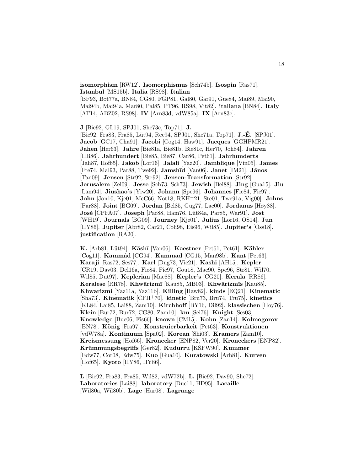**isomorphism** [RW12]. **Isomorphismus** [Sch74b]. **Isospin** [Ras71]. **Istanbul** [MS15b]. **Italia** [RS98]. **Italian** [BF93, Bot77a, BN84, CG80, FGP81, Gal80, Gar91, Gue84, Mai89, Mai90, Mai94b, Mai94a, Mar80, Pal85, PT96, RS98, Vit82]. **italiana** [BN84]. **Italy**

[AT14, ABZ02, RS98]. **IV** [Arn83d, vdW85a]. **IX** [Arn83e].

**J** [Bie92, GL19, SPJ01, She73c, Top71]. **J.**

[Bie92, Fra83, Fra85, L¨ut94, Rec94, SPJ01, She71a, Top71]. **J.-E. ´** [SPJ01]. **Jacob** [GC17, Cha91]. **Jacobi** [Cog14, Haw91]. **Jacques** [GGHPMR21]. **Jahen** [Her63]. **Jahre** [Bie81a, Bie81b, Bie81c, Her70, Joh84]. **Jahren** [HB86]. **Jahrhundert** [Bie85, Bie87, Car86, Pet61]. **Jahrhunderts** [Jah87, Hof65]. **Jakob** [Lor16]. **Jalali** [Yaz20]. **Jamblique** [Vin05]. **James** [Fre74, Mal93, Par88, Twe92]. **Jamsh¯ıd** [Van06]. **Janet** [IM21]. **J´anos** [Tan09]. **Jensen** [Str92, Str92]. **Jensen-Transformation** [Str92]. **Jerusalem** [Zel09]. **Jesse** [Sch73, Sch73]. **Jewish** [Bel88]. **Jing** [Gua15]. **Jiu** [Lam94]. **Jiushao's** [Yiw20]. **Johann** [Spe96]. **Johannes** [Fie84, Fie97]. **John** [Jon10, Kje01, McC66, Not18, RKH<sup>+</sup>21, Ste01, Twe91a, Vig00]. **Johns** [Par88]. **Joint** [BG09]. **Jordan** [Bel85, Gug77, Lac00]. **Jordanus** [Høy88]. **Jos´e** [CPFA07]. **Joseph** [Par88, Ham76, L¨ut84a, Par85, War91]. **Jost** [WH19]. **Journals** [BG09]. **Journey** [Kje01]. **Julius** [Lor16, OS14]. **Jun** [HY86]. **Jupiter** [Abr82, Car21, Coh98, Eis96, Wil85]. **Jupiter's** [Oss18]. **justification** [RA20].

**K.** [Arb81, L¨ut94]. **K¯ash¯ı** [Van06]. **Kaestner** [Pet61, Pet61]. **K¨ahler** [Cog11]. **Kammˆad** [CG94]. **Kammad** [CG15, Man98b]. **Kant** [Pet63]. **Karaji** [Ras72, Ses77]. **Karl** [Dug73, Vie21]. **Kashi** [AH15]. **Kepler** [CR19, Dav03, Del16a, Fie84, Fie97, Gou18, Mae90, Spe96, Str81, Wil70, Wil85, Dut97]. **Keplerian** [Mae88]. **Kepler's** [CG20]. **Kerala** [RR86]. **Keralese** [RR78]. **Khwārizmī** [Kau85, MB03]. **Khwārizmīs** [Kau85]. **Khwarizmi** [Yaz11a, Yaz11b]. **Killing** [Haw82]. **kinds** [EQ21]. **Kinematic** [Sha73]. **Kinematik** [CFH<sup>+</sup>70]. **kinetic** [Bru73, Bru74, Tru75]. **kinetics** [KL84, Lai85, Lai88, Zam10]. **Kirchhoff** [BY16, Dil92]. **klassischen** [Hoy76]. **Klein** [Bur72, Bur72, CG80, Zam10]. **km** [Sei76]. **Knight** [Ses03]. **Knowledge** [Buc06, Fis66]. **known** [CM15]. **Kohn** [Zan14]. **Kolmogorov** [BN78]. **K¨onig** [Fra97]. **Konstruierbarkeit** [Pet63]. **Konstruktionen** [vdW78a]. **Kontinuum** [Spa02]. **Korean** [Shi03]. **Kramers** [Zam10]. **Kreismessung** [Hof66]. **Kronecker** [ENP82, Ver20]. **Kroneckers** [ENP82]. **Kr¨ummungsbegriffs** [Ger82]. **Kudurru** [KSFW90]. **Kummer** [Edw77, Cor08, Edw75]. **Kuo** [Gua10]. **Kuratowski** [Arb81]. **Kurven** [Hof65]. **Kyoto** [HY86, HY86].

**L** [Bie92, Fra83, Fra85, Wil82, vdW72b]. **L.** [Bie92, Dav90, She72]. **Laboratories** [Lai88]. **laboratory** [Duc11, HD95]. **Lacaille** [Wil80a, Wil80b]. **Lage** [Har08]. **Lagrange**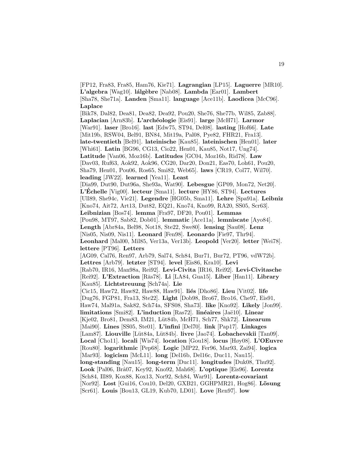[FP12, Fra83, Fra85, Ham76, Kie71]. **Lagrangian** [LP15]. **Laguerre** [MR10]. **L'algebra** [Wag10]. **l´alg`ebre** [Nab08]. **Lambda** [Ear01]. **Lambert** [Sha78, She71a]. **Landen** [Sma11]. **language** [Ace11b]. **Laodicea** [McC96]. **Laplace** [Bik78, Dal82, Dea81, Dea82, Dea92, Pou20, She76, She77b, Wil85, Zab88]. **Laplacian** [Arn83b]. **L'arch´eologie** [Eis91]. **large** [McH71]. **Larmor** [War91]. **laser** [Bro16]. **last** [Edw75, ST94, Del08]. **lasting** [Hof66]. **Late** [Mit19b, RSW04, Bel91, BN84, Mit19a, Pal08, Pye82, FHR21, Fra13]. **late-twentieth** [Bel91]. **lateinische** [Kau85]. **lateinischen** [Hen01]. **later** [Whi61]. **Latin** [BG96, CG13, Cio22, Hen01, Kau85, Not17, Ung74]. **Latitude** [Van06, Moz16b]. **Latitudes** [GC04, Moz16b, Rid78]. **Law** [Dav03, Ruf63, Aok92, Aok96, CG20, Dar20, Don21, Eas70, Loh61, Pou20, Sha79, Hen01, Pou06, Ros65, Smi82, Web65]. **laws** [CR19, Col77, Wil70]. **leading** [JW22]. **learned** [Yea11]. **Least** [Dia99, Dut90, Dut96a, She93a, Wat90]. **Lebesgue** [GP09, Mon72, Net20]. **L'Echelle ´** [Vig00]. **lecteur** [Sma11]. **lecture** [HY86, ST94]. **Lectures** [Ull89, She94c, Vie21]. **Legendre** [HG05b, Sma11]. **Lehre** [Spa91a]. **Leibniz** [Kno74, Ait72, Art13, Dut82, EQ21, Kno74, Kno99, RA20, SS05, Scr63]. **Leibnizian** [Bos74]. **lemma** [Fra97, DF20, Pou01]. **Lemmas** [Pou98, MT97, Sab82, Dob01]. **lemmatic** [Ace11a]. **lemniscate** [Ayo84]. **Length** [Abr84a, Bel98, Not18, Ste22, Swe80]. **lensing** [Sau08]. **Lenz** [Nis05, Nis09, Nis11]. **Leonard** [Fen98]. **Leonardo** [Fie97, Thr94]. **Leonhard** [Mal00, Mil85, Ver13a, Ver13b]. **Leopold** [Ver20]. **letter** [Wei78]. **lettere** [PT96]. **Letters** [AG09, Cal76, Ren97, Arb79, Sal74, Sch84, Bur71, Bur72, PT96, vdW72b]. **Lettres** [Arb79]. **letzter** [ST94]. **level** [Eis86, Kra10]. **Levi** [Rab70, IR16, Man98a, Rei92]. **Levi-Civita** [IR16, Rei92]. **Levi-Civitasche** [Rei92]. L'Extraction [Ras78]. Li [LA84, Gua15]. Liber [Han11]. Library [Kau85]. **Lichtstreuung** [Sch74a]. **Lie** [Cic15, Haw72, Haw82, Haw88, Haw91]. **li´es** [Dho86]. **Lieu** [Vit02]. **life** [Dug76, FGP81, Fra13, Ste22]. **Light** [Dob98, Bro67, Bro16, Che97, Eis91, Haw74, Mal91a, Sak82, Sch74a, SFS08, Sha73]. **like** [Kno92]. **Likely** [Jon99]. **limitations** [Smi82]. **L'induction** [Ras72]. **linéaires** [Jaë10]. **Linear** [Kje02, Bro81, Dem83, IM21, L¨ut84b, McH71, Sch77, Shk72]. **Linearum** [Mai90]. **Lines** [SS05, Ste01]. **L'infini** [Del70]. **link** [Pap17]. **Linkages** [Lam87]. **Liouville** [L¨ut84a, L¨ut84b]. **livre** [Jao74]. **Lobachevskii** [Tan09]. **Local** [Cho11]. **locali** [Wis74]. **location** [Gou18]. **locus** [Høy08]. **L'OEuvre** [Rou80]. **logarithmic** [Pep68]. **Logic** [MP22, Fer96, Mar93, Zai94]. **logica** [Mar93]. **logicism** [McL11]. **long** [Del16b, Del16c, Duc11, Nau15]. **long-standing** [Nau15]. **long-term** [Duc11]. **longitudes** [Duk08, Thu92]. **Look** [Pal06, Br˚a07, Key92, Kno92, Mah68]. **L'optique** [Eis96]. **Lorentz** [Sch84, Ill89, Kox88, Kox13, Nor92, Sch84, War91]. **Lorentz-covariant** [Nor92]. **Lost** [Gui16, Cou10, Del20, GXB21, GGHPMR21, Hog86]. **L¨osung** [Scr61]. **Louis** [Bou13, GL19, Kub70, LD01]. **Love** [Ren97]. **low**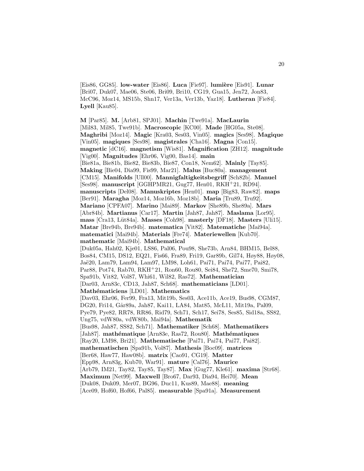[Eis86, GG85]. **low-water** [Eis86]. **Luca** [Fie97]. **lumière** [Eis91]. **Lunar** [Bri07, Duk07, Mae06, Ste06, Bri09, Bri10, CG19, Gua15, Jen72, Jon83, McC96, Moz14, MS15b, Shn17, Ver13a, Ver13b, Yaz18]. **Lutheran** [Fie84]. **Lyell** [Kau85].

**M** [Par85]. **M.** [Arb81, SPJ01]. **Machin** [Twe91a]. **MacLaurin** [Mil83, Mil85, Twe91b]. **Macroscopic** [KC00]. **Made** [HG05a, Ste08]. **Maghribi** [Moz14]. **Magic** [Kra03, Ses03, Vin05]. **magics** [Ses98]. **Magique** [Vin05]. **magiques** [Ses98]. **magistrales** [Cha16]. **Magna** [Con15]. **magnetic** [dC16]. **magnetism** [Wis81]. **Magnification** [ZH12]. **magnitude** [Vig00]. **Magnitudes** [Ehr06, Vig00, Bas14]. **main** [Bie81a, Bie81b, Bie82, Bie83b, Bie87, Con18, Nem62]. **Mainly** [Tay85]. **Making** [Bie04, Dia99, Fis99, Mar21]. **Malus** [Buc80a]. **management** [CM15]. **Manifolds** [Ull00]. **Mannigfaltigkeitsbegriff** [Sch82b]. **Manuel** [Ses98]. **manuscript** [GGHPMR21, Gug77, Hen01, RKH<sup>+</sup>21, RD94]. **manuscripts** [Del08]. **Manuskriptes** [Hen01]. **map** [Big83, Raw82]. **maps** [Ber91]. **Maragha** [Moz14, Moz16b, Moz18b]. **Maria** [Tru89, Tru92]. **Mariano** [CPFA07]. **Marino** [Mai89]. **Markov** [She89b, She89a]. **Mars** [Abr84b]. **Martianus** [Car17]. **Martin** [Jah87, Jah87]. **Maslama** [Lor95]. **mass** [Cra13, L¨ut84a]. **Masses** [Coh98]. **masterly** [DF18]. **Masters** [Uli15]. **Matar** [Bre94b, Bre94b]. **matematica** [Vit82]. **Matematiche** [Mai94a]. **matematici** [Mai94b]. **Materials** [Fre74]. **Materiewellen** [Kub70]. **mathematic** [Mai94b]. **Mathematical** [Duk05a, Hah02, Kje01, LS86, Pal06, Pou98, She73b, Arn84, BHM15, Bel88, Bos84, CM15, DS12, EQ21, Fis66, Fra89, Fri19, Gar89b, Gil74, Høy88, Høy08, Jaë20, Lam79, Lam94, Lam97, LM98, Loh61, Pai71, Pai74, Pai77, Pai82, Par88, Pot74, Rab70, RKH<sup>+</sup>21, Ron60, Rou80, Sei84, She72, Sme70, Smi78, Spa91b, Vit82, Vol87, Whi61, Wil82, Ras72]. **Mathematician** [Dar03, Arn83c, CD13, Jah87, Sch68]. **mathematicians** [LD01]. **Math´ematiciens** [LD01]. **Mathematics** [Dav03, Ehr06, Fer99, Fra13, Mit19b, Ses03, Ace11b, Ace19, Bus98, CGM87, DG20, Fri14, Går89a, Jah87, Kai11, LA84, Mat85, McL11, Mit19a, Pal09, Pye79, Pye82, RR78, RR86, Rid79, Sch71, Sch17, Sei78, Ses85, Sid18a, SS82, Ung75, vdW80a, vdW80b, Mai94a]. **Mathematik** [Bus98, Jah87, SS82, Sch71]. **Mathematiker** [Sch68]. **Mathematikers** [Jah87]. mathématique [Arn83e, Ras72, Rou80]. Mathématiques [Ray20, LM98, Bri21]. **Mathematische** [Pai71, Pai74, Pai77, Pai82]. **mathematischen** [Spa91b, Vol87]. **Mathesis** [Boc09]. **matrices** [Ber68, Haw77, Haw08b]. **matrix** [Cao91, CG19]. **Matter** [Epp98, Arn83g, Kub70, War91]. **mature** [Cal76]. **Maurice** [Arb79, IM21, Tay82, Tay85, Tay87]. **Max** [Gug77, Kle61]. **maxima** [Str68]. **Maximum** [Net99]. **Maxwell** [Bro67, Dar93, Dia94, Hei70]. **Mean** [Duk08, Duk09, Mer07, BG96, Duc11, Kus89, Mae88]. **meaning** [Ace09, Hof60, Hof66, Pal85]. **measurable** [Spa91a]. **Measurement**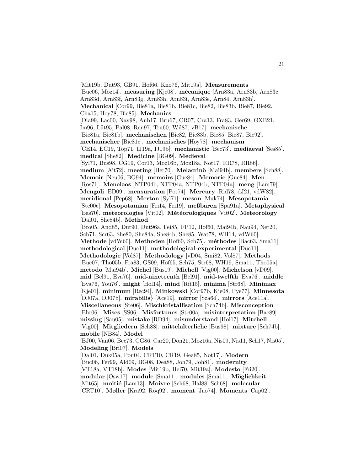[Mit19b, Dut93, GB91, Hof66, Kno76, Mit19a]. **Measurements** [Buc06, Moz14]. **measuring** [Kje08]. **m´ecanique** [Arn83a, Arn83b, Arn83c, Arn83d, Arn83f, Arn83g, Arn83h, Arn83i, Arn83e, Arn84, Arn83h]. **Mechanical** [Cor99, Bie81a, Bie81b, Bie81c, Bie82, Bie83b, Bie87, Bie92, Cha15, Hoy78, Bie85]. **Mechanics** [Dia99, Lac00, Nav98, Aub17, Bru67, CR07, Cra13, Fra83, Ger69, GXB21, Im96, L¨ut95, Pal08, Ren97, Tru60, Wil87, vB17]. **mechanische** [Bie81a, Bie81b]. **mechanischen** [Bie82, Bie83b, Bie85, Bie87, Bie92]. **mechanischer** [Bie81c]. **mechanisches** [Hoy78]. **mechanism** [CE14, EC19, Top71, IJ19a, IJ19b]. **mechanistic** [Bec73]. **mediaeval** [Ses85]. **medical** [She82]. **Medicine** [BG09]. **Medieval** [Syl71, Bus98, CG19, Cor13, Moz16b, Moz18a, Not17, RR78, RR86]. **medium** [Ait72]. **meeting** [Her70]. **Melacrin`o** [Mai94b]. **members** [Sch88]. **Memoir** [Neu06, BG94]. **memoirs** [Gue84]. **Memorie** [Gue84]. **Men** [Ros71]. **Menelaos** [NTP04b, NTP04a, NTP04b, NTP04a]. **meng** [Lam79]. **Mengoli** [ED09]. **mensuration** [Pot74]. **Mercury** [Rid78, dJ21, vdW82]. **meridional** [Pep68]. **Merton** [Syl71]. **meson** [Muk74]. **Mesopotamia** [Ste00c]. **Mesopotamian** [Fri14, Fri19]. **meßbaren** [Spa91a]. **Metaphysical** [Eas70]. meteorologies [Vit02]. Météorologiques [Vit02]. Meteorology [Dal01, She84b]. **Method** [Bro05, And85, Dut90, Dut96a, Fei85, FP12, Hof60, Mai94b, Nau94, Net20, Sch71, Scr63, She80, She84a, She84b, She85, Wat78, WH14, vdW60]. **Methode** [vdW60]. **Methoden** [Hof60, Sch75]. **m´ethodes** [Bac63, Sma11]. **methodological** [Duc11]. **methodological-experimental** [Duc11]. **Methodologie** [Vol87]. **Methodology** [vD04, Smi82, Vol87]. **Methods** [Buc07, Tho05b, Fra83, GS09, Hof65, Sch75, Str68, WH19, Sma11, Tho05a]. **metodo** [Mai94b]. **Michel** [Bus19]. **Michell** [Vig00]. **Michelson** [vD09]. **mid** [Bel91, Eva76]. **mid-nineteenth** [Bel91]. **mid-twelfth** [Eva76]. **middle** [Eva76, You76]. **might** [Hol14]. **mind** [Rit15]. **minima** [Str68]. **Minimax** [Kje01]. **minimum** [Rec94]. **Minkowski** [Cor97b, Kje08, Pye77]. **Minnesota** [DJ07a, DJ07b]. **mirabilis**} [Ace19]. **mirror** [Sza64]. **mirrors** [Ace11a]. **Miscellaneous** [Ste06]. **Mischkristallisation** [Sch74b]. **Misconception** [Ehr06]. **Mises** [SS06]. **Misfortunes** [Ste00a]. **misinterpretation** [Bac89]. **missing** [Sau05]. **mistake** [RD94]. **misunderstand** [Hol17]. **Mitchell** [Vig00]. **Mitgliedern** [Sch88]. **mittelalterliche** [Bus98]. **mixture** [Sch74b]. **mobile** [NB84]. **Model** [BJ00, Van06, Bec73, CG86, Car20, Don21, Moz16a, Nis09, Nis11, Sch17, Nis05]. **Modeling** [Bri07]. **Models** [Dal01, Duk05a, Pou04, CRT10, CR19, Gea85, Not17]. **Modern** [Buc06, Fer99, Ald09, BG08, Dea88, Joh79, Joh81]. **modernity** [VT18a, VT18b]. **Modes** [Mit19b, Hei70, Mit19a]. **Modesto** [Fri20]. **modular** [Osw17]. **module** [Sma11]. **modules** [Sma11]. **M¨oglichkeit** [Mit65]. **moitié** [Lam13]. **Moivre** [Sch68, Hal88, Sch68]. **molecular** [CRT10]. **Møller** [Kra92, Roq92]. **moment** [Jao74]. **Moments** [Cap02].

21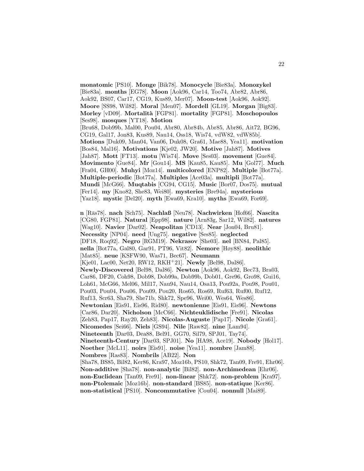**monatomic** [PS10]. **Monge** [Bik78]. **Monocycle** [Bie83a]. **Monozykel** [Bie83a]. **months** [EG78]. **Moon** [Aok96, Car14, Too74, Abr82, Abr86, Aok92, BS07, Car17, CG19, Kus89, Mer07]. **Moon-test** [Aok96, Aok92]. **Moore** [SS98, Wil82]. **Moral** [Men07]. **Mordell** [GL19]. **Morgan** [Big83]. **Morley** [vD09]. **Mortalit`a** [FGP81]. **mortality** [FGP81]. **Moschopoulos** [Ses98]. **mosques** [YT18]. **Motion** [Bru68, Dob99b, Mal00, Pou04, Abr80, Abr84b, Abr85, Abr86, Ait72, BG96, CG19, Gal17, Jon83, Kus89, Nau14, Oss18, Wis74, vdW82, vdW85b]. **Motions** [Duk09, Man04, Van06, Duk08, Gra61, Mae88, Yea11]. **motivation** [Bos84, Mal16]. **Motivations** [Kje02, JW20]. **Motive** [Jah87]. **Motives** [Jah87]. **Mott** [FT13]. **motu** [Wis74]. **Move** [Ses03]. **movement** [Gue84]. **Movimento** [Gue84]. **Mr** [Gou14]. **MS** [Kau85, Kau85]. **Mu** [Gol77]. **Much** [Fra04, GH00]. **Muhyi** [Moz14]. **multicolored** [ENP82]. **Multiple** [Bot77a]. **Multiple-periodic** [Bot77a]. **Multiples** [Ace03a]. **multipli** [Bot77a]. **Mundi** [McG66]. **Muqtabis** [CG94, CG15]. **Music** [Bor07, Dos75]. **mutual** [Fer14]. **my** [Kno82, She83, Wei80]. **mysteries** [Bre94a]. **mysterious** [Yaz18]. **mystic** [Del20]. **myth** [Ewa69, Kra10]. **myths** [Ewa69, For69].

**n** [Ras78]. **nach** [Sch75]. **Nachlaß** [Neu78]. **Nachwirken** [Hof66]. **Nascita** [CG80, FGP81]. **Natural** [Epp98]. **nature** [Arn83g, Sar12, Wil82]. **natures** [Wag10]. **Navier** [Dar02]. **Neapolitan** [CD13]. **Near** [Jon04, Bru81]. **Necessity** [NP04]. **need** [Ung75]. **negative** [Ses85]. **neglected** [DF18, Roq92]. **Negro** [RGM19]. **Nekrasov** [She03]. **nel** [BN84, Pal85]. **nella** [Bot77a, Gal80, Gar91, PT96, Vit82]. **Nemore** [Høy88]. **neolithic** [Mat85]. **neue** [KSFW90, Was71, Bec67]. **Neumann** [Kje01, Lac00, Net20, RW12, RKH<sup>+</sup>21]. **Newly** [Bel98, Dal86]. **Newly-Discovered** [Bel98, Dal86]. **Newton** [Aok96, Aok92, Bec73, Bra03, Car86, DF20, Coh98, Dob98, Dob99a, Dob99b, Dob01, Gre96, Gro98, Gui16, Loh61, McG66, Mel06, Mil17, Nau94, Nau14, Osa13, Pou92a, Pou98, Pou01, Pou03, Pou04, Pou06, Pou09, Pou20, Ros65, Ros69, Ruf63, Ruf00, Ruf12, Ruf13, Scr63, Sha79, She71b, Shk72, Spe96, Wei00, Wes64, Wes86]. **Newtonian** [Eis91, Eis96, Rid80]. **newtonienne** [Eis91, Eis96]. **Newtons** [Car86, Dar20]. **Nicholson** [McC66]. **Nichteuklidische** [Fre91]. **Nicolas** [Zeh83, Pap17, Ray20, Zeh83]. **Nicolas-Auguste** [Pap17]. **Nicole** [Gra61]. **Nicomedes** [Sei66]. **Niels** [GS94]. **Nile** [Raw82]. **nine** [Lam94]. **Nineteenth** [Dar03, Dea88, Bel91, GG70, Sil79, SPJ01, Tay74]. **Nineteenth-Century** [Dar03, SPJ01]. **No** [HA98, Ace19]. **Nobody** [Hol17]. **Noether** [McL11]. **noirs** [Eis91]. **noise** [Yea11]. **nombre** [Jam88]. **Nombres** [Ras83]. **Nombrils** [AB22]. **Non** [Sha78, BS85, Bil82, Ker86, Kra97, Moz16b, PS10, Shk72, Tan09, Fre91, Ehr06]. **Non-additive** [Sha78]. **non-analytic** [Bil82]. **non-Archimedean** [Ehr06]. **non-Euclidean** [Tan09, Fre91]. **non-linear** [Shk72]. **non-problem** [Kra97]. **non-Ptolemaic** [Moz16b]. **non-standard** [BS85]. **non-statique** [Ker86]. **non-statistical** [PS10]. **Noncommutative** [Cou04]. **nonnull** [Mai89].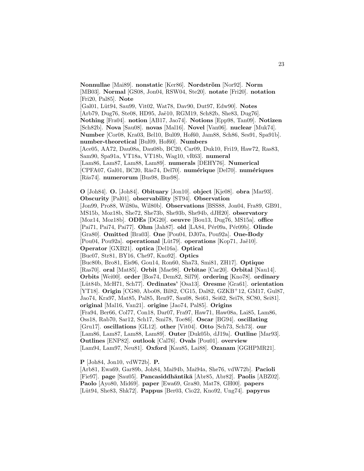**Nonnullae** [Mai89]. **nonstatic** [Ker86]. **Nordström** [Nor92]. **Norm** [MB03]. **Normal** [GS08, Jon04, RSW04, Ste20]. **notate** [Fri20]. **notation** [Fri20, Pal85]. **Note** [Gal01, L¨ut94, Sau99, Vit02, Wat78, Dav90, Dut97, Edw90]. **Notes** [Arb79, Dug76, Ste08, HD95, Jaë10, RGM19, Sch82b, She83, Dug76]. **Nothing** [Fra04]. **notion** [AB17, Jao74]. **Notions** [Epp98, Tan09]. **Notizen** [Sch82b]. **Nova** [Sau08]. **novas** [Mal16]. **Novel** [Van06]. **nuclear** [Muk74]. **Number** [Cor08, Kra03, Bel10, Bul09, Hof60, Jam88, Sch86, Ses91, Spa91b]. **number-theoretical** [Bul09, Hof60]. **Numbers** [Ace05, AA72, Dau08a, Dau08b, BC20, Car09, Duk10, Fri19, Haw72, Ras83, Sam90, Spa91a, VT18a, VT18b, Wag10, vR63]. **numeral** [Lam86, Lam87, Lam88, Lam89]. **numerals** [DEHY76]. **Numerical** [CPFA07, Gal01, BC20, Rās74, Del70]. numérique [Del70]. numériques [Rās74]. **numerorum** [Bus98, Bus98].

**O** [Joh84]. **O.** [Joh84]. **Obituary** [Jon10]. **object** [Kje08]. **obra** [Mar93]. **Obscurity** [Pal01]. **observability** [ST94]. **Observation** [Jon99, Pro88, Wil80a, Wil80b]. **Observations** [BSS88, Jon04, Fra89, GB91, MS15b, Moz18b, She72, She73b, She93b, She94b, dJH20]. **observatory** [Moz14, Moz18b]. **ODEs** [DG20]. **oeuvre** [Bou13, Dug76, MS15a]. **office** [Pai71, Pai74, Pai77]. **Ohm** [Jah87]. **old** [LA84, P´er09a, P´er09b]. **Olinde** [Gra80]. **Omitted** [Bra03]. **One** [Pou04, DJ07a, Pou92a]. **One-Body** [Pou04, Pou92a]. **operational** [Lüt79]. **operations** [Kop71, Jaë10]. **Operator** [GXB21]. **optica** [Del16a]. **Optical** [Buc07, Str81, BY16, Che97, Kno92]. **Optics** [Buc80b, Bro81, Eis96, Gou14, Ron60, Sha73, Smi81, ZH17]. **Optique** [Ras70]. **oral** [Mat85]. **Orbit** [Mae98]. **Orbitae** [Car20]. **Orbital** [Nau14]. **Orbits** [Wei00]. **order** [Bos74, Dem82, Sil79]. **ordering** [Kno78]. **ordinary** [L¨ut84b, McH71, Sch77]. **Ordinates'** [Osa13]. **Oresme** [Gra61]. **orientation** [YT18]. **Origin** [CG80, Abo08, Bil82, CG15, Dal82, GZKB<sup>+</sup>12, GM17, Gul87, Jao74, Kra97, Mat85, Pal85, Ren97, Sau08, Sei61, Sei62, Sei78, SC80, Sei81]. **original** [Mal16, Van21]. **origine** [Jao74, Pal85]. **Origins** [Fra94, Ber66, Col77, Con18, Dar07, Fra97, Haw71, Haw08a, Lai85, Lam86, Oss18, Rab70, Sar12, Sch17, Smi78, Toe86]. **Oscar** [BG94]. **oscillating** [Gru17]. **oscillations** [GL12]. **other** [Vit04]. **Otto** [Sch73, Sch73]. **our** [Lam86, Lam87, Lam88, Lam89]. **Outer** [Duk05b, dJ19a]. **Outline** [Mar93]. **Outlines** [ENP82]. **outlook** [Cal76]. **Ovals** [Pou01]. **overview** [Lam94, Lam97, Neu81]. **Oxford** [Kau85, Lai88]. **Ozanam** [GGHPMR21].

**P** [Joh84, Jon10, vdW72b]. **P.**

[Arb81, Ewa69, Gar89b, Joh84, Mai94b, Mai94a, She76, vdW72b]. **Pacioli** [Fie97]. **page** [Sau05]. **Pancasiddh¯antik¯a** [Abr85, Abr82]. **Paolis** [ABZ02]. **Paolo** [Ayo80, Mid69]. **paper** [Ewa69, Gra80, Mat78, GH00]. **papers** [L¨ut94, She83, Shk72]. **Pappus** [Ber03, Cio22, Kno92, Ung74]. **papyrus**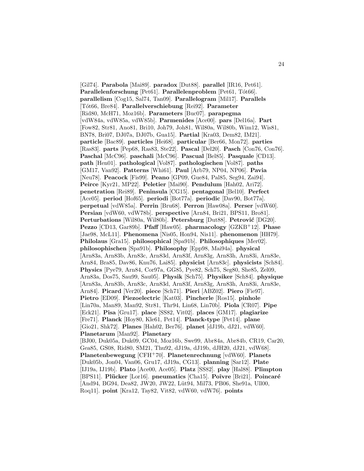[Gil74]. **Parabola** [Mai89]. **paradox** [Dut88]. **parallel** [IR16, Pet61]. **Parallelenforschung** [Pet61]. **Parallelenproblem** [Pet61, Tót66]. **parallelism** [Cog15, Sal74, Tan09]. **Parallelogram** [Mil17]. **Parallels** [T´ot66, Bre84]. **Parallelverschiebung** [Rei92]. **Parameter** [Rid80, McH71, Moz16b]. **Parameters** [Buc07]. **parapegma** [vdW84a, vdW85a, vdW85b]. **Parmenides** [Ace00]. **pars** [Del16a]. **Part** [Fow82, Str81, Ano81, Bri10, Joh79, Joh81, Wil80a, Wil80b, Wim12, Wis81, BN78, Bri07, DJ07a, DJ07b, Gua15]. **Partial** [Kra03, Dem82, IM21]. **particle** [Bac89]. **particles** [Hei68]. **particular** [Ber66, Mon72]. **parties** [Ras83]. **parts** [Pep68, Ras83, Ste22]. **Pascal** [Del20]. **Pasch** [Con76, Con76]. **Paschal** [McC96]. **paschali** [McC96]. **Pascual** [Bel85]. **Pasquale** [CD13]. **path** [Hen01]. **pathological** [Vol87]. **pathologischen** [Vol87]. **paths** [GM17, Van92]. **Patterns** [Whi61]. **Paul** [Arb79, NP04, NP06]. **Pavia** [Neu78]. **Peacock** [Fis99]. **Peano** [GP09, Gue84, Pal85, Seg94, Zai94]. **Peirce** [Kyr21, MP22]. **Peletier** [Mai90]. **Pendulum** [Hah02, Ari72]. **penetration** [Rei89]. **Peninsula** [CG15]. **pentagonal** [Bel10]. **Perfect** [Ace05]. **period** [Hof65]. **periodi** [Bot77a]. **periodic** [Dav90, Bot77a]. **perpetual** [vdW85a]. **Perrin** [Bru68]. **Perron** [Haw08a]. **Perser** [vdW60]. **Persian** [vdW60, vdW78b]. **perspective** [Arn84, Bri21, BPS11, Bro81]. **Perturbations** [Wil80a, Wil80b]. **Petersburg** [Dut88]. **Petrović** [DG20]. **Pezzo** [CD13, Gar89b]. **Pfaff** [Haw05]. **pharmacology** [GZKB<sup>+</sup>12]. **Phase** [Jae98, McL11]. **Phenomena** [Nis05, Hon94, Nis11]. **phenomenon** [HH79]. **Philolaus** [Gra15]. **philosophical** [Spa91b]. **Philosophiques** [Mer02]. **philosophischen** [Spa91b]. **Philosophy** [Epp98, Mai94a]. **physical** [Arn83a, Arn83b, Arn83c, Arn83d, Arn83f, Arn83g, Arn83h, Arn83i, Arn83e, Arn84, Bra85, Dav86, Knu76, Lai85]. **physicist** [Arn83c]. **physicists** [Sch84]. **Physics** [Pye79, Arn84, Cor97a, GG85, Pye82, Sch75, Seg80, She85, Zel09, Arn83a, Dos75, Sau99, Sau05]. **Physik** [Sch75]. **Physiker** [Sch84]. **physique** [Arn83a, Arn83b, Arn83c, Arn83d, Arn83f, Arn83g, Arn83h, Arn83i, Arn83e, Arn84]. **Picard** [Ver20]. **piece** [Sch71]. **Pieri** [ABZ02]. **Piero** [Fie97]. **Pietro** [ED09]. **Piezoelectric** [Kat03]. **Pincherle** [Ros15]. **pinhole** [Lin70a, Man89, Man92, Str81, Thr94, Lin68, Lin70b]. **Piola** [CR07]. **Pipe** [Eck21]. **Pisa** [Gru17]. **place** [SS82, Vit02]. **places** [GM17]. **plagiarize** [Fre71]. **Planck** [Hoy80, Kle61, Pet14]. **Planck-type** [Pet14]. **plane** [Gio21, Shk72]. **Planes** [Hah02, Ber76]. **planet** [dJ19b, dJ21, vdW60]. **Planetarum** [Man92]. **Planetary** [BJ00, Duk05a, Duk09, GC04, Moz16b, Swe99, Abr84a, Abr84b, CR19, Car20, Gea85, GS08, Rid80, SM21, Thu92, dJ19a, dJ19b, dJH20, dJ21, vdW68]. **Planetenbewegung** [CFH<sup>+</sup>70]. **Planetenrechnung** [vdW60]. **Planets** [Duk05b, Jon04, Van06, Gru17, dJ19a, CG13]. **planning** [Sar12]. **Plate** [IJ19a, IJ19b]. **Plato** [Ace00, Ace05]. **Platz** [SS82]. **play** [Hal88]. **Plimpton** [BPS11]. **Plücker** [Lor16]. **pneumatics** [Cha15]. **Poîvre** [Bri21]. **Poincaré** [And94, BG94, Dea82, JW20, JW22, Lüt94, Mil73, PB06, She91a, Ull00, Roq11]. **point** [Kra12, Tay82, Vit82, vdW60, vdW76]. **points**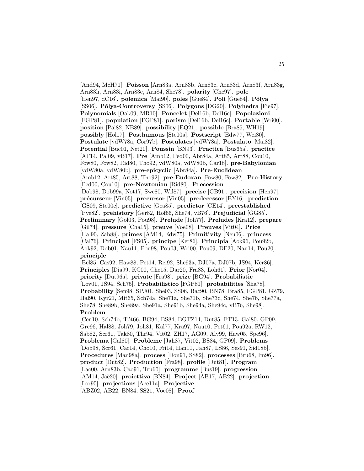[And94, McH71]. **Poisson** [Arn83a, Arn83b, Arn83c, Arn83d, Arn83f, Arn83g, Arn83h, Arn83i, Arn83e, Arn84, She78]. **polarity** [Che97]. **pole** [Hen97, dC16]. **polemica** [Mai90]. **poles** [Gue84]. **Poli** [Gue84]. **Pólya** [SS06]. **Pólya-Controversy** [SS06]. **Polygons** [DG20]. **Polyhedra** [Fie97]. **Polynomials** [Oak09, MR10]. **Poncelet** [Del16b, Del16c]. **Popolazioni** [FGP81]. **population** [FGP81]. **porism** [Del16b, Del16c]. **Portable** [Wri00]. **position** [Pai82, NB89]. **possibility** [EQ21]. **possible** [Bra85, WH19]. **possibly** [Hol17]. **Posthumous** [Ste00a]. **Postscript** [Edw77, Wei80]. **Postulate** [vdW78a, Cor97b]. **Postulates** [vdW78a]. **Postulato** [Mai82]. **Potential** [Buc01, Net20]. **Poussin** [BN93]. **Practica** [Bus65a]. **practice** [AT14, Pal09, vB17]. **Pre** [Amb12, Ped00, Abr84a, Art85, Art88, Cou10, Fow80, Fow82, Rid80, Tho92, vdW80a, vdW80b, Car18]. **pre-Babylonian** [vdW80a, vdW80b]. **pre-epicyclic** [Abr84a]. **Pre-Euclidean** [Amb12, Art85, Art88, Tho92]. **pre-Eudoxan** [Fow80, Fow82]. **Pre-History** [Ped00, Cou10]. **pre-Newtonian** [Rid80]. **Precession** [Dob98, Dob99a, Not17, Swe80, Wil87]. **precise** [GB91]. **precision** [Hen97]. **pr´ecurseur** [Vin05]. **precursor** [Vin05]. **predecessor** [BY16]. **prediction** [GS09, Ste00c]. **predictive** [Gea85]. **predictor** [CE14]. **preestablished** [Pye82]. **prehistory** [Ger82, Hof66, She74, vB76]. **Prejudicial** [GG85]. **Preliminary** [Gol03, Pou98]. **Prelude** [Joh77]. **Preludes** [Kra12]. **prepare** [Gil74]. **pressure** [Cha15]. **preuve** [Voe08]. **Preuves** [Vit04]. **Price** [Hal90, Zab88]. **primes** [AM14, Edw75]. **Primitivity** [Neu06]. **princess** [Cal76]. **Principal** [FS05]. **principe** [Ker86]. **Principia** [Aok96, Pou92b, Aok92, Dob01, Nau11, Pou98, Pou03, Wei00, Pou09, DF20, Nau14, Pou20]. **principle** [Bel85, Cas92, Haw88, Pet14, Rei92, She93a, DJ07a, DJ07b, JS94, Ker86]. **Principles** [Dia99, KC00, Che15, Dar20, Fra83, Loh61]. **Prior** [Nor04]. **priority** [Dut96a]. **private** [Fra98]. **prize** [BG94]. **Probabilistic** [Lov01, JS94, Sch75]. **Probabilistico** [FGP81]. **probabilities** [Sha78]. **Probability** [Sen98, SPJ01, She03, SS06, Bac90, BN78, Bra85, FGP81, GZ79, Hal90, Kyr21, Mit65, Sch74a, She71a, She71b, She73c, She74, She76, She77a, She78, She89b, She89a, She91a, She91b, She94a, She94c, vB76, She98]. **Problem** [Cen10, Sch74b, Tót66, BG94, BS84, BGTZ14, Dut85, FT13, Gal80, GP09, Gre96, Hal88, Joh79, Joh81, Kal77, Kra97, Nau10, Pet61, Pou92a, RW12,

Sab82, Scr61, Tak80, Thr94, Vit02, ZH17, AG09, Alv99, Haw05, Spe96]. **Problema** [Gal80]. **Probleme** [Jah87, Vit02, BS84, GP09]. **Problems** [Dob98, Scr61, Car14, Cho10, Fri14, Han11, Jah87, LS86, Ses91, Sid18b]. **Procedures** [Man98a]. **process** [Don91, SS82]. **processes** [Bru68, Im96]. **product** [Dut82]. **Production** [Fra98]. **profile** [Dut81]. **Program** [Lac00, Arn83b, Cao91, Tru60]. **programme** [Bus19]. **progression** [AM14, Ja¨e20]. **proiettiva** [BN84]. **Project** [AB17, AB22]. **projection** [Lor95]. **projections** [Ace11a]. **Projective** [ABZ02, AB22, BN84, SS21, Voe08]. **Proof**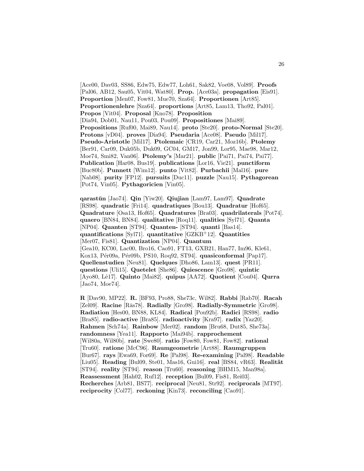[Ace00, Dav03, SS86, Edw75, Edw77, Loh61, Sak82, Voe08, Vol89]. **Proofs** [Pal06, AB12, Sau05, Vit04, Wat80]. **Prop.** [Ace03a]. **propagation** [Eis91]. **Proportion** [Men07, Fow81, Mue70, Sza64]. **Proportionen** [Art85]. **Proportionenlehre** [Sza64]. **proportions** [Art85, Lam13, Tho92, Pal01]. **Propos** [Vit04]. **Proposal** [Kno78]. **Proposition** [Dia94, Dob01, Nau11, Pou03, Pou09]. **Propositiones** [Mai89]. **Propositions** [Ruf00, Mai89, Nau14]. **proto** [Ste20]. **proto-Normal** [Ste20]. **Protons** [vD04]. **proves** [Dia94]. **Pseudaria** [Ace08]. **Pseudo** [Mil17]. **Pseudo-Aristotle** [Mil17]. **Ptolemaic** [CR19, Car21, Moz16b]. **Ptolemy** [Ber91, Car09, Duk05b, Duk09, GC04, GM17, Jon99, Lor95, Mae98, Mar12, Moe74, Smi82, Van06]. **Ptolemy's** [Mar21]. **public** [Pai71, Pai74, Pai77]. **Publication** [Har08, Bus19]. **publications** [Lor16, Vie21]. **punctiform** [Buc80b]. **Punnett** [Wim12]. **punto** [Vit82]. **Purbachii** [Mal16]. **pure** [Nab08]. **purity** [FP12]. **pursuits** [Duc11]. **puzzle** [Nau15]. **Pythagorean** [Pot74, Vin05]. **Pythagoricien** [Vin05].

**qarast¯un** [Jao74]. **Qin** [Yiw20]. **Qiujian** [Lam97, Lam97]. **Quadrate** [RS98]. **quadratic** [Fri14]. **quadratiques** [Bou13]. **Quadratur** [Hof65]. **Quadrature** [Osa13, Hof65]. **Quadratures** [Bra03]. **quadrilaterals** [Pot74]. **quaero** [BN84, BN84]. **qualitative** [Roq11]. **qualities** [Syl71]. **Quanta** [NP04]. **Quanten** [ST94]. **Quanten-** [ST94]. **quanti** [Bas14]. **quantifications** [Syl71]. **quantitative** [GZKB<sup>+</sup>12]. **Quantities** [Mer07, Fis81]. **Quantization** [NP04]. **Quantum** [Gea10, KC00, Lac00, Bro16, Cao91, FT13, GXB21, Han77, Im96, Kle61, Kox13, Pér09a, Pér09b, PS10, Roq92, ST94]. **quasiconformal** [Pap17]. **Quellenstudien** [Neu81]. **Quelques** [Dho86, Lam13]. **quest** [PR11]. **questions** [Uli15]. **Quetelet** [She86]. **Quiescence** [Gro98]. **quintic** [Ayo80, Lˆe17]. **Quinto** [Mai82]. **quipus** [AA72]. **Quotient** [Cou04]. **Qurra** [Jao74, Moe74].

**R** [Dav90, MP22]. **R.** [BF93, Pro88, She73c, Wil82]. **Rabbi** [Rab70]. **Racah** [Zel09]. **Racine** [Ras78]. **Radially** [Gro98]. **Radially-Symmetric** [Gro98]. **Radiation** [Hes00, BN88, KL84]. **Radical** [Pou92b]. **Radici** [RS98]. **radio** [Bra85]. **radio-active** [Bra85]. **radioactivity** [Kra97]. **radix** [Yaz20]. **Rahmen** [Sch74a]. **Rainbow** [Mer02]. **random** [Bru68, Dut85, She73a]. **randomness** [Yea11]. **Rapporto** [Mai94b]. **rapprochement** [Wil80a, Wil80b]. **rate** [Swe80]. **ratio** [Fow80, Fow81, Fow82]. **rational** [Tru60]. **ratione** [McC96]. **Raumgeometrie** [Art88]. **Raumgruppen** [Bur67]. **rays** [Ewa69, For69]. **Re** [Pal98]. **Re-examining** [Pal98]. **Readable** [Liu05]. **Reading** [Bul09, Ste01, Mas16, Gui16]. **real** [BS84, vR63]. **Realität** [ST94]. **reality** [ST94]. **reason** [Tru60]. **reasoning** [BHM15, Man98a]. **Reassessment** [Hah02, Ruf12]. **reception** [Bul09, Fis81, Rei03]. **Recherches** [Arb81, BS77]. **reciprocal** [Neu81, Str92]. **reciprocals** [MT97]. **reciprocity** [Col77]. **reckoning** [Kin73]. **reconciling** [Cao91].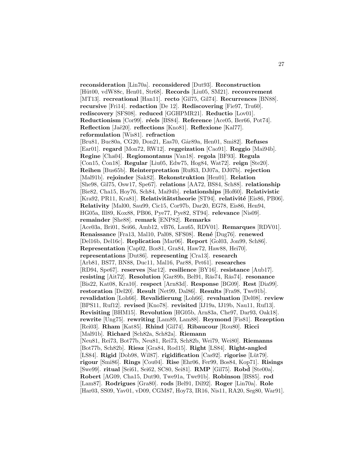**reconsideration** [Lin70a]. **reconsidered** [Dut93]. **Reconstruction** [H¨ut00, vdW88c, Hen01, Str68]. **Records** [Liu05, SM21]. **recouvrement** [MT13]. **recreational** [Han11]. **recto** [Gil75, Gil74]. **Recurrences** [BN88]. **recursive** [Fri14]. **redaction** [De 12]. **Rediscovering** [Fie97, Tru60]. **rediscovery** [SFS08]. **reduced** [GGHPMR21]. **Reductio** [Lov01]. **Reductionism** [Cor99]. **r´eels** [BS84]. **Reference** [Ace05, Ber66, Pot74]. **Reflection** [Jaë20]. **reflections** [Kno81]. **Reflexione** [Kal77]. **reformulation** [Wis81]. **refraction** [Bru81, Buc80a, CG20, Don21, Eas70, G˚ar89a, Hen01, Smi82]. **Refuses** [Ear01]. **regard** [Mon72, RW12]. **reggeization** [Cao91]. **Reggio** [Mai94b]. **Regine** [Cha04]. **Regiomontanus** [Van18]. **regola** [BF93]. **Regula** [Con15, Con18]. **Regular** [Liu05, Edw75, Hog84, Wat72]. **reign** [Ste20]. **Reihen** [Bus65b]. **Reinterpretation** [Ruf63, DJ07a, DJ07b]. **rejection** [Mal91b]. **rejoinder** [Sak82]. **Rekonstruktion** [Hen01]. **Relation** [She98, Gil75, Osw17, Spe67]. **relations** [AA72, BS84, Sch88]. **relationship** [Bie82, Cha15, Hoy76, Sch84, Mai94b]. **relationships** [Hof60]. **Relativistic** [Kra92, PR11, Kra81]. **Relativit¨atstheorie** [ST94]. **relativit´e** [Eis86, PB06]. **Relativity** [Mal00, Sau99, Cic15, Cor97b, Dar20, EG78, Eis86, Hen94, HG05a, Ill89, Kox88, PB06, Pye77, Pye82, ST94]. **relevance** [Nis09]. **remainder** [She88]. **remark** [ENP82]. **Remarks** [Ace03a, Bri01, Sei66, Amb12, vB76, Lau65, RDV01]. **Remarques** [RDV01]. **Renaissance** [Fra13, Mal10, Pal08, SFS08]. **René** [Dug76]. **renewed** [Del16b, Del16c]. **Replication** [Mar06]. **Report** [Gol03, Jon99, Sch86]. **Representation** [Cap02, Bos81, Gra84, Haw72, Haw88, Hei70]. **representations** [Dut86]. **representing** [Cra13]. **research** [Arb81, BS77, BN88, Duc11, Mal16, Par88, Pet61]. **researches** [RD94, Spe67]. **reserves** [Sar12]. **resilience** [BY16]. **resistance** [Aub17]. **resisting** [Ait72]. **Resolution** [Gar89b, Bel91, Ras74, Ras74]. **resonance** [Bis22, Kat08, Kra10]. **respect** [Arn83d]. **Response** [BG09]. **Rest** [Dia99]. **restoration** [Del20]. **Result** [Net99, Dal86]. **Results** [Fra98, Twe91b]. **revalidation** [Loh66]. **Revalidierung** [Loh66]. **revaluation** [Del08]. **review** [BPS11, Ruf12]. **revised** [Kno78]. **revisited** [IJ19a, IJ19b, Nau11, Ruf13]. **Revisiting** [BHM15]. **Revolution** [HG05b, Arn83a, Che97, Dar93, Oak18]. **rewrite** [Ung75]. **rewriting** [Lam89, Lam88]. **Reymond** [Fis81]. **Rezeption** [Rei03]. **Rham** [Kat85]. **Rhind** [Gil74]. **Ribaucour** [Rou80]. **Ricci** [Mal91b]. **Richard** [Sch82a, Sch82a]. **Riemann** [Neu81, Rei73, Bot77b, Neu81, Rei73, Sch82b, Wei79, Wei80]. **Riemanns** [Bot77b, Sch82b]. **Riesz** [Gra84, Rod15]. **Right** [LS84]. **Right-angled** [LS84]. **Rigid** [Dob98, Wil87]. **rigidification** [Cas92]. **rigorise** [L¨ut79]. **rigour** [Smi86]. **Rings** [Cou04]. **Rise** [Ehr06, Fer99, Bos84, Kop71]. **Risings** [Swe99]. **ritual** [Sei61, Sei62, SC80, Sei81]. **RMP** [Gil75]. **Robd´** [Ste00a]. **Robert** [AG09, Cha15, Dut90, Twe91a, Twe91b]. **Robinson** [BS85]. **rod** [Lam87]. **Rodrigues** [Gra80]. **rods** [Bel91, Dil92]. **Roger** [Lin70a]. **Role** [Har03, SS09, Yav01, vD09, CGM87, Hoy73, IR16, Nis11, RA20, Seg80, War91].

27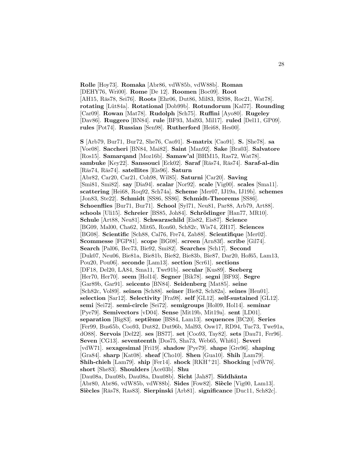**Rolle** [Hoy73]. **Romaka** [Abr86, vdW85b, vdW88b]. **Roman** [DEHY76, Wri00]. **Rome** [De 12]. **Roomen** [Boc09]. **Root** [AH15, Ras78, Sei76]. **Roots** [Ehr06, Dut86, Mil83, RS98, Roc21, Wat78]. **rotating** [L¨ut84a]. **Rotational** [Dob99b]. **Rotundorum** [Kal77]. **Rounding** [Car09]. **Rowan** [Mat78]. **Rudolph** [Sch75]. **Ruffini** [Ayo80]. **Rugeley** [Dav86]. **Ruggero** [BN84]. **rule** [BF93, Mal93, Mil17]. **ruled** [Del11, GP09]. **rules** [Pot74]. **Russian** [Sen98]. **Rutherford** [Hei68, Hes00].

**S** [Arb79, Bur71, Bur72, She76, Cao91]. **S-matrix** [Cao91]. **S.** [She78]. **sa** [Voe08]. **Saccheri** [BN84, Mai82]. **Saint** [Man92]. **Sake** [Bra03]. **Salvatore** [Ros15]. **Samarqand** [Moz16b]. **Samaw'al** [BHM15, Ras72, Wat78]. **sambuke** [Key22]. **Sanssouci** [Eck02]. **Saraf** [Ras74, Ras74]. **Saraf-al-din** [R¯as74, R¯as74]. **satellites** [Eis96]. **Saturn** [Abr82, Car20, Car21, Coh98, Wil85]. **Saturni** [Car20]. **Saving** [Smi81, Smi82]. **say** [Dia94]. **scalar** [Nor92]. **scale** [Vig00]. **scales** [Sma11]. **scattering** [Hei68, Roq92, Sch74a]. **Scheme** [Mer07, IJ19a, IJ19b]. **schemes** [Jon83, Ste22]. **Schmidt** [SS86, SS86]. **Schmidt-Theorems** [SS86]. **Schoenflies** [Bur71, Bur71]. **School** [Syl71, Neu81, Par88, Arb79, Art88]. schools<sup>[Uli15]</sup>. Schreier<sup>[BS85, Joh84]. Schrödinger<sup>[Han77, MR10].</sup></sup> **Schule** [Art88, Neu81]. **Schwarzschild** [Eis82, Eis87]. **Science** [BG09, Mal00, Cha62, Mit65, Ron60, Sch82c, Wis74, ZH17]. **Sciences** [BG08]. **Scientific** [Sch88, Cal76, Fre74, Zab88]. **Scientifique** [Mer02]. **Scommesse** [FGP81]. **scope** [BG08]. **screen** [Arn83f]. **scribe** [Gil74]. **Search** [Pal06, Bec73, Bie92, Smi82]. **Searches** [Sch17]. **Second** [Duk07, Neu06, Bie81a, Bie81b, Bie82, Bie83b, Bie87, Dar20, Hof65, Lam13, Pou20, Pou06]. **seconde** [Lam13]. **section** [Scr61]. **sections** [DF18, Del20, LA84, Sma11, Twe91b]. **secular** [Kus89]. **Seeberg** [Her70, Her70]. **seem** [Hol14]. **Segner** [Bik78]. **segni** [BF93]. **Segre** [Gar89b, Gar91]. **seicento** [BN84]. **Seidenberg** [Mat85]. **seine** [Sch82c, Vol89]. **seinen** [Sch88]. **seiner** [Bie82, Sch82a]. **seines** [Hen01]. **selection** [Sar12]. **Selectivity** [Fra98]. **self** [GL12]. **self-sustained** [GL12]. **semi** [Sei72]. **semi-circle** [Sei72]. **semigroups** [Hol09, Hol14]. **seminar** [Pye79]. **Semivectors** [vD04]. **Sense** [Mit19b, Mit19a]. **sent** [LD01]. **separation** [Big83]. **septième** [BS84, Lam13]. **sequences** [BC20]. **Series** [Fer99, Bus65b, Coo93, Dut82, Dut96b, Mal93, Osw17, RD94, Tuc73, Twe91a, dO88]. **Servois** [Del22]. **ses** [BS77]. **set** [Coo93, Tay82]. **sets** [Dau71, Fer96]. **Seven** [CG13]. **seventeenth** [Dos75, Sha73, Web65, Whi61]. **Severi** [vdW71]. **sexagesimal** [Fri19]. **shadow** [Pye79]. **shape** [Gre96]. **shaping** [Gra84]. **sharp** [Kat08]. **sheaf** [Cho10]. **Shen** [Gua10]. **Shih** [Lam79]. **Shih-chieh** [Lam79]. **ship** [Fer14]. **shock** [RKH<sup>+</sup>21]. **Shocking** [vdW76]. **short** [She83]. **Shoulders** [Ace03b]. **Shu** [Dau08a, Dau08b, Dau08a, Dau08b]. Sicht [Jah87]. Siddhanta [Abr80, Abr86, vdW85b, vdW88b]. **Sides** [Fow82]. **Siècle** [Vig00, Lam13]. **Siècles** [Ras78, Ras83]. **Sierpinski** [Arb81]. **significance** [Duc11, Sch82c].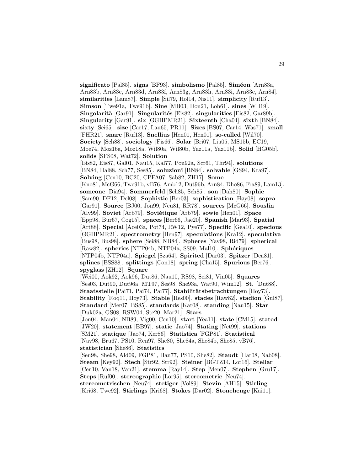**significato** [Pal85]. **signs** [BF93]. **simbolismo** [Pal85]. **Siméon** [Arn83a, Arn83b, Arn83c, Arn83d, Arn83f, Arn83g, Arn83h, Arn83i, Arn83e, Arn84]. **similarities** [Lam87]. **Simple** [Sil79, Hol14, Nis11]. **simplicity** [Ruf13]. **Simson** [Twe91a, Twe91b]. **Sine** [MB03, Don21, Loh61]. **sines** [WH19]. **Singolarità** [Gar91]. **Singularités** [Eis82]. **singularities** [Eis82, Gar89b]. **Singularity** [Gar91]. **six** [GGHPMR21]. **Sixteenth** [Cha04]. **sixth** [BN84]. **sixty** [Sei65]. **size** [Car17, Lau65, PR11]. **Sizes** [BS07, Car14, Was71]. **small** [FHR21]. **snare** [Ruf13]. **Snellius** [Hen01, Hen01]. **so-called** [Wil70]. **Society** [Sch88]. **sociology** [Fis66]. **Solar** [Bri07, Liu05, MS15b, EC19, Moe74, Moz16a, Moz18a, Wil80a, Wil80b, Yaz11a, Yaz11b]. **Solid** [HG05b]. **solids** [SFS08, Wat72]. **Solution** [Eis82, Eis87, Gal01, Nau15, Kal77, Pou92a, Scr61, Thr94]. **solutions** [BN84, Hal88, Sch77, Ses85]. **soluzioni** [BN84]. **solvable** [GS94, Kra97]. **Solving** [Cen10, BC20, CPFA07, Sab82, ZH17]. **Some** [Kno81, McG66, Twe91b, vB76, Amb12, Dut96b, Arn84, Dho86, Fra89, Lam13]. **someone** [Dia94]. **Sommerfeld** [Sch85, Sch85]. **son** [Dah80]. **Sophie** [Sam90, DF12, Del08]. **Sophistic** [Ber03]. **sophistication** [Høy08]. **sopra** [Gar91]. **Source** [BJ00, Jon99, Neu81, RR78]. **sources** [McG66]. **Souslin** [Alv99]. **Soviet** [Arb79]. **Soviétique** [Arb79]. **sowie** [Hen01]. **Space** [Epp98, Bur67, Cog15]. **spaces** [Ber66, Jaë20]. **Spanish** [Mar93]. **Spatial** [Art88]. **Special** [Ace03a, Pot74, RW12, Pye77]. **Specific** [Gea10]. **specious** [GGHPMR21]. **spectrometry** [Hen97]. **speculations** [Kra12]. **speculativa** [Bus98, Bus98]. **sphere** [Sei88, NB84]. **Spheres** [Yav98, Rid79]. **spherical** [Raw82]. **spherics** [NTP04b, NTP04a, SS09, Mal10]. **Sphériques** [NTP04b, NTP04a]. **Spiegel** [Sza64]. **Spirited** [Dar03]. **Spitzer** [Dea81]. **splines** [BSS88]. **splittings** [Con18]. **spring** [Cha15]. **Spurious** [Ber76]. **spyglass** [ZH12]. **Square** [Wei00, Aok92, Aok96, Dut86, Nau10, RS98, Sei81, Vin05]. **Squares** [Ses03, Dut90, Dut96a, MT97, Ses98, She93a, Wat90, Wim12]. **St.** [Dut88]. Staatsstelle [Pai71, Pai74, Pai77]. Stabilitätsbetrachtungen [Hoy73]. **Stability** [Roq11, Hoy73]. **Stable** [Hes00]. **stades** [Raw82]. **stadion** [Gul87]. **Standard** [Mer07, BS85]. **standards** [Kat08]. **standing** [Nau15]. **Star** [Duk02a, GS08, RSW04, Ste20, Mar21]. **Stars** [Jon04, Man04, NB89, Vig00, Cen10]. **start** [Yea11]. **state** [CM15]. **stated** [JW20]. **statement** [BB97]. **static** [Jao74]. **Stating** [Net99]. **stations** [SM21]. **statique** [Jao74, Ker86]. **Statistica** [FGP81]. **Statistical** [Nav98, Bru67, PS10, Ren97, She80, She84a, She84b, She85, vB76]. **statistician** [She86]. **Statistics** [Sen98, She98, Ald09, FGP81, Han77, PS10, She82]. **Staudt** [Har08, Nab08]. **Steam** [Key92]. **Stech** [Str92, Str92]. **Steiner** [BGTZ14, Lor16]. **Stellar** [Cen10, Van18, Van21]. **stemma** [Ray14]. **Step** [Men07]. **Stephen** [Gru17]. **Steps** [Ruf00]. **stereographic** [Lor95]. **stereometric** [Neu74]. **stereometrischen** [Neu74]. **stetiger** [Vol89]. **Stevin** [AH15]. **Stirling** [Kri68, Twe92]. **Stirlings** [Kri68]. **Stokes** [Dar02]. **Stonehenge** [Kai11].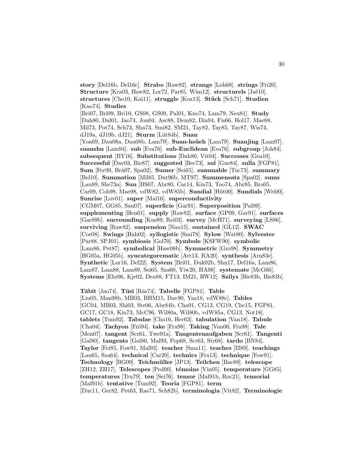**story** [Del16b, Del16c]. **Strabo** [Raw82]. **strange** [Loh68]. **strings** [Fri20]. **Structure** [Kra03, Haw82, Ler72, Par85, Wim12]. **structurels** [Jaë10]. **structures** [Cho10, Kai11]. **struggle** [Kox13]. **Stück** [Sch71]. **Studien** [Kno74]. **Studies** [Bri07, Bri09, Bri10, GS08, GS09, Pal01, Kno74, Lam79, Neu81]. **Study** [Dah80, Dal01, Jao74, Jon04, Asc88, Dem82, Dia94, Fis66, Hol17, Mae88, Mil73, Pot74, Sch73, Sha73, Smi82, SM21, Tay82, Tay85, Tay87, Wis74, dJ19a, dJ19b, dJ21]. **Sturm** [L¨ut84b]. **Suan** [Yon69, Dau08a, Dau08b, Lam79]. **Suan-hs¨ueh** [Lam79]. **Suanjing** [Lam97]. **suanshu** [Lam94]. **sub** [Eva76]. **sub-Euclidean** [Eva76]. **subgroup** [Joh84]. **subsequent** [BY16]. **Substitutions** [Dah80, Vit04]. **Successes** [Gea10]. **Successful** [Dav03, Bie87]. **suggested** [Bec73]. **sul** [Gue84]. **sulla** [FGP81]. **Sum** [Fer99, Br˚a07, Spa02]. **Sumer** [Sei65]. **summable** [Tuc73]. **summary** [Bel10]. **Summation** [Mil85, Dut96b, MT97]. **Summensatz** [Spa02]. **sums** [Lau89, She73a]. **Sun** [BS07, Abr80, Car14, Kin73, Too74, Abr85, Bro05, Car09, Coh98, Mae98, vdW82, vdW85b]. **Sundial** [H¨ut00]. **Sundials** [Wri00]. **Sunrise** [Lov01]. **super** [Mal16]. **superconductivity** [CGM87, GG85, Sau07]. **superficie** [Gar91]. **Superposition** [Pal09]. **supplementing** [Hen01]. **supply** [Raw82]. **surface** [GP09, Gar91]. **surfaces** [Gar89b]. **surrounding** [Kus89, Rei03]. **survey** [McH71]. **surveying** [LS86]. **surviving** [Raw82]. **suspension** [Nau15]. **sustained** [GL12]. **SWAC** [Cor08]. **Swings** [Hah02]. **syllogistic** [Smi78]. **Sylow** [Wat80]. **Sylvester** [Par88, SPJ01]. **symbiosis** [Gol70]. **Symbole** [KSFW90]. **symbolic** [Lam86, Pet87]. **symbolical** [Haw08b]. **Symmetric** [Gro98]. **Symmetry** [HG05a, HG05b]. **syncategorematic** [Art13, RA20]. **synthesis** [Arn83e]. **Synthetic** [Lor16, Del22]. **System** [Bri01, Duk02b, Shn17, Del16a, Lam86, Lam87, Lam88, Lam89, Sei65, Sza60, Yiw20, HA98]. **systemate** [McG66]. **Systems** [Ehr06, Kje02, Dea88, FT13, IM21, RW12]. **Szilys** [Bie83b, Bie83b].

**T¯abit** [Jao74]. **T¯us¯ı** [R¯as74]. **Tabelle** [FGP81]. **Table** [Liu05, Man98b, MB03, BHM15, Dav90, Yaz18, vdW88c]. **Tables** [GC04, MB03, Shi03, Ste06, Abr84b, Cha91, CG13, CG19, Che15, FGP81, GC17, GC18, Kin73, McC96, Wil80a, Wil80b, vdW85a, CG13, Not18]. **tablets** [Tum92]. **Tabulae** [Cha16, Her63]. **tabulation** [Van18]. **Tabule** [Cha04]. **Tachyon** [Frö94]. **take** [Fra98]. **Taking** [Van06, Fra98]. **Tale** [Men07]. **tangent** [Scr61, Twe91a]. **Tangentenaufgaben** [Scr61]. **Tangenti** [Gal80]. **tangents** [Gal80, Mal93, Pep68, Scr63, Str68]. **tardo** [BN84]. **Taylor** [Fei85, Fow91, Mal93]. **teacher** [Sma11]. **teaches** [Ill89]. **teachings** [Lau65, Sza64]. **technical** [Car20]. **technics** [Fra13]. **technique** [Fow91]. **Technology** [BG09]. **Teichm¨uller** [JP13]. **Teilchen** [Bac89]. **telescope** [ZH12, ZH17]. **Telescopes** [Ped00]. **témoins** [Vin05]. **temperature** [GG85]. **temperatures** [Tru79]. **ten** [Sei76]. **tensor** [Mal91b, Roc21]. **tensorial** [Mal91b]. **tentative** [Tum92]. **Teoria** [FGP81]. **term** [Duc11, Ger82, Pet63, Ras71, Sch82b]. **terminologia** [Vit82]. **Terminologie**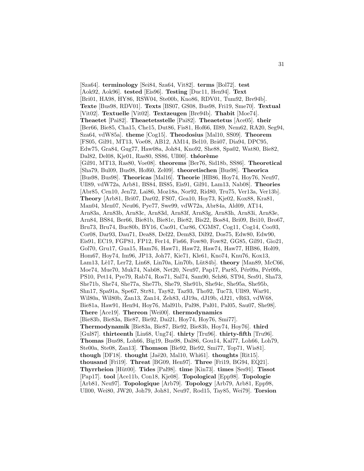[Sza64]. **terminology** [Sei84, Sza64, Vit82]. **terms** [Bol72]. **test** [Aok92, Aok96]. **tested** [Eis96]. **Testing** [Duc11, Hen94]. **Text** [Bri01, HA98, HY86, RSW04, Ste00b, Kno86, RDV01, Tum92, Bre94b]. **Texte** [Bus98, RDV01]. **Texts** [BS07, GS08, Bus98, Fri19, Sme70]. **Textual** [Vit02]. **Textuelle** [Vit02]. **Textzeugen** [Bre94b]. **Thabit** [Moe74]. **Theaetet** [Pai82]. **Theaetetsstelle** [Pai82]. **Theaetetus** [Ace05]. **their** [Ber66, Bie85, Cha15, Che15, Dut86, Fis81, Hof66, Ill89, Nem62, RA20, Seg94, Sza64, vdW85a]. **theme** [Cog15]. **Theodosius** [Mal10, SS09]. **Theorem** [FS05, Gil91, MT13, Voe08, AB12, AM14, Bel10, Brå07, Dia94, DPC95, Edw75, Gra84, Gug77, Haw08a, Joh84, Kno92, She88, Spa02, Wat80, Bie82, Dal82, Del08, Kje01, Ras80, SS86, Ull00]. **théorème** [Gil91, MT13, Ras80, Voe08]. **theorems** [Ber76, Sid18b, SS86]. **Theoretical** [Sha79, Bul09, Bus98, Hof60, Zel09]. **theoretischen** [Bus98]. **Theorica** [Bus98, Bus98]. **Theoricas** [Mal16]. **Theorie** [HB86, Hoy74, Hoy76, Neu97, Ull89, vdW72a, Arb81, BS84, BS85, Eis91, Gil91, Lam13, Nab08]. **Theories** [Abr85, Cen10, Jen72, Lai86, Moz18a, Nor92, Rid80, Tru75, Ver13a, Ver13b]. **Theory** [Arb81, Bri07, Dar02, FS07, Gea10, Hoy73, Kje02, Kox88, Kra81, Man04, Men07, Neu06, Pye77, Swe99, vdW72a, Abr84a, Ald09, AT14, Arn83a, Arn83b, Arn83c, Arn83d, Arn83f, Arn83g, Arn83h, Arn83i, Arn83e, Arn84, BS84, Ber66, Bie81b, Bie81c, Bie82, Bis22, Bos84, Bri09, Bri10, Bro67, Bru73, Bru74, Buc80b, BY16, Cao91, Car86, CGM87, Cog11, Cog14, Coo93, Cor08, Dar93, Dau71, Dea88, Del22, Dem83, Dil92, Dos75, Edw80, Edw90, Eis91, EC19, FGP81, FP12, Fer14, Fis66, Fow80, Fow82, GG85, Gil91, Gio21, Gol70, Gru17, Gua15, Ham76, Haw71, Haw72, Haw74, Haw77, HB86, Hol09, Hom67, Hoy74, Im96, JP13, Joh77, Kie71, Kle61, Kno74, Knu76, Kox13, Lam13, Lê17, Ler72, Lin68, Lin70a, Lin70b, Lüt84b]. **theory** [Man89, McC66, Moe74, Mue70, Muk74, Nab08, Net20, Neu97, Pap17, Par85, Pér09a, Pér09b, PS10, Pet14, Pye79, Rab74, Ros71, Sal74, Sam90, Sch86, ST94, Ses91, Sha73, She71b, She74, She77a, She77b, She79, She91b, She94c, She95a, She95b, Shn17, Spa91a, Spe67, Str81, Tay82, Taz93, Tho92, Tuc73, Ull89, War91, Wil80a, Wil80b, Zan13, Zan14, Zeh83, dJ19a, dJ19b, dJ21, vR63, vdW68, Bie81a, Haw91, Hen94, Hoy76, Mal91b, Pal98, Pal01, Pal05, Sau07, She98]. **There** [Ace19]. **Thereon** [Wei00]. **thermodynamics** [Bie83b, Bie83a, Bie87, Bie92, Dai21, Hoy74, Hoy76, Smi77]. **Thermodynamik** [Bie83a, Bie87, Bie92, Bie83b, Hoy74, Hoy76]. **third** [Gul87]. **thirteenth** [Lin68, Ung74]. **thirty** [Tru96]. **thirty-fifth** [Tru96]. **Thomas** [Bus98, Loh66, Big19, Bus98, Dal86, Gou14, Kal77, Loh66, Loh79, Ste00a, Ste08, Zan13]. **Thomson** [Bie92, Bie92, Smi77, Top71, Wis81]. **though** [DF18]. **thought** [Jaë20, Mal10, Whi61]. **thoughts** [Rit15]. **thousand** [Fri19]. **Threat** [BG09, Hen97]. **Three** [Fri19, BG94, EQ21]. **Thyrrheion** [H¨ut00]. **Tides** [Pal98]. **time** [Kin73]. **times** [Ses91]. **Tissot** [Pap17]. **tool** [Ace11b, Con18, Kje08]. **Topological** [Epp98]. **Topologie** [Arb81, Neu97]. **Topologique** [Arb79]. **Topology** [Arb79, Arb81, Epp98, Ull00, Wei80, JW20, Joh79, Joh81, Neu97, Rod15, Tay85, Wei79]. **Torsion**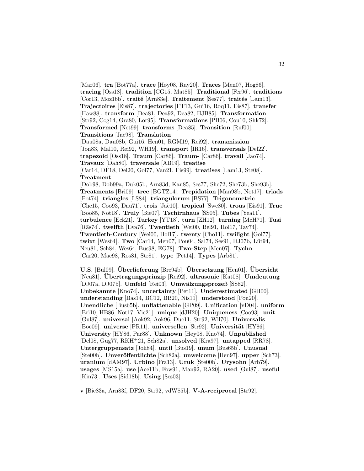[Mar06]. **tra** [Bot77a]. **trace** [Høy08, Ray20]. **Traces** [Men07, Hog86]. **tracing** [Oss18]. **tradition** [CG15, Mat85]. **Traditional** [Fer96]. **traditions** [Cor13, Moz16b]. **traité** [Arn83e]. **Traitement** [Ses77]. **traités** [Lam13]. **Trajectoires** [Eis87]. **trajectories** [FT13, Gui16, Roq11, Eis87]. **transfer** [Haw88]. **transform** [Dea81, Dea92, Dea82, HJB85]. **Transformation** [Str92, Cog14, Gra80, Lor95]. **Transformations** [PB06, Cou10, Shk72]. **Transformed** [Net99]. **transforms** [Dea85]. **Transition** [Ruf00]. **Transitions** [Jae98]. **Translation** [Dau08a, Dau08b, Gui16, Hen01, RGM19, Rei92]. **transmission** [Jon83, Mal10, Rei92, WH19]. **transport** [IR16]. **transversals** [Del22]. **trapezoid** [Oss18]. **Traum** [Car86]. **Traum-** [Car86]. **travail** [Jao74]. **Travaux** [Dah80]. **traversale** [AB19]. **treatise** [Car14, DF18, Del20, Gol77, Van21, Fis99]. **treatises** [Lam13, Ste08]. **Treatment** [Dob98, Dob99a, Duk05b, Arn83d, Kau85, Ses77, She72, She73b, She93b]. **Treatments** [Bri09]. **tree** [BGTZ14]. **Trepidation** [Man98b, Not17]. **triads** [Pot74]. **triangles** [LS84]. **triangulorum** [BS77]. **Trigonometric** [Che15, Coo93, Dau71]. **trois** [Jaë10]. **tropical** [Swe80]. **trous** [Eis91]. **True** [Boo85, Not18]. **Truly** [Bie07]. **Tschirnhaus** [SS05]. **Tubes** [Yea11]. **turbulence** [Eck21]. **Turkey** [YT18]. **turn** [ZH12]. **turning** [McH71]. **Tusi** [Rās74]. **twelfth** [Eva76]. **Twentieth** [Wei00, Bel91, Hol17, Tay74]. **Twentieth-Century** [Wei00, Hol17]. **twenty** [Cho11]. **twilight** [Gol77]. **twixt** [Wes64]. **Two** [Car14, Men07, Pou04, Sal74, Ses91, DJ07b, Lüt94, Neu81, Sch84, Wes64, Bus98, EG78]. **Two-Step** [Men07]. **Tycho** [Car20, Mae98, Ros81, Str81]. **type** [Pet14]. **Types** [Arb81].

**U.S.** [Bul09]. **Überlieferung** [Bre94b]. **Übersetzung** [Hen01]. **Übersicht** [Neu81]. **Ubertragungsprinzip ¨** [Rei92]. **ultrasonic** [Kat08]. **Umdeutung** [DJ07a, DJ07b]. **Umfeld** [Rei03]. **Umwälzungsprozeß** [SS82]. **Unbekannte** [Kno74]. **uncertainty** [Pet11]. **Underestimated** [GH00]. **understanding** [Bas14, BC12, BB20, Nis11]. **understood** [Pou20]. **Unendliche** [Bus65b]. **unflattenable** [GP09]. **Unification** [vD04]. **uniform** [Bri10, HB86, Not17, Vie21]. **unique** [dJH20]. **Uniqueness** [Coo93]. **unit** [Gul87]. **universal** [Aok92, Aok96, Duc11, Str92, Wil70]. **Universalis** [Boc09]. **universe** [PR11]. **universellen** [Str92]. **Universität** [HY86]. **University** [HY86, Par88]. **Unknown** [Høy08, Kno74]. **Unpublished** [Del08, Gug77, RKH<sup>+</sup>21, Sch82a]. **unsolved** [Kra97]. **untapped** [RR78]. **Untergruppensatz** [Joh84]. **until** [Bus19]. **unum** [Bus65b]. **Unusual** [Ste00b]. **Unver¨offentlichte** [Sch82a]. **unwelcome** [Hen97]. **upper** [Sch73]. **uranium** [dAM97]. **Urbino** [Fra13]. **Uruk** [Ste00b]. **Urysohn** [Arb79]. **usages** [MS15a]. **use** [Ace11b, Fow91, Man92, RA20]. **used** [Gul87]. **useful** [Kin73]. **Uses** [Sid18b]. **Using** [Ses03].

**v** [Bie83a, Arn83f, DF20, Str92, vdW85b]. **V-A-reciprocal** [Str92].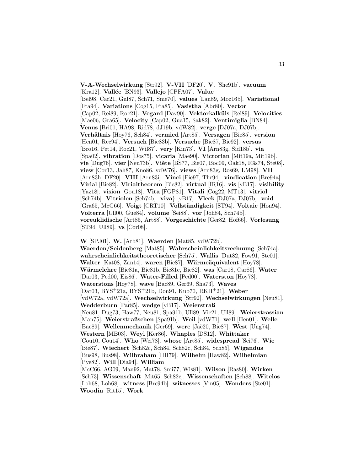**V-A-Wechselwirkung** [Str92]. **V-VII** [DF20]. **V.** [She91b]. **vacuum** [Kra12]. **Vallée** [BN93]. **Vallejo** [CPFA07]. **Value** [Bel98, Car21, Gul87, Sch71, Sme70]. **values** [Lau89, Moz16b]. **Variational** [Fra94]. **Variations** [Cog15, Fra85]. **Vasistha** [Abr80]. **Vector** [Cap02, Rei89, Roc21]. **Vegard** [Dav90]. **Vektorkalk¨uls** [Rei89]. **Velocities** [Mae06, Gra65]. **Velocity** [Cap02, Gua15, Sak82]. **Ventimiglia** [BN84]. **Venus** [Bri01, HA98, Rid78, dJ19b, vdW82]. **verge** [DJ07a, DJ07b]. **Verh¨altnis** [Hoy76, Sch84]. **vermied** [Art85]. **Versagen** [Bie85]. **version** [Hen01, Rec94]. **Versuch** [Bie83b]. **Versuche** [Bie87, Bie92]. **versus** [Bro16, Pet14, Roc21, Wil87]. **very** [Kin73]. **VI** [Arn83g, Sid18b]. **via** [Spa02]. **vibration** [Dos75]. **vicaria** [Mae90]. **Victorian** [Mit19a, Mit19b]. **vie** [Dug76]. **vier** [Neu73b]. **Viète** [BS77, Bie07, Boc09, Oak18, Rās74, Ste08]. **view** [Cor13, Jah87, Kno86, vdW76]. **views** [Arn83g, Ros69, LM98]. **VII** [Arn83h, DF20]. **VIII** [Arn83i]. **Vinci** [Fie97, Thr94]. **vindication** [Bre94a]. **Virial** [Bie82]. **Virialtheorem** [Bie82]. **virtual** [IR16]. **vis** [vB17]. **visibility** [Yaz18]. **vision** [Gou18]. **Vita** [FGP81]. **Vitali** [Cog22, MT13]. **vitriol** [Sch74b]. **Vitriolen** [Sch74b]. **viva**} [vB17]. **Vleck** [DJ07a, DJ07b]. **void** [Gra65, McG66]. **Voigt** [CRT10]. **Vollständigkeit** [ST94]. **Voltaic** [Hon94]. **Volterra** [Ull00, Gue84]. **volume** [Sei88]. **vor** [Joh84, Sch74b]. **voreuklidische** [Art85, Art88]. **Vorgeschichte** [Ger82, Hof66]. **Vorlesung** [ST94, Ull89]. **vs** [Cor08].

**W** [SPJ01]. **W.** [Arb81]. **Waerden** [Mat85, vdW72b]. **Waerden/Seidenberg** [Mat85]. **Wahrscheinlichkeitsrechnung** [Sch74a]. **wahrscheinlichkeitstheoretischer** [Sch75]. **Wallis** [Dut82, Fow91, Ste01]. **Walter** [Kat08, Zan14]. **waren** [Bie87]. **Wärmeäquivalent** [Hoy78]. **W¨armelehre** [Bie81a, Bie81b, Bie81c, Bie82]. **was** [Car18, Car86]. **Water** [Dar03, Ped00, Eis86]. **Water-Filled** [Ped00]. **Waterston** [Hoy78]. **Waterstons** [Hoy78]. **wave** [Bac89, Ger69, Sha73]. **Waves** [Dar03, BYS<sup>+</sup>21a, BYS<sup>+</sup>21b, Don91, Kub70, RKH<sup>+</sup>21]. **Weber** [vdW72a, vdW72a]. **Wechselwirkung** [Str92]. **Wechselwirkungen** [Neu81]. **Wedderburn** [Par85]. **wedge** [vB17]. **Weierstraß** [Neu81, Dug73, Haw77, Neu81, Spa91b, Ull89, Vie21, Ull89]. **Weierstrassian** [Man75]. **Weierstraßschen** [Spa91b]. **Weil** [vdW71]. **well** [Hen01]. **Welle** [Bac89]. **Wellenmechanik** [Ger69]. **were** [Jaë20, Bie87]. **West** [Ung74]. **Western** [MB03]. **Weyl** [Ker86]. **Whaples** [DS12]. **Whittaker** [Cou10, Cou14]. **Who** [Wei78]. **whose** [Art85]. **widespread** [Sei76]. **Wie** [Bie87]. **Wiechert** [Sch82c, Sch84, Sch82c, Sch84, Sch85]. **Wigandus** [Bus98, Bus98]. **Wilbraham** [HH79]. **Wilhelm** [Haw82]. **Wilhelmian** [Pye82]. **Will** [Dia94]. **William** [McC66, AG09, Man92, Mat78, Smi77, Wis81]. **Wilson** [Ras80]. **Wirken** [Sch73]. **Wissenschaft** [Mit65, Sch82c]. **Wissenschaften** [Sch88]. **Witelos** [Loh68, Loh68]. **witness** [Bre94b]. **witnesses** [Vin05]. **Wonders** [Ste01]. **Woodin** [Rit15]. **Work**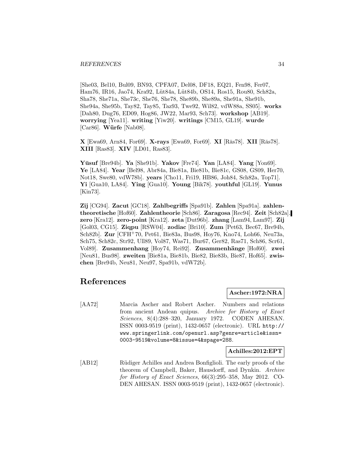#### *REFERENCES* 34

[She03, Bel10, Bul09, BN93, CPFA07, Del08, DF18, EQ21, Fen98, Fer07, Ham76, IR16, Jao74, Kra92, Lüt84a, Lüt84b, OS14, Ros15, Rou80, Sch82a, Sha78, She71a, She73c, She76, She78, She89b, She89a, She91a, She91b, She94a, She95b, Tay82, Tay85, Taz93, Twe92, Wil82, vdW88a, SS05]. **works** [Dah80, Dug76, ED09, Hog86, JW22, Mar93, Sch73]. **workshop** [AB19]. **worrying** [Yea11]. **writing** [Yiw20]. **writings** [CM15, GL19]. **wurde** [Car86]. **Würfe** [Nab08].

**X** [Ewa69, Arn84, For69]. **X-rays** [Ewa69, For69]. **XI** [Ras78]. **XII** [Ras78]. **XIII** [Ras83]. **XIV** [LD01, Ras83].

**Y¯usuf** [Bre94b]. **Ya** [She91b]. **Yakov** [Fre74]. **Yan** [LA84]. **Yang** [Yon69]. **Ye** [LA84]. **Year** [Bel98, Abr84a, Bie81a, Bie81b, Bie81c, GS08, GS09, Her70, Not18, Swe80, vdW78b]. **years** [Cho11, Fri19, HB86, Joh84, Sch82a, Top71]. **Yi** [Gua10, LA84]. **Ying** [Gua10]. **Young** [Bik78]. **youthful** [GL19]. **Yunus** [Kin73].

**Zˆıj** [CG94]. **Zacut** [GC18]. **Zahlbegriffs** [Spa91b]. **Zahlen** [Spa91a]. **zahlentheoretische** [Hof60]. **Zahlentheorie** [Sch86]. **Zaragosa** [Rec94]. **Zeit** [Sch82a]. **zero** [Kra12]. **zero-point** [Kra12]. **zeta** [Dut96b]. **zhang** [Lam94, Lam97]. **Zij** [Gol03, CG15]. **Ziqpu** [RSW04]. **zodiac** [Bri10]. **Zum** [Pet63, Bec67, Bre94b, Sch82b]. **Zur** [CFH<sup>+</sup>70, Pet61, Bie83a, Bus98, Hoy76, Kno74, Loh66, Neu73a, Sch75, Sch82c, Str92, Ull89, Vol87, Was71, Bur67, Ger82, Ras71, Sch86, Scr61, Vol89]. Zusammenhang [Hoy74, Rei92]. Zusammenhänge [Hof60]. zwei [Neu81, Bus98]. **zweiten** [Bie81a, Bie81b, Bie82, Bie83b, Bie87, Hof65]. **zwischen** [Bre94b, Neu81, Neu97, Spa91b, vdW72b].

# **References**

#### **Ascher:1972:NRA**

[AA72] Marcia Ascher and Robert Ascher. Numbers and relations from ancient Andean quipus. Archive for History of Exact Sciences, 8(4):288–320, January 1972. CODEN AHESAN. ISSN 0003-9519 (print), 1432-0657 (electronic). URL http:// www.springerlink.com/openurl.asp?genre=article&issn= 0003-9519&volume=8&issue=4&spage=288.

**Achilles:2012:EPT**

[AB12] Rüdiger Achilles and Andrea Bonfiglioli. The early proofs of the theorem of Campbell, Baker, Hausdorff, and Dynkin. Archive for History of Exact Sciences, 66(3):295–358, May 2012. CO-DEN AHESAN. ISSN 0003-9519 (print), 1432-0657 (electronic).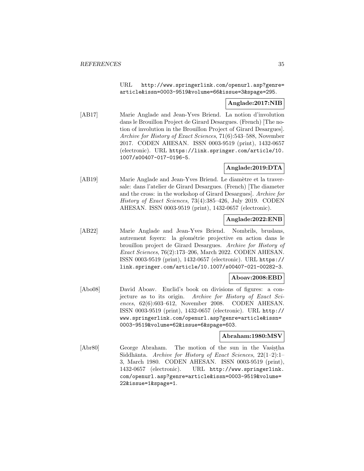URL http://www.springerlink.com/openurl.asp?genre= article&issn=0003-9519&volume=66&issue=3&spage=295.

## **Anglade:2017:NIB**

[AB17] Marie Anglade and Jean-Yves Briend. La notion d'involution dans le Brouillon Project de Girard Desargues. (French) [The notion of involution in the Brouillon Project of Girard Desargues]. Archive for History of Exact Sciences, 71(6):543–588, November 2017. CODEN AHESAN. ISSN 0003-9519 (print), 1432-0657 (electronic). URL https://link.springer.com/article/10. 1007/s00407-017-0196-5.

# **Anglade:2019:DTA**

[AB19] Marie Anglade and Jean-Yves Briend. Le diamètre et la traversale: dans l'atelier de Girard Desargues. (French) [The diameter and the cross: in the workshop of Girard Desargues]. Archive for History of Exact Sciences, 73(4):385–426, July 2019. CODEN AHESAN. ISSN 0003-9519 (print), 1432-0657 (electronic).

# **Anglade:2022:ENB**

[AB22] Marie Anglade and Jean-Yves Briend. Nombrils, bruslans, autrement foyerz: la géométrie projective en action dans le brouillon project de Girard Desargues. Archive for History of Exact Sciences, 76(2):173–206, March 2022. CODEN AHESAN. ISSN 0003-9519 (print), 1432-0657 (electronic). URL https:// link.springer.com/article/10.1007/s00407-021-00282-3.

#### **Aboav:2008:EBD**

[Abo08] David Aboav. Euclid's book on divisions of figures: a conjecture as to its origin. Archive for History of Exact Sciences, 62(6):603–612, November 2008. CODEN AHESAN. ISSN 0003-9519 (print), 1432-0657 (electronic). URL http:// www.springerlink.com/openurl.asp?genre=article&issn= 0003-9519&volume=62&issue=6&spage=603.

#### **Abraham:1980:MSV**

[Abr80] George Abraham. The motion of the sun in the Vasistha Siddhānta. Archive for History of Exact Sciences,  $22(1-2)$ :1-3, March 1980. CODEN AHESAN. ISSN 0003-9519 (print), 1432-0657 (electronic). URL http://www.springerlink. com/openurl.asp?genre=article&issn=0003-9519&volume= 22&issue=1&spage=1.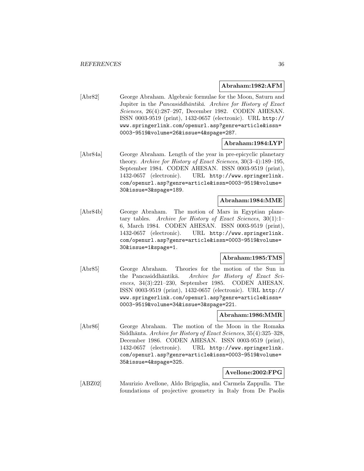#### **Abraham:1982:AFM**

[Abr82] George Abraham. Algebraic formulae for the Moon, Saturn and Jupiter in the Pancasiddh $\bar{a}$ ntik $\bar{a}$ . Archive for History of Exact Sciences, 26(4):287–297, December 1982. CODEN AHESAN. ISSN 0003-9519 (print), 1432-0657 (electronic). URL http:// www.springerlink.com/openurl.asp?genre=article&issn= 0003-9519&volume=26&issue=4&spage=287.

## **Abraham:1984:LYP**

[Abr84a] George Abraham. Length of the year in pre-epicyclic planetary theory. Archive for History of Exact Sciences, 30(3–4):189–195, September 1984. CODEN AHESAN. ISSN 0003-9519 (print), 1432-0657 (electronic). URL http://www.springerlink. com/openurl.asp?genre=article&issn=0003-9519&volume= 30&issue=3&spage=189.

#### **Abraham:1984:MME**

[Abr84b] George Abraham. The motion of Mars in Egyptian planetary tables. Archive for History of Exact Sciences, 30(1):1– 6, March 1984. CODEN AHESAN. ISSN 0003-9519 (print), 1432-0657 (electronic). URL http://www.springerlink. com/openurl.asp?genre=article&issn=0003-9519&volume= 30&issue=1&spage=1.

### **Abraham:1985:TMS**

[Abr85] George Abraham. Theories for the motion of the Sun in the Pancasiddhāntikā. Archive for History of Exact Sciences, 34(3):221–230, September 1985. CODEN AHESAN. ISSN 0003-9519 (print), 1432-0657 (electronic). URL http:// www.springerlink.com/openurl.asp?genre=article&issn= 0003-9519&volume=34&issue=3&spage=221.

#### **Abraham:1986:MMR**

[Abr86] George Abraham. The motion of the Moon in the Romaka Siddhānta. Archive for History of Exact Sciences, 35(4):325–328, December 1986. CODEN AHESAN. ISSN 0003-9519 (print), 1432-0657 (electronic). URL http://www.springerlink. com/openurl.asp?genre=article&issn=0003-9519&volume= 35&issue=4&spage=325.

# **Avellone:2002:FPG**

[ABZ02] Maurizio Avellone, Aldo Brigaglia, and Carmela Zappulla. The foundations of projective geometry in Italy from De Paolis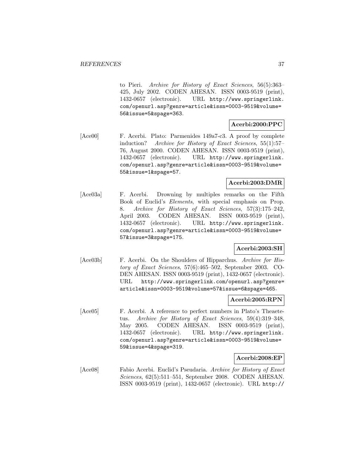to Pieri. Archive for History of Exact Sciences, 56(5):363– 425, July 2002. CODEN AHESAN. ISSN 0003-9519 (print), 1432-0657 (electronic). URL http://www.springerlink. com/openurl.asp?genre=article&issn=0003-9519&volume= 56&issue=5&spage=363.

# **Acerbi:2000:PPC**

[Ace00] F. Acerbi. Plato: Parmenides 149a7-c3. A proof by complete induction? Archive for History of Exact Sciences, 55(1):57– 76, August 2000. CODEN AHESAN. ISSN 0003-9519 (print), 1432-0657 (electronic). URL http://www.springerlink. com/openurl.asp?genre=article&issn=0003-9519&volume= 55&issue=1&spage=57.

## **Acerbi:2003:DMR**

[Ace03a] F. Acerbi. Drowning by multiples remarks on the Fifth Book of Euclid's Elements, with special emphasis on Prop. 8. Archive for History of Exact Sciences, 57(3):175–242, April 2003. CODEN AHESAN. ISSN 0003-9519 (print), 1432-0657 (electronic). URL http://www.springerlink. com/openurl.asp?genre=article&issn=0003-9519&volume= 57&issue=3&spage=175.

## **Acerbi:2003:SH**

[Ace03b] F. Acerbi. On the Shoulders of Hipparchus. Archive for History of Exact Sciences, 57(6):465–502, September 2003. CO-DEN AHESAN. ISSN 0003-9519 (print), 1432-0657 (electronic). URL http://www.springerlink.com/openurl.asp?genre= article&issn=0003-9519&volume=57&issue=6&spage=465.

### **Acerbi:2005:RPN**

[Ace05] F. Acerbi. A reference to perfect numbers in Plato's Theaetetus. Archive for History of Exact Sciences, 59(4):319–348, May 2005. CODEN AHESAN. ISSN 0003-9519 (print), 1432-0657 (electronic). URL http://www.springerlink. com/openurl.asp?genre=article&issn=0003-9519&volume= 59&issue=4&spage=319.

### **Acerbi:2008:EP**

[Ace08] Fabio Acerbi. Euclid's Pseudaria. Archive for History of Exact Sciences, 62(5):511–551, September 2008. CODEN AHESAN. ISSN 0003-9519 (print), 1432-0657 (electronic). URL http://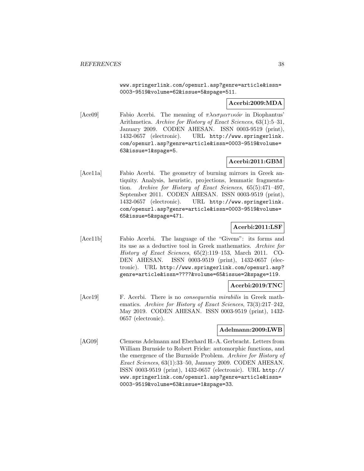www.springerlink.com/openurl.asp?genre=article&issn= 0003-9519&volume=62&issue=5&spage=511.

## **Acerbi:2009:MDA**

[Ace09] Fabio Acerbi. The meaning of  $\pi\lambda\alpha\sigma\mu\alpha\tau\mu\kappa\delta\nu$  in Diophantus' Arithmetica. Archive for History of Exact Sciences, 63(1):5–31, January 2009. CODEN AHESAN. ISSN 0003-9519 (print), 1432-0657 (electronic). URL http://www.springerlink. com/openurl.asp?genre=article&issn=0003-9519&volume= 63&issue=1&spage=5.

## **Acerbi:2011:GBM**

[Ace11a] Fabio Acerbi. The geometry of burning mirrors in Greek antiquity. Analysis, heuristic, projections, lemmatic fragmentation. Archive for History of Exact Sciences, 65(5):471–497, September 2011. CODEN AHESAN. ISSN 0003-9519 (print), 1432-0657 (electronic). URL http://www.springerlink. com/openurl.asp?genre=article&issn=0003-9519&volume= 65&issue=5&spage=471.

### **Acerbi:2011:LSF**

[Ace11b] Fabio Acerbi. The language of the "Givens": its forms and its use as a deductive tool in Greek mathematics. Archive for History of Exact Sciences, 65(2):119–153, March 2011. CO-DEN AHESAN. ISSN 0003-9519 (print), 1432-0657 (electronic). URL http://www.springerlink.com/openurl.asp? genre=article&issn=????&volume=65&issue=2&spage=119.

### **Acerbi:2019:TNC**

[Ace19] F. Acerbi. There is no consequentia mirabilis in Greek mathematics. Archive for History of Exact Sciences, 73(3):217–242, May 2019. CODEN AHESAN. ISSN 0003-9519 (print), 1432- 0657 (electronic).

### **Adelmann:2009:LWB**

[AG09] Clemens Adelmann and Eberhard H.-A. Gerbracht. Letters from William Burnside to Robert Fricke: automorphic functions, and the emergence of the Burnside Problem. Archive for History of Exact Sciences, 63(1):33–50, January 2009. CODEN AHESAN. ISSN 0003-9519 (print), 1432-0657 (electronic). URL http:// www.springerlink.com/openurl.asp?genre=article&issn= 0003-9519&volume=63&issue=1&spage=33.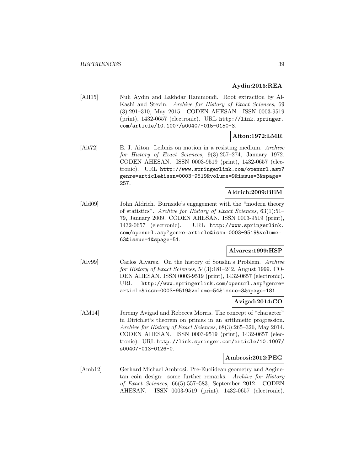## **Aydin:2015:REA**

[AH15] Nuh Aydin and Lakhdar Hammoudi. Root extraction by Al-Kashi and Stevin. Archive for History of Exact Sciences, 69 (3):291–310, May 2015. CODEN AHESAN. ISSN 0003-9519 (print), 1432-0657 (electronic). URL http://link.springer. com/article/10.1007/s00407-015-0150-3.

## **Aiton:1972:LMR**

[Ait72] E. J. Aiton. Leibniz on motion in a resisting medium. Archive for History of Exact Sciences, 9(3):257–274, January 1972. CODEN AHESAN. ISSN 0003-9519 (print), 1432-0657 (electronic). URL http://www.springerlink.com/openurl.asp? genre=article&issn=0003-9519&volume=9&issue=3&spage= 257.

#### **Aldrich:2009:BEM**

[Ald09] John Aldrich. Burnside's engagement with the "modern theory of statistics". Archive for History of Exact Sciences, 63(1):51– 79, January 2009. CODEN AHESAN. ISSN 0003-9519 (print), 1432-0657 (electronic). URL http://www.springerlink. com/openurl.asp?genre=article&issn=0003-9519&volume= 63&issue=1&spage=51.

### **Alvarez:1999:HSP**

[Alv99] Carlos Alvarez. On the history of Souslin's Problem. Archive for History of Exact Sciences, 54(3):181–242, August 1999. CO-DEN AHESAN. ISSN 0003-9519 (print), 1432-0657 (electronic). URL http://www.springerlink.com/openurl.asp?genre= article&issn=0003-9519&volume=54&issue=3&spage=181.

### **Avigad:2014:CO**

[AM14] Jeremy Avigad and Rebecca Morris. The concept of "character" in Dirichlet's theorem on primes in an arithmetic progression. Archive for History of Exact Sciences, 68(3):265–326, May 2014. CODEN AHESAN. ISSN 0003-9519 (print), 1432-0657 (electronic). URL http://link.springer.com/article/10.1007/ s00407-013-0126-0.

### **Ambrosi:2012:PEG**

[Amb12] Gerhard Michael Ambrosi. Pre-Euclidean geometry and Aeginetan coin design: some further remarks. Archive for History of Exact Sciences, 66(5):557–583, September 2012. CODEN AHESAN. ISSN 0003-9519 (print), 1432-0657 (electronic).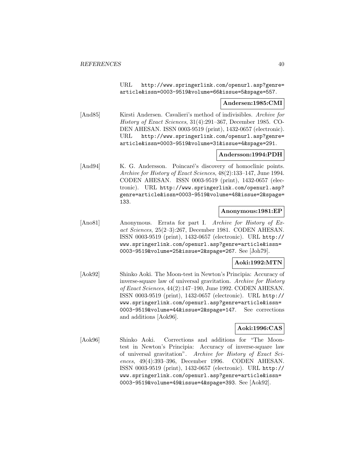URL http://www.springerlink.com/openurl.asp?genre= article&issn=0003-9519&volume=66&issue=5&spage=557.

### **Andersen:1985:CMI**

[And85] Kirsti Andersen. Cavalieri's method of indivisibles. Archive for History of Exact Sciences, 31(4):291–367, December 1985. CO-DEN AHESAN. ISSN 0003-9519 (print), 1432-0657 (electronic). URL http://www.springerlink.com/openurl.asp?genre= article&issn=0003-9519&volume=31&issue=4&spage=291.

#### **Andersson:1994:PDH**

[And94] K. G. Andersson. Poincaré's discovery of homoclinic points. Archive for History of Exact Sciences, 48(2):133–147, June 1994. CODEN AHESAN. ISSN 0003-9519 (print), 1432-0657 (electronic). URL http://www.springerlink.com/openurl.asp? genre=article&issn=0003-9519&volume=48&issue=2&spage= 133.

#### **Anonymous:1981:EP**

[Ano81] Anonymous. Errata for part I. Archive for History of Exact Sciences, 25(2–3):267, December 1981. CODEN AHESAN. ISSN 0003-9519 (print), 1432-0657 (electronic). URL http:// www.springerlink.com/openurl.asp?genre=article&issn= 0003-9519&volume=25&issue=2&spage=267. See [Joh79].

### **Aoki:1992:MTN**

[Aok92] Shinko Aoki. The Moon-test in Newton's Principia: Accuracy of inverse-square law of universal gravitation. Archive for History of Exact Sciences, 44(2):147–190, June 1992. CODEN AHESAN. ISSN 0003-9519 (print), 1432-0657 (electronic). URL http:// www.springerlink.com/openurl.asp?genre=article&issn= 0003-9519&volume=44&issue=2&spage=147. See corrections and additions [Aok96].

### **Aoki:1996:CAS**

[Aok96] Shinko Aoki. Corrections and additions for "The Moontest in Newton's Principia: Accuracy of inverse-square law of universal gravitation". Archive for History of Exact Sciences, 49(4):393–396, December 1996. CODEN AHESAN. ISSN 0003-9519 (print), 1432-0657 (electronic). URL http:// www.springerlink.com/openurl.asp?genre=article&issn= 0003-9519&volume=49&issue=4&spage=393. See [Aok92].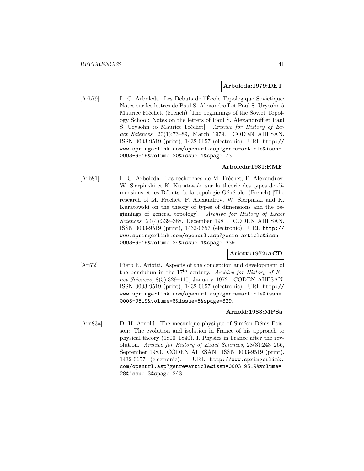#### **Arboleda:1979:DET**

[Arb79] L. C. Arboleda. Les Débuts de l'École Topologique Soviétique: Notes sur les lettres de Paul S. Alexandroff et Paul S. Urysohn à Maurice Fréchet. (French) [The beginnings of the Soviet Topology School: Notes on the letters of Paul S. Alexandroff et Paul S. Urysohn to Maurice Fréchet]. Archive for History of Exact Sciences, 20(1):73–89, March 1979. CODEN AHESAN. ISSN 0003-9519 (print), 1432-0657 (electronic). URL http:// www.springerlink.com/openurl.asp?genre=article&issn= 0003-9519&volume=20&issue=1&spage=73.

## **Arboleda:1981:RMF**

[Arb81] L. C. Arboleda. Les recherches de M. Fréchet, P. Alexandrov, W. Sierpinski et K. Kuratowski sur la théorie des types de dimensions et les Débuts de la topologie Générale. (French) [The research of M. Fréchet, P. Alexandrov, W. Sierpinski and K. Kuratowski on the theory of types of dimensions and the beginnings of general topology]. Archive for History of Exact Sciences, 24(4):339–388, December 1981. CODEN AHESAN. ISSN 0003-9519 (print), 1432-0657 (electronic). URL http:// www.springerlink.com/openurl.asp?genre=article&issn= 0003-9519&volume=24&issue=4&spage=339.

### **Ariotti:1972:ACD**

[Ari72] Piero E. Ariotti. Aspects of the conception and development of the pendulum in the 17<sup>th</sup> century. Archive for History of Exact Sciences, 8(5):329–410, January 1972. CODEN AHESAN. ISSN 0003-9519 (print), 1432-0657 (electronic). URL http:// www.springerlink.com/openurl.asp?genre=article&issn= 0003-9519&volume=8&issue=5&spage=329.

### **Arnold:1983:MPSa**

[Arn83a] D. H. Arnold. The mécanique physique of Siméon Dénis Poisson: The evolution and isolation in France of his approach to physical theory (1800–1840). I. Physics in France after the revolution. Archive for History of Exact Sciences, 28(3):243–266, September 1983. CODEN AHESAN. ISSN 0003-9519 (print), 1432-0657 (electronic). URL http://www.springerlink. com/openurl.asp?genre=article&issn=0003-9519&volume= 28&issue=3&spage=243.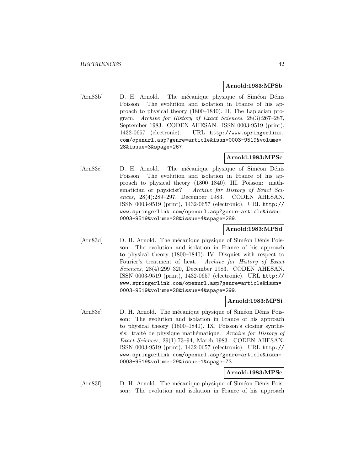#### **Arnold:1983:MPSb**

[Arn83b] D. H. Arnold. The mécanique physique of Siméon Dénis Poisson: The evolution and isolation in France of his approach to physical theory (1800–1840). II. The Laplacian program. Archive for History of Exact Sciences, 28(3):267–287, September 1983. CODEN AHESAN. ISSN 0003-9519 (print), 1432-0657 (electronic). URL http://www.springerlink. com/openurl.asp?genre=article&issn=0003-9519&volume= 28&issue=3&spage=267.

## **Arnold:1983:MPSc**

[Arn83c] D. H. Arnold. The mécanique physique of Siméon Dénis Poisson: The evolution and isolation in France of his approach to physical theory (1800–1840). III. Poisson: mathematician or physicist? Archive for History of Exact Sciences, 28(4):289–297, December 1983. CODEN AHESAN. ISSN 0003-9519 (print), 1432-0657 (electronic). URL http:// www.springerlink.com/openurl.asp?genre=article&issn= 0003-9519&volume=28&issue=4&spage=289.

### **Arnold:1983:MPSd**

[Arn83d] D. H. Arnold. The mécanique physique of Siméon Dénis Poisson: The evolution and isolation in France of his approach to physical theory (1800–1840). IV. Disquiet with respect to Fourier's treatment of heat. Archive for History of Exact Sciences, 28(4):299–320, December 1983. CODEN AHESAN. ISSN 0003-9519 (print), 1432-0657 (electronic). URL http:// www.springerlink.com/openurl.asp?genre=article&issn= 0003-9519&volume=28&issue=4&spage=299.

#### **Arnold:1983:MPSi**

[Arn83e] D. H. Arnold. The mécanique physique of Siméon Dénis Poisson: The evolution and isolation in France of his approach to physical theory (1800–1840). IX. Poisson's closing synthesis: traité de physique mathématique. Archive for History of Exact Sciences, 29(1):73–94, March 1983. CODEN AHESAN. ISSN 0003-9519 (print), 1432-0657 (electronic). URL http:// www.springerlink.com/openurl.asp?genre=article&issn= 0003-9519&volume=29&issue=1&spage=73.

# **Arnold:1983:MPSe**

[Arn83f] D. H. Arnold. The mécanique physique of Siméon Dénis Poisson: The evolution and isolation in France of his approach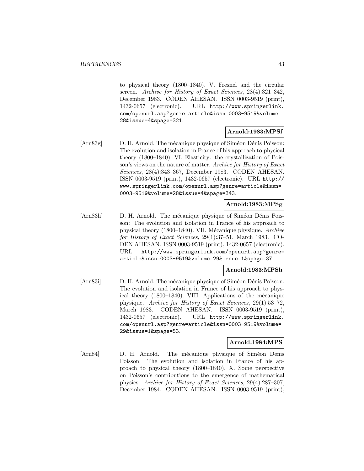to physical theory (1800–1840). V. Fresnel and the circular screen. Archive for History of Exact Sciences, 28(4):321–342, December 1983. CODEN AHESAN. ISSN 0003-9519 (print), 1432-0657 (electronic). URL http://www.springerlink. com/openurl.asp?genre=article&issn=0003-9519&volume= 28&issue=4&spage=321.

### **Arnold:1983:MPSf**

[Arn83g] D. H. Arnold. The mécanique physique of Siméon Dénis Poisson: The evolution and isolation in France of his approach to physical theory (1800–1840). VI. Elasticity: the crystallization of Poisson's views on the nature of matter. Archive for History of Exact Sciences, 28(4):343–367, December 1983. CODEN AHESAN. ISSN 0003-9519 (print), 1432-0657 (electronic). URL http:// www.springerlink.com/openurl.asp?genre=article&issn= 0003-9519&volume=28&issue=4&spage=343.

# **Arnold:1983:MPSg**

[Arn83h] D. H. Arnold. The mécanique physique of Siméon Dénis Poisson: The evolution and isolation in France of his approach to physical theory  $(1800-1840)$ . VII. Mécanique physique. Archive for History of Exact Sciences, 29(1):37–51, March 1983. CO-DEN AHESAN. ISSN 0003-9519 (print), 1432-0657 (electronic). URL http://www.springerlink.com/openurl.asp?genre= article&issn=0003-9519&volume=29&issue=1&spage=37.

### **Arnold:1983:MPSh**

[Arn83i] D. H. Arnold. The mécanique physique of Siméon Dénis Poisson: The evolution and isolation in France of his approach to physical theory  $(1800-1840)$ . VIII. Applications of the mécanique physique. Archive for History of Exact Sciences, 29(1):53–72, March 1983. CODEN AHESAN. ISSN 0003-9519 (print), 1432-0657 (electronic). URL http://www.springerlink. com/openurl.asp?genre=article&issn=0003-9519&volume= 29&issue=1&spage=53.

#### **Arnold:1984:MPS**

[Arn84] D. H. Arnold. The mécanique physique of Siméon Denis Poisson: The evolution and isolation in France of his approach to physical theory (1800–1840). X. Some perspective on Poisson's contributions to the emergence of mathematical physics. Archive for History of Exact Sciences, 29(4):287–307, December 1984. CODEN AHESAN. ISSN 0003-9519 (print),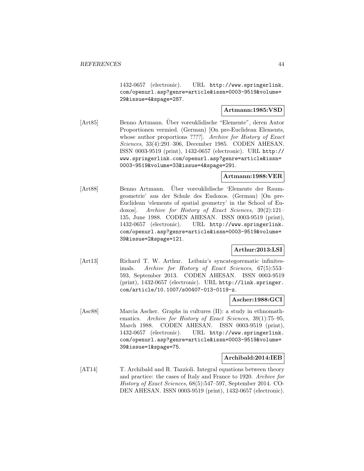1432-0657 (electronic). URL http://www.springerlink. com/openurl.asp?genre=article&issn=0003-9519&volume= 29&issue=4&spage=287.

### **Artmann:1985:VSD**

[Art85] Benno Artmann. Über voreuklidische "Elemente", deren Autor Proportionen vermied. (German) [On pre-Euclidean Elements, whose author proportions ????]. Archive for History of Exact Sciences, 33(4):291–306, December 1985. CODEN AHESAN. ISSN 0003-9519 (print), 1432-0657 (electronic). URL http:// www.springerlink.com/openurl.asp?genre=article&issn= 0003-9519&volume=33&issue=4&spage=291.

### **Artmann:1988:VER**

[Art88] Benno Artmann. Uber voreuklidische 'Elemente der Raumgeometrie' aus der Schule des Eudoxos. (German) [On pre-Euclidean 'elements of spatial geometry' in the School of Eudoxos]. Archive for History of Exact Sciences, 39(2):121– 135, June 1988. CODEN AHESAN. ISSN 0003-9519 (print), 1432-0657 (electronic). URL http://www.springerlink. com/openurl.asp?genre=article&issn=0003-9519&volume= 39&issue=2&spage=121.

## **Arthur:2013:LSI**

[Art13] Richard T. W. Arthur. Leibniz's syncategorematic infinitesimals. Archive for History of Exact Sciences, 67(5):553– 593, September 2013. CODEN AHESAN. ISSN 0003-9519 (print), 1432-0657 (electronic). URL http://link.springer. com/article/10.1007/s00407-013-0119-z.

#### **Ascher:1988:GCI**

[Asc88] Marcia Ascher. Graphs in cultures (II): a study in ethnomathematics. Archive for History of Exact Sciences, 39(1):75–95, March 1988. CODEN AHESAN. ISSN 0003-9519 (print), 1432-0657 (electronic). URL http://www.springerlink. com/openurl.asp?genre=article&issn=0003-9519&volume= 39&issue=1&spage=75.

#### **Archibald:2014:IEB**

[AT14] T. Archibald and R. Tazzioli. Integral equations between theory and practice: the cases of Italy and France to 1920. Archive for History of Exact Sciences, 68(5):547–597, September 2014. CO-DEN AHESAN. ISSN 0003-9519 (print), 1432-0657 (electronic).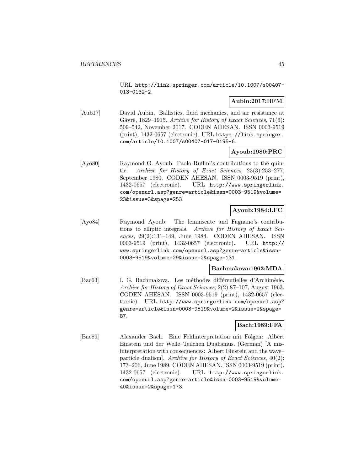URL http://link.springer.com/article/10.1007/s00407- 013-0132-2.

## **Aubin:2017:BFM**

[Aub17] David Aubin. Ballistics, fluid mechanics, and air resistance at Gâvre, 1829–1915. Archive for History of Exact Sciences, 71(6): 509–542, November 2017. CODEN AHESAN. ISSN 0003-9519 (print), 1432-0657 (electronic). URL https://link.springer. com/article/10.1007/s00407-017-0195-6.

## **Ayoub:1980:PRC**

[Ayo80] Raymond G. Ayoub. Paolo Ruffini's contributions to the quintic. Archive for History of Exact Sciences, 23(3):253–277, September 1980. CODEN AHESAN. ISSN 0003-9519 (print), 1432-0657 (electronic). URL http://www.springerlink. com/openurl.asp?genre=article&issn=0003-9519&volume= 23&issue=3&spage=253.

# **Ayoub:1984:LFC**

[Ayo84] Raymond Ayoub. The lemniscate and Fagnano's contributions to elliptic integrals. Archive for History of Exact Sciences, 29(2):131-149, June 1984. CODEN AHESAN. ISSN 0003-9519 (print), 1432-0657 (electronic). URL http:// www.springerlink.com/openurl.asp?genre=article&issn= 0003-9519&volume=29&issue=2&spage=131.

## **Bachmakova:1963:MDA**

[Bac63] I. G. Bachmakova. Les méthodes différentielles d'Archimède. Archive for History of Exact Sciences, 2(2):87–107, August 1963. CODEN AHESAN. ISSN 0003-9519 (print), 1432-0657 (electronic). URL http://www.springerlink.com/openurl.asp? genre=article&issn=0003-9519&volume=2&issue=2&spage= 87.

## **Bach:1989:FFA**

[Bac89] Alexander Bach. Eine Fehlinterpretation mit Folgen: Albert Einstein und der Welle–Teilchen Dualismus. (German) [A misinterpretation with consequences: Albert Einstein and the wave– particle dualism]. Archive for History of Exact Sciences, 40(2): 173–206, June 1989. CODEN AHESAN. ISSN 0003-9519 (print), 1432-0657 (electronic). URL http://www.springerlink. com/openurl.asp?genre=article&issn=0003-9519&volume= 40&issue=2&spage=173.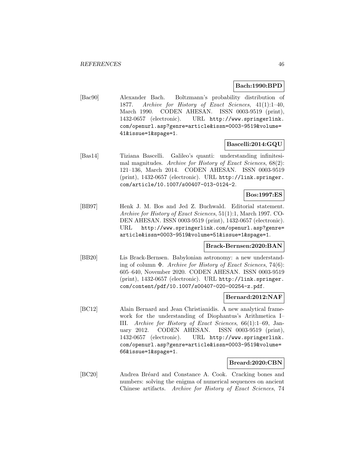#### **Bach:1990:BPD**

[Bac90] Alexander Bach. Boltzmann's probability distribution of 1877. Archive for History of Exact Sciences, 41(1):1–40, March 1990. CODEN AHESAN. ISSN 0003-9519 (print), 1432-0657 (electronic). URL http://www.springerlink. com/openurl.asp?genre=article&issn=0003-9519&volume= 41&issue=1&spage=1.

#### **Bascelli:2014:GQU**

[Bas14] Tiziana Bascelli. Galileo's quanti: understanding infinitesimal magnitudes. Archive for History of Exact Sciences, 68(2): 121–136, March 2014. CODEN AHESAN. ISSN 0003-9519 (print), 1432-0657 (electronic). URL http://link.springer. com/article/10.1007/s00407-013-0124-2.

# **Bos:1997:ES**

[BB97] Henk J. M. Bos and Jed Z. Buchwald. Editorial statement. Archive for History of Exact Sciences, 51(1):1, March 1997. CO-DEN AHESAN. ISSN 0003-9519 (print), 1432-0657 (electronic). URL http://www.springerlink.com/openurl.asp?genre= article&issn=0003-9519&volume=51&issue=1&spage=1.

### **Brack-Bernsen:2020:BAN**

[BB20] Lis Brack-Bernsen. Babylonian astronomy: a new understanding of column  $\Phi$ . Archive for History of Exact Sciences, 74(6): 605–640, November 2020. CODEN AHESAN. ISSN 0003-9519 (print), 1432-0657 (electronic). URL http://link.springer. com/content/pdf/10.1007/s00407-020-00254-z.pdf.

### **Bernard:2012:NAF**

[BC12] Alain Bernard and Jean Christianidis. A new analytical framework for the understanding of Diophantus's Arithmetica I– III. Archive for History of Exact Sciences, 66(1):1–69, January 2012. CODEN AHESAN. ISSN 0003-9519 (print), 1432-0657 (electronic). URL http://www.springerlink. com/openurl.asp?genre=article&issn=0003-9519&volume= 66&issue=1&spage=1.

#### **Breard:2020:CBN**

[BC20] Andrea Bréard and Constance A. Cook. Cracking bones and numbers: solving the enigma of numerical sequences on ancient Chinese artifacts. Archive for History of Exact Sciences, 74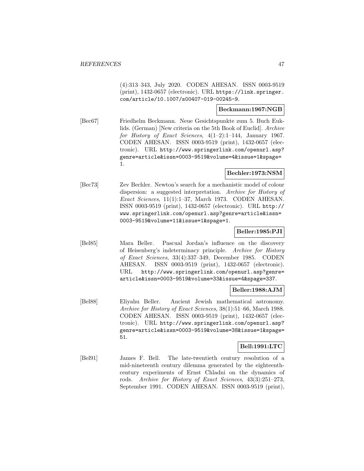(4):313–343, July 2020. CODEN AHESAN. ISSN 0003-9519 (print), 1432-0657 (electronic). URL https://link.springer. com/article/10.1007/s00407-019-00245-9.

### **Beckmann:1967:NGB**

[Bec67] Friedhelm Beckmann. Neue Gesichtspunkte zum 5. Buch Euklids. (German) [New criteria on the 5th Book of Euclid]. Archive for History of Exact Sciences,  $4(1-2)$ :1-144, January 1967. CODEN AHESAN. ISSN 0003-9519 (print), 1432-0657 (electronic). URL http://www.springerlink.com/openurl.asp? genre=article&issn=0003-9519&volume=4&issue=1&spage= 1.

### **Bechler:1973:NSM**

[Bec73] Zev Bechler. Newton's search for a mechanistic model of colour dispersion: a suggested interpretation. Archive for History of Exact Sciences, 11(1):1–37, March 1973. CODEN AHESAN. ISSN 0003-9519 (print), 1432-0657 (electronic). URL http:// www.springerlink.com/openurl.asp?genre=article&issn= 0003-9519&volume=11&issue=1&spage=1.

### **Beller:1985:PJI**

[Bel85] Mara Beller. Pascual Jordan's influence on the discovery of Heisenberg's indeterminacy principle. Archive for History of Exact Sciences, 33(4):337–349, December 1985. CODEN AHESAN. ISSN 0003-9519 (print), 1432-0657 (electronic). URL http://www.springerlink.com/openurl.asp?genre= article&issn=0003-9519&volume=33&issue=4&spage=337.

### **Beller:1988:AJM**

[Bel88] Eliyahu Beller. Ancient Jewish mathematical astronomy. Archive for History of Exact Sciences, 38(1):51–66, March 1988. CODEN AHESAN. ISSN 0003-9519 (print), 1432-0657 (electronic). URL http://www.springerlink.com/openurl.asp? genre=article&issn=0003-9519&volume=38&issue=1&spage= 51.

# **Bell:1991:LTC**

[Bel91] James F. Bell. The late-twentieth century resolution of a mid-nineteenth century dilemma generated by the eighteenthcentury experiments of Ernst Chladni on the dynamics of rods. Archive for History of Exact Sciences, 43(3):251–273, September 1991. CODEN AHESAN. ISSN 0003-9519 (print),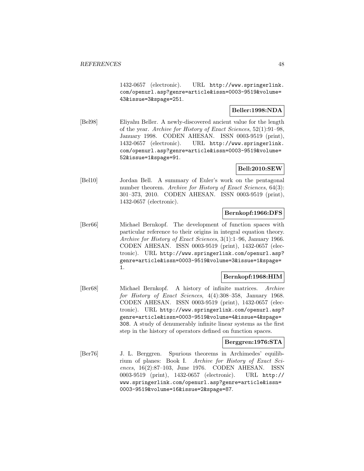1432-0657 (electronic). URL http://www.springerlink. com/openurl.asp?genre=article&issn=0003-9519&volume= 43&issue=3&spage=251.

## **Beller:1998:NDA**

[Bel98] Eliyahu Beller. A newly-discovered ancient value for the length of the year. Archive for History of Exact Sciences, 52(1):91–98, January 1998. CODEN AHESAN. ISSN 0003-9519 (print), 1432-0657 (electronic). URL http://www.springerlink. com/openurl.asp?genre=article&issn=0003-9519&volume= 52&issue=1&spage=91.

## **Bell:2010:SEW**

[Bel10] Jordan Bell. A summary of Euler's work on the pentagonal number theorem. Archive for History of Exact Sciences, 64(3): 301–373, 2010. CODEN AHESAN. ISSN 0003-9519 (print), 1432-0657 (electronic).

### **Bernkopf:1966:DFS**

[Ber66] Michael Bernkopf. The development of function spaces with particular reference to their origins in integral equation theory. Archive for History of Exact Sciences, 3(1):1–96, January 1966. CODEN AHESAN. ISSN 0003-9519 (print), 1432-0657 (electronic). URL http://www.springerlink.com/openurl.asp? genre=article&issn=0003-9519&volume=3&issue=1&spage= 1.

## **Bernkopf:1968:HIM**

[Ber68] Michael Bernkopf. A history of infinite matrices. Archive for History of Exact Sciences, 4(4):308–358, January 1968. CODEN AHESAN. ISSN 0003-9519 (print), 1432-0657 (electronic). URL http://www.springerlink.com/openurl.asp? genre=article&issn=0003-9519&volume=4&issue=4&spage= 308. A study of denumerably infinite linear systems as the first step in the history of operators defined on function spaces.

### **Berggren:1976:STA**

[Ber76] J. L. Berggren. Spurious theorems in Archimedes' equilibrium of planes: Book I. Archive for History of Exact Sciences, 16(2):87–103, June 1976. CODEN AHESAN. ISSN 0003-9519 (print), 1432-0657 (electronic). URL http:// www.springerlink.com/openurl.asp?genre=article&issn= 0003-9519&volume=16&issue=2&spage=87.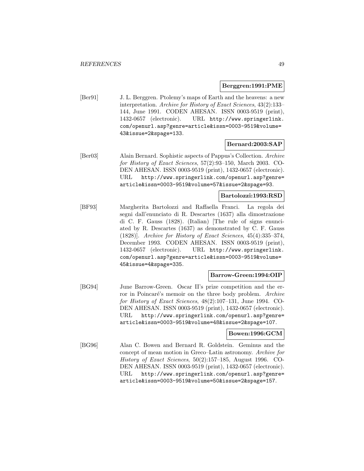#### **Berggren:1991:PME**

[Ber91] J. L. Berggren. Ptolemy's maps of Earth and the heavens: a new interpretation. Archive for History of Exact Sciences, 43(2):133– 144, June 1991. CODEN AHESAN. ISSN 0003-9519 (print), 1432-0657 (electronic). URL http://www.springerlink. com/openurl.asp?genre=article&issn=0003-9519&volume= 43&issue=2&spage=133.

### **Bernard:2003:SAP**

[Ber03] Alain Bernard. Sophistic aspects of Pappus's Collection. Archive for History of Exact Sciences, 57(2):93–150, March 2003. CO-DEN AHESAN. ISSN 0003-9519 (print), 1432-0657 (electronic). URL http://www.springerlink.com/openurl.asp?genre= article&issn=0003-9519&volume=57&issue=2&spage=93.

### **Bartolozzi:1993:RSD**

[BF93] Margherita Bartolozzi and Raffaella Franci. La regola dei segni dall'enunciato di R. Descartes (1637) alla dimostrazione di C. F. Gauss (1828). (Italian) [The rule of signs enunciated by R. Descartes (1637) as demonstrated by C. F. Gauss (1828)]. Archive for History of Exact Sciences, 45(4):335–374, December 1993. CODEN AHESAN. ISSN 0003-9519 (print), 1432-0657 (electronic). URL http://www.springerlink. com/openurl.asp?genre=article&issn=0003-9519&volume= 45&issue=4&spage=335.

### **Barrow-Green:1994:OIP**

[BG94] June Barrow-Green. Oscar II's prize competition and the error in Poincaré's memoir on the three body problem. Archive for History of Exact Sciences, 48(2):107–131, June 1994. CO-DEN AHESAN. ISSN 0003-9519 (print), 1432-0657 (electronic). URL http://www.springerlink.com/openurl.asp?genre= article&issn=0003-9519&volume=48&issue=2&spage=107.

### **Bowen:1996:GCM**

[BG96] Alan C. Bowen and Bernard R. Goldstein. Geminus and the concept of mean motion in Greco–Latin astronomy. Archive for History of Exact Sciences, 50(2):157–185, August 1996. CO-DEN AHESAN. ISSN 0003-9519 (print), 1432-0657 (electronic). URL http://www.springerlink.com/openurl.asp?genre= article&issn=0003-9519&volume=50&issue=2&spage=157.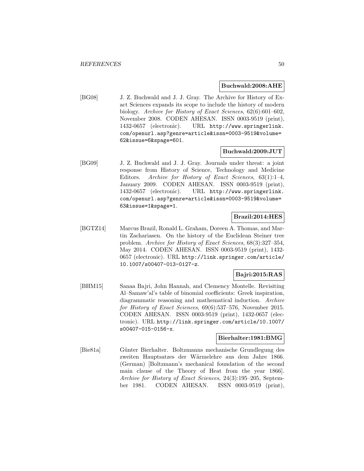#### **Buchwald:2008:AHE**

[BG08] J. Z. Buchwald and J. J. Gray. The Archive for History of Exact Sciences expands its scope to include the history of modern biology. Archive for History of Exact Sciences, 62(6):601–602, November 2008. CODEN AHESAN. ISSN 0003-9519 (print), 1432-0657 (electronic). URL http://www.springerlink. com/openurl.asp?genre=article&issn=0003-9519&volume= 62&issue=6&spage=601.

### **Buchwald:2009:JUT**

[BG09] J. Z. Buchwald and J. J. Gray. Journals under threat: a joint response from History of Science, Technology and Medicine Editors. Archive for History of Exact Sciences, 63(1):1–4, January 2009. CODEN AHESAN. ISSN 0003-9519 (print), 1432-0657 (electronic). URL http://www.springerlink. com/openurl.asp?genre=article&issn=0003-9519&volume= 63&issue=1&spage=1.

## **Brazil:2014:HES**

[BGTZ14] Marcus Brazil, Ronald L. Graham, Doreen A. Thomas, and Martin Zachariasen. On the history of the Euclidean Steiner tree problem. Archive for History of Exact Sciences, 68(3):327–354, May 2014. CODEN AHESAN. ISSN 0003-9519 (print), 1432- 0657 (electronic). URL http://link.springer.com/article/ 10.1007/s00407-013-0127-z.

## **Bajri:2015:RAS**

[BHM15] Sanaa Bajri, John Hannah, and Clemency Montelle. Revisiting Al–Samaw'al's table of binomial coefficients: Greek inspiration, diagrammatic reasoning and mathematical induction. Archive for History of Exact Sciences, 69(6):537–576, November 2015. CODEN AHESAN. ISSN 0003-9519 (print), 1432-0657 (electronic). URL http://link.springer.com/article/10.1007/ s00407-015-0156-x.

## **Bierhalter:1981:BMG**

[Bie81a] G¨unter Bierhalter. Boltzmanns mechanische Grundlegung des zweiten Hauptsatzes der Wärmelehre aus dem Jahre 1866. (German) [Boltzmann's mechanical foundation of the second main clause of the Theory of Heat from the year 1866]. Archive for History of Exact Sciences, 24(3):195–205, September 1981. CODEN AHESAN. ISSN 0003-9519 (print),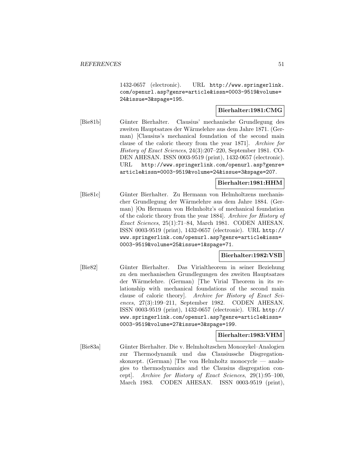1432-0657 (electronic). URL http://www.springerlink. com/openurl.asp?genre=article&issn=0003-9519&volume= 24&issue=3&spage=195.

## **Bierhalter:1981:CMG**

[Bie81b] G¨unter Bierhalter. Clausius' mechanische Grundlegung des zweiten Hauptsatzes der Wärmelehre aus dem Jahre 1871. (German) [Clausius's mechanical foundation of the second main clause of the caloric theory from the year 1871]. Archive for History of Exact Sciences, 24(3):207–220, September 1981. CO-DEN AHESAN. ISSN 0003-9519 (print), 1432-0657 (electronic). URL http://www.springerlink.com/openurl.asp?genre= article&issn=0003-9519&volume=24&issue=3&spage=207.

### **Bierhalter:1981:HHM**

[Bie81c] G¨unter Bierhalter. Zu Hermann von Helmholtzens mechanischer Grundlegung der Wärmelehre aus dem Jahre 1884. (German) [On Hermann von Helmholtz's of mechanical foundation of the caloric theory from the year 1884]. Archive for History of Exact Sciences, 25(1):71–84, March 1981. CODEN AHESAN. ISSN 0003-9519 (print), 1432-0657 (electronic). URL http:// www.springerlink.com/openurl.asp?genre=article&issn= 0003-9519&volume=25&issue=1&spage=71.

### **Bierhalter:1982:VSB**

[Bie82] G¨unter Bierhalter. Das Virialtheorem in seiner Beziehung zu den mechanischen Grundlegungen des zweiten Hauptsatzes der Wärmelehre. (German) [The Virial Theorem in its relationship with mechanical foundations of the second main clause of caloric theory]. Archive for History of Exact Sciences, 27(3):199–211, September 1982. CODEN AHESAN. ISSN 0003-9519 (print), 1432-0657 (electronic). URL http:// www.springerlink.com/openurl.asp?genre=article&issn= 0003-9519&volume=27&issue=3&spage=199.

### **Bierhalter:1983:VHM**

[Bie83a] G¨unter Bierhalter. Die v. Helmholtzschen Monozykel–Analogien zur Thermodynamik und das Clausiussche Disgregationskonzept. (German) [The von Helmholtz monocycle — analogies to thermodynamics and the Clausius disgregation concept]. Archive for History of Exact Sciences, 29(1):95–100, March 1983. CODEN AHESAN. ISSN 0003-9519 (print),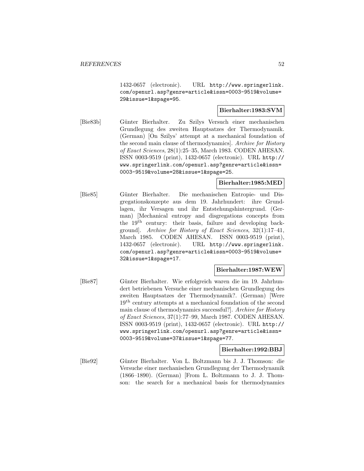1432-0657 (electronic). URL http://www.springerlink. com/openurl.asp?genre=article&issn=0003-9519&volume= 29&issue=1&spage=95.

# **Bierhalter:1983:SVM**

[Bie83b] G¨unter Bierhalter. Zu Szilys Versuch einer mechanischen Grundlegung des zweiten Hauptsatzes der Thermodynamik. (German) [On Szilys' attempt at a mechanical foundation of the second main clause of thermodynamics]. Archive for History of Exact Sciences, 28(1):25–35, March 1983. CODEN AHESAN. ISSN 0003-9519 (print), 1432-0657 (electronic). URL http:// www.springerlink.com/openurl.asp?genre=article&issn= 0003-9519&volume=28&issue=1&spage=25.

## **Bierhalter:1985:MED**

[Bie85] G¨unter Bierhalter. Die mechanischen Entropie- und Disgregationskonzepte aus dem 19. Jahrhundert: ihre Grundlagen, ihr Versagen und ihr Entstehungshintergrund. (German) [Mechanical entropy and disgregations concepts from the  $19<sup>th</sup>$  century: their basis, failure and developing background]. Archive for History of Exact Sciences, 32(1):17–41, March 1985. CODEN AHESAN. ISSN 0003-9519 (print), 1432-0657 (electronic). URL http://www.springerlink. com/openurl.asp?genre=article&issn=0003-9519&volume= 32&issue=1&spage=17.

### **Bierhalter:1987:WEW**

[Bie87] G¨unter Bierhalter. Wie erfolgreich waren die im 19. Jahrhundert betriebenen Versuche einer mechanischen Grundlegung des zweiten Hauptsatzes der Thermodynamik?. (German) [Were 19th century attempts at a mechanical foundation of the second main clause of thermodynamics successful?]. Archive for History of Exact Sciences, 37(1):77–99, March 1987. CODEN AHESAN. ISSN 0003-9519 (print), 1432-0657 (electronic). URL http:// www.springerlink.com/openurl.asp?genre=article&issn= 0003-9519&volume=37&issue=1&spage=77.

### **Bierhalter:1992:BBJ**

[Bie92] G¨unter Bierhalter. Von L. Boltzmann bis J. J. Thomson: die Versuche einer mechanischen Grundlegung der Thermodynamik (1866–1890). (German) [From L. Boltzmann to J. J. Thomson: the search for a mechanical basis for thermodynamics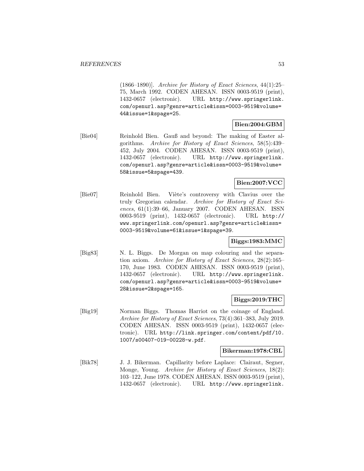(1866–1890)]. Archive for History of Exact Sciences, 44(1):25– 75, March 1992. CODEN AHESAN. ISSN 0003-9519 (print), 1432-0657 (electronic). URL http://www.springerlink. com/openurl.asp?genre=article&issn=0003-9519&volume= 44&issue=1&spage=25.

# **Bien:2004:GBM**

[Bie04] Reinhold Bien. Gauß and beyond: The making of Easter algorithms. Archive for History of Exact Sciences, 58(5):439– 452, July 2004. CODEN AHESAN. ISSN 0003-9519 (print), 1432-0657 (electronic). URL http://www.springerlink. com/openurl.asp?genre=article&issn=0003-9519&volume= 58&issue=5&spage=439.

## **Bien:2007:VCC**

[Bie07] Reinhold Bien. Viète's controversy with Clavius over the truly Gregorian calendar. Archive for History of Exact Sciences, 61(1):39–66, January 2007. CODEN AHESAN. ISSN 0003-9519 (print), 1432-0657 (electronic). URL http:// www.springerlink.com/openurl.asp?genre=article&issn= 0003-9519&volume=61&issue=1&spage=39.

### **Biggs:1983:MMC**

[Big83] N. L. Biggs. De Morgan on map colouring and the separation axiom. Archive for History of Exact Sciences, 28(2):165– 170, June 1983. CODEN AHESAN. ISSN 0003-9519 (print), 1432-0657 (electronic). URL http://www.springerlink. com/openurl.asp?genre=article&issn=0003-9519&volume= 28&issue=2&spage=165.

### **Biggs:2019:THC**

[Big19] Norman Biggs. Thomas Harriot on the coinage of England. Archive for History of Exact Sciences, 73(4):361–383, July 2019. CODEN AHESAN. ISSN 0003-9519 (print), 1432-0657 (electronic). URL http://link.springer.com/content/pdf/10. 1007/s00407-019-00228-w.pdf.

#### **Bikerman:1978:CBL**

[Bik78] J. J. Bikerman. Capillarity before Laplace: Clairaut, Segner, Monge, Young. Archive for History of Exact Sciences, 18(2): 103–122, June 1978. CODEN AHESAN. ISSN 0003-9519 (print), 1432-0657 (electronic). URL http://www.springerlink.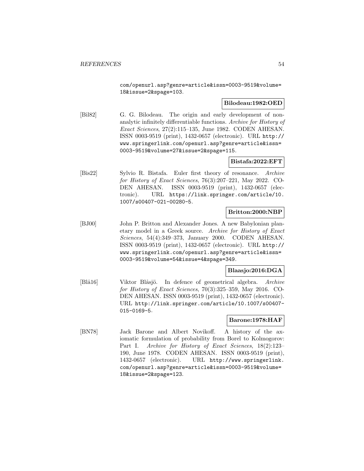com/openurl.asp?genre=article&issn=0003-9519&volume= 18&issue=2&spage=103.

### **Bilodeau:1982:OED**

[Bil82] G. G. Bilodeau. The origin and early development of nonanalytic infinitely differentiable functions. Archive for History of Exact Sciences, 27(2):115–135, June 1982. CODEN AHESAN. ISSN 0003-9519 (print), 1432-0657 (electronic). URL http:// www.springerlink.com/openurl.asp?genre=article&issn= 0003-9519&volume=27&issue=2&spage=115.

## **Bistafa:2022:EFT**

[Bis22] Sylvio R. Bistafa. Euler first theory of resonance. Archive for History of Exact Sciences, 76(3):207–221, May 2022. CO-DEN AHESAN. ISSN 0003-9519 (print), 1432-0657 (electronic). URL https://link.springer.com/article/10. 1007/s00407-021-00280-5.

### **Britton:2000:NBP**

[BJ00] John P. Britton and Alexander Jones. A new Babylonian planetary model in a Greek source. Archive for History of Exact Sciences, 54(4):349–373, January 2000. CODEN AHESAN. ISSN 0003-9519 (print), 1432-0657 (electronic). URL http:// www.springerlink.com/openurl.asp?genre=article&issn= 0003-9519&volume=54&issue=4&spage=349.

### **Blaasjo:2016:DGA**

[Blå16] Viktor Blåsjö. In defence of geometrical algebra. Archive for History of Exact Sciences, 70(3):325–359, May 2016. CO-DEN AHESAN. ISSN 0003-9519 (print), 1432-0657 (electronic). URL http://link.springer.com/article/10.1007/s00407- 015-0169-5.

#### **Barone:1978:HAF**

[BN78] Jack Barone and Albert Novikoff. A history of the axiomatic formulation of probability from Borel to Kolmogorov: Part I. Archive for History of Exact Sciences, 18(2):123– 190, June 1978. CODEN AHESAN. ISSN 0003-9519 (print), 1432-0657 (electronic). URL http://www.springerlink. com/openurl.asp?genre=article&issn=0003-9519&volume= 18&issue=2&spage=123.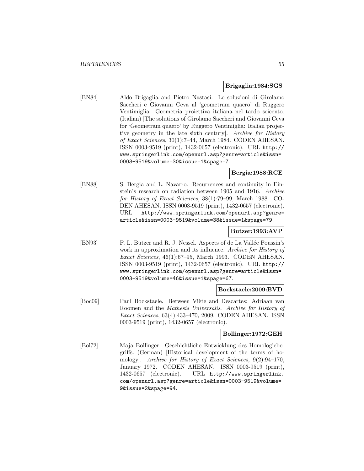### **Brigaglia:1984:SGS**

[BN84] Aldo Brigaglia and Pietro Nastasi. Le soluzioni di Girolamo Saccheri e Giovanni Ceva al 'geometram quaero' di Ruggero Ventimiglia: Geometria proiettiva italiana nel tardo seicento. (Italian) [The solutions of Girolamo Saccheri and Giovanni Ceva for 'Geometram quaero' by Ruggero Ventimiglia: Italian projective geometry in the late sixth century]. Archive for History of Exact Sciences, 30(1):7–44, March 1984. CODEN AHESAN. ISSN 0003-9519 (print), 1432-0657 (electronic). URL http:// www.springerlink.com/openurl.asp?genre=article&issn= 0003-9519&volume=30&issue=1&spage=7.

### **Bergia:1988:RCE**

[BN88] S. Bergia and L. Navarro. Recurrences and continuity in Einstein's research on radiation between 1905 and 1916. Archive for History of Exact Sciences, 38(1):79–99, March 1988. CO-DEN AHESAN. ISSN 0003-9519 (print), 1432-0657 (electronic). URL http://www.springerlink.com/openurl.asp?genre= article&issn=0003-9519&volume=38&issue=1&spage=79.

## **Butzer:1993:AVP**

[BN93] P. L. Butzer and R. J. Nessel. Aspects of de La Vallée Poussin's work in approximation and its influence. Archive for History of Exact Sciences, 46(1):67–95, March 1993. CODEN AHESAN. ISSN 0003-9519 (print), 1432-0657 (electronic). URL http:// www.springerlink.com/openurl.asp?genre=article&issn= 0003-9519&volume=46&issue=1&spage=67.

#### **Bockstaele:2009:BVD**

[Boc09] Paul Bockstaele. Between Viète and Descartes: Adriaan van Roomen and the Mathesis Universalis. Archive for History of Exact Sciences, 63(4):433–470, 2009. CODEN AHESAN. ISSN 0003-9519 (print), 1432-0657 (electronic).

#### **Bollinger:1972:GEH**

[Bol72] Maja Bollinger. Geschichtliche Entwicklung des Homologiebegriffs. (German) [Historical development of the terms of homology]. Archive for History of Exact Sciences, 9(2):94–170, January 1972. CODEN AHESAN. ISSN 0003-9519 (print), 1432-0657 (electronic). URL http://www.springerlink. com/openurl.asp?genre=article&issn=0003-9519&volume= 9&issue=2&spage=94.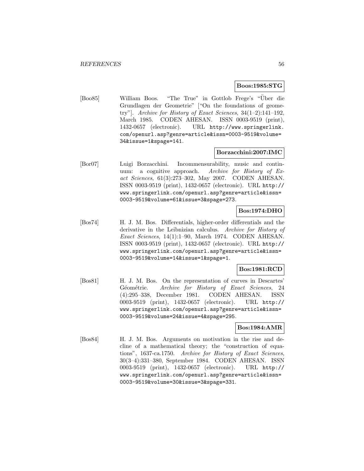#### **Boos:1985:STG**

[Boo85] William Boos. "The True" in Gottlob Frege's "Uber die Grundlagen der Geometrie" ["On the foundations of geometry"]. Archive for History of Exact Sciences,  $34(1-2)$ :141-192, March 1985. CODEN AHESAN. ISSN 0003-9519 (print), 1432-0657 (electronic). URL http://www.springerlink. com/openurl.asp?genre=article&issn=0003-9519&volume= 34&issue=1&spage=141.

#### **Borzacchini:2007:IMC**

[Bor07] Luigi Borzacchini. Incommensurability, music and continuum: a cognitive approach. Archive for History of Exact Sciences, 61(3):273–302, May 2007. CODEN AHESAN. ISSN 0003-9519 (print), 1432-0657 (electronic). URL http:// www.springerlink.com/openurl.asp?genre=article&issn= 0003-9519&volume=61&issue=3&spage=273.

## **Bos:1974:DHO**

[Bos74] H. J. M. Bos. Differentials, higher-order differentials and the derivative in the Leibnizian calculus. Archive for History of Exact Sciences, 14(1):1–90, March 1974. CODEN AHESAN. ISSN 0003-9519 (print), 1432-0657 (electronic). URL http:// www.springerlink.com/openurl.asp?genre=article&issn= 0003-9519&volume=14&issue=1&spage=1.

### **Bos:1981:RCD**

[Bos81] H. J. M. Bos. On the representation of curves in Descartes' Géométrie. Archive for History of Exact Sciences, 24 (4):295–338, December 1981. CODEN AHESAN. ISSN 0003-9519 (print), 1432-0657 (electronic). URL http:// www.springerlink.com/openurl.asp?genre=article&issn= 0003-9519&volume=24&issue=4&spage=295.

#### **Bos:1984:AMR**

[Bos84] H. J. M. Bos. Arguments on motivation in the rise and decline of a mathematical theory; the "construction of equations", 1637-ca.1750. Archive for History of Exact Sciences, 30(3–4):331–380, September 1984. CODEN AHESAN. ISSN 0003-9519 (print), 1432-0657 (electronic). URL http:// www.springerlink.com/openurl.asp?genre=article&issn= 0003-9519&volume=30&issue=3&spage=331.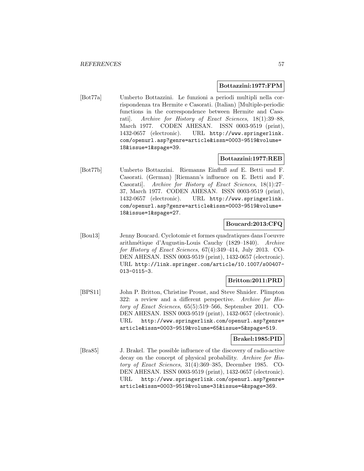#### **Bottazzini:1977:FPM**

[Bot77a] Umberto Bottazzini. Le funzioni a periodi multipli nella corrispondenza tra Hermite e Casorati. (Italian) [Multiple-periodic functions in the correspondence between Hermite and Casorati]. Archive for History of Exact Sciences, 18(1):39–88, March 1977. CODEN AHESAN. ISSN 0003-9519 (print), 1432-0657 (electronic). URL http://www.springerlink. com/openurl.asp?genre=article&issn=0003-9519&volume= 18&issue=1&spage=39.

## **Bottazzini:1977:REB**

[Bot77b] Umberto Bottazzini. Riemanns Einfluß auf E. Betti und F. Casorati. (German) [Riemann's influence on E. Betti and F. Casorati]. Archive for History of Exact Sciences, 18(1):27– 37, March 1977. CODEN AHESAN. ISSN 0003-9519 (print), 1432-0657 (electronic). URL http://www.springerlink. com/openurl.asp?genre=article&issn=0003-9519&volume= 18&issue=1&spage=27.

## **Boucard:2013:CFQ**

[Bou13] Jenny Boucard. Cyclotomie et formes quadratiques dans l'oeuvre arithmétique d'Augustin-Louis Cauchy (1829–1840). Archive for History of Exact Sciences, 67(4):349–414, July 2013. CO-DEN AHESAN. ISSN 0003-9519 (print), 1432-0657 (electronic). URL http://link.springer.com/article/10.1007/s00407- 013-0115-3.

### **Britton:2011:PRD**

[BPS11] John P. Britton, Christine Proust, and Steve Shnider. Plimpton 322: a review and a different perspective. Archive for History of Exact Sciences, 65(5):519–566, September 2011. CO-DEN AHESAN. ISSN 0003-9519 (print), 1432-0657 (electronic). URL http://www.springerlink.com/openurl.asp?genre= article&issn=0003-9519&volume=65&issue=5&spage=519.

### **Brakel:1985:PID**

[Bra85] J. Brakel. The possible influence of the discovery of radio-active decay on the concept of physical probability. Archive for History of Exact Sciences, 31(4):369–385, December 1985. CO-DEN AHESAN. ISSN 0003-9519 (print), 1432-0657 (electronic). URL http://www.springerlink.com/openurl.asp?genre= article&issn=0003-9519&volume=31&issue=4&spage=369.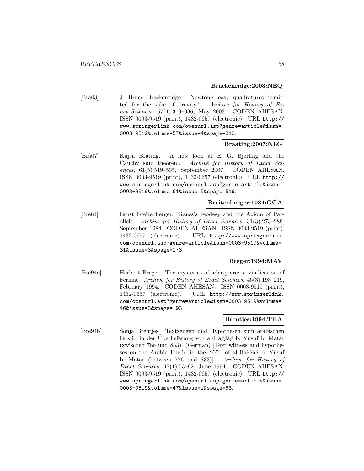### **Brackenridge:2003:NEQ**

[Bra03] J. Bruce Brackenridge. Newton's easy quadratures "omitted for the sake of brevity". Archive for History of Exact Sciences, 57(4):313–336, May 2003. CODEN AHESAN. ISSN 0003-9519 (print), 1432-0657 (electronic). URL http:// www.springerlink.com/openurl.asp?genre=article&issn= 0003-9519&volume=57&issue=4&spage=313.

### **Braating:2007:NLG**

[Brå07] Kajsa Bråting. A new look at E. G. Björling and the Cauchy sum theorem. Archive for History of Exact Sciences, 61(5):519–535, September 2007. CODEN AHESAN. ISSN 0003-9519 (print), 1432-0657 (electronic). URL http:// www.springerlink.com/openurl.asp?genre=article&issn= 0003-9519&volume=61&issue=5&spage=519.

#### **Breitenberger:1984:GGA**

[Bre84] Ernst Breitenberger. Gauss's geodesy and the Axiom of Parallels. Archive for History of Exact Sciences, 31(3):273–289, September 1984. CODEN AHESAN. ISSN 0003-9519 (print), 1432-0657 (electronic). URL http://www.springerlink. com/openurl.asp?genre=article&issn=0003-9519&volume= 31&issue=3&spage=273.

### **Breger:1994:MAV**

[Bre94a] Herbert Breger. The mysteries of adaequare: a vindication of Fermat. Archive for History of Exact Sciences, 46(3):193–219, February 1994. CODEN AHESAN. ISSN 0003-9519 (print), 1432-0657 (electronic). URL http://www.springerlink. com/openurl.asp?genre=article&issn=0003-9519&volume= 46&issue=3&spage=193.

## **Brentjes:1994:THA**

[Bre94b] Sonja Brentjes. Textzeugen und Hypothesen zum arabischen Euklid in der Uberlieferung von al-Hağğağ b. Yūsuf b. Matar (zwischen 786 und 833). (German) [Text witness and hypotheses on the Arabic Euclid in the ???? of al-Hağğağ b. Yūsuf b. Matar (between 786 und 833)]. Archive for History of Exact Sciences, 47(1):53–92, June 1994. CODEN AHESAN. ISSN 0003-9519 (print), 1432-0657 (electronic). URL http:// www.springerlink.com/openurl.asp?genre=article&issn= 0003-9519&volume=47&issue=1&spage=53.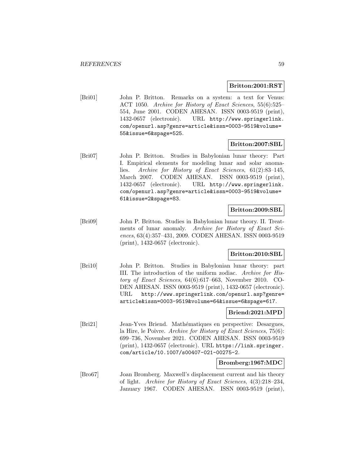#### **Britton:2001:RST**

[Bri01] John P. Britton. Remarks on a system: a text for Venus: ACT 1050. Archive for History of Exact Sciences, 55(6):525– 554, June 2001. CODEN AHESAN. ISSN 0003-9519 (print), 1432-0657 (electronic). URL http://www.springerlink. com/openurl.asp?genre=article&issn=0003-9519&volume= 55&issue=6&spage=525.

#### **Britton:2007:SBL**

[Bri07] John P. Britton. Studies in Babylonian lunar theory: Part I. Empirical elements for modeling lunar and solar anomalies. Archive for History of Exact Sciences, 61(2):83–145, March 2007. CODEN AHESAN. ISSN 0003-9519 (print), 1432-0657 (electronic). URL http://www.springerlink. com/openurl.asp?genre=article&issn=0003-9519&volume= 61&issue=2&spage=83.

### **Britton:2009:SBL**

[Bri09] John P. Britton. Studies in Babylonian lunar theory. II. Treatments of lunar anomaly. Archive for History of Exact Sciences, 63(4):357–431, 2009. CODEN AHESAN. ISSN 0003-9519 (print), 1432-0657 (electronic).

### **Britton:2010:SBL**

[Bri10] John P. Britton. Studies in Babylonian lunar theory: part III. The introduction of the uniform zodiac. Archive for History of Exact Sciences, 64(6):617–663, November 2010. CO-DEN AHESAN. ISSN 0003-9519 (print), 1432-0657 (electronic). URL http://www.springerlink.com/openurl.asp?genre= article&issn=0003-9519&volume=64&issue=6&spage=617.

# **Briend:2021:MPD**

[Bri21] Jean-Yves Briend. Mathématiques en perspective: Desargues, la Hire, le Poîvre. Archive for History of Exact Sciences, 75(6): 699–736, November 2021. CODEN AHESAN. ISSN 0003-9519 (print), 1432-0657 (electronic). URL https://link.springer. com/article/10.1007/s00407-021-00275-2.

### **Bromberg:1967:MDC**

[Bro67] Joan Bromberg. Maxwell's displacement current and his theory of light. Archive for History of Exact Sciences, 4(3):218–234, January 1967. CODEN AHESAN. ISSN 0003-9519 (print),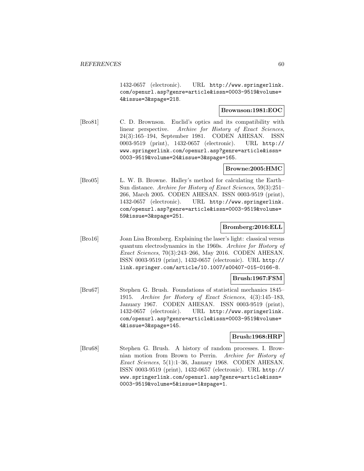1432-0657 (electronic). URL http://www.springerlink. com/openurl.asp?genre=article&issn=0003-9519&volume= 4&issue=3&spage=218.

### **Brownson:1981:EOC**

[Bro81] C. D. Brownson. Euclid's optics and its compatibility with linear perspective. Archive for History of Exact Sciences, 24(3):165–194, September 1981. CODEN AHESAN. ISSN 0003-9519 (print), 1432-0657 (electronic). URL http:// www.springerlink.com/openurl.asp?genre=article&issn= 0003-9519&volume=24&issue=3&spage=165.

### **Browne:2005:HMC**

[Bro05] L. W. B. Browne. Halley's method for calculating the Earth– Sun distance. Archive for History of Exact Sciences, 59(3):251– 266, March 2005. CODEN AHESAN. ISSN 0003-9519 (print), 1432-0657 (electronic). URL http://www.springerlink. com/openurl.asp?genre=article&issn=0003-9519&volume= 59&issue=3&spage=251.

### **Bromberg:2016:ELL**

[Bro16] Joan Lisa Bromberg. Explaining the laser's light: classical versus quantum electrodynamics in the 1960s. Archive for History of Exact Sciences, 70(3):243–266, May 2016. CODEN AHESAN. ISSN 0003-9519 (print), 1432-0657 (electronic). URL http:// link.springer.com/article/10.1007/s00407-015-0166-8.

### **Brush:1967:FSM**

[Bru67] Stephen G. Brush. Foundations of statistical mechanics 1845– 1915. Archive for History of Exact Sciences, 4(3):145–183, January 1967. CODEN AHESAN. ISSN 0003-9519 (print), 1432-0657 (electronic). URL http://www.springerlink. com/openurl.asp?genre=article&issn=0003-9519&volume= 4&issue=3&spage=145.

### **Brush:1968:HRP**

[Bru68] Stephen G. Brush. A history of random processes. I. Brownian motion from Brown to Perrin. Archive for History of Exact Sciences, 5(1):1–36, January 1968. CODEN AHESAN. ISSN 0003-9519 (print), 1432-0657 (electronic). URL http:// www.springerlink.com/openurl.asp?genre=article&issn= 0003-9519&volume=5&issue=1&spage=1.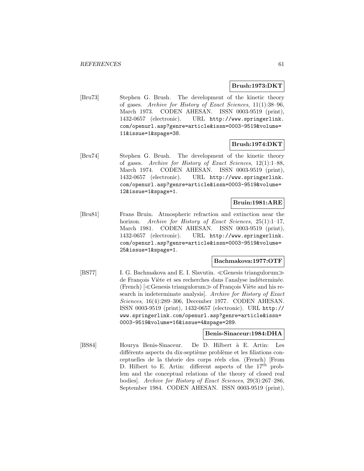#### **Brush:1973:DKT**

[Bru73] Stephen G. Brush. The development of the kinetic theory of gases. Archive for History of Exact Sciences, 11(1):38–96, March 1973. CODEN AHESAN. ISSN 0003-9519 (print), 1432-0657 (electronic). URL http://www.springerlink. com/openurl.asp?genre=article&issn=0003-9519&volume= 11&issue=1&spage=38.

#### **Brush:1974:DKT**

[Bru74] Stephen G. Brush. The development of the kinetic theory of gases. Archive for History of Exact Sciences, 12(1):1–88, March 1974. CODEN AHESAN. ISSN 0003-9519 (print), 1432-0657 (electronic). URL http://www.springerlink. com/openurl.asp?genre=article&issn=0003-9519&volume= 12&issue=1&spage=1.

## **Bruin:1981:ARE**

[Bru81] Frans Bruin. Atmospheric refraction and extinction near the horizon. Archive for History of Exact Sciences, 25(1):1-17, March 1981. CODEN AHESAN. ISSN 0003-9519 (print), 1432-0657 (electronic). URL http://www.springerlink. com/openurl.asp?genre=article&issn=0003-9519&volume= 25&issue=1&spage=1.

### **Bachmakova:1977:OTF**

 $[BS77]$  I. G. Bachmakova and E. I. Slavutin. «Genesis triangulorum» de François Viète et ses recherches dans l'analyse indéterminée.  $(French)$   $\ll$  Genesis triangulorum  $\gg$  of François Viète and his research in indeterminate analysis]. Archive for History of Exact Sciences, 16(4):289–306, December 1977. CODEN AHESAN. ISSN 0003-9519 (print), 1432-0657 (electronic). URL http:// www.springerlink.com/openurl.asp?genre=article&issn= 0003-9519&volume=16&issue=4&spage=289.

## **Benis-Sinaceur:1984:DHA**

[BS84] Hourya Benis-Sinaceur. De D. Hilbert `a E. Artin: Les différents aspects du dix-septième problème et les filiations conceptuelles de la théorie des corps réels clos. (French) [From D. Hilbert to E. Artin: different aspects of the 17<sup>th</sup> problem and the conceptual relations of the theory of closed real bodies]. Archive for History of Exact Sciences, 29(3):267–286, September 1984. CODEN AHESAN. ISSN 0003-9519 (print),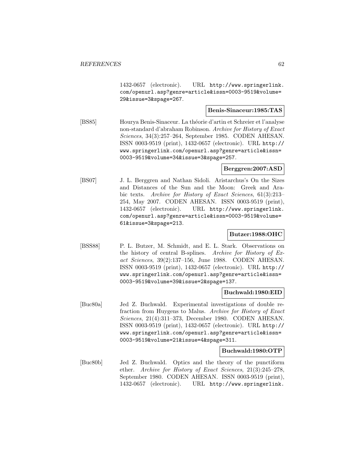1432-0657 (electronic). URL http://www.springerlink. com/openurl.asp?genre=article&issn=0003-9519&volume= 29&issue=3&spage=267.

## **Benis-Sinaceur:1985:TAS**

[BS85] Hourya Benis-Sinaceur. La th´eorie d'artin et Schreier et l'analyse non-standard d'abraham Robinson. Archive for History of Exact Sciences, 34(3):257–264, September 1985. CODEN AHESAN. ISSN 0003-9519 (print), 1432-0657 (electronic). URL http:// www.springerlink.com/openurl.asp?genre=article&issn= 0003-9519&volume=34&issue=3&spage=257.

## **Berggren:2007:ASD**

[BS07] J. L. Berggren and Nathan Sidoli. Aristarchus's On the Sizes and Distances of the Sun and the Moon: Greek and Arabic texts. Archive for History of Exact Sciences, 61(3):213– 254, May 2007. CODEN AHESAN. ISSN 0003-9519 (print), 1432-0657 (electronic). URL http://www.springerlink. com/openurl.asp?genre=article&issn=0003-9519&volume= 61&issue=3&spage=213.

## **Butzer:1988:OHC**

[BSS88] P. L. Butzer, M. Schmidt, and E. L. Stark. Observations on the history of central B-splines. Archive for History of Exact Sciences, 39(2):137–156, June 1988. CODEN AHESAN. ISSN 0003-9519 (print), 1432-0657 (electronic). URL http:// www.springerlink.com/openurl.asp?genre=article&issn= 0003-9519&volume=39&issue=2&spage=137.

#### **Buchwald:1980:EID**

[Buc80a] Jed Z. Buchwald. Experimental investigations of double refraction from Huygens to Malus. Archive for History of Exact Sciences, 21(4):311–373, December 1980. CODEN AHESAN. ISSN 0003-9519 (print), 1432-0657 (electronic). URL http:// www.springerlink.com/openurl.asp?genre=article&issn= 0003-9519&volume=21&issue=4&spage=311.

### **Buchwald:1980:OTP**

[Buc80b] Jed Z. Buchwald. Optics and the theory of the punctiform ether. Archive for History of Exact Sciences, 21(3):245–278, September 1980. CODEN AHESAN. ISSN 0003-9519 (print), 1432-0657 (electronic). URL http://www.springerlink.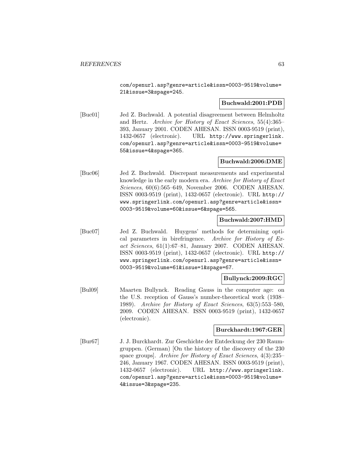com/openurl.asp?genre=article&issn=0003-9519&volume= 21&issue=3&spage=245.

### **Buchwald:2001:PDB**

[Buc01] Jed Z. Buchwald. A potential disagreement between Helmholtz and Hertz. Archive for History of Exact Sciences, 55(4):365– 393, January 2001. CODEN AHESAN. ISSN 0003-9519 (print), 1432-0657 (electronic). URL http://www.springerlink. com/openurl.asp?genre=article&issn=0003-9519&volume= 55&issue=4&spage=365.

## **Buchwald:2006:DME**

[Buc06] Jed Z. Buchwald. Discrepant measurements and experimental knowledge in the early modern era. Archive for History of Exact Sciences, 60(6):565–649, November 2006. CODEN AHESAN. ISSN 0003-9519 (print), 1432-0657 (electronic). URL http:// www.springerlink.com/openurl.asp?genre=article&issn= 0003-9519&volume=60&issue=6&spage=565.

### **Buchwald:2007:HMD**

[Buc07] Jed Z. Buchwald. Huygens' methods for determining optical parameters in birefringence. Archive for History of Exact Sciences, 61(1):67–81, January 2007. CODEN AHESAN. ISSN 0003-9519 (print), 1432-0657 (electronic). URL http:// www.springerlink.com/openurl.asp?genre=article&issn= 0003-9519&volume=61&issue=1&spage=67.

### **Bullynck:2009:RGC**

[Bul09] Maarten Bullynck. Reading Gauss in the computer age: on the U.S. reception of Gauss's number-theoretical work (1938– 1989). Archive for History of Exact Sciences, 63(5):553–580, 2009. CODEN AHESAN. ISSN 0003-9519 (print), 1432-0657 (electronic).

#### **Burckhardt:1967:GER**

[Bur67] J. J. Burckhardt. Zur Geschichte der Entdeckung der 230 Raumgruppen. (German) [On the history of the discovery of the 230 space groups]. Archive for History of Exact Sciences, 4(3):235– 246, January 1967. CODEN AHESAN. ISSN 0003-9519 (print), 1432-0657 (electronic). URL http://www.springerlink. com/openurl.asp?genre=article&issn=0003-9519&volume= 4&issue=3&spage=235.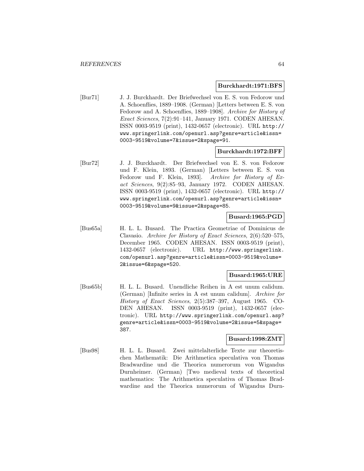#### **Burckhardt:1971:BFS**

[Bur71] J. J. Burckhardt. Der Briefwechsel von E. S. von Fedorow und A. Schoenflies, 1889–1908. (German) [Letters between E. S. von Fedorow and A. Schoenflies, 1889–1908]. Archive for History of Exact Sciences, 7(2):91–141, January 1971. CODEN AHESAN. ISSN 0003-9519 (print), 1432-0657 (electronic). URL http:// www.springerlink.com/openurl.asp?genre=article&issn= 0003-9519&volume=7&issue=2&spage=91.

#### **Burckhardt:1972:BFF**

[Bur72] J. J. Burckhardt. Der Briefwechsel von E. S. von Fedorow und F. Klein, 1893. (German) [Letters between E. S. von Fedorow und F. Klein, 1893]. Archive for History of Exact Sciences, 9(2):85–93, January 1972. CODEN AHESAN. ISSN 0003-9519 (print), 1432-0657 (electronic). URL http:// www.springerlink.com/openurl.asp?genre=article&issn= 0003-9519&volume=9&issue=2&spage=85.

#### **Busard:1965:PGD**

[Bus65a] H. L. L. Busard. The Practica Geometriae of Dominicus de Clavasio. Archive for History of Exact Sciences, 2(6):520–575, December 1965. CODEN AHESAN. ISSN 0003-9519 (print), 1432-0657 (electronic). URL http://www.springerlink. com/openurl.asp?genre=article&issn=0003-9519&volume= 2&issue=6&spage=520.

#### **Busard:1965:URE**

[Bus65b] H. L. L. Busard. Unendliche Reihen in A est unum calidum. (German) [Infinite series in A est unum calidum]. Archive for History of Exact Sciences, 2(5):387–397, August 1965. CO-DEN AHESAN. ISSN 0003-9519 (print), 1432-0657 (electronic). URL http://www.springerlink.com/openurl.asp? genre=article&issn=0003-9519&volume=2&issue=5&spage= 387.

#### **Busard:1998:ZMT**

[Bus98] H. L. L. Busard. Zwei mittelalterliche Texte zur theoretischen Mathematik: Die Arithmetica speculativa von Thomas Bradwardine und die Theorica numerorum von Wigandus Durnheimer. (German) [Two medieval texts of theoretical mathematics: The Arithmetica speculativa of Thomas Bradwardine and the Theorica numerorum of Wigandus Durn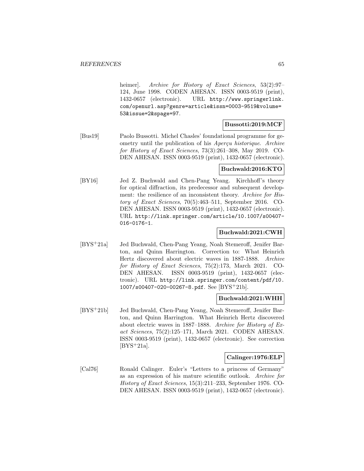heimer]. Archive for History of Exact Sciences, 53(2):97-124, June 1998. CODEN AHESAN. ISSN 0003-9519 (print), 1432-0657 (electronic). URL http://www.springerlink. com/openurl.asp?genre=article&issn=0003-9519&volume= 53&issue=2&spage=97.

## **Bussotti:2019:MCF**

[Bus19] Paolo Bussotti. Michel Chasles' foundational programme for geometry until the publication of his Aperçu historique. Archive for History of Exact Sciences, 73(3):261–308, May 2019. CO-DEN AHESAN. ISSN 0003-9519 (print), 1432-0657 (electronic).

## **Buchwald:2016:KTO**

[BY16] Jed Z. Buchwald and Chen-Pang Yeang. Kirchhoff's theory for optical diffraction, its predecessor and subsequent development: the resilience of an inconsistent theory. Archive for History of Exact Sciences, 70(5):463–511, September 2016. CO-DEN AHESAN. ISSN 0003-9519 (print), 1432-0657 (electronic). URL http://link.springer.com/article/10.1007/s00407- 016-0176-1.

### **Buchwald:2021:CWH**

[BYS<sup>+</sup>21a] Jed Buchwald, Chen-Pang Yeang, Noah Stemeroff, Jenifer Barton, and Quinn Harrington. Correction to: What Heinrich Hertz discovered about electric waves in 1887-1888. Archive for History of Exact Sciences, 75(2):173, March 2021. CO-DEN AHESAN. ISSN 0003-9519 (print), 1432-0657 (electronic). URL http://link.springer.com/content/pdf/10. 1007/s00407-020-00267-8.pdf. See [BYS<sup>+</sup>21b].

### **Buchwald:2021:WHH**

[BYS<sup>+</sup>21b] Jed Buchwald, Chen-Pang Yeang, Noah Stemeroff, Jenifer Barton, and Quinn Harrington. What Heinrich Hertz discovered about electric waves in 1887–1888. Archive for History of Exact Sciences, 75(2):125–171, March 2021. CODEN AHESAN. ISSN 0003-9519 (print), 1432-0657 (electronic). See correction  $[BYS+21a]$ .

### **Calinger:1976:ELP**

[Cal76] Ronald Calinger. Euler's "Letters to a princess of Germany" as an expression of his mature scientific outlook. Archive for History of Exact Sciences, 15(3):211–233, September 1976. CO-DEN AHESAN. ISSN 0003-9519 (print), 1432-0657 (electronic).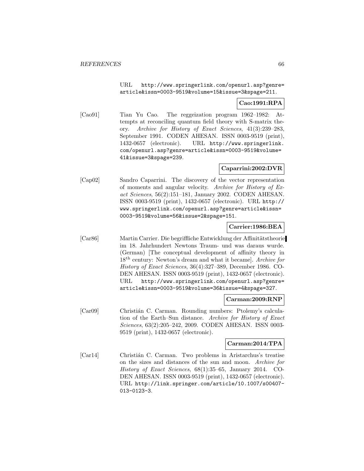URL http://www.springerlink.com/openurl.asp?genre= article&issn=0003-9519&volume=15&issue=3&spage=211.

# **Cao:1991:RPA**

[Cao91] Tian Yu Cao. The reggeization program 1962–1982: Attempts at reconciling quantum field theory with S-matrix theory. Archive for History of Exact Sciences, 41(3):239–283, September 1991. CODEN AHESAN. ISSN 0003-9519 (print), 1432-0657 (electronic). URL http://www.springerlink. com/openurl.asp?genre=article&issn=0003-9519&volume= 41&issue=3&spage=239.

## **Caparrini:2002:DVR**

[Cap02] Sandro Caparrini. The discovery of the vector representation of moments and angular velocity. Archive for History of Exact Sciences, 56(2):151–181, January 2002. CODEN AHESAN. ISSN 0003-9519 (print), 1432-0657 (electronic). URL http:// www.springerlink.com/openurl.asp?genre=article&issn= 0003-9519&volume=56&issue=2&spage=151.

#### **Carrier:1986:BEA**

[Car86] Martin Carrier. Die begriffliche Entwicklung der Affinitätstheorie im 18. Jahrhundert Newtons Traum- und was daraus wurde. (German) [The conceptual development of affinity theory in 18<sup>th</sup> century: Newton's dream and what it became]. Archive for History of Exact Sciences, 36(4):327–389, December 1986. CO-DEN AHESAN. ISSN 0003-9519 (print), 1432-0657 (electronic). URL http://www.springerlink.com/openurl.asp?genre= article&issn=0003-9519&volume=36&issue=4&spage=327.

### **Carman:2009:RNP**

[Car09] Christián C. Carman. Rounding numbers: Ptolemy's calculation of the Earth–Sun distance. Archive for History of Exact Sciences, 63(2):205–242, 2009. CODEN AHESAN. ISSN 0003- 9519 (print), 1432-0657 (electronic).

## **Carman:2014:TPA**

[Car14] Christián C. Carman. Two problems in Aristarchus's treatise on the sizes and distances of the sun and moon. Archive for History of Exact Sciences, 68(1):35–65, January 2014. CO-DEN AHESAN. ISSN 0003-9519 (print), 1432-0657 (electronic). URL http://link.springer.com/article/10.1007/s00407- 013-0123-3.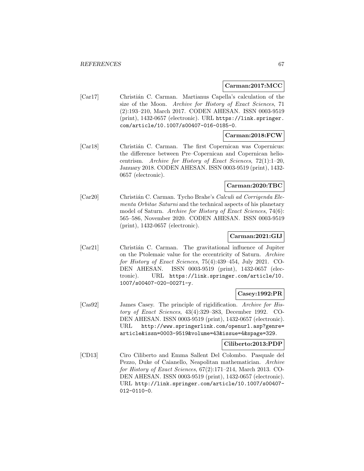### **Carman:2017:MCC**

[Car17] Christián C. Carman. Martianus Capella's calculation of the size of the Moon. Archive for History of Exact Sciences, 71 (2):193–210, March 2017. CODEN AHESAN. ISSN 0003-9519 (print), 1432-0657 (electronic). URL https://link.springer. com/article/10.1007/s00407-016-0185-0.

### **Carman:2018:FCW**

[Car18] Christián C. Carman. The first Copernican was Copernicus: the difference between Pre–Copernican and Copernican heliocentrism. Archive for History of Exact Sciences, 72(1):1–20, January 2018. CODEN AHESAN. ISSN 0003-9519 (print), 1432- 0657 (electronic).

### **Carman:2020:TBC**

[Car20] Christián C. Carman. Tycho Brahe's Calculi ad Corrigenda Elementa Orbitae Saturni and the technical aspects of his planetary model of Saturn. Archive for History of Exact Sciences, 74(6): 565–586, November 2020. CODEN AHESAN. ISSN 0003-9519 (print), 1432-0657 (electronic).

# **Carman:2021:GIJ**

[Car21] Christián C. Carman. The gravitational influence of Jupiter on the Ptolemaic value for the eccentricity of Saturn. Archive for History of Exact Sciences, 75(4):439–454, July 2021. CO-DEN AHESAN. ISSN 0003-9519 (print), 1432-0657 (electronic). URL https://link.springer.com/article/10. 1007/s00407-020-00271-y.

## **Casey:1992:PR**

[Cas92] James Casey. The principle of rigidification. Archive for History of Exact Sciences, 43(4):329–383, December 1992. CO-DEN AHESAN. ISSN 0003-9519 (print), 1432-0657 (electronic). URL http://www.springerlink.com/openurl.asp?genre= article&issn=0003-9519&volume=43&issue=4&spage=329.

### **Ciliberto:2013:PDP**

[CD13] Ciro Ciliberto and Emma Sallent Del Colombo. Pasquale del Pezzo, Duke of Caianello, Neapolitan mathematician. Archive for History of Exact Sciences, 67(2):171–214, March 2013. CO-DEN AHESAN. ISSN 0003-9519 (print), 1432-0657 (electronic). URL http://link.springer.com/article/10.1007/s00407- 012-0110-0.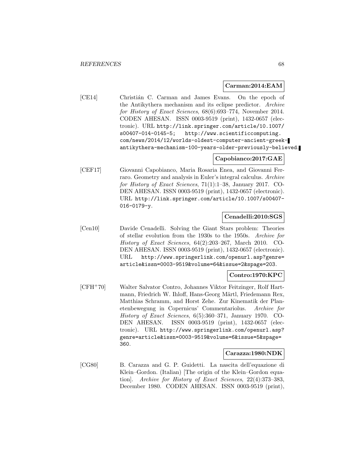#### **Carman:2014:EAM**

[CE14] Christián C. Carman and James Evans. On the epoch of the Antikythera mechanism and its eclipse predictor. Archive for History of Exact Sciences, 68(6):693–774, November 2014. CODEN AHESAN. ISSN 0003-9519 (print), 1432-0657 (electronic). URL http://link.springer.com/article/10.1007/ s00407-014-0145-5; http://www.scientificcomputing. com/news/2014/12/worlds-oldest-computer-ancient-greekantikythera-mechanism-100-years-older-previously-believed.

# **Capobianco:2017:GAE**

[CEF17] Giovanni Capobianco, Maria Rosaria Enea, and Giovanni Ferraro. Geometry and analysis in Euler's integral calculus. Archive for History of Exact Sciences, 71(1):1–38, January 2017. CO-DEN AHESAN. ISSN 0003-9519 (print), 1432-0657 (electronic). URL http://link.springer.com/article/10.1007/s00407- 016-0179-y.

# **Cenadelli:2010:SGS**

[Cen10] Davide Cenadelli. Solving the Giant Stars problem: Theories of stellar evolution from the 1930s to the 1950s. Archive for History of Exact Sciences, 64(2):203–267, March 2010. CO-DEN AHESAN. ISSN 0003-9519 (print), 1432-0657 (electronic). URL http://www.springerlink.com/openurl.asp?genre= article&issn=0003-9519&volume=64&issue=2&spage=203.

## **Contro:1970:KPC**

[CFH<sup>+</sup>70] Walter Salvator Contro, Johannes Viktor Feitzinger, Rolf Hartmann, Friedrich W. Ihloff, Hans-Georg Märtl, Friedemann Rex, Matthias Schramm, and Horst Zehe. Zur Kinematik der Planetenbewegung in Copernicus' Commentariolus. Archive for History of Exact Sciences, 6(5):360–371, January 1970. CO-DEN AHESAN. ISSN 0003-9519 (print), 1432-0657 (electronic). URL http://www.springerlink.com/openurl.asp? genre=article&issn=0003-9519&volume=6&issue=5&spage= 360.

### **Carazza:1980:NDK**

[CG80] B. Carazza and G. P. Guidetti. La nascita dell'equazione di Klein–Gordon. (Italian) [The origin of the Klein–Gordon equation]. Archive for History of Exact Sciences, 22(4):373–383, December 1980. CODEN AHESAN. ISSN 0003-9519 (print),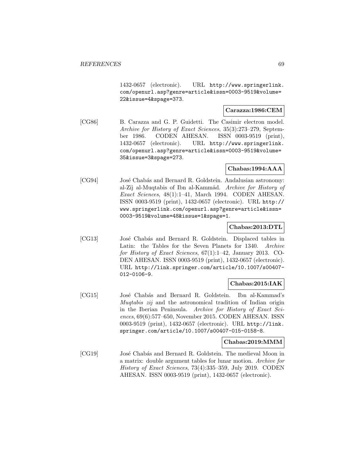1432-0657 (electronic). URL http://www.springerlink. com/openurl.asp?genre=article&issn=0003-9519&volume= 22&issue=4&spage=373.

### **Carazza:1986:CEM**

[CG86] B. Carazza and G. P. Guidetti. The Casimir electron model. Archive for History of Exact Sciences, 35(3):273–279, September 1986. CODEN AHESAN. ISSN 0003-9519 (print), 1432-0657 (electronic). URL http://www.springerlink. com/openurl.asp?genre=article&issn=0003-9519&volume= 35&issue=3&spage=273.

## **Chabas:1994:AAA**

[CG94] José Chabás and Bernard R. Goldstein. Andalusian astronomy: al-Zîj al-Muqtabis of Ibn al-Kammâd. Archive for History of Exact Sciences, 48(1):1–41, March 1994. CODEN AHESAN. ISSN 0003-9519 (print), 1432-0657 (electronic). URL http:// www.springerlink.com/openurl.asp?genre=article&issn= 0003-9519&volume=48&issue=1&spage=1.

#### **Chabas:2013:DTL**

[CG13] José Chabás and Bernard R. Goldstein. Displaced tables in Latin: the Tables for the Seven Planets for 1340. Archive for History of Exact Sciences, 67(1):1–42, January 2013. CO-DEN AHESAN. ISSN 0003-9519 (print), 1432-0657 (electronic). URL http://link.springer.com/article/10.1007/s00407- 012-0106-9.

# **Chabas:2015:IAK**

[CG15] José Chabás and Bernard R. Goldstein. Ibn al-Kammad's Muqtabis zij and the astronomical tradition of Indian origin in the Iberian Peninsula. Archive for History of Exact Sciences, 69(6):577–650, November 2015. CODEN AHESAN. ISSN 0003-9519 (print), 1432-0657 (electronic). URL http://link. springer.com/article/10.1007/s00407-015-0158-8.

#### **Chabas:2019:MMM**

[CG19] José Chabás and Bernard R. Goldstein. The medieval Moon in a matrix: double argument tables for lunar motion. Archive for History of Exact Sciences, 73(4):335–359, July 2019. CODEN AHESAN. ISSN 0003-9519 (print), 1432-0657 (electronic).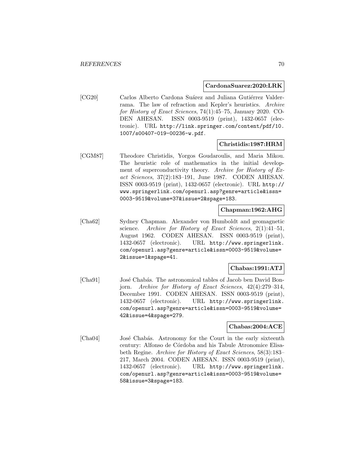#### **CardonaSuarez:2020:LRK**

[CG20] Carlos Alberto Cardona Suárez and Juliana Gutiérrez Valderrama. The law of refraction and Kepler's heuristics. Archive for History of Exact Sciences, 74(1):45–75, January 2020. CO-DEN AHESAN. ISSN 0003-9519 (print), 1432-0657 (electronic). URL http://link.springer.com/content/pdf/10. 1007/s00407-019-00236-w.pdf.

### **Christidis:1987:HRM**

[CGM87] Theodore Christidis, Yorgos Goudaroulis, and Maria Mikou. The heuristic role of mathematics in the initial development of superconductivity theory. Archive for History of Exact Sciences, 37(2):183–191, June 1987. CODEN AHESAN. ISSN 0003-9519 (print), 1432-0657 (electronic). URL http:// www.springerlink.com/openurl.asp?genre=article&issn= 0003-9519&volume=37&issue=2&spage=183.

#### **Chapman:1962:AHG**

[Cha62] Sydney Chapman. Alexander von Humboldt and geomagnetic science. Archive for History of Exact Sciences, 2(1):41–51, August 1962. CODEN AHESAN. ISSN 0003-9519 (print), 1432-0657 (electronic). URL http://www.springerlink. com/openurl.asp?genre=article&issn=0003-9519&volume= 2&issue=1&spage=41.

### **Chabas:1991:ATJ**

[Cha91] José Chabás. The astronomical tables of Jacob ben David Bonjorn. Archive for History of Exact Sciences, 42(4):279–314, December 1991. CODEN AHESAN. ISSN 0003-9519 (print), 1432-0657 (electronic). URL http://www.springerlink. com/openurl.asp?genre=article&issn=0003-9519&volume= 42&issue=4&spage=279.

## **Chabas:2004:ACE**

[Cha04] José Chabás. Astronomy for the Court in the early sixteenth century: Alfonso de Córdoba and his Tabule Atronomice Elisabeth Regine. Archive for History of Exact Sciences, 58(3):183– 217, March 2004. CODEN AHESAN. ISSN 0003-9519 (print), 1432-0657 (electronic). URL http://www.springerlink. com/openurl.asp?genre=article&issn=0003-9519&volume= 58&issue=3&spage=183.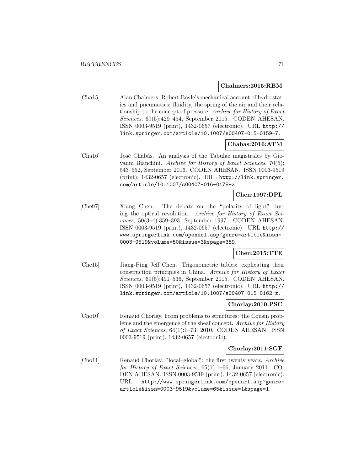#### **Chalmers:2015:RBM**

[Cha15] Alan Chalmers. Robert Boyle's mechanical account of hydrostatics and pneumatics: fluidity, the spring of the air and their relationship to the concept of pressure. Archive for History of Exact Sciences, 69(5):429–454, September 2015. CODEN AHESAN. ISSN 0003-9519 (print), 1432-0657 (electronic). URL http:// link.springer.com/article/10.1007/s00407-015-0159-7.

## **Chabas:2016:ATM**

[Cha16] José Chabás. An analysis of the Tabulae magistrales by Giovanni Bianchini. Archive for History of Exact Sciences, 70(5): 543–552, September 2016. CODEN AHESAN. ISSN 0003-9519 (print), 1432-0657 (electronic). URL http://link.springer. com/article/10.1007/s00407-016-0178-z.

# **Chen:1997:DPL**

[Che97] Xiang Chen. The debate on the "polarity of light" during the optical revolution. Archive for History of Exact Sciences, 50(3–4):359–393, September 1997. CODEN AHESAN. ISSN 0003-9519 (print), 1432-0657 (electronic). URL http:// www.springerlink.com/openurl.asp?genre=article&issn= 0003-9519&volume=50&issue=3&spage=359.

### **Chen:2015:TTE**

[Che15] Jiang-Ping Jeff Chen. Trigonometric tables: explicating their construction principles in China. Archive for History of Exact Sciences, 69(5):491–536, September 2015. CODEN AHESAN. ISSN 0003-9519 (print), 1432-0657 (electronic). URL http:// link.springer.com/article/10.1007/s00407-015-0162-z.

#### **Chorlay:2010:PSC**

[Cho10] Renaud Chorlay. From problems to structures: the Cousin problems and the emergence of the sheaf concept. Archive for History of Exact Sciences, 64(1):1–73, 2010. CODEN AHESAN. ISSN 0003-9519 (print), 1432-0657 (electronic).

#### **Chorlay:2011:SGF**

[Cho11] Renaud Chorlay. "local–global": the first twenty years. Archive for History of Exact Sciences, 65(1):1–66, January 2011. CO-DEN AHESAN. ISSN 0003-9519 (print), 1432-0657 (electronic). URL http://www.springerlink.com/openurl.asp?genre= article&issn=0003-9519&volume=65&issue=1&spage=1.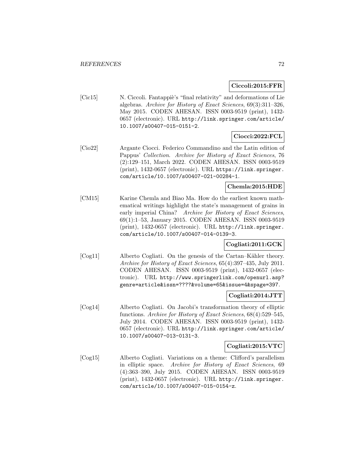### **Ciccoli:2015:FFR**

[Cic15] N. Ciccoli. Fantappiè's "final relativity" and deformations of Lie algebras. Archive for History of Exact Sciences, 69(3):311–326, May 2015. CODEN AHESAN. ISSN 0003-9519 (print), 1432- 0657 (electronic). URL http://link.springer.com/article/ 10.1007/s00407-015-0151-2.

## **Ciocci:2022:FCL**

[Cio22] Argante Ciocci. Federico Commandino and the Latin edition of Pappus' Collection. Archive for History of Exact Sciences, 76 (2):129–151, March 2022. CODEN AHESAN. ISSN 0003-9519 (print), 1432-0657 (electronic). URL https://link.springer. com/article/10.1007/s00407-021-00284-1.

# **Chemla:2015:HDE**

[CM15] Karine Chemla and Biao Ma. How do the earliest known mathematical writings highlight the state's management of grains in early imperial China? Archive for History of Exact Sciences, 69(1):1–53, January 2015. CODEN AHESAN. ISSN 0003-9519 (print), 1432-0657 (electronic). URL http://link.springer. com/article/10.1007/s00407-014-0139-3.

# **Cogliati:2011:GCK**

[Cog11] Alberto Cogliati. On the genesis of the Cartan–Kähler theory. Archive for History of Exact Sciences, 65(4):397–435, July 2011. CODEN AHESAN. ISSN 0003-9519 (print), 1432-0657 (electronic). URL http://www.springerlink.com/openurl.asp? genre=article&issn=????&volume=65&issue=4&spage=397.

## **Cogliati:2014:JTT**

[Cog14] Alberto Cogliati. On Jacobi's transformation theory of elliptic functions. Archive for History of Exact Sciences, 68(4):529–545, July 2014. CODEN AHESAN. ISSN 0003-9519 (print), 1432- 0657 (electronic). URL http://link.springer.com/article/ 10.1007/s00407-013-0131-3.

## **Cogliati:2015:VTC**

[Cog15] Alberto Cogliati. Variations on a theme: Clifford's parallelism in elliptic space. Archive for History of Exact Sciences, 69 (4):363–390, July 2015. CODEN AHESAN. ISSN 0003-9519 (print), 1432-0657 (electronic). URL http://link.springer. com/article/10.1007/s00407-015-0154-z.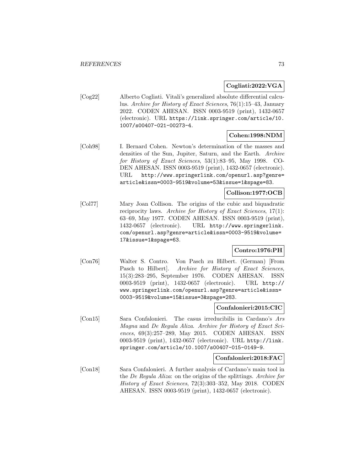# **Cogliati:2022:VGA**

[Cog22] Alberto Cogliati. Vitali's generalized absolute differential calculus. Archive for History of Exact Sciences, 76(1):15–43, January 2022. CODEN AHESAN. ISSN 0003-9519 (print), 1432-0657 (electronic). URL https://link.springer.com/article/10. 1007/s00407-021-00273-4.

#### **Cohen:1998:NDM**

[Coh98] I. Bernard Cohen. Newton's determination of the masses and densities of the Sun, Jupiter, Saturn, and the Earth. Archive for History of Exact Sciences, 53(1):83–95, May 1998. CO-DEN AHESAN. ISSN 0003-9519 (print), 1432-0657 (electronic). URL http://www.springerlink.com/openurl.asp?genre= article&issn=0003-9519&volume=53&issue=1&spage=83.

## **Collison:1977:OCB**

[Col77] Mary Joan Collison. The origins of the cubic and biquadratic reciprocity laws. Archive for History of Exact Sciences, 17(1): 63–69, May 1977. CODEN AHESAN. ISSN 0003-9519 (print), 1432-0657 (electronic). URL http://www.springerlink. com/openurl.asp?genre=article&issn=0003-9519&volume= 17&issue=1&spage=63.

# **Contro:1976:PH**

[Con76] Walter S. Contro. Von Pasch zu Hilbert. (German) [From Pasch to Hilbert]. Archive for History of Exact Sciences, 15(3):283–295, September 1976. CODEN AHESAN. ISSN 0003-9519 (print), 1432-0657 (electronic). URL http:// www.springerlink.com/openurl.asp?genre=article&issn= 0003-9519&volume=15&issue=3&spage=283.

### **Confalonieri:2015:CIC**

[Con15] Sara Confalonieri. The casus irreducibilis in Cardano's Ars Magna and De Regula Aliza. Archive for History of Exact Sciences, 69(3):257–289, May 2015. CODEN AHESAN. ISSN 0003-9519 (print), 1432-0657 (electronic). URL http://link. springer.com/article/10.1007/s00407-015-0149-9.

#### **Confalonieri:2018:FAC**

[Con18] Sara Confalonieri. A further analysis of Cardano's main tool in the De Regula Aliza: on the origins of the splittings. Archive for History of Exact Sciences, 72(3):303–352, May 2018. CODEN AHESAN. ISSN 0003-9519 (print), 1432-0657 (electronic).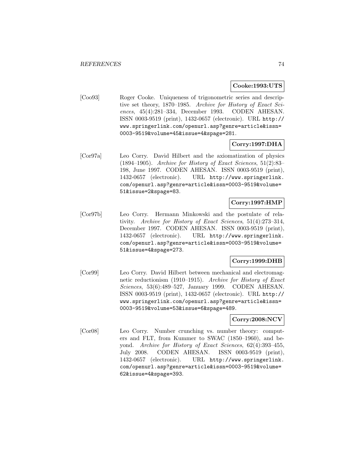#### **Cooke:1993:UTS**

[Coo93] Roger Cooke. Uniqueness of trigonometric series and descriptive set theory, 1870–1985. Archive for History of Exact Sciences, 45(4):281–334, December 1993. CODEN AHESAN. ISSN 0003-9519 (print), 1432-0657 (electronic). URL http:// www.springerlink.com/openurl.asp?genre=article&issn= 0003-9519&volume=45&issue=4&spage=281.

## **Corry:1997:DHA**

[Cor97a] Leo Corry. David Hilbert and the axiomatization of physics (1894–1905). Archive for History of Exact Sciences, 51(2):83– 198, June 1997. CODEN AHESAN. ISSN 0003-9519 (print), 1432-0657 (electronic). URL http://www.springerlink. com/openurl.asp?genre=article&issn=0003-9519&volume= 51&issue=2&spage=83.

### **Corry:1997:HMP**

[Cor97b] Leo Corry. Hermann Minkowski and the postulate of relativity. Archive for History of Exact Sciences, 51(4):273–314, December 1997. CODEN AHESAN. ISSN 0003-9519 (print), 1432-0657 (electronic). URL http://www.springerlink. com/openurl.asp?genre=article&issn=0003-9519&volume= 51&issue=4&spage=273.

# **Corry:1999:DHB**

[Cor99] Leo Corry. David Hilbert between mechanical and electromagnetic reductionism (1910–1915). Archive for History of Exact Sciences, 53(6):489–527, January 1999. CODEN AHESAN. ISSN 0003-9519 (print), 1432-0657 (electronic). URL http:// www.springerlink.com/openurl.asp?genre=article&issn= 0003-9519&volume=53&issue=6&spage=489.

### **Corry:2008:NCV**

[Cor08] Leo Corry. Number crunching vs. number theory: computers and FLT, from Kummer to SWAC (1850–1960), and beyond. Archive for History of Exact Sciences, 62(4):393–455, July 2008. CODEN AHESAN. ISSN 0003-9519 (print), 1432-0657 (electronic). URL http://www.springerlink. com/openurl.asp?genre=article&issn=0003-9519&volume= 62&issue=4&spage=393.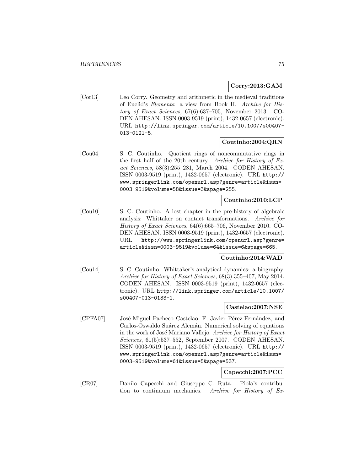## **Corry:2013:GAM**

[Cor13] Leo Corry. Geometry and arithmetic in the medieval traditions of Euclid's Elements: a view from Book II. Archive for History of Exact Sciences, 67(6):637–705, November 2013. CO-DEN AHESAN. ISSN 0003-9519 (print), 1432-0657 (electronic). URL http://link.springer.com/article/10.1007/s00407- 013-0121-5.

## **Coutinho:2004:QRN**

[Cou04] S. C. Coutinho. Quotient rings of noncommutative rings in the first half of the 20th century. Archive for History of Exact Sciences, 58(3):255–281, March 2004. CODEN AHESAN. ISSN 0003-9519 (print), 1432-0657 (electronic). URL http:// www.springerlink.com/openurl.asp?genre=article&issn= 0003-9519&volume=58&issue=3&spage=255.

### **Coutinho:2010:LCP**

[Cou10] S. C. Coutinho. A lost chapter in the pre-history of algebraic analysis: Whittaker on contact transformations. Archive for History of Exact Sciences, 64(6):665–706, November 2010. CO-DEN AHESAN. ISSN 0003-9519 (print), 1432-0657 (electronic). URL http://www.springerlink.com/openurl.asp?genre= article&issn=0003-9519&volume=64&issue=6&spage=665.

### **Coutinho:2014:WAD**

[Cou14] S. C. Coutinho. Whittaker's analytical dynamics: a biography. Archive for History of Exact Sciences, 68(3):355–407, May 2014. CODEN AHESAN. ISSN 0003-9519 (print), 1432-0657 (electronic). URL http://link.springer.com/article/10.1007/ s00407-013-0133-1.

#### **Castelao:2007:NSE**

[CPFA07] José-Miguel Pacheco Castelao, F. Javier Pérez-Fernández, and Carlos-Oswaldo Suárez Alemán. Numerical solving of equations in the work of José Mariano Vallejo. Archive for History of Exact Sciences, 61(5):537–552, September 2007. CODEN AHESAN. ISSN 0003-9519 (print), 1432-0657 (electronic). URL http:// www.springerlink.com/openurl.asp?genre=article&issn= 0003-9519&volume=61&issue=5&spage=537.

# **Capecchi:2007:PCC**

[CR07] Danilo Capecchi and Giuseppe C. Ruta. Piola's contribution to continuum mechanics. Archive for History of Ex-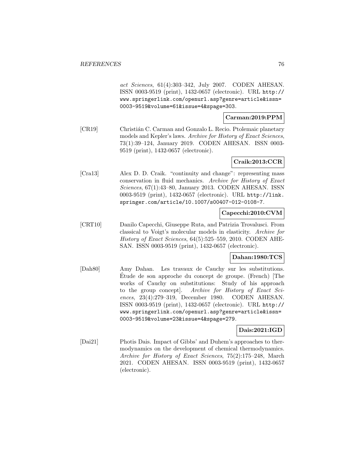act Sciences, 61(4):303–342, July 2007. CODEN AHESAN. ISSN 0003-9519 (print), 1432-0657 (electronic). URL http:// www.springerlink.com/openurl.asp?genre=article&issn= 0003-9519&volume=61&issue=4&spage=303.

## **Carman:2019:PPM**

[CR19] Christián C. Carman and Gonzalo L. Recio. Ptolemaic planetary models and Kepler's laws. Archive for History of Exact Sciences, 73(1):39–124, January 2019. CODEN AHESAN. ISSN 0003- 9519 (print), 1432-0657 (electronic).

# **Craik:2013:CCR**

[Cra13] Alex D. D. Craik. "continuity and change": representing mass conservation in fluid mechanics. Archive for History of Exact Sciences, 67(1):43–80, January 2013. CODEN AHESAN. ISSN 0003-9519 (print), 1432-0657 (electronic). URL http://link. springer.com/article/10.1007/s00407-012-0108-7.

## **Capecchi:2010:CVM**

[CRT10] Danilo Capecchi, Giuseppe Ruta, and Patrizia Trovalusci. From classical to Voigt's molecular models in elasticity. Archive for History of Exact Sciences, 64(5):525–559, 2010. CODEN AHE-SAN. ISSN 0003-9519 (print), 1432-0657 (electronic).

# **Dahan:1980:TCS**

[Dah80] Amy Dahan. Les travaux de Cauchy sur les substitutions. Etude de son approche du concept de groupe. (French) [The ´ works of Cauchy on substitutions: Study of his approach to the group concept]. Archive for History of Exact Sciences, 23(4):279–319, December 1980. CODEN AHESAN. ISSN 0003-9519 (print), 1432-0657 (electronic). URL http:// www.springerlink.com/openurl.asp?genre=article&issn= 0003-9519&volume=23&issue=4&spage=279.

## **Dais:2021:IGD**

[Dai21] Photis Dais. Impact of Gibbs' and Duhem's approaches to thermodynamics on the development of chemical thermodynamics. Archive for History of Exact Sciences, 75(2):175–248, March 2021. CODEN AHESAN. ISSN 0003-9519 (print), 1432-0657 (electronic).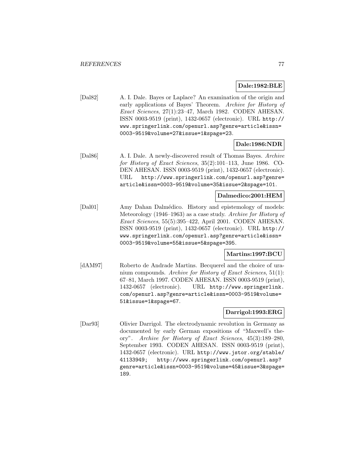### **Dale:1982:BLE**

[Dal82] A. I. Dale. Bayes or Laplace? An examination of the origin and early applications of Bayes' Theorem. Archive for History of Exact Sciences, 27(1):23–47, March 1982. CODEN AHESAN. ISSN 0003-9519 (print), 1432-0657 (electronic). URL http:// www.springerlink.com/openurl.asp?genre=article&issn= 0003-9519&volume=27&issue=1&spage=23.

### **Dale:1986:NDR**

[Dal86] A. I. Dale. A newly-discovered result of Thomas Bayes. Archive for History of Exact Sciences, 35(2):101–113, June 1986. CO-DEN AHESAN. ISSN 0003-9519 (print), 1432-0657 (electronic). URL http://www.springerlink.com/openurl.asp?genre= article&issn=0003-9519&volume=35&issue=2&spage=101.

### **Dalmedico:2001:HEM**

[Dal01] Amy Dahan Dalmédico. History and epistemology of models: Meteorology (1946–1963) as a case study. Archive for History of Exact Sciences, 55(5):395–422, April 2001. CODEN AHESAN. ISSN 0003-9519 (print), 1432-0657 (electronic). URL http:// www.springerlink.com/openurl.asp?genre=article&issn= 0003-9519&volume=55&issue=5&spage=395.

### **Martins:1997:BCU**

[dAM97] Roberto de Andrade Martins. Becquerel and the choice of uranium compounds. Archive for History of Exact Sciences, 51(1): 67–81, March 1997. CODEN AHESAN. ISSN 0003-9519 (print), 1432-0657 (electronic). URL http://www.springerlink. com/openurl.asp?genre=article&issn=0003-9519&volume= 51&issue=1&spage=67.

### **Darrigol:1993:ERG**

[Dar93] Olivier Darrigol. The electrodynamic revolution in Germany as documented by early German expositions of "Maxwell's theory". Archive for History of Exact Sciences, 45(3):189–280, September 1993. CODEN AHESAN. ISSN 0003-9519 (print), 1432-0657 (electronic). URL http://www.jstor.org/stable/ 41133949; http://www.springerlink.com/openurl.asp? genre=article&issn=0003-9519&volume=45&issue=3&spage= 189.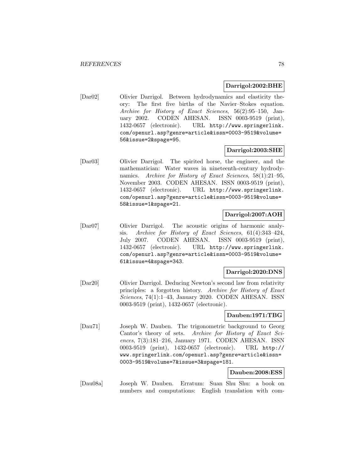### **Darrigol:2002:BHE**

[Dar02] Olivier Darrigol. Between hydrodynamics and elasticity theory: The first five births of the Navier–Stokes equation. Archive for History of Exact Sciences, 56(2):95–150, January 2002. CODEN AHESAN. ISSN 0003-9519 (print), 1432-0657 (electronic). URL http://www.springerlink. com/openurl.asp?genre=article&issn=0003-9519&volume= 56&issue=2&spage=95.

### **Darrigol:2003:SHE**

[Dar03] Olivier Darrigol. The spirited horse, the engineer, and the mathematician: Water waves in nineteenth-century hydrodynamics. Archive for History of Exact Sciences, 58(1):21–95, November 2003. CODEN AHESAN. ISSN 0003-9519 (print), 1432-0657 (electronic). URL http://www.springerlink. com/openurl.asp?genre=article&issn=0003-9519&volume= 58&issue=1&spage=21.

### **Darrigol:2007:AOH**

[Dar07] Olivier Darrigol. The acoustic origins of harmonic analysis. Archive for History of Exact Sciences, 61(4):343–424, July 2007. CODEN AHESAN. ISSN 0003-9519 (print), 1432-0657 (electronic). URL http://www.springerlink. com/openurl.asp?genre=article&issn=0003-9519&volume= 61&issue=4&spage=343.

# **Darrigol:2020:DNS**

[Dar20] Olivier Darrigol. Deducing Newton's second law from relativity principles: a forgotten history. Archive for History of Exact Sciences, 74(1):1–43, January 2020. CODEN AHESAN. ISSN 0003-9519 (print), 1432-0657 (electronic).

# **Dauben:1971:TBG**

[Dau71] Joseph W. Dauben. The trigonometric background to Georg Cantor's theory of sets. Archive for History of Exact Sciences, 7(3):181–216, January 1971. CODEN AHESAN. ISSN 0003-9519 (print), 1432-0657 (electronic). URL http:// www.springerlink.com/openurl.asp?genre=article&issn= 0003-9519&volume=7&issue=3&spage=181.

# **Dauben:2008:ESS**

[Dau08a] Joseph W. Dauben. Erratum: Suan Shu Shu: a book on numbers and computations: English translation with com-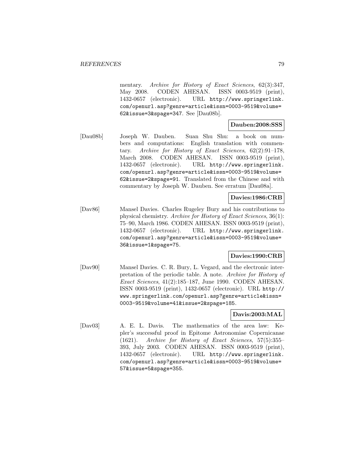mentary. Archive for History of Exact Sciences, 62(3):347, May 2008. CODEN AHESAN. ISSN 0003-9519 (print), 1432-0657 (electronic). URL http://www.springerlink. com/openurl.asp?genre=article&issn=0003-9519&volume= 62&issue=3&spage=347. See [Dau08b].

## **Dauben:2008:SSS**

[Dau08b] Joseph W. Dauben. Suan Shu Shu: a book on numbers and computations: English translation with commentary. Archive for History of Exact Sciences, 62(2):91–178, March 2008. CODEN AHESAN. ISSN 0003-9519 (print), 1432-0657 (electronic). URL http://www.springerlink. com/openurl.asp?genre=article&issn=0003-9519&volume= 62&issue=2&spage=91. Translated from the Chinese and with commentary by Joseph W. Dauben. See erratum [Dau08a].

#### **Davies:1986:CRB**

[Dav86] Mansel Davies. Charles Rugeley Bury and his contributions to physical chemistry. Archive for History of Exact Sciences, 36(1): 75–90, March 1986. CODEN AHESAN. ISSN 0003-9519 (print), 1432-0657 (electronic). URL http://www.springerlink. com/openurl.asp?genre=article&issn=0003-9519&volume= 36&issue=1&spage=75.

### **Davies:1990:CRB**

[Dav90] Mansel Davies. C. R. Bury, L. Vegard, and the electronic interpretation of the periodic table. A note. Archive for History of Exact Sciences, 41(2):185–187, June 1990. CODEN AHESAN. ISSN 0003-9519 (print), 1432-0657 (electronic). URL http:// www.springerlink.com/openurl.asp?genre=article&issn= 0003-9519&volume=41&issue=2&spage=185.

### **Davis:2003:MAL**

[Dav03] A. E. L. Davis. The mathematics of the area law: Kepler's successful proof in Epitome Astronomiae Copernicanae (1621). Archive for History of Exact Sciences, 57(5):355– 393, July 2003. CODEN AHESAN. ISSN 0003-9519 (print), 1432-0657 (electronic). URL http://www.springerlink. com/openurl.asp?genre=article&issn=0003-9519&volume= 57&issue=5&spage=355.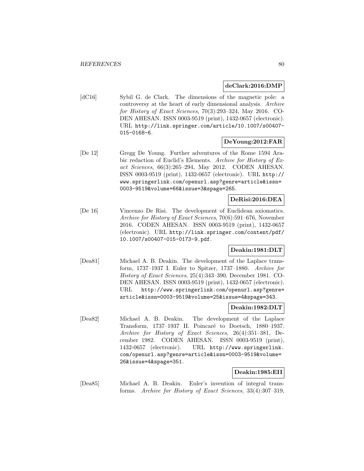#### **deClark:2016:DMP**

[dC16] Sybil G. de Clark. The dimensions of the magnetic pole: a controversy at the heart of early dimensional analysis. Archive for History of Exact Sciences, 70(3):293–324, May 2016. CO-DEN AHESAN. ISSN 0003-9519 (print), 1432-0657 (electronic). URL http://link.springer.com/article/10.1007/s00407- 015-0168-6.

## **DeYoung:2012:FAR**

[De 12] Gregg De Young. Further adventures of the Rome 1594 Arabic redaction of Euclid's Elements. Archive for History of Exact Sciences, 66(3):265–294, May 2012. CODEN AHESAN. ISSN 0003-9519 (print), 1432-0657 (electronic). URL http:// www.springerlink.com/openurl.asp?genre=article&issn= 0003-9519&volume=66&issue=3&spage=265.

#### **DeRisi:2016:DEA**

[De 16] Vincenzo De Risi. The development of Euclidean axiomatics. Archive for History of Exact Sciences, 70(6):591–676, November 2016. CODEN AHESAN. ISSN 0003-9519 (print), 1432-0657 (electronic). URL http://link.springer.com/content/pdf/ 10.1007/s00407-015-0173-9.pdf.

# **Deakin:1981:DLT**

[Dea81] Michael A. B. Deakin. The development of the Laplace transform, 1737–1937 I. Euler to Spitzer, 1737–1880. Archive for History of Exact Sciences, 25(4):343–390, December 1981. CO-DEN AHESAN. ISSN 0003-9519 (print), 1432-0657 (electronic). URL http://www.springerlink.com/openurl.asp?genre= article&issn=0003-9519&volume=25&issue=4&spage=343.

### **Deakin:1982:DLT**

[Dea82] Michael A. B. Deakin. The development of the Laplace Transform, 1737-1937 II. Poincaré to Doetsch, 1880-1937. Archive for History of Exact Sciences, 26(4):351–381, December 1982. CODEN AHESAN. ISSN 0003-9519 (print), 1432-0657 (electronic). URL http://www.springerlink. com/openurl.asp?genre=article&issn=0003-9519&volume= 26&issue=4&spage=351.

### **Deakin:1985:EII**

[Dea85] Michael A. B. Deakin. Euler's invention of integral transforms. Archive for History of Exact Sciences, 33(4):307–319,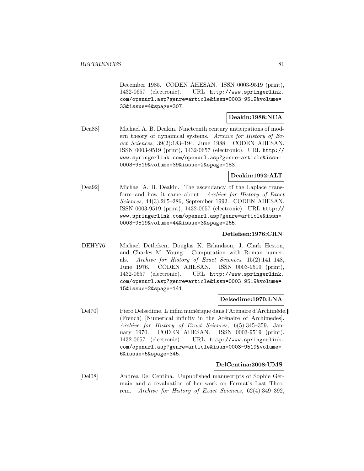December 1985. CODEN AHESAN. ISSN 0003-9519 (print), 1432-0657 (electronic). URL http://www.springerlink. com/openurl.asp?genre=article&issn=0003-9519&volume= 33&issue=4&spage=307.

#### **Deakin:1988:NCA**

[Dea88] Michael A. B. Deakin. Nineteenth century anticipations of modern theory of dynamical systems. Archive for History of Exact Sciences, 39(2):183–194, June 1988. CODEN AHESAN. ISSN 0003-9519 (print), 1432-0657 (electronic). URL http:// www.springerlink.com/openurl.asp?genre=article&issn= 0003-9519&volume=39&issue=2&spage=183.

**Deakin:1992:ALT**

[Dea92] Michael A. B. Deakin. The ascendancy of the Laplace transform and how it came about. Archive for History of Exact Sciences, 44(3):265–286, September 1992. CODEN AHESAN. ISSN 0003-9519 (print), 1432-0657 (electronic). URL http:// www.springerlink.com/openurl.asp?genre=article&issn= 0003-9519&volume=44&issue=3&spage=265.

## **Detlefsen:1976:CRN**

[DEHY76] Michael Detlefsen, Douglas K. Erlandson, J. Clark Heston, and Charles M. Young. Computation with Roman numerals. Archive for History of Exact Sciences, 15(2):141–148, June 1976. CODEN AHESAN. ISSN 0003-9519 (print), 1432-0657 (electronic). URL http://www.springerlink. com/openurl.asp?genre=article&issn=0003-9519&volume= 15&issue=2&spage=141.

### **Delsedime:1970:LNA**

[Del70] Piero Delsedime. L'infini numérique dans l'Arénaire d'Archimède. (French) Numerical infinity in the Arénaire of Archimedes. Archive for History of Exact Sciences, 6(5):345–359, January 1970. CODEN AHESAN. ISSN 0003-9519 (print), 1432-0657 (electronic). URL http://www.springerlink. com/openurl.asp?genre=article&issn=0003-9519&volume= 6&issue=5&spage=345.

#### **DelCentina:2008:UMS**

[Del08] Andrea Del Centina. Unpublished manuscripts of Sophie Germain and a revaluation of her work on Fermat's Last Theorem. Archive for History of Exact Sciences, 62(4):349–392,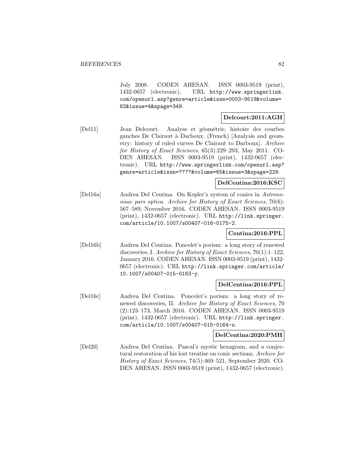July 2008. CODEN AHESAN. ISSN 0003-9519 (print), 1432-0657 (electronic). URL http://www.springerlink. com/openurl.asp?genre=article&issn=0003-9519&volume= 62&issue=4&spage=349.

# **Delcourt:2011:AGH**

[Del11] Jean Delcourt. Analyse et géométrie, histoire des courbes gauches De Clairaut à Darboux. (French) [Analysis and geometry: history of ruled curves De Clairaut to Darboux]. Archive for History of Exact Sciences, 65(3):229–293, May 2011. CO-DEN AHESAN. ISSN 0003-9519 (print), 1432-0657 (electronic). URL http://www.springerlink.com/openurl.asp? genre=article&issn=????&volume=65&issue=3&spage=229.

## **DelCentina:2016:KSC**

[Del16a] Andrea Del Centina. On Kepler's system of conics in Astronomiae pars optica. Archive for History of Exact Sciences, 70(6): 567–589, November 2016. CODEN AHESAN. ISSN 0003-9519 (print), 1432-0657 (electronic). URL http://link.springer. com/article/10.1007/s00407-016-0175-2.

## **Centina:2016:PPL**

[Del16b] Andrea Del Centina. Poncelet's porism: a long story of renewed discoveries, I. Archive for History of Exact Sciences, 70(1):1–122, January 2016. CODEN AHESAN. ISSN 0003-9519 (print), 1432- 0657 (electronic). URL http://link.springer.com/article/ 10.1007/s00407-015-0163-y.

# **DelCentina:2016:PPL**

[Del16c] Andrea Del Centina. Poncelet's porism: a long story of renewed discoveries, II. Archive for History of Exact Sciences, 70 (2):123–173, March 2016. CODEN AHESAN. ISSN 0003-9519 (print), 1432-0657 (electronic). URL http://link.springer. com/article/10.1007/s00407-015-0164-x.

### **DelCentina:2020:PMH**

[Del20] Andrea Del Centina. Pascal's mystic hexagram, and a conjectural restoration of his lost treatise on conic sections. Archive for History of Exact Sciences, 74(5):469–521, September 2020. CO-DEN AHESAN. ISSN 0003-9519 (print), 1432-0657 (electronic).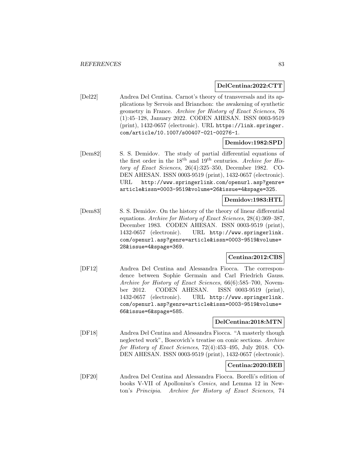### **DelCentina:2022:CTT**

[Del22] Andrea Del Centina. Carnot's theory of transversals and its applications by Servois and Brianchon: the awakening of synthetic geometry in France. Archive for History of Exact Sciences, 76 (1):45–128, January 2022. CODEN AHESAN. ISSN 0003-9519 (print), 1432-0657 (electronic). URL https://link.springer. com/article/10.1007/s00407-021-00276-1.

## **Demidov:1982:SPD**

[Dem82] S. S. Demidov. The study of partial differential equations of the first order in the  $18<sup>th</sup>$  and  $19<sup>th</sup>$  centuries. Archive for History of Exact Sciences, 26(4):325–350, December 1982. CO-DEN AHESAN. ISSN 0003-9519 (print), 1432-0657 (electronic). URL http://www.springerlink.com/openurl.asp?genre= article&issn=0003-9519&volume=26&issue=4&spage=325.

#### **Demidov:1983:HTL**

[Dem83] S. S. Demidov. On the history of the theory of linear differential equations. Archive for History of Exact Sciences, 28(4):369–387, December 1983. CODEN AHESAN. ISSN 0003-9519 (print), 1432-0657 (electronic). URL http://www.springerlink. com/openurl.asp?genre=article&issn=0003-9519&volume= 28&issue=4&spage=369.

### **Centina:2012:CBS**

[DF12] Andrea Del Centina and Alessandra Fiocca. The correspondence between Sophie Germain and Carl Friedrich Gauss. Archive for History of Exact Sciences, 66(6):585–700, November 2012. CODEN AHESAN. ISSN 0003-9519 (print), 1432-0657 (electronic). URL http://www.springerlink. com/openurl.asp?genre=article&issn=0003-9519&volume= 66&issue=6&spage=585.

#### **DelCentina:2018:MTN**

[DF18] Andrea Del Centina and Alessandra Fiocca. "A masterly though neglected work", Boscovich's treatise on conic sections. Archive for History of Exact Sciences, 72(4):453–495, July 2018. CO-DEN AHESAN. ISSN 0003-9519 (print), 1432-0657 (electronic).

## **Centina:2020:BEB**

[DF20] Andrea Del Centina and Alessandra Fiocca. Borelli's edition of books V-VII of Apollonius's Conics, and Lemma 12 in Newton's Principia. Archive for History of Exact Sciences, 74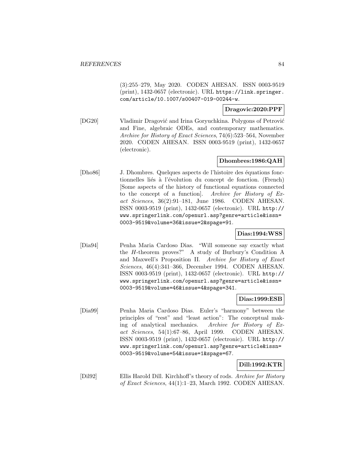(3):255–279, May 2020. CODEN AHESAN. ISSN 0003-9519 (print), 1432-0657 (electronic). URL https://link.springer. com/article/10.1007/s00407-019-00244-w.

**Dragovic:2020:PPF**

[DG20] Vladimir Dragović and Irina Goryuchkina. Polygons of Petrović and Fine, algebraic ODEs, and contemporary mathematics. Archive for History of Exact Sciences, 74(6):523–564, November 2020. CODEN AHESAN. ISSN 0003-9519 (print), 1432-0657 (electronic).

# **Dhombres:1986:QAH**

[Dho86] J. Dhombres. Quelques aspects de l'histoire des équations fonctionnelles liés à l'évolution du concept de fonction. (French) [Some aspects of the history of functional equations connected to the concept of a function]. Archive for History of Exact Sciences, 36(2):91–181, June 1986. CODEN AHESAN. ISSN 0003-9519 (print), 1432-0657 (electronic). URL http:// www.springerlink.com/openurl.asp?genre=article&issn= 0003-9519&volume=36&issue=2&spage=91.

# **Dias:1994:WSS**

[Dia94] Penha Maria Cardoso Dias. "Will someone say exactly what the H-theorem proves?" A study of Burbury's Condition A and Maxwell's Proposition II. Archive for History of Exact Sciences, 46(4):341–366, December 1994. CODEN AHESAN. ISSN 0003-9519 (print), 1432-0657 (electronic). URL http:// www.springerlink.com/openurl.asp?genre=article&issn= 0003-9519&volume=46&issue=4&spage=341.

### **Dias:1999:ESB**

[Dia99] Penha Maria Cardoso Dias. Euler's "harmony" between the principles of "rest" and "least action": The conceptual making of analytical mechanics. Archive for History of Exact Sciences, 54(1):67–86, April 1999. CODEN AHESAN. ISSN 0003-9519 (print), 1432-0657 (electronic). URL http:// www.springerlink.com/openurl.asp?genre=article&issn= 0003-9519&volume=54&issue=1&spage=67.

# **Dill:1992:KTR**

[Dil92] Ellis Harold Dill. Kirchhoff's theory of rods. Archive for History of Exact Sciences, 44(1):1–23, March 1992. CODEN AHESAN.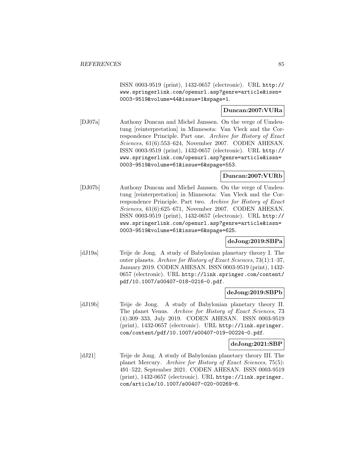ISSN 0003-9519 (print), 1432-0657 (electronic). URL http:// www.springerlink.com/openurl.asp?genre=article&issn= 0003-9519&volume=44&issue=1&spage=1.

## **Duncan:2007:VURa**

[DJ07a] Anthony Duncan and Michel Janssen. On the verge of Umdeutung [reinterpretation] in Minnesota: Van Vleck and the Correspondence Principle. Part one. Archive for History of Exact Sciences, 61(6):553–624, November 2007. CODEN AHESAN. ISSN 0003-9519 (print), 1432-0657 (electronic). URL http:// www.springerlink.com/openurl.asp?genre=article&issn= 0003-9519&volume=61&issue=6&spage=553.

## **Duncan:2007:VURb**

[DJ07b] Anthony Duncan and Michel Janssen. On the verge of Umdeutung [reinterpretation] in Minnesota: Van Vleck and the Correspondence Principle. Part two. Archive for History of Exact Sciences, 61(6):625–671, November 2007. CODEN AHESAN. ISSN 0003-9519 (print), 1432-0657 (electronic). URL http:// www.springerlink.com/openurl.asp?genre=article&issn= 0003-9519&volume=61&issue=6&spage=625.

### **deJong:2019:SBPa**

[dJ19a] Teije de Jong. A study of Babylonian planetary theory I. The outer planets. Archive for History of Exact Sciences, 73(1):1–37, January 2019. CODEN AHESAN. ISSN 0003-9519 (print), 1432- 0657 (electronic). URL http://link.springer.com/content/ pdf/10.1007/s00407-018-0216-0.pdf.

### **deJong:2019:SBPb**

[dJ19b] Teije de Jong. A study of Babylonian planetary theory II. The planet Venus. Archive for History of Exact Sciences, 73 (4):309–333, July 2019. CODEN AHESAN. ISSN 0003-9519 (print), 1432-0657 (electronic). URL http://link.springer. com/content/pdf/10.1007/s00407-019-00224-0.pdf.

#### **deJong:2021:SBP**

[dJ21] Teije de Jong. A study of Babylonian planetary theory III. The planet Mercury. Archive for History of Exact Sciences, 75(5): 491–522, September 2021. CODEN AHESAN. ISSN 0003-9519 (print), 1432-0657 (electronic). URL https://link.springer. com/article/10.1007/s00407-020-00269-6.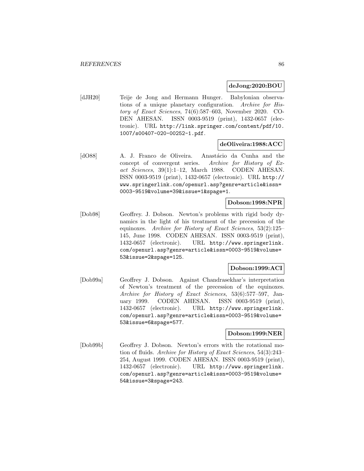#### **deJong:2020:BOU**

[dJH20] Teije de Jong and Hermann Hunger. Babylonian observations of a unique planetary configuration. Archive for History of Exact Sciences, 74(6):587–603, November 2020. CO-DEN AHESAN. ISSN 0003-9519 (print), 1432-0657 (electronic). URL http://link.springer.com/content/pdf/10. 1007/s00407-020-00252-1.pdf.

### **deOliveira:1988:ACC**

[dO88] A. J. Franco de Oliveira. Anastácio da Cunha and the concept of convergent series. Archive for History of Exact Sciences, 39(1):1-12, March 1988. CODEN AHESAN. ISSN 0003-9519 (print), 1432-0657 (electronic). URL http:// www.springerlink.com/openurl.asp?genre=article&issn= 0003-9519&volume=39&issue=1&spage=1.

### **Dobson:1998:NPR**

[Dob98] Geoffrey. J. Dobson. Newton's problems with rigid body dynamics in the light of his treatment of the precession of the equinoxes. Archive for History of Exact Sciences, 53(2):125– 145, June 1998. CODEN AHESAN. ISSN 0003-9519 (print), 1432-0657 (electronic). URL http://www.springerlink. com/openurl.asp?genre=article&issn=0003-9519&volume= 53&issue=2&spage=125.

### **Dobson:1999:ACI**

[Dob99a] Geoffrey J. Dobson. Against Chandrasekhar's interpretation of Newton's treatment of the precession of the equinoxes. Archive for History of Exact Sciences, 53(6):577–597, January 1999. CODEN AHESAN. ISSN 0003-9519 (print), 1432-0657 (electronic). URL http://www.springerlink. com/openurl.asp?genre=article&issn=0003-9519&volume= 53&issue=6&spage=577.

### **Dobson:1999:NER**

[Dob99b] Geoffrey J. Dobson. Newton's errors with the rotational motion of fluids. Archive for History of Exact Sciences, 54(3):243– 254, August 1999. CODEN AHESAN. ISSN 0003-9519 (print), 1432-0657 (electronic). URL http://www.springerlink. com/openurl.asp?genre=article&issn=0003-9519&volume= 54&issue=3&spage=243.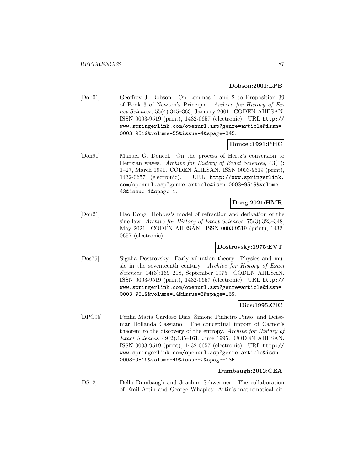#### **Dobson:2001:LPB**

[Dob01] Geoffrey J. Dobson. On Lemmas 1 and 2 to Proposition 39 of Book 3 of Newton's Principia. Archive for History of Exact Sciences, 55(4):345–363, January 2001. CODEN AHESAN. ISSN 0003-9519 (print), 1432-0657 (electronic). URL http:// www.springerlink.com/openurl.asp?genre=article&issn= 0003-9519&volume=55&issue=4&spage=345.

### **Doncel:1991:PHC**

[Don91] Manuel G. Doncel. On the process of Hertz's conversion to Hertzian waves. Archive for History of Exact Sciences, 43(1): 1–27, March 1991. CODEN AHESAN. ISSN 0003-9519 (print), 1432-0657 (electronic). URL http://www.springerlink. com/openurl.asp?genre=article&issn=0003-9519&volume= 43&issue=1&spage=1.

# **Dong:2021:HMR**

[Don21] Hao Dong. Hobbes's model of refraction and derivation of the sine law. Archive for History of Exact Sciences, 75(3):323–348, May 2021. CODEN AHESAN. ISSN 0003-9519 (print), 1432- 0657 (electronic).

### **Dostrovsky:1975:EVT**

[Dos75] Sigalia Dostrovsky. Early vibration theory: Physics and music in the seventeenth century. Archive for History of Exact Sciences, 14(3):169–218, September 1975. CODEN AHESAN. ISSN 0003-9519 (print), 1432-0657 (electronic). URL http:// www.springerlink.com/openurl.asp?genre=article&issn= 0003-9519&volume=14&issue=3&spage=169.

#### **Dias:1995:CIC**

[DPC95] Penha Maria Cardoso Dias, Simone Pinheiro Pinto, and Deisemar Hollanda Cassiano. The conceptual import of Carnot's theorem to the discovery of the entropy. Archive for History of Exact Sciences, 49(2):135–161, June 1995. CODEN AHESAN. ISSN 0003-9519 (print), 1432-0657 (electronic). URL http:// www.springerlink.com/openurl.asp?genre=article&issn= 0003-9519&volume=49&issue=2&spage=135.

#### **Dumbaugh:2012:CEA**

[DS12] Della Dumbaugh and Joachim Schwermer. The collaboration of Emil Artin and George Whaples: Artin's mathematical cir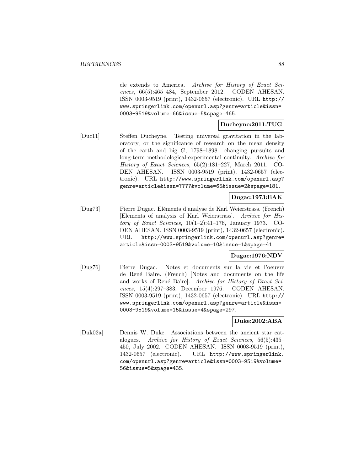cle extends to America. Archive for History of Exact Sciences, 66(5):465–484, September 2012. CODEN AHESAN. ISSN 0003-9519 (print), 1432-0657 (electronic). URL http:// www.springerlink.com/openurl.asp?genre=article&issn= 0003-9519&volume=66&issue=5&spage=465.

# **Ducheyne:2011:TUG**

[Duc11] Steffen Ducheyne. Testing universal gravitation in the laboratory, or the significance of research on the mean density of the earth and big G, 1798–1898: changing pursuits and long-term methodological-experimental continuity. Archive for History of Exact Sciences, 65(2):181–227, March 2011. CO-DEN AHESAN. ISSN 0003-9519 (print), 1432-0657 (electronic). URL http://www.springerlink.com/openurl.asp? genre=article&issn=????&volume=65&issue=2&spage=181.

# **Dugac:1973:EAK**

[Dug73] Pierre Dugac. Eléments d'analyse de Karl Weierstrass. (French) [Elements of analysis of Karl Weierstrass]. Archive for History of Exact Sciences,  $10(1-2):41-176$ , January 1973. CO-DEN AHESAN. ISSN 0003-9519 (print), 1432-0657 (electronic). URL http://www.springerlink.com/openurl.asp?genre= article&issn=0003-9519&volume=10&issue=1&spage=41.

# **Dugac:1976:NDV**

[Dug76] Pierre Dugac. Notes et documents sur la vie et l'oeuvre de René Baire. (French) [Notes and documents on the life and works of René Baire]. Archive for History of Exact Sciences, 15(4):297–383, December 1976. CODEN AHESAN. ISSN 0003-9519 (print), 1432-0657 (electronic). URL http:// www.springerlink.com/openurl.asp?genre=article&issn= 0003-9519&volume=15&issue=4&spage=297.

### **Duke:2002:ABA**

[Duk02a] Dennis W. Duke. Associations between the ancient star catalogues. Archive for History of Exact Sciences, 56(5):435– 450, July 2002. CODEN AHESAN. ISSN 0003-9519 (print), 1432-0657 (electronic). URL http://www.springerlink. com/openurl.asp?genre=article&issn=0003-9519&volume= 56&issue=5&spage=435.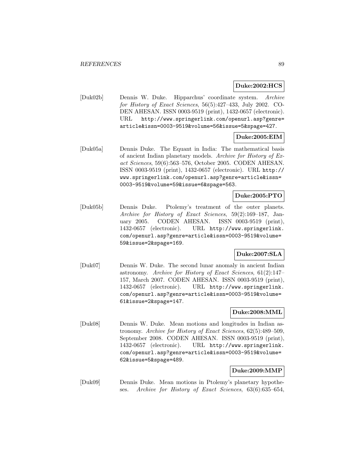#### **Duke:2002:HCS**

[Duk02b] Dennis W. Duke. Hipparchus' coordinate system. Archive for History of Exact Sciences, 56(5):427–433, July 2002. CO-DEN AHESAN. ISSN 0003-9519 (print), 1432-0657 (electronic). URL http://www.springerlink.com/openurl.asp?genre= article&issn=0003-9519&volume=56&issue=5&spage=427.

# **Duke:2005:EIM**

[Duk05a] Dennis Duke. The Equant in India: The mathematical basis of ancient Indian planetary models. Archive for History of Exact Sciences, 59(6):563–576, October 2005. CODEN AHESAN. ISSN 0003-9519 (print), 1432-0657 (electronic). URL http:// www.springerlink.com/openurl.asp?genre=article&issn= 0003-9519&volume=59&issue=6&spage=563.

### **Duke:2005:PTO**

[Duk05b] Dennis Duke. Ptolemy's treatment of the outer planets. Archive for History of Exact Sciences, 59(2):169–187, January 2005. CODEN AHESAN. ISSN 0003-9519 (print), 1432-0657 (electronic). URL http://www.springerlink. com/openurl.asp?genre=article&issn=0003-9519&volume= 59&issue=2&spage=169.

### **Duke:2007:SLA**

[Duk07] Dennis W. Duke. The second lunar anomaly in ancient Indian astronomy. Archive for History of Exact Sciences, 61(2):147– 157, March 2007. CODEN AHESAN. ISSN 0003-9519 (print), 1432-0657 (electronic). URL http://www.springerlink. com/openurl.asp?genre=article&issn=0003-9519&volume= 61&issue=2&spage=147.

#### **Duke:2008:MML**

[Duk08] Dennis W. Duke. Mean motions and longitudes in Indian astronomy. Archive for History of Exact Sciences, 62(5):489–509, September 2008. CODEN AHESAN. ISSN 0003-9519 (print), 1432-0657 (electronic). URL http://www.springerlink. com/openurl.asp?genre=article&issn=0003-9519&volume= 62&issue=5&spage=489.

#### **Duke:2009:MMP**

[Duk09] Dennis Duke. Mean motions in Ptolemy's planetary hypotheses. Archive for History of Exact Sciences, 63(6):635–654,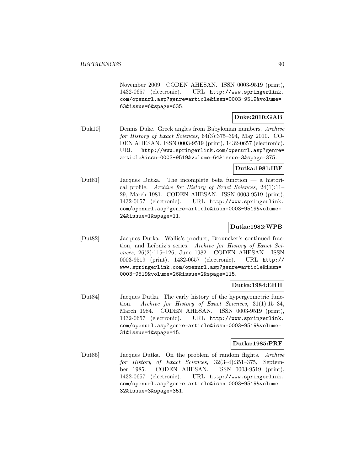November 2009. CODEN AHESAN. ISSN 0003-9519 (print), 1432-0657 (electronic). URL http://www.springerlink. com/openurl.asp?genre=article&issn=0003-9519&volume= 63&issue=6&spage=635.

# **Duke:2010:GAB**

[Duk10] Dennis Duke. Greek angles from Babylonian numbers. Archive for History of Exact Sciences, 64(3):375–394, May 2010. CO-DEN AHESAN. ISSN 0003-9519 (print), 1432-0657 (electronic). URL http://www.springerlink.com/openurl.asp?genre= article&issn=0003-9519&volume=64&issue=3&spage=375.

## **Dutka:1981:IBF**

[Dut81] Jacques Dutka. The incomplete beta function — a historical profile. Archive for History of Exact Sciences, 24(1):11– 29, March 1981. CODEN AHESAN. ISSN 0003-9519 (print), 1432-0657 (electronic). URL http://www.springerlink. com/openurl.asp?genre=article&issn=0003-9519&volume= 24&issue=1&spage=11.

### **Dutka:1982:WPB**

[Dut82] Jacques Dutka. Wallis's product, Brouncker's continued fraction, and Leibniz's series. Archive for History of Exact Sciences, 26(2):115–126, June 1982. CODEN AHESAN. ISSN 0003-9519 (print), 1432-0657 (electronic). URL http:// www.springerlink.com/openurl.asp?genre=article&issn= 0003-9519&volume=26&issue=2&spage=115.

### **Dutka:1984:EHH**

[Dut84] Jacques Dutka. The early history of the hypergeometric function. Archive for History of Exact Sciences, 31(1):15–34, March 1984. CODEN AHESAN. ISSN 0003-9519 (print), 1432-0657 (electronic). URL http://www.springerlink. com/openurl.asp?genre=article&issn=0003-9519&volume= 31&issue=1&spage=15.

## **Dutka:1985:PRF**

[Dut85] Jacques Dutka. On the problem of random flights. Archive for History of Exact Sciences, 32(3–4):351–375, September 1985. CODEN AHESAN. ISSN 0003-9519 (print), 1432-0657 (electronic). URL http://www.springerlink. com/openurl.asp?genre=article&issn=0003-9519&volume= 32&issue=3&spage=351.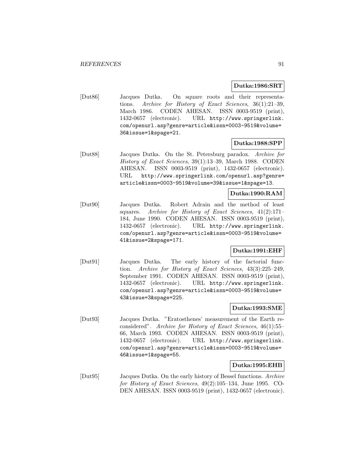### **Dutka:1986:SRT**

[Dut86] Jacques Dutka. On square roots and their representations. Archive for History of Exact Sciences, 36(1):21–39, March 1986. CODEN AHESAN. ISSN 0003-9519 (print), 1432-0657 (electronic). URL http://www.springerlink. com/openurl.asp?genre=article&issn=0003-9519&volume= 36&issue=1&spage=21.

# **Dutka:1988:SPP**

[Dut88] Jacques Dutka. On the St. Petersburg paradox. Archive for History of Exact Sciences, 39(1):13–39, March 1988. CODEN AHESAN. ISSN 0003-9519 (print), 1432-0657 (electronic). URL http://www.springerlink.com/openurl.asp?genre= article&issn=0003-9519&volume=39&issue=1&spage=13.

### **Dutka:1990:RAM**

[Dut90] Jacques Dutka. Robert Adrain and the method of least squares. Archive for History of Exact Sciences, 41(2):171– 184, June 1990. CODEN AHESAN. ISSN 0003-9519 (print), 1432-0657 (electronic). URL http://www.springerlink. com/openurl.asp?genre=article&issn=0003-9519&volume= 41&issue=2&spage=171.

### **Dutka:1991:EHF**

[Dut91] Jacques Dutka. The early history of the factorial function. Archive for History of Exact Sciences, 43(3):225–249, September 1991. CODEN AHESAN. ISSN 0003-9519 (print), 1432-0657 (electronic). URL http://www.springerlink. com/openurl.asp?genre=article&issn=0003-9519&volume= 43&issue=3&spage=225.

#### **Dutka:1993:SME**

[Dut93] Jacques Dutka. "Eratosthenes' measurement of the Earth reconsidered". Archive for History of Exact Sciences, 46(1):55– 66, March 1993. CODEN AHESAN. ISSN 0003-9519 (print), 1432-0657 (electronic). URL http://www.springerlink. com/openurl.asp?genre=article&issn=0003-9519&volume= 46&issue=1&spage=55.

### **Dutka:1995:EHB**

[Dut95] Jacques Dutka. On the early history of Bessel functions. Archive for History of Exact Sciences, 49(2):105–134, June 1995. CO-DEN AHESAN. ISSN 0003-9519 (print), 1432-0657 (electronic).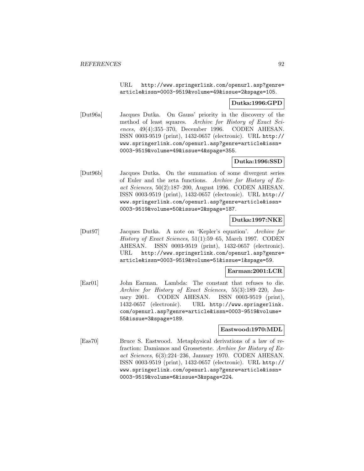URL http://www.springerlink.com/openurl.asp?genre= article&issn=0003-9519&volume=49&issue=2&spage=105.

## **Dutka:1996:GPD**

[Dut96a] Jacques Dutka. On Gauss' priority in the discovery of the method of least squares. Archive for History of Exact Sciences, 49(4):355–370, December 1996. CODEN AHESAN. ISSN 0003-9519 (print), 1432-0657 (electronic). URL http:// www.springerlink.com/openurl.asp?genre=article&issn= 0003-9519&volume=49&issue=4&spage=355.

## **Dutka:1996:SSD**

[Dut96b] Jacques Dutka. On the summation of some divergent series of Euler and the zeta functions. Archive for History of Exact Sciences, 50(2):187–200, August 1996. CODEN AHESAN. ISSN 0003-9519 (print), 1432-0657 (electronic). URL http:// www.springerlink.com/openurl.asp?genre=article&issn= 0003-9519&volume=50&issue=2&spage=187.

# **Dutka:1997:NKE**

[Dut97] Jacques Dutka. A note on 'Kepler's equation'. Archive for History of Exact Sciences, 51(1):59–65, March 1997. CODEN AHESAN. ISSN 0003-9519 (print), 1432-0657 (electronic). URL http://www.springerlink.com/openurl.asp?genre= article&issn=0003-9519&volume=51&issue=1&spage=59.

### **Earman:2001:LCR**

[Ear01] John Earman. Lambda: The constant that refuses to die. Archive for History of Exact Sciences, 55(3):189–220, January 2001. CODEN AHESAN. ISSN 0003-9519 (print), 1432-0657 (electronic). URL http://www.springerlink. com/openurl.asp?genre=article&issn=0003-9519&volume= 55&issue=3&spage=189.

### **Eastwood:1970:MDL**

[Eas70] Bruce S. Eastwood. Metaphysical derivations of a law of refraction: Damianos and Grosseteste. Archive for History of Exact Sciences, 6(3):224–236, January 1970. CODEN AHESAN. ISSN 0003-9519 (print), 1432-0657 (electronic). URL http:// www.springerlink.com/openurl.asp?genre=article&issn= 0003-9519&volume=6&issue=3&spage=224.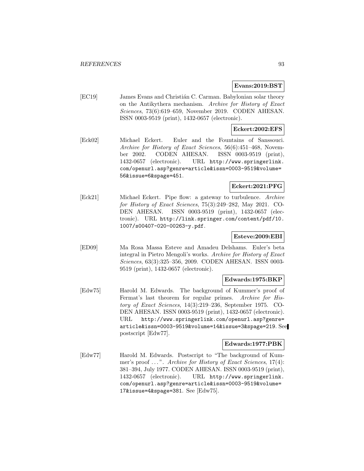### **Evans:2019:BST**

[EC19] James Evans and Christian C. Carman. Babylonian solar theory on the Antikythera mechanism. Archive for History of Exact Sciences, 73(6):619–659, November 2019. CODEN AHESAN. ISSN 0003-9519 (print), 1432-0657 (electronic).

## **Eckert:2002:EFS**

[Eck02] Michael Eckert. Euler and the Fountains of Sanssouci. Archive for History of Exact Sciences, 56(6):451–468, November 2002. CODEN AHESAN. ISSN 0003-9519 (print), 1432-0657 (electronic). URL http://www.springerlink. com/openurl.asp?genre=article&issn=0003-9519&volume= 56&issue=6&spage=451.

## **Eckert:2021:PFG**

[Eck21] Michael Eckert. Pipe flow: a gateway to turbulence. Archive for History of Exact Sciences, 75(3):249–282, May 2021. CO-DEN AHESAN. ISSN 0003-9519 (print), 1432-0657 (electronic). URL http://link.springer.com/content/pdf/10. 1007/s00407-020-00263-y.pdf.

### **Esteve:2009:EBI**

[ED09] Ma Rosa Massa Esteve and Amadeu Delshams. Euler's beta integral in Pietro Mengoli's works. Archive for History of Exact Sciences, 63(3):325–356, 2009. CODEN AHESAN. ISSN 0003- 9519 (print), 1432-0657 (electronic).

### **Edwards:1975:BKP**

[Edw75] Harold M. Edwards. The background of Kummer's proof of Fermat's last theorem for regular primes. Archive for History of Exact Sciences, 14(3):219–236, September 1975. CO-DEN AHESAN. ISSN 0003-9519 (print), 1432-0657 (electronic). URL http://www.springerlink.com/openurl.asp?genre= article&issn=0003-9519&volume=14&issue=3&spage=219. See postscript [Edw77].

# **Edwards:1977:PBK**

[Edw77] Harold M. Edwards. Postscript to "The background of Kummer's proof ...". Archive for History of Exact Sciences, 17(4): 381–394, July 1977. CODEN AHESAN. ISSN 0003-9519 (print), 1432-0657 (electronic). URL http://www.springerlink. com/openurl.asp?genre=article&issn=0003-9519&volume= 17&issue=4&spage=381. See [Edw75].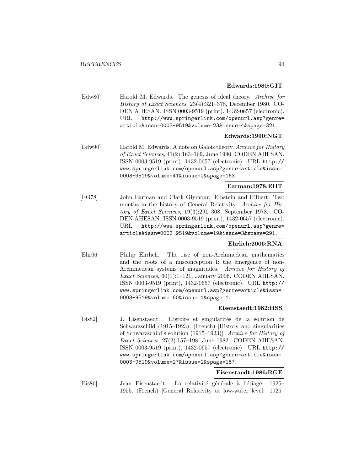**Edwards:1980:GIT**

[Edw80] Harold M. Edwards. The genesis of ideal theory. Archive for History of Exact Sciences, 23(4):321–378, December 1980. CO-DEN AHESAN. ISSN 0003-9519 (print), 1432-0657 (electronic). URL http://www.springerlink.com/openurl.asp?genre= article&issn=0003-9519&volume=23&issue=4&spage=321.

## **Edwards:1990:NGT**

[Edw90] Harold M. Edwards. A note on Galois theory. Archive for History of Exact Sciences, 41(2):163–169, June 1990. CODEN AHESAN. ISSN 0003-9519 (print), 1432-0657 (electronic). URL http:// www.springerlink.com/openurl.asp?genre=article&issn= 0003-9519&volume=41&issue=2&spage=163.

# **Earman:1978:EHT**

[EG78] John Earman and Clark Glymour. Einstein and Hilbert: Two months in the history of General Relativity. Archive for History of Exact Sciences, 19(3):291–308, September 1978. CO-DEN AHESAN. ISSN 0003-9519 (print), 1432-0657 (electronic). URL http://www.springerlink.com/openurl.asp?genre= article&issn=0003-9519&volume=19&issue=3&spage=291.

### **Ehrlich:2006:RNA**

[Ehr06] Philip Ehrlich. The rise of non-Archimedean mathematics and the roots of a misconception I: the emergence of non-Archimedean systems of magnitudes. Archive for History of Exact Sciences, 60(1):1–121, January 2006. CODEN AHESAN. ISSN 0003-9519 (print), 1432-0657 (electronic). URL http:// www.springerlink.com/openurl.asp?genre=article&issn= 0003-9519&volume=60&issue=1&spage=1.

#### **Eisenstaedt:1982:HSS**

[Eis82] J. Eisenstaedt. Histoire et singularit´es de la solution de Schwarzschild (1915–1923). (French) [History and singularities of Schwarzschild's solution (1915–1923)]. Archive for History of Exact Sciences, 27(2):157–198, June 1982. CODEN AHESAN. ISSN 0003-9519 (print), 1432-0657 (electronic). URL http:// www.springerlink.com/openurl.asp?genre=article&issn= 0003-9519&volume=27&issue=2&spage=157.

### **Eisenstaedt:1986:RGE**

[Eis86] Jean Eisenstaedt. La relativité générale à l'étiage: 1925– 1955. (French) [General Relativity at low-water level: 1925–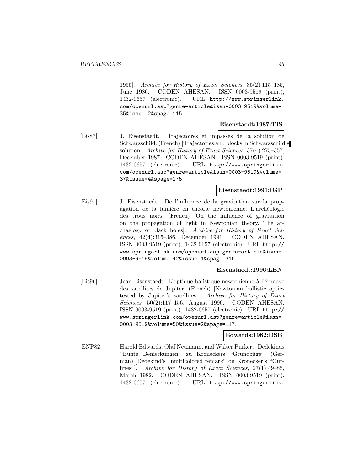1955]. Archive for History of Exact Sciences, 35(2):115–185, June 1986. CODEN AHESAN. ISSN 0003-9519 (print), 1432-0657 (electronic). URL http://www.springerlink. com/openurl.asp?genre=article&issn=0003-9519&volume= 35&issue=2&spage=115.

#### **Eisenstaedt:1987:TIS**

[Eis87] J. Eisenstaedt. Trajectoires et impasses de la solution de Schwarzschild. (French) [Trajectories and blocks in Schwarzschild's solution]. Archive for History of Exact Sciences, 37(4):275–357, December 1987. CODEN AHESAN. ISSN 0003-9519 (print), 1432-0657 (electronic). URL http://www.springerlink. com/openurl.asp?genre=article&issn=0003-9519&volume= 37&issue=4&spage=275.

## **Eisenstaedt:1991:IGP**

[Eis91] J. Eisenstaedt. De l'influence de la gravitation sur la propagation de la lumière en théorie newtonienne. L'archéologie des trous noirs. (French) [On the influence of gravitation on the propagation of light in Newtonian theory. The archaelogy of black holes]. Archive for History of Exact Sciences, 42(4):315–386, December 1991. CODEN AHESAN. ISSN 0003-9519 (print), 1432-0657 (electronic). URL http:// www.springerlink.com/openurl.asp?genre=article&issn= 0003-9519&volume=42&issue=4&spage=315.

### **Eisenstaedt:1996:LBN**

[Eis96] Jean Eisenstaedt. L'optique balistique newtonienne à l'épreuve des satellites de Jupiter. (French) [Newtonian ballistic optics tested by Jupiter's satellites]. Archive for History of Exact  $Sciences, 50(2):117-156, August 1996. CODEN AHESAN.$ ISSN 0003-9519 (print), 1432-0657 (electronic). URL http:// www.springerlink.com/openurl.asp?genre=article&issn= 0003-9519&volume=50&issue=2&spage=117.

### **Edwards:1982:DSB**

[ENP82] Harold Edwards, Olaf Neumann, and Walter Purkert. Dedekinds "Bunte Bemerkungen" zu Kroneckers "Grundz¨uge". (German) [Dedekind's "multicolored remark" on Kronecker's "Outlines"]. Archive for History of Exact Sciences, 27(1):49–85, March 1982. CODEN AHESAN. ISSN 0003-9519 (print), 1432-0657 (electronic). URL http://www.springerlink.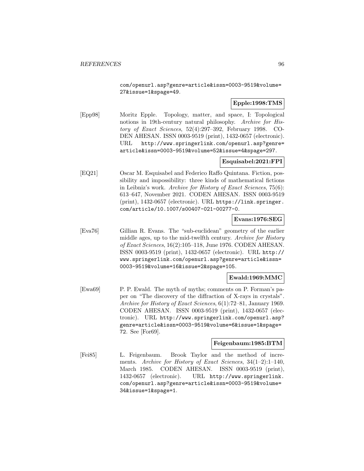com/openurl.asp?genre=article&issn=0003-9519&volume= 27&issue=1&spage=49.

# **Epple:1998:TMS**

[Epp98] Moritz Epple. Topology, matter, and space, I: Topological notions in 19th-century natural philosophy. Archive for History of Exact Sciences, 52(4):297–392, February 1998. CO-DEN AHESAN. ISSN 0003-9519 (print), 1432-0657 (electronic). URL http://www.springerlink.com/openurl.asp?genre= article&issn=0003-9519&volume=52&issue=4&spage=297.

# **Esquisabel:2021:FPI**

[EQ21] Oscar M. Esquisabel and Federico Raffo Quintana. Fiction, possibility and impossibility: three kinds of mathematical fictions in Leibniz's work. Archive for History of Exact Sciences, 75(6): 613–647, November 2021. CODEN AHESAN. ISSN 0003-9519 (print), 1432-0657 (electronic). URL https://link.springer. com/article/10.1007/s00407-021-00277-0.

## **Evans:1976:SEG**

[Eva76] Gillian R. Evans. The "sub-euclidean" geometry of the earlier middle ages, up to the mid-twelfth century. Archive for History of Exact Sciences, 16(2):105–118, June 1976. CODEN AHESAN. ISSN 0003-9519 (print), 1432-0657 (electronic). URL http:// www.springerlink.com/openurl.asp?genre=article&issn= 0003-9519&volume=16&issue=2&spage=105.

#### **Ewald:1969:MMC**

[Ewa69] P. P. Ewald. The myth of myths; comments on P. Forman's paper on "The discovery of the diffraction of X-rays in crystals". Archive for History of Exact Sciences, 6(1):72–81, January 1969. CODEN AHESAN. ISSN 0003-9519 (print), 1432-0657 (electronic). URL http://www.springerlink.com/openurl.asp? genre=article&issn=0003-9519&volume=6&issue=1&spage= 72. See [For69].

### **Feigenbaum:1985:BTM**

[Fei85] L. Feigenbaum. Brook Taylor and the method of increments. Archive for History of Exact Sciences, 34(1–2):1–140, March 1985. CODEN AHESAN. ISSN 0003-9519 (print), 1432-0657 (electronic). URL http://www.springerlink. com/openurl.asp?genre=article&issn=0003-9519&volume= 34&issue=1&spage=1.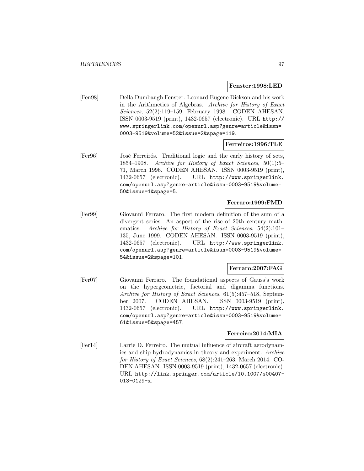#### **Fenster:1998:LED**

[Fen98] Della Dumbaugh Fenster. Leonard Eugene Dickson and his work in the Arithmetics of Algebras. Archive for History of Exact Sciences, 52(2):119–159, February 1998. CODEN AHESAN. ISSN 0003-9519 (print), 1432-0657 (electronic). URL http:// www.springerlink.com/openurl.asp?genre=article&issn= 0003-9519&volume=52&issue=2&spage=119.

#### **Ferreiros:1996:TLE**

[Fer96] José Ferreirós. Traditional logic and the early history of sets, 1854–1908. Archive for History of Exact Sciences, 50(1):5– 71, March 1996. CODEN AHESAN. ISSN 0003-9519 (print), 1432-0657 (electronic). URL http://www.springerlink. com/openurl.asp?genre=article&issn=0003-9519&volume= 50&issue=1&spage=5.

#### **Ferraro:1999:FMD**

[Fer99] Giovanni Ferraro. The first modern definition of the sum of a divergent series: An aspect of the rise of 20th century mathematics. Archive for History of Exact Sciences, 54(2):101– 135, June 1999. CODEN AHESAN. ISSN 0003-9519 (print), 1432-0657 (electronic). URL http://www.springerlink. com/openurl.asp?genre=article&issn=0003-9519&volume= 54&issue=2&spage=101.

#### **Ferraro:2007:FAG**

[Fer07] Giovanni Ferraro. The foundational aspects of Gauss's work on the hypergeometric, factorial and digamma functions. Archive for History of Exact Sciences, 61(5):457–518, September 2007. CODEN AHESAN. ISSN 0003-9519 (print), 1432-0657 (electronic). URL http://www.springerlink. com/openurl.asp?genre=article&issn=0003-9519&volume= 61&issue=5&spage=457.

# **Ferreiro:2014:MIA**

[Fer14] Larrie D. Ferreiro. The mutual influence of aircraft aerodynamics and ship hydrodynamics in theory and experiment. Archive for History of Exact Sciences, 68(2):241–263, March 2014. CO-DEN AHESAN. ISSN 0003-9519 (print), 1432-0657 (electronic). URL http://link.springer.com/article/10.1007/s00407- 013-0129-x.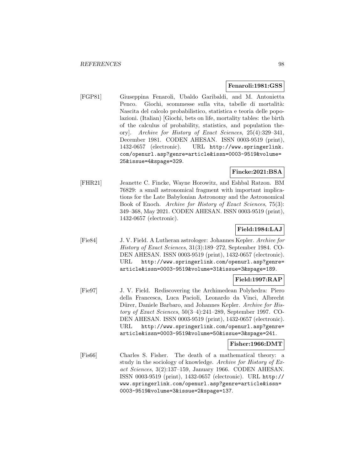#### **Fenaroli:1981:GSS**

[FGP81] Giuseppina Fenaroli, Ubaldo Garibaldi, and M. Antonietta Penco. Giochi, scommesse sulla vita, tabelle di mortalità: Nascita del calcolo probabilistico, statistica e teoria delle popolazioni. (Italian) [Giochi, bets on life, mortality tables: the birth of the calculus of probability, statistics, and population theory]. Archive for History of Exact Sciences, 25(4):329–341, December 1981. CODEN AHESAN. ISSN 0003-9519 (print), 1432-0657 (electronic). URL http://www.springerlink. com/openurl.asp?genre=article&issn=0003-9519&volume= 25&issue=4&spage=329.

### **Fincke:2021:BSA**

[FHR21] Jeanette C. Fincke, Wayne Horowitz, and Eshbal Ratzon. BM 76829: a small astronomical fragment with important implications for the Late Babylonian Astronomy and the Astronomical Book of Enoch. Archive for History of Exact Sciences, 75(3): 349–368, May 2021. CODEN AHESAN. ISSN 0003-9519 (print), 1432-0657 (electronic).

## **Field:1984:LAJ**

[Fie84] J. V. Field. A Lutheran astrologer: Johannes Kepler. Archive for History of Exact Sciences, 31(3):189–272, September 1984. CO-DEN AHESAN. ISSN 0003-9519 (print), 1432-0657 (electronic). URL http://www.springerlink.com/openurl.asp?genre= article&issn=0003-9519&volume=31&issue=3&spage=189.

# **Field:1997:RAP**

[Fie97] J. V. Field. Rediscovering the Archimedean Polyhedra: Piero della Francesca, Luca Pacioli, Leonardo da Vinci, Albrecht Dürer, Daniele Barbaro, and Johannes Kepler. Archive for History of Exact Sciences, 50(3–4):241–289, September 1997. CO-DEN AHESAN. ISSN 0003-9519 (print), 1432-0657 (electronic). URL http://www.springerlink.com/openurl.asp?genre= article&issn=0003-9519&volume=50&issue=3&spage=241.

### **Fisher:1966:DMT**

[Fis66] Charles S. Fisher. The death of a mathematical theory: a study in the sociology of knowledge. Archive for History of Exact Sciences, 3(2):137–159, January 1966. CODEN AHESAN. ISSN 0003-9519 (print), 1432-0657 (electronic). URL http:// www.springerlink.com/openurl.asp?genre=article&issn= 0003-9519&volume=3&issue=2&spage=137.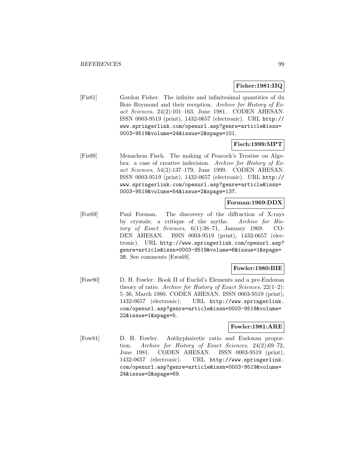## **Fisher:1981:IIQ**

[Fis81] Gordon Fisher. The infinite and infinitesimal quantities of du Bois–Reymond and their reception. Archive for History of Exact Sciences, 24(2):101–163, June 1981. CODEN AHESAN. ISSN 0003-9519 (print), 1432-0657 (electronic). URL http:// www.springerlink.com/openurl.asp?genre=article&issn= 0003-9519&volume=24&issue=2&spage=101.

# **Fisch:1999:MPT**

[Fis99] Menachem Fisch. The making of Peacock's Treatise on Algebra: a case of creative indecision. Archive for History of Exact Sciences, 54(2):137–179, June 1999. CODEN AHESAN. ISSN 0003-9519 (print), 1432-0657 (electronic). URL http:// www.springerlink.com/openurl.asp?genre=article&issn= 0003-9519&volume=54&issue=2&spage=137.

### **Forman:1969:DDX**

[For69] Paul Forman. The discovery of the diffraction of X-rays by crystals; a critique of the myths. Archive for History of Exact Sciences, 6(1):38–71, January 1969. CO-DEN AHESAN. ISSN 0003-9519 (print), 1432-0657 (electronic). URL http://www.springerlink.com/openurl.asp? genre=article&issn=0003-9519&volume=6&issue=1&spage= 38. See comments [Ewa69].

### **Fowler:1980:BIE**

[Fow80] D. H. Fowler. Book II of Euclid's Elements and a pre-Eudoxan theory of ratio. Archive for History of Exact Sciences,  $22(1-2)$ : 5–36, March 1980. CODEN AHESAN. ISSN 0003-9519 (print), 1432-0657 (electronic). URL http://www.springerlink. com/openurl.asp?genre=article&issn=0003-9519&volume= 22&issue=1&spage=5.

### **Fowler:1981:ARE**

[Fow81] D. H. Fowler. Anthyphairetic ratio and Eudoxan proportion. Archive for History of Exact Sciences, 24(2):69–72, June 1981. CODEN AHESAN. ISSN 0003-9519 (print), 1432-0657 (electronic). URL http://www.springerlink. com/openurl.asp?genre=article&issn=0003-9519&volume= 24&issue=2&spage=69.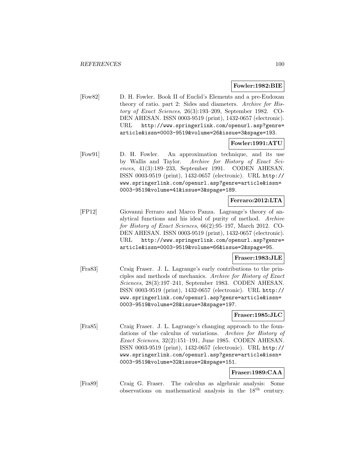## **Fowler:1982:BIE**

[Fow82] D. H. Fowler. Book II of Euclid's Elements and a pre-Eudoxan theory of ratio. part 2: Sides and diameters. Archive for History of Exact Sciences, 26(3):193–209, September 1982. CO-DEN AHESAN. ISSN 0003-9519 (print), 1432-0657 (electronic). URL http://www.springerlink.com/openurl.asp?genre= article&issn=0003-9519&volume=26&issue=3&spage=193.

## **Fowler:1991:ATU**

[Fow91] D. H. Fowler. An approximation technique, and its use by Wallis and Taylor. Archive for History of Exact Sciences, 41(3):189–233, September 1991. CODEN AHESAN. ISSN 0003-9519 (print), 1432-0657 (electronic). URL http:// www.springerlink.com/openurl.asp?genre=article&issn= 0003-9519&volume=41&issue=3&spage=189.

## **Ferraro:2012:LTA**

[FP12] Giovanni Ferraro and Marco Panza. Lagrange's theory of analytical functions and his ideal of purity of method. Archive for History of Exact Sciences, 66(2):95–197, March 2012. CO-DEN AHESAN. ISSN 0003-9519 (print), 1432-0657 (electronic). URL http://www.springerlink.com/openurl.asp?genre= article&issn=0003-9519&volume=66&issue=2&spage=95.

### **Fraser:1983:JLE**

[Fra83] Craig Fraser. J. L. Lagrange's early contributions to the principles and methods of mechanics. Archive for History of Exact Sciences, 28(3):197–241, September 1983. CODEN AHESAN. ISSN 0003-9519 (print), 1432-0657 (electronic). URL http:// www.springerlink.com/openurl.asp?genre=article&issn= 0003-9519&volume=28&issue=3&spage=197.

### **Fraser:1985:JLC**

[Fra85] Craig Fraser. J. L. Lagrange's changing approach to the foundations of the calculus of variations. Archive for History of Exact Sciences, 32(2):151–191, June 1985. CODEN AHESAN. ISSN 0003-9519 (print), 1432-0657 (electronic). URL http:// www.springerlink.com/openurl.asp?genre=article&issn= 0003-9519&volume=32&issue=2&spage=151.

**Fraser:1989:CAA**

[Fra89] Craig G. Fraser. The calculus as algebraic analysis: Some observations on mathematical analysis in the 18th century.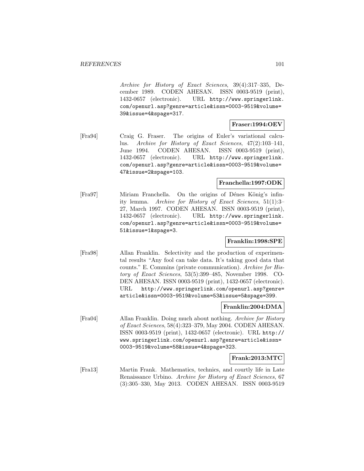Archive for History of Exact Sciences, 39(4):317–335, December 1989. CODEN AHESAN. ISSN 0003-9519 (print), 1432-0657 (electronic). URL http://www.springerlink. com/openurl.asp?genre=article&issn=0003-9519&volume= 39&issue=4&spage=317.

## **Fraser:1994:OEV**

[Fra94] Craig G. Fraser. The origins of Euler's variational calculus. Archive for History of Exact Sciences, 47(2):103–141, June 1994. CODEN AHESAN. ISSN 0003-9519 (print), 1432-0657 (electronic). URL http://www.springerlink. com/openurl.asp?genre=article&issn=0003-9519&volume= 47&issue=2&spage=103.

### **Franchella:1997:ODK**

[Fra97] Miriam Franchella. On the origins of Dénes König's infinity lemma. Archive for History of Exact Sciences, 51(1):3– 27, March 1997. CODEN AHESAN. ISSN 0003-9519 (print), 1432-0657 (electronic). URL http://www.springerlink. com/openurl.asp?genre=article&issn=0003-9519&volume= 51&issue=1&spage=3.

### **Franklin:1998:SPE**

[Fra98] Allan Franklin. Selectivity and the production of experimental results "Any fool can take data. It's taking good data that counts." E. Commins (private communication). Archive for History of Exact Sciences, 53(5):399–485, November 1998. CO-DEN AHESAN. ISSN 0003-9519 (print), 1432-0657 (electronic). URL http://www.springerlink.com/openurl.asp?genre= article&issn=0003-9519&volume=53&issue=5&spage=399.

#### **Franklin:2004:DMA**

[Fra04] Allan Franklin. Doing much about nothing. Archive for History of Exact Sciences, 58(4):323–379, May 2004. CODEN AHESAN. ISSN 0003-9519 (print), 1432-0657 (electronic). URL http:// www.springerlink.com/openurl.asp?genre=article&issn= 0003-9519&volume=58&issue=4&spage=323.

### **Frank:2013:MTC**

[Fra13] Martin Frank. Mathematics, technics, and courtly life in Late Renaissance Urbino. Archive for History of Exact Sciences, 67 (3):305–330, May 2013. CODEN AHESAN. ISSN 0003-9519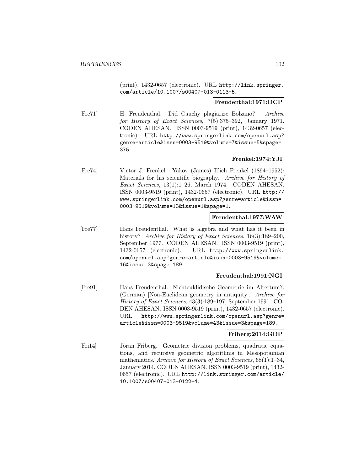(print), 1432-0657 (electronic). URL http://link.springer. com/article/10.1007/s00407-013-0113-5.

### **Freudenthal:1971:DCP**

[Fre71] H. Freudenthal. Did Cauchy plagiarize Bolzano? Archive for History of Exact Sciences, 7(5):375–392, January 1971. CODEN AHESAN. ISSN 0003-9519 (print), 1432-0657 (electronic). URL http://www.springerlink.com/openurl.asp? genre=article&issn=0003-9519&volume=7&issue=5&spage= 375.

# **Frenkel:1974:YJI**

[Fre74] Victor J. Frenkel. Yakov (James) Il'ich Frenkel (1894–1952): Materials for his scientific biography. Archive for History of Exact Sciences, 13(1):1–26, March 1974. CODEN AHESAN. ISSN 0003-9519 (print), 1432-0657 (electronic). URL http:// www.springerlink.com/openurl.asp?genre=article&issn= 0003-9519&volume=13&issue=1&spage=1.

# **Freudenthal:1977:WAW**

[Fre77] Hans Freudenthal. What is algebra and what has it been in history? Archive for History of Exact Sciences, 16(3):189–200, September 1977. CODEN AHESAN. ISSN 0003-9519 (print), 1432-0657 (electronic). URL http://www.springerlink. com/openurl.asp?genre=article&issn=0003-9519&volume= 16&issue=3&spage=189.

# **Freudenthal:1991:NGI**

[Fre91] Hans Freudenthal. Nichteuklidische Geometrie im Altertum?. (German) [Non-Euclidean geometry in antiquity]. Archive for History of Exact Sciences, 43(3):189–197, September 1991. CO-DEN AHESAN. ISSN 0003-9519 (print), 1432-0657 (electronic). URL http://www.springerlink.com/openurl.asp?genre= article&issn=0003-9519&volume=43&issue=3&spage=189.

### **Friberg:2014:GDP**

[Fri14] Jöran Friberg. Geometric division problems, quadratic equations, and recursive geometric algorithms in Mesopotamian mathematics. Archive for History of Exact Sciences, 68(1):1–34, January 2014. CODEN AHESAN. ISSN 0003-9519 (print), 1432- 0657 (electronic). URL http://link.springer.com/article/ 10.1007/s00407-013-0122-4.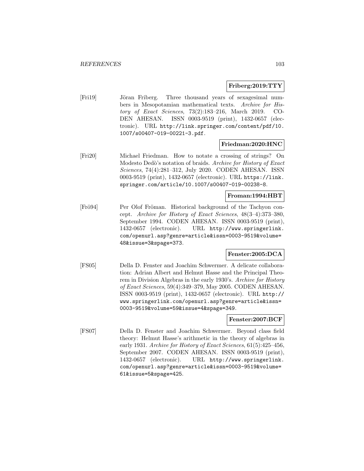### **Friberg:2019:TTY**

[Fri19] Jöran Friberg. Three thousand years of sexagesimal numbers in Mesopotamian mathematical texts. Archive for History of Exact Sciences, 73(2):183–216, March 2019. CO-DEN AHESAN. ISSN 0003-9519 (print), 1432-0657 (electronic). URL http://link.springer.com/content/pdf/10. 1007/s00407-019-00221-3.pdf.

### **Friedman:2020:HNC**

[Fri20] Michael Friedman. How to notate a crossing of strings? On Modesto Dedò's notation of braids. Archive for History of Exact Sciences, 74(4):281–312, July 2020. CODEN AHESAN. ISSN 0003-9519 (print), 1432-0657 (electronic). URL https://link. springer.com/article/10.1007/s00407-019-00238-8.

#### **Froman:1994:HBT**

[Frög4] Per Olof Fröman. Historical background of the Tachyon concept. Archive for History of Exact Sciences, 48(3–4):373–380, September 1994. CODEN AHESAN. ISSN 0003-9519 (print), 1432-0657 (electronic). URL http://www.springerlink. com/openurl.asp?genre=article&issn=0003-9519&volume= 48&issue=3&spage=373.

#### **Fenster:2005:DCA**

[FS05] Della D. Fenster and Joachim Schwermer. A delicate collaboration: Adrian Albert and Helmut Hasse and the Principal Theorem in Division Algebras in the early 1930's. Archive for History of Exact Sciences, 59(4):349–379, May 2005. CODEN AHESAN. ISSN 0003-9519 (print), 1432-0657 (electronic). URL http:// www.springerlink.com/openurl.asp?genre=article&issn= 0003-9519&volume=59&issue=4&spage=349.

#### **Fenster:2007:BCF**

[FS07] Della D. Fenster and Joachim Schwermer. Beyond class field theory: Helmut Hasse's arithmetic in the theory of algebras in early 1931. Archive for History of Exact Sciences, 61(5):425–456, September 2007. CODEN AHESAN. ISSN 0003-9519 (print), 1432-0657 (electronic). URL http://www.springerlink. com/openurl.asp?genre=article&issn=0003-9519&volume= 61&issue=5&spage=425.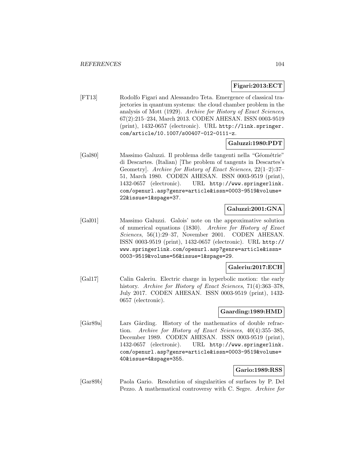### **Figari:2013:ECT**

[FT13] Rodolfo Figari and Alessandro Teta. Emergence of classical trajectories in quantum systems: the cloud chamber problem in the analysis of Mott (1929). Archive for History of Exact Sciences, 67(2):215–234, March 2013. CODEN AHESAN. ISSN 0003-9519 (print), 1432-0657 (electronic). URL http://link.springer. com/article/10.1007/s00407-012-0111-z.

### **Galuzzi:1980:PDT**

[Gal80] Massimo Galuzzi. Il problema delle tangenti nella "Géométrie" di Descartes. (Italian) [The problem of tangents in Descartes's Geometry]. Archive for History of Exact Sciences, 22(1–2):37– 51, March 1980. CODEN AHESAN. ISSN 0003-9519 (print), 1432-0657 (electronic). URL http://www.springerlink. com/openurl.asp?genre=article&issn=0003-9519&volume= 22&issue=1&spage=37.

# **Galuzzi:2001:GNA**

[Gal01] Massimo Galuzzi. Galois' note on the approximative solution of numerical equations (1830). Archive for History of Exact Sciences, 56(1):29–37, November 2001. CODEN AHESAN. ISSN 0003-9519 (print), 1432-0657 (electronic). URL http:// www.springerlink.com/openurl.asp?genre=article&issn= 0003-9519&volume=56&issue=1&spage=29.

## **Galeriu:2017:ECH**

[Gal17] Calin Galeriu. Electric charge in hyperbolic motion: the early history. Archive for History of Exact Sciences, 71(4):363-378, July 2017. CODEN AHESAN. ISSN 0003-9519 (print), 1432- 0657 (electronic).

#### **Gaarding:1989:HMD**

[Går89a] Lars Gårding. History of the mathematics of double refraction. Archive for History of Exact Sciences, 40(4):355–385, December 1989. CODEN AHESAN. ISSN 0003-9519 (print), 1432-0657 (electronic). URL http://www.springerlink. com/openurl.asp?genre=article&issn=0003-9519&volume= 40&issue=4&spage=355.

### **Gario:1989:RSS**

[Gar89b] Paola Gario. Resolution of singularities of surfaces by P. Del Pezzo. A mathematical controversy with C. Segre. Archive for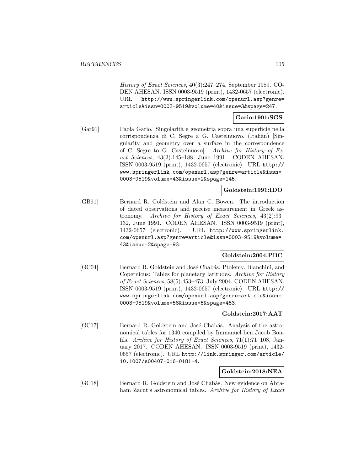History of Exact Sciences, 40(3):247–274, September 1989. CO-DEN AHESAN. ISSN 0003-9519 (print), 1432-0657 (electronic). URL http://www.springerlink.com/openurl.asp?genre= article&issn=0003-9519&volume=40&issue=3&spage=247.

# **Gario:1991:SGS**

[Gar91] Paola Gario. Singolarità e geometria sopra una superficie nella corrispondenza di C. Segre a G. Castelnuovo. (Italian) [Singularity and geometry over a surface in the correspondence of C. Segre to G. Castelnuovo]. Archive for History of Exact Sciences, 43(2):145–188, June 1991. CODEN AHESAN. ISSN 0003-9519 (print), 1432-0657 (electronic). URL http:// www.springerlink.com/openurl.asp?genre=article&issn= 0003-9519&volume=43&issue=2&spage=145.

## **Goldstein:1991:IDO**

[GB91] Bernard R. Goldstein and Alan C. Bowen. The introduction of dated observations and precise measurement in Greek astronomy. Archive for History of Exact Sciences, 43(2):93– 132, June 1991. CODEN AHESAN. ISSN 0003-9519 (print), 1432-0657 (electronic). URL http://www.springerlink. com/openurl.asp?genre=article&issn=0003-9519&volume= 43&issue=2&spage=93.

### **Goldstein:2004:PBC**

[GC04] Bernard R. Goldstein and José Chabás. Ptolemy, Bianchini, and Copernicus: Tables for planetary latitudes. Archive for History of Exact Sciences, 58(5):453–473, July 2004. CODEN AHESAN. ISSN 0003-9519 (print), 1432-0657 (electronic). URL http:// www.springerlink.com/openurl.asp?genre=article&issn= 0003-9519&volume=58&issue=5&spage=453.

# **Goldstein:2017:AAT**

[GC17] Bernard R. Goldstein and José Chabás. Analysis of the astronomical tables for 1340 compiled by Immanuel ben Jacob Bonfils. Archive for History of Exact Sciences, 71(1):71–108, January 2017. CODEN AHESAN. ISSN 0003-9519 (print), 1432- 0657 (electronic). URL http://link.springer.com/article/ 10.1007/s00407-016-0181-4.

#### **Goldstein:2018:NEA**

[GC18] Bernard R. Goldstein and José Chabás. New evidence on Abraham Zacut's astronomical tables. Archive for History of Exact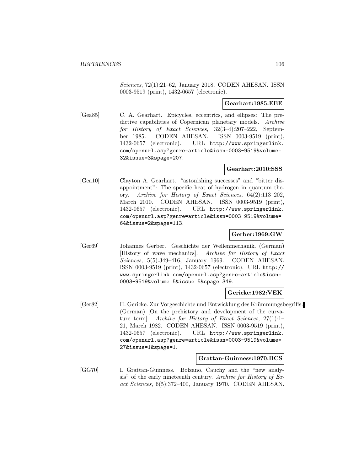Sciences, 72(1):21–62, January 2018. CODEN AHESAN. ISSN 0003-9519 (print), 1432-0657 (electronic).

### **Gearhart:1985:EEE**

[Gea85] C. A. Gearhart. Epicycles, eccentrics, and ellipses: The predictive capabilities of Copernican planetary models. Archive for History of Exact Sciences, 32(3–4):207–222, September 1985. CODEN AHESAN. ISSN 0003-9519 (print), 1432-0657 (electronic). URL http://www.springerlink. com/openurl.asp?genre=article&issn=0003-9519&volume= 32&issue=3&spage=207.

## **Gearhart:2010:SSS**

[Gea10] Clayton A. Gearhart. "astonishing successes" and "bitter disappointment": The specific heat of hydrogen in quantum theory. Archive for History of Exact Sciences, 64(2):113–202, March 2010. CODEN AHESAN. ISSN 0003-9519 (print), 1432-0657 (electronic). URL http://www.springerlink. com/openurl.asp?genre=article&issn=0003-9519&volume= 64&issue=2&spage=113.

## **Gerber:1969:GW**

[Ger69] Johannes Gerber. Geschichte der Wellenmechanik. (German) [History of wave mechanics]. Archive for History of Exact Sciences, 5(5):349–416, January 1969. CODEN AHESAN. ISSN 0003-9519 (print), 1432-0657 (electronic). URL http:// www.springerlink.com/openurl.asp?genre=article&issn= 0003-9519&volume=5&issue=5&spage=349.

### **Gericke:1982:VEK**

[Ger82] H. Gericke. Zur Vorgeschichte und Entwicklung des Krümmungsbegriffs. (German) [On the prehistory and development of the curvature term]. Archive for History of Exact Sciences, 27(1):1– 21, March 1982. CODEN AHESAN. ISSN 0003-9519 (print), 1432-0657 (electronic). URL http://www.springerlink. com/openurl.asp?genre=article&issn=0003-9519&volume= 27&issue=1&spage=1.

### **Grattan-Guinness:1970:BCS**

[GG70] I. Grattan-Guinness. Bolzano, Cauchy and the "new analysis" of the early nineteenth century. Archive for History of Exact Sciences, 6(5):372–400, January 1970. CODEN AHESAN.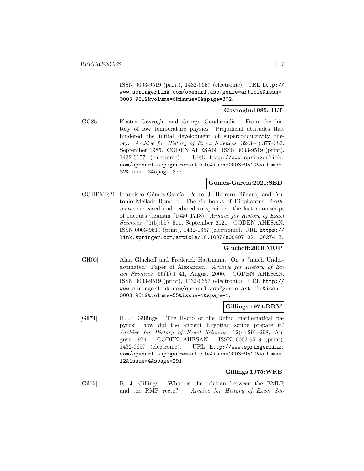ISSN 0003-9519 (print), 1432-0657 (electronic). URL http:// www.springerlink.com/openurl.asp?genre=article&issn= 0003-9519&volume=6&issue=5&spage=372.

# **Gavroglu:1985:HLT**

[GG85] Kostas Gavroglu and George Goudaroulis. From the history of low temperature physics: Prejudicial attitudes that hindered the initial development of superconductivity theory. Archive for History of Exact Sciences, 32(3–4):377–383, September 1985. CODEN AHESAN. ISSN 0003-9519 (print), 1432-0657 (electronic). URL http://www.springerlink. com/openurl.asp?genre=article&issn=0003-9519&volume= 32&issue=3&spage=377.

# **Gomez-Garcia:2021:SBD**

[GGHPMR21] Francisco Gómez-García, Pedro J. Herrero-Piñeyro, and Antonio Mellado-Romero. The six books of Diophantus' Arithmetic increased and reduced to specious: the lost manuscript of Jacques Ozanam (1640–1718). Archive for History of Exact Sciences, 75(5):557–611, September 2021. CODEN AHESAN. ISSN 0003-9519 (print), 1432-0657 (electronic). URL https:// link.springer.com/article/10.1007/s00407-021-00274-3.

### **Gluchoff:2000:MUP**

[GH00] Alan Gluchoff and Frederick Hartmann. On a "much Underestimated" Paper of Alexander. Archive for History of Ex $act\ Sciences, 55(1):1-41,$  August 2000. CODEN AHESAN. ISSN 0003-9519 (print), 1432-0657 (electronic). URL http:// www.springerlink.com/openurl.asp?genre=article&issn= 0003-9519&volume=55&issue=1&spage=1.

### **Gillings:1974:RRM**

[Gil74] R. J. Gillings. The Recto of the Rhind mathematical papyrus: how did the ancient Egyptian scribe prepare it? Archive for History of Exact Sciences, 12(4):291–298, August 1974. CODEN AHESAN. ISSN 0003-9519 (print), 1432-0657 (electronic). URL http://www.springerlink. com/openurl.asp?genre=article&issn=0003-9519&volume= 12&issue=4&spage=291.

#### **Gillings:1975:WRB**

[Gil75] R. J. Gillings. What is the relation between the EMLR and the RMP recto? Archive for History of Exact Sci-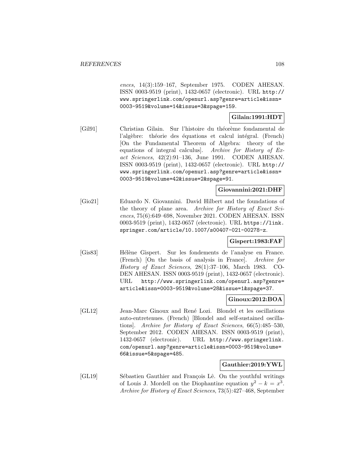ences, 14(3):159–167, September 1975. CODEN AHESAN. ISSN 0003-9519 (print), 1432-0657 (electronic). URL http:// www.springerlink.com/openurl.asp?genre=article&issn= 0003-9519&volume=14&issue=3&spage=159.

# **Gilain:1991:HDT**

[Gil91] Christian Gilain. Sur l'histoire du théorème fondamental de l'algèbre: théorie des équations et calcul intégral. (French) [On the Fundamental Theorem of Algebra: theory of the equations of integral calculus]. Archive for History of Exact Sciences, 42(2):91–136, June 1991. CODEN AHESAN. ISSN 0003-9519 (print), 1432-0657 (electronic). URL http:// www.springerlink.com/openurl.asp?genre=article&issn= 0003-9519&volume=42&issue=2&spage=91.

## **Giovannini:2021:DHF**

[Gio21] Eduardo N. Giovannini. David Hilbert and the foundations of the theory of plane area. Archive for History of Exact Sciences, 75(6):649–698, November 2021. CODEN AHESAN. ISSN 0003-9519 (print), 1432-0657 (electronic). URL https://link. springer.com/article/10.1007/s00407-021-00278-z.

### **Gispert:1983:FAF**

[Gis83] Hélène Gispert. Sur les fondements de l'analyse en France. (French) [On the basis of analysis in France]. Archive for History of Exact Sciences, 28(1):37–106, March 1983. CO-DEN AHESAN. ISSN 0003-9519 (print), 1432-0657 (electronic). URL http://www.springerlink.com/openurl.asp?genre= article&issn=0003-9519&volume=28&issue=1&spage=37.

# **Ginoux:2012:BOA**

[GL12] Jean-Marc Ginoux and Ren´e Lozi. Blondel et les oscillations auto-entretenues. (French) [Blondel and self-sustained oscillations]. Archive for History of Exact Sciences, 66(5):485–530, September 2012. CODEN AHESAN. ISSN 0003-9519 (print), 1432-0657 (electronic). URL http://www.springerlink. com/openurl.asp?genre=article&issn=0003-9519&volume= 66&issue=5&spage=485.

### **Gauthier:2019:YWL**

[GL19] Sébastien Gauthier and François Lê. On the youthful writings of Louis J. Mordell on the Diophantine equation  $y^2 - k = x^3$ . Archive for History of Exact Sciences, 73(5):427–468, September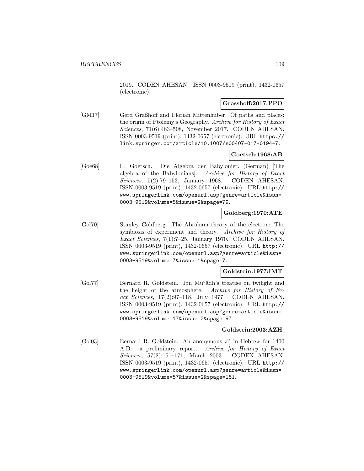2019. CODEN AHESAN. ISSN 0003-9519 (print), 1432-0657 (electronic).

## **Grasshoff:2017:PPO**

[GM17] Gerd Graßhoff and Florian Mittenhuber. Of paths and places: the origin of Ptolemy's Geography. Archive for History of Exact Sciences, 71(6):483–508, November 2017. CODEN AHESAN. ISSN 0003-9519 (print), 1432-0657 (electronic). URL https:// link.springer.com/article/10.1007/s00407-017-0194-7.

# **Goetsch:1968:AB**

[Goe68] H. Goetsch. Die Algebra der Babylonier. (German) [The algebra of the Babylonians]. Archive for History of Exact Sciences, 5(2):79–153, January 1968. CODEN AHESAN. ISSN 0003-9519 (print), 1432-0657 (electronic). URL http:// www.springerlink.com/openurl.asp?genre=article&issn= 0003-9519&volume=5&issue=2&spage=79.

# **Goldberg:1970:ATE**

[Gol70] Stanley Goldberg. The Abraham theory of the electron: The symbiosis of experiment and theory. Archive for History of Exact Sciences, 7(1):7–25, January 1970. CODEN AHESAN. ISSN 0003-9519 (print), 1432-0657 (electronic). URL http:// www.springerlink.com/openurl.asp?genre=article&issn= 0003-9519&volume=7&issue=1&spage=7.

## **Goldstein:1977:IMT**

[Gol77] Bernard R. Goldstein. Ibn Mu<sup>c</sup>adh's treatise on twilight and the height of the atmosphere. Archive for History of Exact Sciences, 17(2):97–118, July 1977. CODEN AHESAN. ISSN 0003-9519 (print), 1432-0657 (electronic). URL http:// www.springerlink.com/openurl.asp?genre=article&issn= 0003-9519&volume=17&issue=2&spage=97.

## **Goldstein:2003:AZH**

[Gol03] Bernard R. Goldstein. An anonymous zij in Hebrew for 1400 A.D.: a preliminary report. Archive for History of Exact Sciences, 57(2):151–171, March 2003. CODEN AHESAN. ISSN 0003-9519 (print), 1432-0657 (electronic). URL http:// www.springerlink.com/openurl.asp?genre=article&issn= 0003-9519&volume=57&issue=2&spage=151.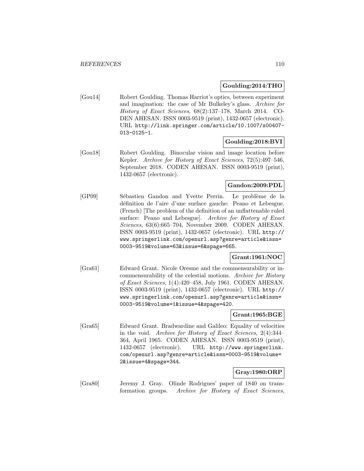## **Goulding:2014:THO**

[Gou14] Robert Goulding. Thomas Harriot's optics, between experiment and imagination: the case of Mr Bulkeley's glass. Archive for History of Exact Sciences, 68(2):137–178, March 2014. CO-DEN AHESAN. ISSN 0003-9519 (print), 1432-0657 (electronic). URL http://link.springer.com/article/10.1007/s00407- 013-0125-1.

# **Goulding:2018:BVI**

[Gou18] Robert Goulding. Binocular vision and image location before Kepler. Archive for History of Exact Sciences, 72(5):497–546, September 2018. CODEN AHESAN. ISSN 0003-9519 (print), 1432-0657 (electronic).

# **Gandon:2009:PDL**

[GP09] Sébastien Gandon and Yvette Perrin. Le problème de la d´efinition de l'aire d'une surface gauche: Peano et Lebesgue. (French) [The problem of the definition of an unflattenable ruled surface: Peano and Lebesgue]. Archive for History of Exact Sciences, 63(6):665–704, November 2009. CODEN AHESAN. ISSN 0003-9519 (print), 1432-0657 (electronic). URL http:// www.springerlink.com/openurl.asp?genre=article&issn= 0003-9519&volume=63&issue=6&spage=665.

## **Grant:1961:NOC**

[Gra61] Edward Grant. Nicole Oresme and the commensurability or incommensurability of the celestial motions. Archive for History of Exact Sciences, 1(4):420–458, July 1961. CODEN AHESAN. ISSN 0003-9519 (print), 1432-0657 (electronic). URL http:// www.springerlink.com/openurl.asp?genre=article&issn= 0003-9519&volume=1&issue=4&spage=420.

## **Grant:1965:BGE**

[Gra65] Edward Grant. Bradwardine and Galileo: Equality of velocities in the void. Archive for History of Exact Sciences, 2(4):344– 364, April 1965. CODEN AHESAN. ISSN 0003-9519 (print), 1432-0657 (electronic). URL http://www.springerlink. com/openurl.asp?genre=article&issn=0003-9519&volume= 2&issue=4&spage=344.

# **Gray:1980:ORP**

[Gra80] Jeremy J. Gray. Olinde Rodrigues' paper of 1840 on transformation groups. Archive for History of Exact Sciences,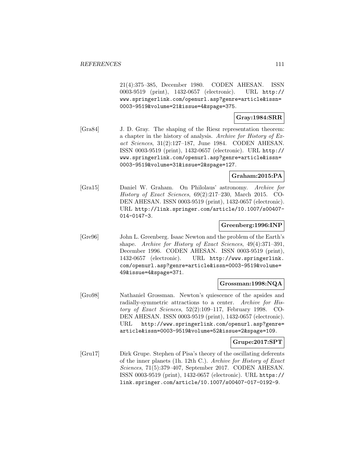21(4):375–385, December 1980. CODEN AHESAN. ISSN 0003-9519 (print), 1432-0657 (electronic). URL http:// www.springerlink.com/openurl.asp?genre=article&issn= 0003-9519&volume=21&issue=4&spage=375.

**Gray:1984:SRR**

[Gra84] J. D. Gray. The shaping of the Riesz representation theorem: a chapter in the history of analysis. Archive for History of Exact Sciences, 31(2):127–187, June 1984. CODEN AHESAN. ISSN 0003-9519 (print), 1432-0657 (electronic). URL http:// www.springerlink.com/openurl.asp?genre=article&issn= 0003-9519&volume=31&issue=2&spage=127.

**Graham:2015:PA**

[Gra15] Daniel W. Graham. On Philolaus' astronomy. Archive for History of Exact Sciences, 69(2):217–230, March 2015. CO-DEN AHESAN. ISSN 0003-9519 (print), 1432-0657 (electronic). URL http://link.springer.com/article/10.1007/s00407- 014-0147-3.

#### **Greenberg:1996:INP**

[Gre96] John L. Greenberg. Isaac Newton and the problem of the Earth's shape. Archive for History of Exact Sciences, 49(4):371–391, December 1996. CODEN AHESAN. ISSN 0003-9519 (print), 1432-0657 (electronic). URL http://www.springerlink. com/openurl.asp?genre=article&issn=0003-9519&volume= 49&issue=4&spage=371.

## **Grossman:1998:NQA**

[Gro98] Nathaniel Grossman. Newton's quiescence of the apsides and radially-symmetric attractions to a center. Archive for History of Exact Sciences, 52(2):109–117, February 1998. CO-DEN AHESAN. ISSN 0003-9519 (print), 1432-0657 (electronic). URL http://www.springerlink.com/openurl.asp?genre= article&issn=0003-9519&volume=52&issue=2&spage=109.

## **Grupe:2017:SPT**

[Gru17] Dirk Grupe. Stephen of Pisa's theory of the oscillating deferents of the inner planets (1h. 12th C.). Archive for History of Exact Sciences, 71(5):379–407, September 2017. CODEN AHESAN. ISSN 0003-9519 (print), 1432-0657 (electronic). URL https:// link.springer.com/article/10.1007/s00407-017-0192-9.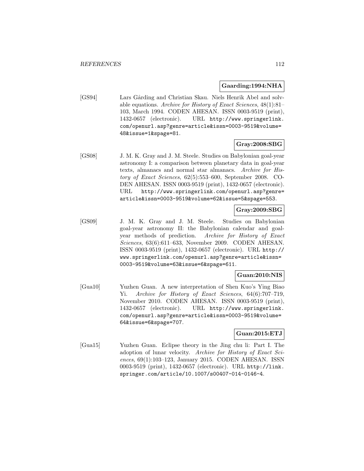#### **Gaarding:1994:NHA**

[GS94] Lars Gårding and Christian Skau. Niels Henrik Abel and solvable equations. Archive for History of Exact Sciences, 48(1):81– 103, March 1994. CODEN AHESAN. ISSN 0003-9519 (print), 1432-0657 (electronic). URL http://www.springerlink. com/openurl.asp?genre=article&issn=0003-9519&volume= 48&issue=1&spage=81.

## **Gray:2008:SBG**

[GS08] J. M. K. Gray and J. M. Steele. Studies on Babylonian goal-year astronomy I: a comparison between planetary data in goal-year texts, almanacs and normal star almanacs. Archive for History of Exact Sciences, 62(5):553–600, September 2008. CO-DEN AHESAN. ISSN 0003-9519 (print), 1432-0657 (electronic). URL http://www.springerlink.com/openurl.asp?genre= article&issn=0003-9519&volume=62&issue=5&spage=553.

## **Gray:2009:SBG**

[GS09] J. M. K. Gray and J. M. Steele. Studies on Babylonian goal-year astronomy II: the Babylonian calendar and goalyear methods of prediction. Archive for History of Exact Sciences, 63(6):611–633, November 2009. CODEN AHESAN. ISSN 0003-9519 (print), 1432-0657 (electronic). URL http:// www.springerlink.com/openurl.asp?genre=article&issn= 0003-9519&volume=63&issue=6&spage=611.

## **Guan:2010:NIS**

[Gua10] Yuzhen Guan. A new interpretation of Shen Kuo's Ying Biao Yi. Archive for History of Exact Sciences, 64(6):707–719, November 2010. CODEN AHESAN. ISSN 0003-9519 (print), 1432-0657 (electronic). URL http://www.springerlink. com/openurl.asp?genre=article&issn=0003-9519&volume= 64&issue=6&spage=707.

## **Guan:2015:ETJ**

[Gua15] Yuzhen Guan. Eclipse theory in the Jing chu li: Part I. The adoption of lunar velocity. Archive for History of Exact Sciences, 69(1):103–123, January 2015. CODEN AHESAN. ISSN 0003-9519 (print), 1432-0657 (electronic). URL http://link. springer.com/article/10.1007/s00407-014-0146-4.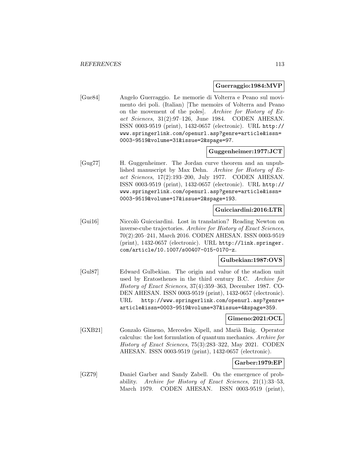#### **Guerraggio:1984:MVP**

[Gue84] Angelo Guerraggio. Le memorie di Volterra e Peano sul movimento dei poli. (Italian) [The memoirs of Volterra and Peano on the movement of the poles]. Archive for History of Exact Sciences, 31(2):97–126, June 1984. CODEN AHESAN. ISSN 0003-9519 (print), 1432-0657 (electronic). URL http:// www.springerlink.com/openurl.asp?genre=article&issn= 0003-9519&volume=31&issue=2&spage=97.

## **Guggenheimer:1977:JCT**

[Gug77] H. Guggenheimer. The Jordan curve theorem and an unpublished manuscript by Max Dehn. Archive for History of Exact Sciences, 17(2):193–200, July 1977. CODEN AHESAN. ISSN 0003-9519 (print), 1432-0657 (electronic). URL http:// www.springerlink.com/openurl.asp?genre=article&issn= 0003-9519&volume=17&issue=2&spage=193.

#### **Guicciardini:2016:LTR**

[Gui16] Niccolò Guicciardini. Lost in translation? Reading Newton on inverse-cube trajectories. Archive for History of Exact Sciences, 70(2):205–241, March 2016. CODEN AHESAN. ISSN 0003-9519 (print), 1432-0657 (electronic). URL http://link.springer. com/article/10.1007/s00407-015-0170-z.

## **Gulbekian:1987:OVS**

[Gul87] Edward Gulbekian. The origin and value of the stadion unit used by Eratosthenes in the third century B.C. Archive for History of Exact Sciences, 37(4):359–363, December 1987. CO-DEN AHESAN. ISSN 0003-9519 (print), 1432-0657 (electronic). URL http://www.springerlink.com/openurl.asp?genre= article&issn=0003-9519&volume=37&issue=4&spage=359.

## **Gimeno:2021:OCL**

[GXB21] Gonzalo Gimeno, Mercedes Xipell, and Marià Baig. Operator calculus: the lost formulation of quantum mechanics. Archive for History of Exact Sciences, 75(3):283–322, May 2021. CODEN AHESAN. ISSN 0003-9519 (print), 1432-0657 (electronic).

## **Garber:1979:EP**

[GZ79] Daniel Garber and Sandy Zabell. On the emergence of probability. Archive for History of Exact Sciences, 21(1):33–53, March 1979. CODEN AHESAN. ISSN 0003-9519 (print),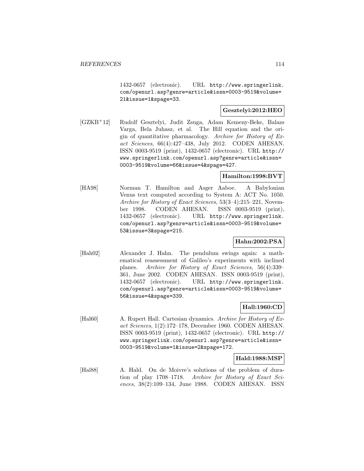1432-0657 (electronic). URL http://www.springerlink. com/openurl.asp?genre=article&issn=0003-9519&volume= 21&issue=1&spage=33.

# **Gesztelyi:2012:HEO**

[GZKB<sup>+</sup>12] Rudolf Gesztelyi, Judit Zsuga, Adam Kemeny-Beke, Balazs Varga, Bela Juhasz, et al. The Hill equation and the origin of quantitative pharmacology. Archive for History of Exact Sciences, 66(4):427–438, July 2012. CODEN AHESAN. ISSN 0003-9519 (print), 1432-0657 (electronic). URL http:// www.springerlink.com/openurl.asp?genre=article&issn= 0003-9519&volume=66&issue=4&spage=427.

#### **Hamilton:1998:BVT**

[HA98] Norman T. Hamilton and Asger Aaboe. A Babylonian Venus text computed according to System A: ACT No. 1050. Archive for History of Exact Sciences, 53(3–4):215–221, November 1998. CODEN AHESAN. ISSN 0003-9519 (print), 1432-0657 (electronic). URL http://www.springerlink. com/openurl.asp?genre=article&issn=0003-9519&volume= 53&issue=3&spage=215.

# **Hahn:2002:PSA**

[Hah02] Alexander J. Hahn. The pendulum swings again: a mathematical reassessment of Galileo's experiments with inclined planes. Archive for History of Exact Sciences, 56(4):339– 361, June 2002. CODEN AHESAN. ISSN 0003-9519 (print), 1432-0657 (electronic). URL http://www.springerlink. com/openurl.asp?genre=article&issn=0003-9519&volume= 56&issue=4&spage=339.

## **Hall:1960:CD**

[Hal60] A. Rupert Hall. Cartesian dynamics. Archive for History of Exact Sciences, 1(2):172–178, December 1960. CODEN AHESAN. ISSN 0003-9519 (print), 1432-0657 (electronic). URL http:// www.springerlink.com/openurl.asp?genre=article&issn= 0003-9519&volume=1&issue=2&spage=172.

# **Hald:1988:MSP**

[Hal88] A. Hald. On de Moivre's solutions of the problem of duration of play 1708–1718. Archive for History of Exact Sciences, 38(2):109–134, June 1988. CODEN AHESAN. ISSN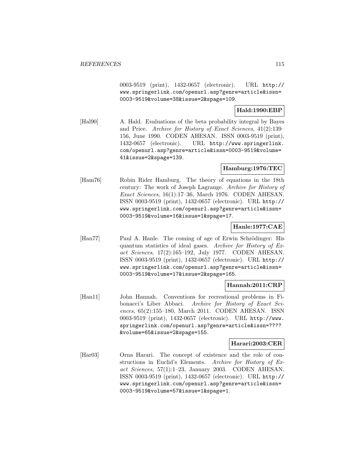0003-9519 (print), 1432-0657 (electronic). URL http:// www.springerlink.com/openurl.asp?genre=article&issn= 0003-9519&volume=38&issue=2&spage=109.

# **Hald:1990:EBP**

[Hal90] A. Hald. Evaluations of the beta probability integral by Bayes and Price. Archive for History of Exact Sciences, 41(2):139– 156, June 1990. CODEN AHESAN. ISSN 0003-9519 (print), 1432-0657 (electronic). URL http://www.springerlink. com/openurl.asp?genre=article&issn=0003-9519&volume= 41&issue=2&spage=139.

# **Hamburg:1976:TEC**

[Ham76] Robin Rider Hamburg. The theory of equations in the 18th century: The work of Joseph Lagrange. Archive for History of Exact Sciences, 16(1):17–36, March 1976. CODEN AHESAN. ISSN 0003-9519 (print), 1432-0657 (electronic). URL http:// www.springerlink.com/openurl.asp?genre=article&issn= 0003-9519&volume=16&issue=1&spage=17.

# **Hanle:1977:CAE**

[Han77] Paul A. Hanle. The coming of age of Erwin Schrödinger: His quantum statistics of ideal gases. Archive for History of Exact Sciences, 17(2):165–192, July 1977. CODEN AHESAN. ISSN 0003-9519 (print), 1432-0657 (electronic). URL http:// www.springerlink.com/openurl.asp?genre=article&issn= 0003-9519&volume=17&issue=2&spage=165.

## **Hannah:2011:CRP**

[Han11] John Hannah. Conventions for recreational problems in Fibonacci's Liber Abbaci. Archive for History of Exact Sciences, 65(2):155–180, March 2011. CODEN AHESAN. ISSN 0003-9519 (print), 1432-0657 (electronic). URL http://www. springerlink.com/openurl.asp?genre=article&issn=???? &volume=65&issue=2&spage=155.

# **Harari:2003:CER**

[Har03] Orna Harari. The concept of existence and the role of constructions in Euclid's Elements. Archive for History of Exact Sciences, 57(1):1–23, January 2003. CODEN AHESAN. ISSN 0003-9519 (print), 1432-0657 (electronic). URL http:// www.springerlink.com/openurl.asp?genre=article&issn= 0003-9519&volume=57&issue=1&spage=1.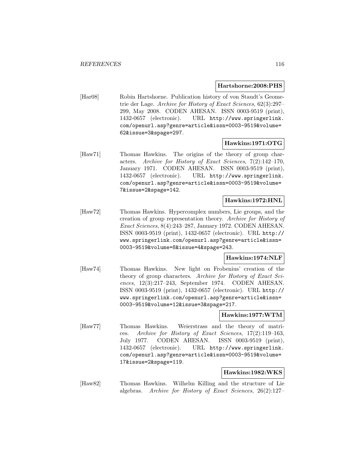#### **Hartshorne:2008:PHS**

[Har08] Robin Hartshorne. Publication history of von Staudt's Geometrie der Lage. Archive for History of Exact Sciences, 62(3):297– 299, May 2008. CODEN AHESAN. ISSN 0003-9519 (print), 1432-0657 (electronic). URL http://www.springerlink. com/openurl.asp?genre=article&issn=0003-9519&volume= 62&issue=3&spage=297.

# **Hawkins:1971:OTG**

[Haw71] Thomas Hawkins. The origins of the theory of group characters. Archive for History of Exact Sciences, 7(2):142–170, January 1971. CODEN AHESAN. ISSN 0003-9519 (print), 1432-0657 (electronic). URL http://www.springerlink. com/openurl.asp?genre=article&issn=0003-9519&volume= 7&issue=2&spage=142.

#### **Hawkins:1972:HNL**

[Haw72] Thomas Hawkins. Hypercomplex numbers, Lie groups, and the creation of group representation theory. Archive for History of Exact Sciences, 8(4):243–287, January 1972. CODEN AHESAN. ISSN 0003-9519 (print), 1432-0657 (electronic). URL http:// www.springerlink.com/openurl.asp?genre=article&issn= 0003-9519&volume=8&issue=4&spage=243.

## **Hawkins:1974:NLF**

[Haw74] Thomas Hawkins. New light on Frobenius' creation of the theory of group characters. Archive for History of Exact Sciences, 12(3):217–243, September 1974. CODEN AHESAN. ISSN 0003-9519 (print), 1432-0657 (electronic). URL http:// www.springerlink.com/openurl.asp?genre=article&issn= 0003-9519&volume=12&issue=3&spage=217.

#### **Hawkins:1977:WTM**

[Haw77] Thomas Hawkins. Weierstrass and the theory of matrices. Archive for History of Exact Sciences, 17(2):119–163, July 1977. CODEN AHESAN. ISSN 0003-9519 (print), 1432-0657 (electronic). URL http://www.springerlink. com/openurl.asp?genre=article&issn=0003-9519&volume= 17&issue=2&spage=119.

# **Hawkins:1982:WKS**

[Haw82] Thomas Hawkins. Wilhelm Killing and the structure of Lie algebras. Archive for History of Exact Sciences, 26(2):127–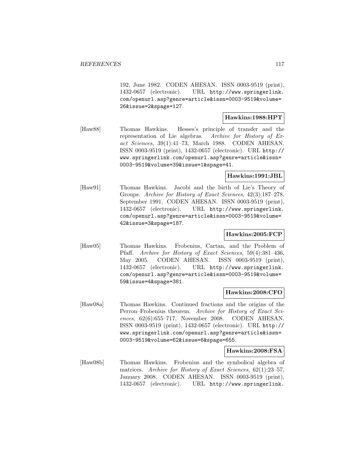192, June 1982. CODEN AHESAN. ISSN 0003-9519 (print), 1432-0657 (electronic). URL http://www.springerlink. com/openurl.asp?genre=article&issn=0003-9519&volume= 26&issue=2&spage=127.

# **Hawkins:1988:HPT**

[Haw88] Thomas Hawkins. Hesses's principle of transfer and the representation of Lie algebras. Archive for History of Exact Sciences, 39(1):41–73, March 1988. CODEN AHESAN. ISSN 0003-9519 (print), 1432-0657 (electronic). URL http:// www.springerlink.com/openurl.asp?genre=article&issn= 0003-9519&volume=39&issue=1&spage=41.

## **Hawkins:1991:JBL**

[Haw91] Thomas Hawkins. Jacobi and the birth of Lie's Theory of Groups. Archive for History of Exact Sciences, 42(3):187–278, September 1991. CODEN AHESAN. ISSN 0003-9519 (print), 1432-0657 (electronic). URL http://www.springerlink. com/openurl.asp?genre=article&issn=0003-9519&volume= 42&issue=3&spage=187.

## **Hawkins:2005:FCP**

[Haw05] Thomas Hawkins. Frobenius, Cartan, and the Problem of Pfaff. Archive for History of Exact Sciences, 59(4):381–436, May 2005. CODEN AHESAN. ISSN 0003-9519 (print), 1432-0657 (electronic). URL http://www.springerlink. com/openurl.asp?genre=article&issn=0003-9519&volume= 59&issue=4&spage=381.

## **Hawkins:2008:CFO**

[Haw08a] Thomas Hawkins. Continued fractions and the origins of the Perron–Frobenius theorem. Archive for History of Exact Sciences, 62(6):655–717, November 2008. CODEN AHESAN. ISSN 0003-9519 (print), 1432-0657 (electronic). URL http:// www.springerlink.com/openurl.asp?genre=article&issn= 0003-9519&volume=62&issue=6&spage=655.

#### **Hawkins:2008:FSA**

[Haw08b] Thomas Hawkins. Frobenius and the symbolical algebra of matrices. Archive for History of Exact Sciences, 62(1):23-57, January 2008. CODEN AHESAN. ISSN 0003-9519 (print), 1432-0657 (electronic). URL http://www.springerlink.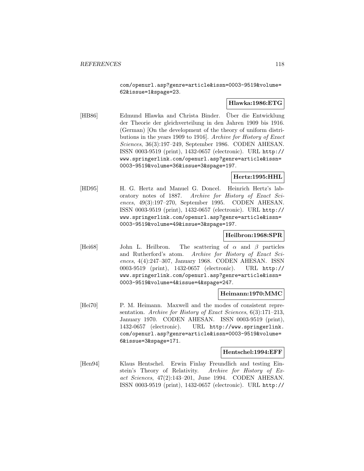com/openurl.asp?genre=article&issn=0003-9519&volume= 62&issue=1&spage=23.

# **Hlawka:1986:ETG**

[HB86] Edmund Hlawka and Christa Binder. Uber die Entwicklung der Theorie der gleichverteilung in den Jahren 1909 bis 1916. (German) [On the development of the theory of uniform distributions in the years 1909 to 1916]. Archive for History of Exact Sciences, 36(3):197–249, September 1986. CODEN AHESAN. ISSN 0003-9519 (print), 1432-0657 (electronic). URL http:// www.springerlink.com/openurl.asp?genre=article&issn= 0003-9519&volume=36&issue=3&spage=197.

**Hertz:1995:HHL**

[HD95] H. G. Hertz and Manuel G. Doncel. Heinrich Hertz's laboratory notes of 1887. Archive for History of Exact Sciences, 49(3):197–270, September 1995. CODEN AHESAN. ISSN 0003-9519 (print), 1432-0657 (electronic). URL http:// www.springerlink.com/openurl.asp?genre=article&issn= 0003-9519&volume=49&issue=3&spage=197.

# **Heilbron:1968:SPR**

[Hei68] John L. Heilbron. The scattering of  $\alpha$  and  $\beta$  particles and Rutherford's atom. Archive for History of Exact Sciences, 4(4):247–307, January 1968. CODEN AHESAN. ISSN 0003-9519 (print), 1432-0657 (electronic). URL http:// www.springerlink.com/openurl.asp?genre=article&issn= 0003-9519&volume=4&issue=4&spage=247.

## **Heimann:1970:MMC**

[Hei70] P. M. Heimann. Maxwell and the modes of consistent representation. Archive for History of Exact Sciences, 6(3):171–213, January 1970. CODEN AHESAN. ISSN 0003-9519 (print), 1432-0657 (electronic). URL http://www.springerlink. com/openurl.asp?genre=article&issn=0003-9519&volume= 6&issue=3&spage=171.

#### **Hentschel:1994:EFF**

[Hen94] Klaus Hentschel. Erwin Finlay Freundlich and testing Einstein's Theory of Relativity. Archive for History of Exact Sciences, 47(2):143–201, June 1994. CODEN AHESAN. ISSN 0003-9519 (print), 1432-0657 (electronic). URL http://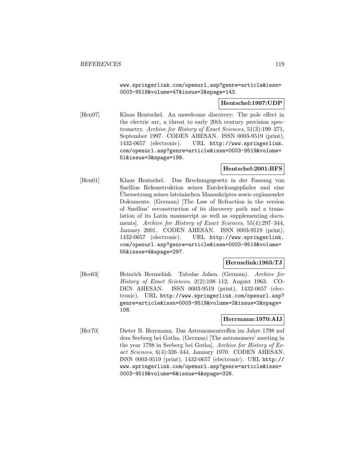www.springerlink.com/openurl.asp?genre=article&issn= 0003-9519&volume=47&issue=2&spage=143.

**Hentschel:1997:UDP**

[Hen97] Klaus Hentschel. An unwelcome discovery: The pole effect in the electric arc, a threat to early 20th century precision spectrometry. Archive for History of Exact Sciences, 51(3):199–271, September 1997. CODEN AHESAN. ISSN 0003-9519 (print), 1432-0657 (electronic). URL http://www.springerlink. com/openurl.asp?genre=article&issn=0003-9519&volume= 51&issue=3&spage=199.

## **Hentschel:2001:BFS**

[Hen01] Klaus Hentschel. Das Brechungsgesetz in der Fassung von Snellius Rekonstruktion seines Entdeckungspfades und eine Ubersetzung seines lateinischen Manuskriptes sowie ergänzender Dokumente. (German) [The Law of Refraction in the version of Snellius' reconstruction of its discovery path and a translation of its Latin manuscript as well as supplementing documents]. Archive for History of Exact Sciences, 55(4):297–344, January 2001. CODEN AHESAN. ISSN 0003-9519 (print), 1432-0657 (electronic). URL http://www.springerlink. com/openurl.asp?genre=article&issn=0003-9519&volume= 55&issue=4&spage=297.

## **Hermelink:1963:TJ**

[Her63] Heinrich Hermelink. Tabulae Jahen. (German). Archive for History of Exact Sciences, 2(2):108–112, August 1963. CO-DEN AHESAN. ISSN 0003-9519 (print), 1432-0657 (electronic). URL http://www.springerlink.com/openurl.asp? genre=article&issn=0003-9519&volume=2&issue=2&spage= 108.

## **Herrmann:1970:AIJ**

[Her70] Dieter B. Herrmann. Das Astronomentreffen im Jahre 1798 auf dem Seeberg bei Gotha. (German) [The astronomers' meeting in the year 1798 in Seeberg bei Gotha]. Archive for History of Exact Sciences, 6(4):326–344, January 1970. CODEN AHESAN. ISSN 0003-9519 (print), 1432-0657 (electronic). URL http:// www.springerlink.com/openurl.asp?genre=article&issn= 0003-9519&volume=6&issue=4&spage=326.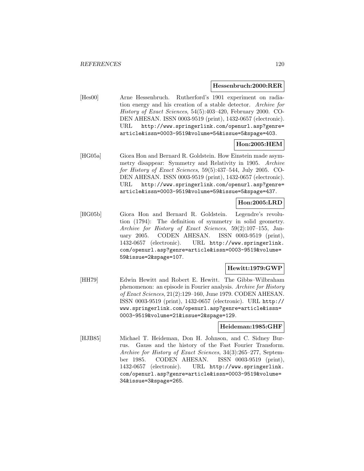#### **Hessenbruch:2000:RER**

[Hes00] Arne Hessenbruch. Rutherford's 1901 experiment on radiation energy and his creation of a stable detector. Archive for History of Exact Sciences, 54(5):403–420, February 2000. CO-DEN AHESAN. ISSN 0003-9519 (print), 1432-0657 (electronic). URL http://www.springerlink.com/openurl.asp?genre= article&issn=0003-9519&volume=54&issue=5&spage=403.

# **Hon:2005:HEM**

[HG05a] Giora Hon and Bernard R. Goldstein. How Einstein made asymmetry disappear: Symmetry and Relativity in 1905. Archive for History of Exact Sciences, 59(5):437–544, July 2005. CO-DEN AHESAN. ISSN 0003-9519 (print), 1432-0657 (electronic). URL http://www.springerlink.com/openurl.asp?genre= article&issn=0003-9519&volume=59&issue=5&spage=437.

#### **Hon:2005:LRD**

[HG05b] Giora Hon and Bernard R. Goldstein. Legendre's revolution (1794): The definition of symmetry in solid geometry. Archive for History of Exact Sciences, 59(2):107–155, January 2005. CODEN AHESAN. ISSN 0003-9519 (print), 1432-0657 (electronic). URL http://www.springerlink. com/openurl.asp?genre=article&issn=0003-9519&volume= 59&issue=2&spage=107.

## **Hewitt:1979:GWP**

[HH79] Edwin Hewitt and Robert E. Hewitt. The Gibbs–Wilbraham phenomenon: an episode in Fourier analysis. Archive for History of Exact Sciences, 21(2):129–160, June 1979. CODEN AHESAN. ISSN 0003-9519 (print), 1432-0657 (electronic). URL http:// www.springerlink.com/openurl.asp?genre=article&issn= 0003-9519&volume=21&issue=2&spage=129.

#### **Heideman:1985:GHF**

[HJB85] Michael T. Heideman, Don H. Johnson, and C. Sidney Burrus. Gauss and the history of the Fast Fourier Transform. Archive for History of Exact Sciences, 34(3):265–277, September 1985. CODEN AHESAN. ISSN 0003-9519 (print), 1432-0657 (electronic). URL http://www.springerlink. com/openurl.asp?genre=article&issn=0003-9519&volume= 34&issue=3&spage=265.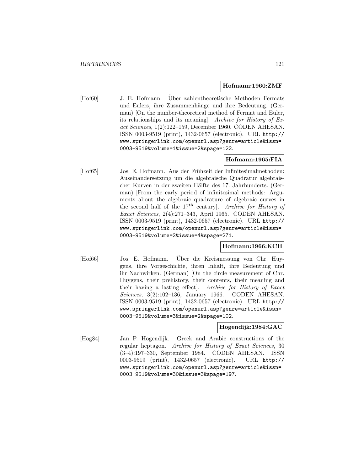#### **Hofmann:1960:ZMF**

[Hof60] J. E. Hofmann. Uber zahlentheoretische Methoden Fermats ¨ und Eulers, ihre Zusammenhänge und ihre Bedeutung. (German) [On the number-theoretical method of Fermat and Euler, its relationships and its meaning]. Archive for History of Exact Sciences, 1(2):122–159, December 1960. CODEN AHESAN. ISSN 0003-9519 (print), 1432-0657 (electronic). URL http:// www.springerlink.com/openurl.asp?genre=article&issn= 0003-9519&volume=1&issue=2&spage=122.

# **Hofmann:1965:FIA**

[Hof65] Jos. E. Hofmann. Aus der Frühzeit der Infinitesimalmethoden: Auseinandersetzung um die algebraische Quadratur algebraischer Kurven in der zweiten Hälfte des 17. Jahrhunderts. (German) [From the early period of infinitesimal methods: Arguments about the algebraic quadrature of algebraic curves in the second half of the  $17<sup>th</sup>$  century]. Archive for History of Exact Sciences, 2(4):271–343, April 1965. CODEN AHESAN. ISSN 0003-9519 (print), 1432-0657 (electronic). URL http:// www.springerlink.com/openurl.asp?genre=article&issn= 0003-9519&volume=2&issue=4&spage=271.

# **Hofmann:1966:KCH**

[Hof66] Jos. E. Hofmann. Uber die Kreismessung von Chr. Huy- ¨ gens, ihre Vorgeschichte, ihren Inhalt, ihre Bedeutung und ihr Nachwirken. (German) [On the circle measurement of Chr. Huygens, their prehistory, their contents, their meaning and their having a lasting effect]. Archive for History of Exact Sciences, 3(2):102-136, January 1966. CODEN AHESAN. ISSN 0003-9519 (print), 1432-0657 (electronic). URL http:// www.springerlink.com/openurl.asp?genre=article&issn= 0003-9519&volume=3&issue=2&spage=102.

## **Hogendijk:1984:GAC**

[Hog84] Jan P. Hogendijk. Greek and Arabic constructions of the regular heptagon. Archive for History of Exact Sciences, 30 (3–4):197–330, September 1984. CODEN AHESAN. ISSN 0003-9519 (print), 1432-0657 (electronic). URL http:// www.springerlink.com/openurl.asp?genre=article&issn= 0003-9519&volume=30&issue=3&spage=197.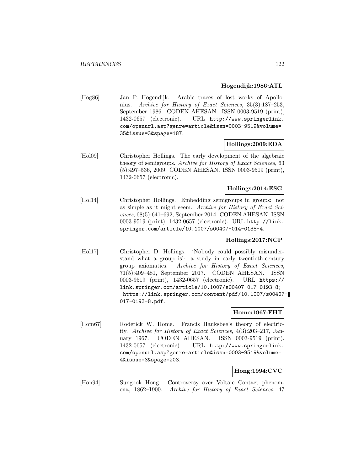#### **Hogendijk:1986:ATL**

[Hog86] Jan P. Hogendijk. Arabic traces of lost works of Apollonius. Archive for History of Exact Sciences, 35(3):187–253, September 1986. CODEN AHESAN. ISSN 0003-9519 (print), 1432-0657 (electronic). URL http://www.springerlink. com/openurl.asp?genre=article&issn=0003-9519&volume= 35&issue=3&spage=187.

#### **Hollings:2009:EDA**

[Hol09] Christopher Hollings. The early development of the algebraic theory of semigroups. Archive for History of Exact Sciences, 63 (5):497–536, 2009. CODEN AHESAN. ISSN 0003-9519 (print), 1432-0657 (electronic).

# **Hollings:2014:ESG**

[Hol14] Christopher Hollings. Embedding semigroups in groups: not as simple as it might seem. Archive for History of Exact Sciences, 68(5):641–692, September 2014. CODEN AHESAN. ISSN 0003-9519 (print), 1432-0657 (electronic). URL http://link. springer.com/article/10.1007/s00407-014-0138-4.

## **Hollings:2017:NCP**

[Hol17] Christopher D. Hollings. 'Nobody could possibly misunderstand what a group is': a study in early twentieth-century group axiomatics. Archive for History of Exact Sciences, 71(5):409–481, September 2017. CODEN AHESAN. ISSN 0003-9519 (print), 1432-0657 (electronic). URL https:// link.springer.com/article/10.1007/s00407-017-0193-8; https://link.springer.com/content/pdf/10.1007/s00407- 017-0193-8.pdf.

## **Home:1967:FHT**

[Hom67] Roderick W. Home. Francis Hauksbee's theory of electricity. Archive for History of Exact Sciences, 4(3):203–217, January 1967. CODEN AHESAN. ISSN 0003-9519 (print), 1432-0657 (electronic). URL http://www.springerlink. com/openurl.asp?genre=article&issn=0003-9519&volume= 4&issue=3&spage=203.

## **Hong:1994:CVC**

[Hon94] Sungook Hong. Controversy over Voltaic Contact phenomena, 1862–1900. Archive for History of Exact Sciences, 47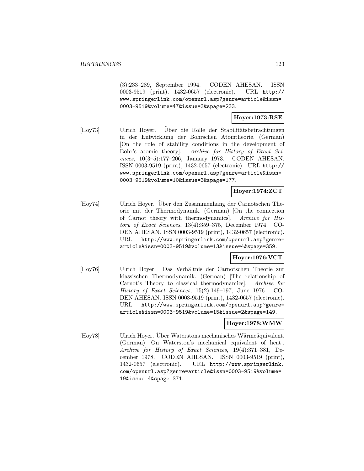(3):233–289, September 1994. CODEN AHESAN. ISSN 0003-9519 (print), 1432-0657 (electronic). URL http:// www.springerlink.com/openurl.asp?genre=article&issn= 0003-9519&volume=47&issue=3&spage=233.

# **Hoyer:1973:RSE**

[Hoy73] Ulrich Hoyer. Uber die Rolle der Stabilitätsbetrachtungen in der Entwicklung der Bohrschen Atomtheorie. (German) [On the role of stability conditions in the development of Bohr's atomic theory]. Archive for History of Exact Sciences, 10(3–5):177–206, January 1973. CODEN AHESAN. ISSN 0003-9519 (print), 1432-0657 (electronic). URL http:// www.springerlink.com/openurl.asp?genre=article&issn= 0003-9519&volume=10&issue=3&spage=177.

# **Hoyer:1974:ZCT**

[Hoy74] Ulrich Hoyer. Über den Zusammenhang der Carnotschen Theorie mit der Thermodynamik. (German) [On the connection of Carnot theory with thermodynamics]. Archive for History of Exact Sciences, 13(4):359–375, December 1974. CO-DEN AHESAN. ISSN 0003-9519 (print), 1432-0657 (electronic). URL http://www.springerlink.com/openurl.asp?genre= article&issn=0003-9519&volume=13&issue=4&spage=359.

# **Hoyer:1976:VCT**

[Hoy76] Ulrich Hoyer. Das Verhältnis der Carnotschen Theorie zur klassischen Thermodynamik. (German) [The relationship of Carnot's Theory to classical thermodynamics]. Archive for History of Exact Sciences, 15(2):149–197, June 1976. CO-DEN AHESAN. ISSN 0003-9519 (print), 1432-0657 (electronic). URL http://www.springerlink.com/openurl.asp?genre= article&issn=0003-9519&volume=15&issue=2&spage=149.

## **Hoyer:1978:WMW**

[Hoy78] Ulrich Hoyer. Uber Waterstons mechanisches Wärmeäquivalent. (German) [On Waterston's mechanical equivalent of heat]. Archive for History of Exact Sciences, 19(4):371–381, December 1978. CODEN AHESAN. ISSN 0003-9519 (print), 1432-0657 (electronic). URL http://www.springerlink. com/openurl.asp?genre=article&issn=0003-9519&volume= 19&issue=4&spage=371.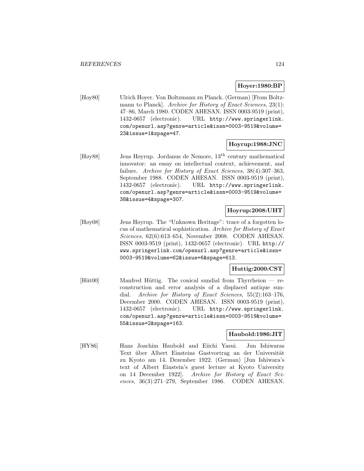# **Hoyer:1980:BP**

[Hoy80] Ulrich Hoyer. Von Boltzmann zu Planck. (German) [From Boltzmann to Planck]. Archive for History of Exact Sciences, 23(1): 47–86, March 1980. CODEN AHESAN. ISSN 0003-9519 (print), 1432-0657 (electronic). URL http://www.springerlink. com/openurl.asp?genre=article&issn=0003-9519&volume= 23&issue=1&spage=47.

## **Hoyrup:1988:JNC**

[Høy88] Jens Høyrup. Jordanus de Nemore, 13th century mathematical innovator: an essay on intellectual context, achievement, and failure. Archive for History of Exact Sciences, 38(4):307–363, September 1988. CODEN AHESAN. ISSN 0003-9519 (print), 1432-0657 (electronic). URL http://www.springerlink. com/openurl.asp?genre=article&issn=0003-9519&volume= 38&issue=4&spage=307.

# **Hoyrup:2008:UHT**

[Høy08] Jens Høyrup. The "Unknown Heritage": trace of a forgotten locus of mathematical sophistication. Archive for History of Exact Sciences, 62(6):613–654, November 2008. CODEN AHESAN. ISSN 0003-9519 (print), 1432-0657 (electronic). URL http:// www.springerlink.com/openurl.asp?genre=article&issn= 0003-9519&volume=62&issue=6&spage=613.

## **Huttig:2000:CST**

[Hüt00] Manfred Hüttig. The conical sundial from Thyrrheion  $-$  reconstruction and error analysis of a displaced antique sundial. Archive for History of Exact Sciences, 55(2):163–176, December 2000. CODEN AHESAN. ISSN 0003-9519 (print), 1432-0657 (electronic). URL http://www.springerlink. com/openurl.asp?genre=article&issn=0003-9519&volume= 55&issue=2&spage=163.

## **Haubold:1986:JIT**

[HY86] Hans Joachim Haubold and Eiichi Yasui. Jun Ishiwaras Text über Albert Einsteins Gastvortrag an der Universität zu Kyoto am 14. Dezember 1922. (German) [Jun Ishiwara's text of Albert Einstein's guest lecture at Kyoto University on 14 December 1922]. Archive for History of Exact Sciences, 36(3):271–279, September 1986. CODEN AHESAN.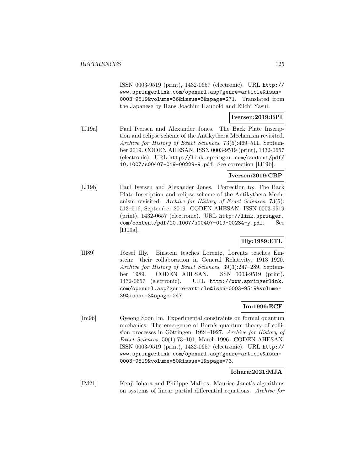ISSN 0003-9519 (print), 1432-0657 (electronic). URL http:// www.springerlink.com/openurl.asp?genre=article&issn= 0003-9519&volume=36&issue=3&spage=271. Translated from the Japanese by Hans Joachim Haubold and Eiichi Yasui.

# **Iversen:2019:BPI**

[IJ19a] Paul Iversen and Alexander Jones. The Back Plate Inscription and eclipse scheme of the Antikythera Mechanism revisited. Archive for History of Exact Sciences, 73(5):469–511, September 2019. CODEN AHESAN. ISSN 0003-9519 (print), 1432-0657 (electronic). URL http://link.springer.com/content/pdf/ 10.1007/s00407-019-00229-9.pdf. See correction [IJ19b].

# **Iversen:2019:CBP**

[IJ19b] Paul Iversen and Alexander Jones. Correction to: The Back Plate Inscription and eclipse scheme of the Antikythera Mechanism revisited. Archive for History of Exact Sciences, 73(5): 513–516, September 2019. CODEN AHESAN. ISSN 0003-9519 (print), 1432-0657 (electronic). URL http://link.springer. com/content/pdf/10.1007/s00407-019-00234-y.pdf. See [IJ19a].

# **Illy:1989:ETL**

[Ill89] J´ozsef Illy. Einstein teaches Lorentz, Lorentz teaches Einstein: their collaboration in General Relativity, 1913–1920. Archive for History of Exact Sciences, 39(3):247–289, September 1989. CODEN AHESAN. ISSN 0003-9519 (print), 1432-0657 (electronic). URL http://www.springerlink. com/openurl.asp?genre=article&issn=0003-9519&volume= 39&issue=3&spage=247.

## **Im:1996:ECF**

[Im96] Gyeong Soon Im. Experimental constraints on formal quantum mechanics: The emergence of Born's quantum theory of collision processes in Göttingen, 1924–1927. Archive for History of Exact Sciences, 50(1):73–101, March 1996. CODEN AHESAN. ISSN 0003-9519 (print), 1432-0657 (electronic). URL http:// www.springerlink.com/openurl.asp?genre=article&issn= 0003-9519&volume=50&issue=1&spage=73.

## **Iohara:2021:MJA**

[IM21] Kenji Iohara and Philippe Malbos. Maurice Janet's algorithms on systems of linear partial differential equations. Archive for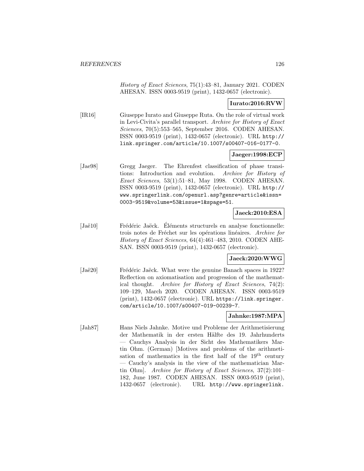History of Exact Sciences, 75(1):43–81, January 2021. CODEN AHESAN. ISSN 0003-9519 (print), 1432-0657 (electronic).

## **Iurato:2016:RVW**

[IR16] Giuseppe Iurato and Giuseppe Ruta. On the role of virtual work in Levi-Civita's parallel transport. Archive for History of Exact Sciences, 70(5):553–565, September 2016. CODEN AHESAN. ISSN 0003-9519 (print), 1432-0657 (electronic). URL http:// link.springer.com/article/10.1007/s00407-016-0177-0.

# **Jaeger:1998:ECP**

[Jae98] Gregg Jaeger. The Ehrenfest classification of phase transitions: Introduction and evolution. Archive for History of Exact Sciences, 53(1):51–81, May 1998. CODEN AHESAN. ISSN 0003-9519 (print), 1432-0657 (electronic). URL http:// www.springerlink.com/openurl.asp?genre=article&issn= 0003-9519&volume=53&issue=1&spage=51.

## **Jaeck:2010:ESA**

[Jaë10] Frédéric Jaëck. Eléments structurels en analyse fonctionnelle: trois notes de Fréchet sur les opérations linéaires. Archive for History of Exact Sciences, 64(4):461–483, 2010. CODEN AHE-SAN. ISSN 0003-9519 (print), 1432-0657 (electronic).

# **Jaeck:2020:WWG**

[Jaë20] Frédéric Jaëck. What were the genuine Banach spaces in 1922? Reflection on axiomatisation and progression of the mathematical thought. Archive for History of Exact Sciences, 74(2): 109–129, March 2020. CODEN AHESAN. ISSN 0003-9519 (print), 1432-0657 (electronic). URL https://link.springer. com/article/10.1007/s00407-019-00239-7.

# **Jahnke:1987:MPA**

[Jah87] Hans Niels Jahnke. Motive und Probleme der Arithmetisierung der Mathematik in der ersten Hälfte des 19. Jahrhunderts — Cauchys Analysis in der Sicht des Mathematikers Martin Ohm. (German) [Motives and problems of the arithmetisation of mathematics in the first half of the  $19<sup>th</sup>$  century — Cauchy's analysis in the view of the mathematician Martin Ohm]. Archive for History of Exact Sciences, 37(2):101– 182, June 1987. CODEN AHESAN. ISSN 0003-9519 (print), 1432-0657 (electronic). URL http://www.springerlink.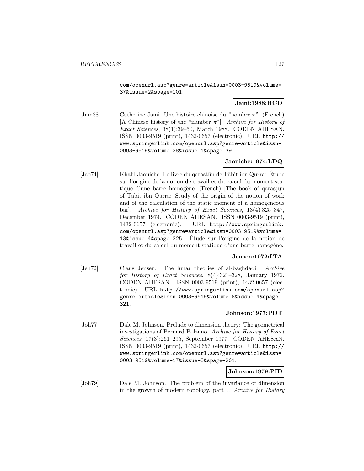com/openurl.asp?genre=article&issn=0003-9519&volume= 37&issue=2&spage=101.

# **Jami:1988:HCD**

[Jam88] Catherine Jami. Une histoire chinoise du "nombre π". (French) [A Chinese history of the "number  $\pi$ "]. Archive for History of Exact Sciences, 38(1):39–50, March 1988. CODEN AHESAN. ISSN 0003-9519 (print), 1432-0657 (electronic). URL http:// www.springerlink.com/openurl.asp?genre=article&issn= 0003-9519&volume=38&issue=1&spage=39.

# **Jaouiche:1974:LDQ**

[Jao74] Khalil Jaouiche. Le livre du qarastūn de Tābit ibn Qurra: Étude sur l'origine de la notion de travail et du calcul du moment statique d'une barre homogène. (French) [The book of qarastern of Tābit ibn Qurra: Study of the origin of the notion of work and of the calculation of the static moment of a homogeneous bar]. Archive for History of Exact Sciences, 13(4):325–347, December 1974. CODEN AHESAN. ISSN 0003-9519 (print), 1432-0657 (electronic). URL http://www.springerlink. com/openurl.asp?genre=article&issn=0003-9519&volume= 13&issue=4&spage=325. Etude sur l'origine de la notion de ´ travail et du calcul du moment statique d'une barre homogène.

# **Jensen:1972:LTA**

[Jen72] Claus Jensen. The lunar theories of al-baghdadi. Archive for History of Exact Sciences, 8(4):321–328, January 1972. CODEN AHESAN. ISSN 0003-9519 (print), 1432-0657 (electronic). URL http://www.springerlink.com/openurl.asp? genre=article&issn=0003-9519&volume=8&issue=4&spage= 321.

# **Johnson:1977:PDT**

[Joh77] Dale M. Johnson. Prelude to dimension theory: The geometrical investigations of Bernard Bolzano. Archive for History of Exact Sciences, 17(3):261–295, September 1977. CODEN AHESAN. ISSN 0003-9519 (print), 1432-0657 (electronic). URL http:// www.springerlink.com/openurl.asp?genre=article&issn= 0003-9519&volume=17&issue=3&spage=261.

## **Johnson:1979:PID**

[Joh79] Dale M. Johnson. The problem of the invariance of dimension in the growth of modern topology, part I. Archive for History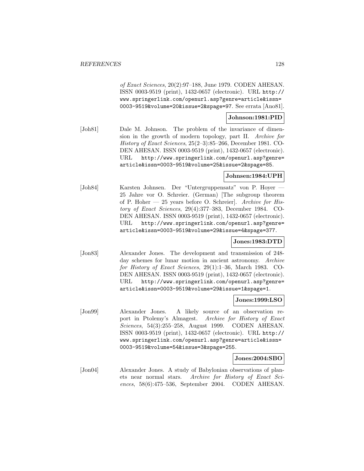of Exact Sciences, 20(2):97–188, June 1979. CODEN AHESAN. ISSN 0003-9519 (print), 1432-0657 (electronic). URL http:// www.springerlink.com/openurl.asp?genre=article&issn= 0003-9519&volume=20&issue=2&spage=97. See errata [Ano81].

# **Johnson:1981:PID**

[Joh81] Dale M. Johnson. The problem of the invariance of dimension in the growth of modern topology, part II. Archive for History of Exact Sciences, 25(2–3):85–266, December 1981. CO-DEN AHESAN. ISSN 0003-9519 (print), 1432-0657 (electronic). URL http://www.springerlink.com/openurl.asp?genre= article&issn=0003-9519&volume=25&issue=2&spage=85.

# **Johnsen:1984:UPH**

[Joh84] Karsten Johnsen. Der "Untergruppensatz" von P. Hoyer — 25 Jahre vor O. Schreier. (German) [The subgroup theorem of P. Hoher  $-25$  years before O. Schreier]. Archive for History of Exact Sciences, 29(4):377–383, December 1984. CO-DEN AHESAN. ISSN 0003-9519 (print), 1432-0657 (electronic). URL http://www.springerlink.com/openurl.asp?genre= article&issn=0003-9519&volume=29&issue=4&spage=377.

## **Jones:1983:DTD**

[Jon83] Alexander Jones. The development and transmission of 248 day schemes for lunar motion in ancient astronomy. Archive for History of Exact Sciences, 29(1):1–36, March 1983. CO-DEN AHESAN. ISSN 0003-9519 (print), 1432-0657 (electronic). URL http://www.springerlink.com/openurl.asp?genre= article&issn=0003-9519&volume=29&issue=1&spage=1.

## **Jones:1999:LSO**

[Jon99] Alexander Jones. A likely source of an observation report in Ptolemy's Almagest. Archive for History of Exact Sciences, 54(3):255–258, August 1999. CODEN AHESAN. ISSN 0003-9519 (print), 1432-0657 (electronic). URL http:// www.springerlink.com/openurl.asp?genre=article&issn= 0003-9519&volume=54&issue=3&spage=255.

# **Jones:2004:SBO**

[Jon04] Alexander Jones. A study of Babylonian observations of planets near normal stars. Archive for History of Exact Sciences, 58(6):475–536, September 2004. CODEN AHESAN.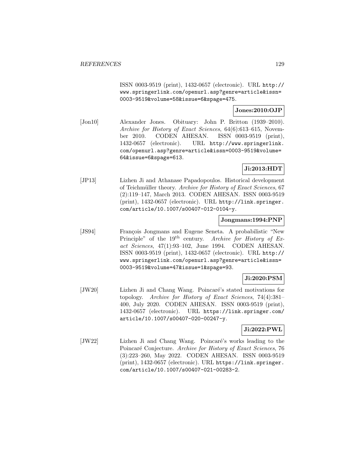ISSN 0003-9519 (print), 1432-0657 (electronic). URL http:// www.springerlink.com/openurl.asp?genre=article&issn= 0003-9519&volume=58&issue=6&spage=475.

# **Jones:2010:OJP**

[Jon10] Alexander Jones. Obituary: John P. Britton (1939–2010). Archive for History of Exact Sciences, 64(6):613–615, November 2010. CODEN AHESAN. ISSN 0003-9519 (print), 1432-0657 (electronic). URL http://www.springerlink. com/openurl.asp?genre=article&issn=0003-9519&volume= 64&issue=6&spage=613.

# **Ji:2013:HDT**

[JP13] Lizhen Ji and Athanase Papadopoulos. Historical development of Teichmüller theory. Archive for History of Exact Sciences, 67 (2):119–147, March 2013. CODEN AHESAN. ISSN 0003-9519 (print), 1432-0657 (electronic). URL http://link.springer. com/article/10.1007/s00407-012-0104-y.

# **Jongmans:1994:PNP**

[JS94] François Jongmans and Eugene Seneta. A probabilistic "New Principle" of the 19<sup>th</sup> century. Archive for History of Exact Sciences, 47(1):93–102, June 1994. CODEN AHESAN. ISSN 0003-9519 (print), 1432-0657 (electronic). URL http:// www.springerlink.com/openurl.asp?genre=article&issn= 0003-9519&volume=47&issue=1&spage=93.

# **Ji:2020:PSM**

[JW20] Lizhen Ji and Chang Wang. Poincaré's stated motivations for topology. Archive for History of Exact Sciences, 74(4):381– 400, July 2020. CODEN AHESAN. ISSN 0003-9519 (print), 1432-0657 (electronic). URL https://link.springer.com/ article/10.1007/s00407-020-00247-y.

# **Ji:2022:PWL**

[JW22] Lizhen Ji and Chang Wang. Poincaré's works leading to the Poincaré Conjecture. Archive for History of Exact Sciences, 76 (3):223–260, May 2022. CODEN AHESAN. ISSN 0003-9519 (print), 1432-0657 (electronic). URL https://link.springer. com/article/10.1007/s00407-021-00283-2.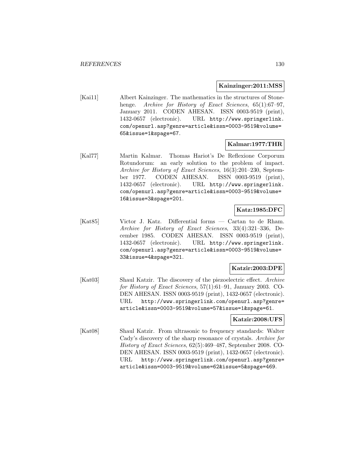#### **Kainzinger:2011:MSS**

[Kai11] Albert Kainzinger. The mathematics in the structures of Stonehenge. Archive for History of Exact Sciences, 65(1):67-97, January 2011. CODEN AHESAN. ISSN 0003-9519 (print), 1432-0657 (electronic). URL http://www.springerlink. com/openurl.asp?genre=article&issn=0003-9519&volume= 65&issue=1&spage=67.

#### **Kalmar:1977:THR**

[Kal77] Martin Kalmar. Thomas Hariot's De Reflexione Corporum Rotundorum: an early solution to the problem of impact. Archive for History of Exact Sciences, 16(3):201–230, September 1977. CODEN AHESAN. ISSN 0003-9519 (print), 1432-0657 (electronic). URL http://www.springerlink. com/openurl.asp?genre=article&issn=0003-9519&volume= 16&issue=3&spage=201.

## **Katz:1985:DFC**

[Kat85] Victor J. Katz. Differential forms — Cartan to de Rham. Archive for History of Exact Sciences, 33(4):321–336, December 1985. CODEN AHESAN. ISSN 0003-9519 (print), 1432-0657 (electronic). URL http://www.springerlink. com/openurl.asp?genre=article&issn=0003-9519&volume= 33&issue=4&spage=321.

## **Katzir:2003:DPE**

[Kat03] Shaul Katzir. The discovery of the piezoelectric effect. Archive for History of Exact Sciences, 57(1):61–91, January 2003. CO-DEN AHESAN. ISSN 0003-9519 (print), 1432-0657 (electronic). URL http://www.springerlink.com/openurl.asp?genre= article&issn=0003-9519&volume=57&issue=1&spage=61.

## **Katzir:2008:UFS**

[Kat08] Shaul Katzir. From ultrasonic to frequency standards: Walter Cady's discovery of the sharp resonance of crystals. Archive for History of Exact Sciences, 62(5):469–487, September 2008. CO-DEN AHESAN. ISSN 0003-9519 (print), 1432-0657 (electronic). URL http://www.springerlink.com/openurl.asp?genre= article&issn=0003-9519&volume=62&issue=5&spage=469.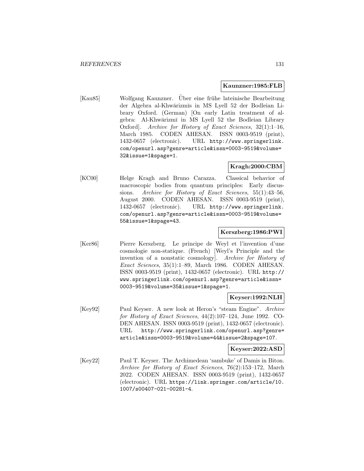#### **Kaunzner:1985:FLB**

[Kau85] Wolfgang Kaunzner. Uber eine frühe lateinische Bearbeitung der Algebra al-Khwārizmīs in MS Lyell 52 der Bodleian Library Oxford. (German) [On early Latin treatment of algebra: Al-Khwārizmī in MS Lyell 52 the Bodleian Library Oxford]. Archive for History of Exact Sciences, 32(1):1–16, March 1985. CODEN AHESAN. ISSN 0003-9519 (print), 1432-0657 (electronic). URL http://www.springerlink. com/openurl.asp?genre=article&issn=0003-9519&volume= 32&issue=1&spage=1.

# **Kragh:2000:CBM**

[KC00] Helge Kragh and Bruno Carazza. Classical behavior of macroscopic bodies from quantum principles: Early discussions. Archive for History of Exact Sciences, 55(1):43–56, August 2000. CODEN AHESAN. ISSN 0003-9519 (print), 1432-0657 (electronic). URL http://www.springerlink. com/openurl.asp?genre=article&issn=0003-9519&volume= 55&issue=1&spage=43.

## **Kerszberg:1986:PWI**

[Ker86] Pierre Kerszberg. Le principe de Weyl et l'invention d'une cosmologie non-statique. (French) [Weyl's Principle and the invention of a nonstatic cosmology]. Archive for History of Exact Sciences, 35(1):1–89, March 1986. CODEN AHESAN. ISSN 0003-9519 (print), 1432-0657 (electronic). URL http:// www.springerlink.com/openurl.asp?genre=article&issn= 0003-9519&volume=35&issue=1&spage=1.

## **Keyser:1992:NLH**

[Key92] Paul Keyser. A new look at Heron's "steam Engine". Archive for History of Exact Sciences, 44(2):107–124, June 1992. CO-DEN AHESAN. ISSN 0003-9519 (print), 1432-0657 (electronic). URL http://www.springerlink.com/openurl.asp?genre= article&issn=0003-9519&volume=44&issue=2&spage=107.

#### **Keyser:2022:ASD**

[Key22] Paul T. Keyser. The Archimedean 'sambuke' of Damis in Biton. Archive for History of Exact Sciences, 76(2):153–172, March 2022. CODEN AHESAN. ISSN 0003-9519 (print), 1432-0657 (electronic). URL https://link.springer.com/article/10. 1007/s00407-021-00281-4.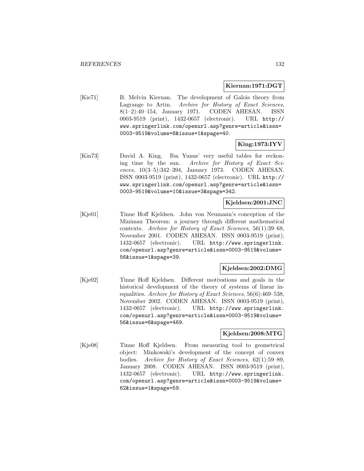#### **Kiernan:1971:DGT**

[Kie71] B. Melvin Kiernan. The development of Galois theory from Lagrange to Artin. Archive for History of Exact Sciences, 8(1–2):40–154, January 1971. CODEN AHESAN. ISSN 0003-9519 (print), 1432-0657 (electronic). URL http:// www.springerlink.com/openurl.asp?genre=article&issn= 0003-9519&volume=8&issue=1&spage=40.

# **King:1973:IYV**

[Kin73] David A. King. Ibn Yunus' very useful tables for reckoning time by the sun. Archive for History of Exact Sciences, 10(3–5):342–394, January 1973. CODEN AHESAN. ISSN 0003-9519 (print), 1432-0657 (electronic). URL http:// www.springerlink.com/openurl.asp?genre=article&issn= 0003-9519&volume=10&issue=3&spage=342.

# **Kjeldsen:2001:JNC**

[Kje01] Tinne Hoff Kjeldsen. John von Neumann's conception of the Minimax Theorem: a journey through different mathematical contexts. Archive for History of Exact Sciences, 56(1):39–68, November 2001. CODEN AHESAN. ISSN 0003-9519 (print), 1432-0657 (electronic). URL http://www.springerlink. com/openurl.asp?genre=article&issn=0003-9519&volume= 56&issue=1&spage=39.

## **Kjeldsen:2002:DMG**

[Kje02] Tinne Hoff Kjeldsen. Different motivations and goals in the historical development of the theory of systems of linear inequalities. Archive for History of Exact Sciences, 56(6):469–538, November 2002. CODEN AHESAN. ISSN 0003-9519 (print), 1432-0657 (electronic). URL http://www.springerlink. com/openurl.asp?genre=article&issn=0003-9519&volume= 56&issue=6&spage=469.

#### **Kjeldsen:2008:MTG**

[Kje08] Tinne Hoff Kjeldsen. From measuring tool to geometrical object: Minkowski's development of the concept of convex bodies. Archive for History of Exact Sciences, 62(1):59–89, January 2008. CODEN AHESAN. ISSN 0003-9519 (print), 1432-0657 (electronic). URL http://www.springerlink. com/openurl.asp?genre=article&issn=0003-9519&volume= 62&issue=1&spage=59.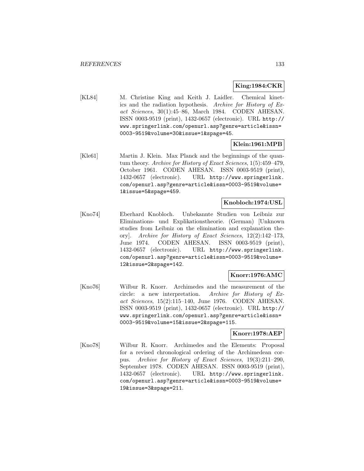## **King:1984:CKR**

[KL84] M. Christine King and Keith J. Laidler. Chemical kinetics and the radiation hypothesis. Archive for History of Exact Sciences, 30(1):45–86, March 1984. CODEN AHESAN. ISSN 0003-9519 (print), 1432-0657 (electronic). URL http:// www.springerlink.com/openurl.asp?genre=article&issn= 0003-9519&volume=30&issue=1&spage=45.

# **Klein:1961:MPB**

[Kle61] Martin J. Klein. Max Planck and the beginnings of the quantum theory. Archive for History of Exact Sciences, 1(5):459–479, October 1961. CODEN AHESAN. ISSN 0003-9519 (print), 1432-0657 (electronic). URL http://www.springerlink. com/openurl.asp?genre=article&issn=0003-9519&volume= 1&issue=5&spage=459.

# **Knobloch:1974:USL**

[Kno74] Eberhard Knobloch. Unbekannte Studien von Leibniz zur Eliminations- und Explikationstheorie. (German) [Unknown studies from Leibniz on the elimination and explanation theory]. Archive for History of Exact Sciences, 12(2):142–173, June 1974. CODEN AHESAN. ISSN 0003-9519 (print), 1432-0657 (electronic). URL http://www.springerlink. com/openurl.asp?genre=article&issn=0003-9519&volume= 12&issue=2&spage=142.

## **Knorr:1976:AMC**

[Kno76] Wilbur R. Knorr. Archimedes and the measurement of the circle: a new interpretation. Archive for History of Exact Sciences, 15(2):115–140, June 1976. CODEN AHESAN. ISSN 0003-9519 (print), 1432-0657 (electronic). URL http:// www.springerlink.com/openurl.asp?genre=article&issn= 0003-9519&volume=15&issue=2&spage=115.

## **Knorr:1978:AEP**

[Kno78] Wilbur R. Knorr. Archimedes and the Elements: Proposal for a revised chronological ordering of the Archimedean corpus. Archive for History of Exact Sciences, 19(3):211–290, September 1978. CODEN AHESAN. ISSN 0003-9519 (print), 1432-0657 (electronic). URL http://www.springerlink. com/openurl.asp?genre=article&issn=0003-9519&volume= 19&issue=3&spage=211.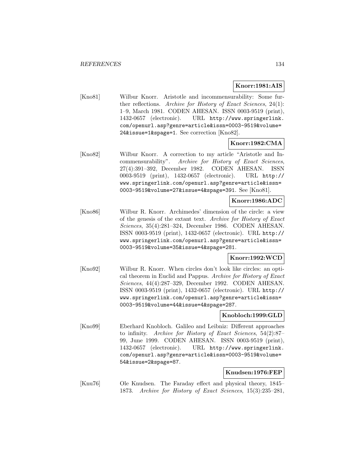## **Knorr:1981:AIS**

[Kno81] Wilbur Knorr. Aristotle and incommensurability: Some further reflections. Archive for History of Exact Sciences, 24(1): 1–9, March 1981. CODEN AHESAN. ISSN 0003-9519 (print), 1432-0657 (electronic). URL http://www.springerlink. com/openurl.asp?genre=article&issn=0003-9519&volume= 24&issue=1&spage=1. See correction [Kno82].

# **Knorr:1982:CMA**

[Kno82] Wilbur Knorr. A correction to my article "Aristotle and Incommensurability". Archive for History of Exact Sciences, 27(4):391–392, December 1982. CODEN AHESAN. ISSN 0003-9519 (print), 1432-0657 (electronic). URL http:// www.springerlink.com/openurl.asp?genre=article&issn= 0003-9519&volume=27&issue=4&spage=391. See [Kno81].

#### **Knorr:1986:ADC**

[Kno86] Wilbur R. Knorr. Archimedes' dimension of the circle: a view of the genesis of the extant text. Archive for History of Exact Sciences, 35(4):281–324, December 1986. CODEN AHESAN. ISSN 0003-9519 (print), 1432-0657 (electronic). URL http:// www.springerlink.com/openurl.asp?genre=article&issn= 0003-9519&volume=35&issue=4&spage=281.

## **Knorr:1992:WCD**

[Kno92] Wilbur R. Knorr. When circles don't look like circles: an optical theorem in Euclid and Pappus. Archive for History of Exact Sciences, 44(4):287–329, December 1992. CODEN AHESAN. ISSN 0003-9519 (print), 1432-0657 (electronic). URL http:// www.springerlink.com/openurl.asp?genre=article&issn= 0003-9519&volume=44&issue=4&spage=287.

## **Knobloch:1999:GLD**

[Kno99] Eberhard Knobloch. Galileo and Leibniz: Different approaches to infinity. Archive for History of Exact Sciences, 54(2):87– 99, June 1999. CODEN AHESAN. ISSN 0003-9519 (print), 1432-0657 (electronic). URL http://www.springerlink. com/openurl.asp?genre=article&issn=0003-9519&volume= 54&issue=2&spage=87.

## **Knudsen:1976:FEP**

[Knu76] Ole Knudsen. The Faraday effect and physical theory, 1845– 1873. Archive for History of Exact Sciences, 15(3):235–281,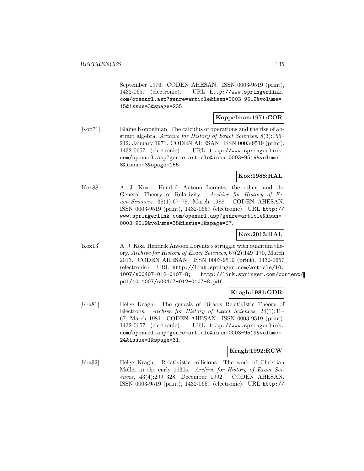September 1976. CODEN AHESAN. ISSN 0003-9519 (print), 1432-0657 (electronic). URL http://www.springerlink. com/openurl.asp?genre=article&issn=0003-9519&volume= 15&issue=3&spage=235.

# **Koppelman:1971:COR**

[Kop71] Elaine Koppelman. The calculus of operations and the rise of abstract algebra. Archive for History of Exact Sciences, 8(3):155– 242, January 1971. CODEN AHESAN. ISSN 0003-9519 (print), 1432-0657 (electronic). URL http://www.springerlink. com/openurl.asp?genre=article&issn=0003-9519&volume= 8&issue=3&spage=155.

# **Kox:1988:HAL**

[Kox88] A. J. Kox. Hendrik Antoon Lorentz, the ether, and the General Theory of Relativity. Archive for History of Exact Sciences, 38(1):67–78, March 1988. CODEN AHESAN. ISSN 0003-9519 (print), 1432-0657 (electronic). URL http:// www.springerlink.com/openurl.asp?genre=article&issn= 0003-9519&volume=38&issue=1&spage=67.

# **Kox:2013:HAL**

[Kox13] A. J. Kox. Hendrik Antoon Lorentz's struggle with quantum theory. Archive for History of Exact Sciences, 67(2):149–170, March 2013. CODEN AHESAN. ISSN 0003-9519 (print), 1432-0657 (electronic). URL http://link.springer.com/article/10. 1007/s00407-012-0107-8; http://link.springer.com/content/ pdf/10.1007/s00407-012-0107-8.pdf.

## **Kragh:1981:GDR**

[Kra81] Helge Kragh. The genesis of Dirac's Relativistic Theory of Electrons. Archive for History of Exact Sciences, 24(1):31– 67, March 1981. CODEN AHESAN. ISSN 0003-9519 (print), 1432-0657 (electronic). URL http://www.springerlink. com/openurl.asp?genre=article&issn=0003-9519&volume= 24&issue=1&spage=31.

## **Kragh:1992:RCW**

[Kra92] Helge Kragh. Relativistic collisions: The work of Christian Møller in the early 1930s. Archive for History of Exact Sciences, 43(4):299–328, December 1992. CODEN AHESAN. ISSN 0003-9519 (print), 1432-0657 (electronic). URL http://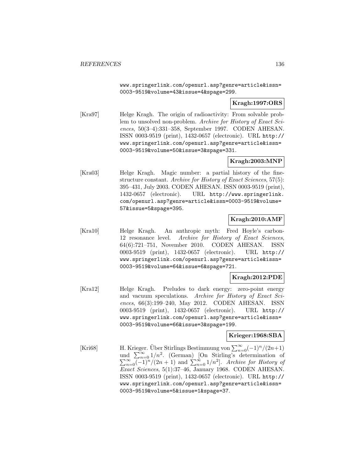www.springerlink.com/openurl.asp?genre=article&issn= 0003-9519&volume=43&issue=4&spage=299.

# **Kragh:1997:ORS**

[Kra97] Helge Kragh. The origin of radioactivity: From solvable problem to unsolved non-problem. Archive for History of Exact Sciences, 50(3–4):331–358, September 1997. CODEN AHESAN. ISSN 0003-9519 (print), 1432-0657 (electronic). URL http:// www.springerlink.com/openurl.asp?genre=article&issn= 0003-9519&volume=50&issue=3&spage=331.

# **Kragh:2003:MNP**

[Kra03] Helge Kragh. Magic number: a partial history of the finestructure constant. Archive for History of Exact Sciences, 57(5): 395–431, July 2003. CODEN AHESAN. ISSN 0003-9519 (print), 1432-0657 (electronic). URL http://www.springerlink. com/openurl.asp?genre=article&issn=0003-9519&volume= 57&issue=5&spage=395.

# **Kragh:2010:AMF**

[Kra10] Helge Kragh. An anthropic myth: Fred Hoyle's carbon-12 resonance level. Archive for History of Exact Sciences, 64(6):721–751, November 2010. CODEN AHESAN. ISSN 0003-9519 (print), 1432-0657 (electronic). URL http:// www.springerlink.com/openurl.asp?genre=article&issn= 0003-9519&volume=64&issue=6&spage=721.

# **Kragh:2012:PDE**

[Kra12] Helge Kragh. Preludes to dark energy: zero-point energy and vacuum speculations. Archive for History of Exact Sciences, 66(3):199–240, May 2012. CODEN AHESAN. ISSN 0003-9519 (print), 1432-0657 (electronic). URL http:// www.springerlink.com/openurl.asp?genre=article&issn= 0003-9519&volume=66&issue=3&spage=199.

# **Krieger:1968:SBA**

[Kri68] H. Krieger. Über Stirlings Bestimmung von  $\sum_{n=0}^{\infty} (-1)^n/(2n+1)$ und  $\sum_{n=0}^{\infty} 1/n^2$ . (German) [On Stirling's determination of  $\sum_{n=0}^{\infty}$  $\frac{(-1)^n}{(2n+1)}$  and  $\sum_{n=0}^{\infty} 1/n^2$ . Archive for History of Exact Sciences, 5(1):37–46, January 1968. CODEN AHESAN. ISSN 0003-9519 (print), 1432-0657 (electronic). URL http:// www.springerlink.com/openurl.asp?genre=article&issn= 0003-9519&volume=5&issue=1&spage=37.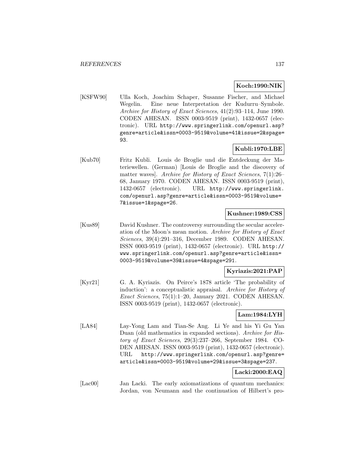## **Koch:1990:NIK**

[KSFW90] Ulla Koch, Joachim Schaper, Susanne Fischer, and Michael Wegelin. Eine neue Interpretation der Kudurru–Symbole. Archive for History of Exact Sciences, 41(2):93–114, June 1990. CODEN AHESAN. ISSN 0003-9519 (print), 1432-0657 (electronic). URL http://www.springerlink.com/openurl.asp? genre=article&issn=0003-9519&volume=41&issue=2&spage= 93.

# **Kubli:1970:LBE**

[Kub70] Fritz Kubli. Louis de Broglie und die Entdeckung der Materiewellen. (German) [Louis de Broglie and the discovery of matter waves]. Archive for History of Exact Sciences, 7(1):26– 68, January 1970. CODEN AHESAN. ISSN 0003-9519 (print), 1432-0657 (electronic). URL http://www.springerlink. com/openurl.asp?genre=article&issn=0003-9519&volume= 7&issue=1&spage=26.

## **Kushner:1989:CSS**

[Kus89] David Kushner. The controversy surrounding the secular acceleration of the Moon's mean motion. Archive for History of Exact Sciences, 39(4):291–316, December 1989. CODEN AHESAN. ISSN 0003-9519 (print), 1432-0657 (electronic). URL http:// www.springerlink.com/openurl.asp?genre=article&issn= 0003-9519&volume=39&issue=4&spage=291.

# **Kyriazis:2021:PAP**

[Kyr21] G. A. Kyriazis. On Peirce's 1878 article 'The probability of induction': a conceptualistic appraisal. Archive for History of Exact Sciences, 75(1):1–20, January 2021. CODEN AHESAN. ISSN 0003-9519 (print), 1432-0657 (electronic).

# **Lam:1984:LYH**

[LA84] Lay-Yong Lam and Tian-Se Ang. Li Ye and his Yi Gu Yan Duan (old mathematics in expanded sections). Archive for History of Exact Sciences, 29(3):237–266, September 1984. CO-DEN AHESAN. ISSN 0003-9519 (print), 1432-0657 (electronic). URL http://www.springerlink.com/openurl.asp?genre= article&issn=0003-9519&volume=29&issue=3&spage=237.

# **Lacki:2000:EAQ**

[Lac00] Jan Lacki. The early axiomatizations of quantum mechanics: Jordan, von Neumann and the continuation of Hilbert's pro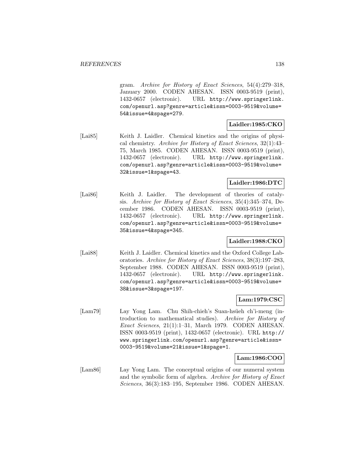gram. Archive for History of Exact Sciences, 54(4):279–318, January 2000. CODEN AHESAN. ISSN 0003-9519 (print), 1432-0657 (electronic). URL http://www.springerlink. com/openurl.asp?genre=article&issn=0003-9519&volume= 54&issue=4&spage=279.

## **Laidler:1985:CKO**

[Lai85] Keith J. Laidler. Chemical kinetics and the origins of physical chemistry. Archive for History of Exact Sciences, 32(1):43– 75, March 1985. CODEN AHESAN. ISSN 0003-9519 (print), 1432-0657 (electronic). URL http://www.springerlink. com/openurl.asp?genre=article&issn=0003-9519&volume= 32&issue=1&spage=43.

# **Laidler:1986:DTC**

[Lai86] Keith J. Laidler. The development of theories of catalysis. Archive for History of Exact Sciences, 35(4):345–374, December 1986. CODEN AHESAN. ISSN 0003-9519 (print), 1432-0657 (electronic). URL http://www.springerlink. com/openurl.asp?genre=article&issn=0003-9519&volume= 35&issue=4&spage=345.

## **Laidler:1988:CKO**

[Lai88] Keith J. Laidler. Chemical kinetics and the Oxford College Laboratories. Archive for History of Exact Sciences, 38(3):197–283, September 1988. CODEN AHESAN. ISSN 0003-9519 (print), 1432-0657 (electronic). URL http://www.springerlink. com/openurl.asp?genre=article&issn=0003-9519&volume= 38&issue=3&spage=197.

## **Lam:1979:CSC**

[Lam79] Lay Yong Lam. Chu Shih-chieh's Suan-hsüeh ch'i-meng (introduction to mathematical studies). Archive for History of Exact Sciences, 21(1):1–31, March 1979. CODEN AHESAN. ISSN 0003-9519 (print), 1432-0657 (electronic). URL http:// www.springerlink.com/openurl.asp?genre=article&issn= 0003-9519&volume=21&issue=1&spage=1.

## **Lam:1986:COO**

[Lam86] Lay Yong Lam. The conceptual origins of our numeral system and the symbolic form of algebra. Archive for History of Exact Sciences, 36(3):183–195, September 1986. CODEN AHESAN.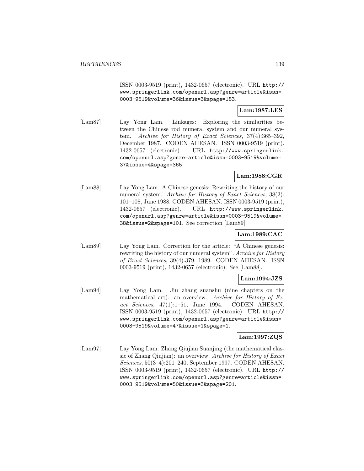ISSN 0003-9519 (print), 1432-0657 (electronic). URL http:// www.springerlink.com/openurl.asp?genre=article&issn= 0003-9519&volume=36&issue=3&spage=183.

# **Lam:1987:LES**

[Lam87] Lay Yong Lam. Linkages: Exploring the similarities between the Chinese rod numeral system and our numeral system. Archive for History of Exact Sciences, 37(4):365–392, December 1987. CODEN AHESAN. ISSN 0003-9519 (print), 1432-0657 (electronic). URL http://www.springerlink. com/openurl.asp?genre=article&issn=0003-9519&volume= 37&issue=4&spage=365.

# **Lam:1988:CGR**

[Lam88] Lay Yong Lam. A Chinese genesis: Rewriting the history of our numeral system. Archive for History of Exact Sciences, 38(2): 101–108, June 1988. CODEN AHESAN. ISSN 0003-9519 (print), 1432-0657 (electronic). URL http://www.springerlink. com/openurl.asp?genre=article&issn=0003-9519&volume= 38&issue=2&spage=101. See correction [Lam89].

# **Lam:1989:CAC**

[Lam89] Lay Yong Lam. Correction for the article: "A Chinese genesis: rewriting the history of our numeral system". Archive for History of Exact Sciences, 39(4):379, 1989. CODEN AHESAN. ISSN 0003-9519 (print), 1432-0657 (electronic). See [Lam88].

# **Lam:1994:JZS**

[Lam94] Lay Yong Lam. Jiu zhang suanshu (nine chapters on the mathematical art): an overview. Archive for History of Exact Sciences, 47(1):1–51, June 1994. CODEN AHESAN. ISSN 0003-9519 (print), 1432-0657 (electronic). URL http:// www.springerlink.com/openurl.asp?genre=article&issn= 0003-9519&volume=47&issue=1&spage=1.

## **Lam:1997:ZQS**

[Lam97] Lay Yong Lam. Zhang Qiujian Suanjing (the mathematical classic of Zhang Qiujian): an overview. Archive for History of Exact Sciences, 50(3–4):201–240, September 1997. CODEN AHESAN. ISSN 0003-9519 (print), 1432-0657 (electronic). URL http:// www.springerlink.com/openurl.asp?genre=article&issn= 0003-9519&volume=50&issue=3&spage=201.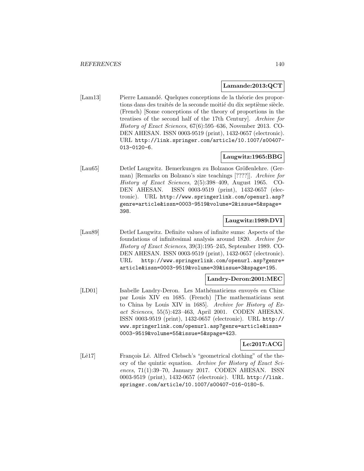#### **Lamande:2013:QCT**

[Lam13] Pierre Lamandé. Quelques conceptions de la théorie des proportions dans des traités de la seconde moitié du dix septième siècle. (French) [Some conceptions of the theory of proportions in the treatises of the second half of the 17th Century]. Archive for History of Exact Sciences, 67(6):595–636, November 2013. CO-DEN AHESAN. ISSN 0003-9519 (print), 1432-0657 (electronic). URL http://link.springer.com/article/10.1007/s00407- 013-0120-6.

# **Laugwitz:1965:BBG**

[Lau65] Detlef Laugwitz. Bemerkungen zu Bolzanos Größenlehre. (German) [Remarks on Bolzano's size teachings [????]]. Archive for History of Exact Sciences, 2(5):398–409, August 1965. CO-DEN AHESAN. ISSN 0003-9519 (print), 1432-0657 (electronic). URL http://www.springerlink.com/openurl.asp? genre=article&issn=0003-9519&volume=2&issue=5&spage= 398.

# **Laugwitz:1989:DVI**

[Lau89] Detlef Laugwitz. Definite values of infinite sums: Aspects of the foundations of infinitesimal analysis around 1820. Archive for History of Exact Sciences, 39(3):195–245, September 1989. CO-DEN AHESAN. ISSN 0003-9519 (print), 1432-0657 (electronic). URL http://www.springerlink.com/openurl.asp?genre= article&issn=0003-9519&volume=39&issue=3&spage=195.

## **Landry-Deron:2001:MEC**

[LD01] Isabelle Landry-Deron. Les Mathématiciens envoyés en Chine par Louis XIV en 1685. (French) [The mathematicians sent to China by Louis XIV in 1685]. Archive for History of Exact Sciences, 55(5):423–463, April 2001. CODEN AHESAN. ISSN 0003-9519 (print), 1432-0657 (electronic). URL http:// www.springerlink.com/openurl.asp?genre=article&issn= 0003-9519&volume=55&issue=5&spage=423.

# **Le:2017:ACG**

[Lê17] François Lê. Alfred Clebsch's "geometrical clothing" of the theory of the quintic equation. Archive for History of Exact Sciences, 71(1):39–70, January 2017. CODEN AHESAN. ISSN 0003-9519 (print), 1432-0657 (electronic). URL http://link. springer.com/article/10.1007/s00407-016-0180-5.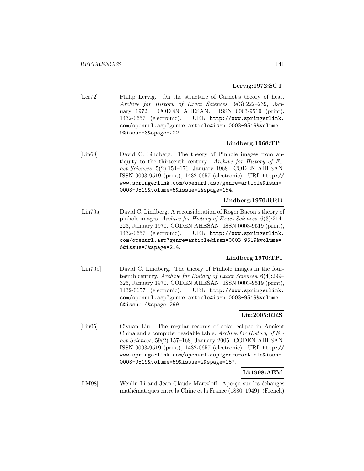# **Lervig:1972:SCT**

[Ler72] Philip Lervig. On the structure of Carnot's theory of heat. Archive for History of Exact Sciences, 9(3):222–239, January 1972. CODEN AHESAN. ISSN 0003-9519 (print), 1432-0657 (electronic). URL http://www.springerlink. com/openurl.asp?genre=article&issn=0003-9519&volume= 9&issue=3&spage=222.

# **Lindberg:1968:TPI**

[Lin68] David C. Lindberg. The theory of Pinhole images from antiquity to the thirteenth century. Archive for History of Exact Sciences, 5(2):154–176, January 1968. CODEN AHESAN. ISSN 0003-9519 (print), 1432-0657 (electronic). URL http:// www.springerlink.com/openurl.asp?genre=article&issn= 0003-9519&volume=5&issue=2&spage=154.

## **Lindberg:1970:RRB**

[Lin70a] David C. Lindberg. A reconsideration of Roger Bacon's theory of pinhole images. Archive for History of Exact Sciences, 6(3):214– 223, January 1970. CODEN AHESAN. ISSN 0003-9519 (print), 1432-0657 (electronic). URL http://www.springerlink. com/openurl.asp?genre=article&issn=0003-9519&volume= 6&issue=3&spage=214.

# **Lindberg:1970:TPI**

[Lin70b] David C. Lindberg. The theory of Pinhole images in the fourteenth century. Archive for History of Exact Sciences, 6(4):299– 325, January 1970. CODEN AHESAN. ISSN 0003-9519 (print), 1432-0657 (electronic). URL http://www.springerlink. com/openurl.asp?genre=article&issn=0003-9519&volume= 6&issue=4&spage=299.

# **Liu:2005:RRS**

[Liu05] Ciyuan Liu. The regular records of solar eclipse in Ancient China and a computer readable table. Archive for History of Exact Sciences, 59(2):157–168, January 2005. CODEN AHESAN. ISSN 0003-9519 (print), 1432-0657 (electronic). URL http:// www.springerlink.com/openurl.asp?genre=article&issn= 0003-9519&volume=59&issue=2&spage=157.

# **Li:1998:AEM**

[LM98] Wenlin Li and Jean-Claude Martzloff. Aperçu sur les échanges mathématiques entre la Chine et la France (1880–1949). (French)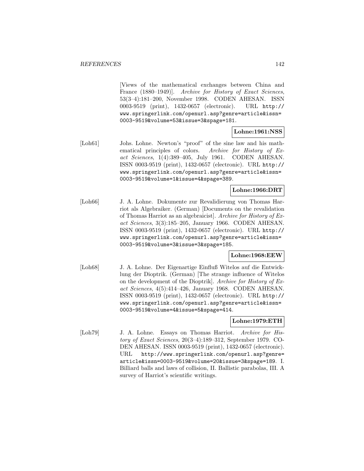[Views of the mathematical exchanges between China and France (1880–1949)]. Archive for History of Exact Sciences, 53(3–4):181–200, November 1998. CODEN AHESAN. ISSN 0003-9519 (print), 1432-0657 (electronic). URL http:// www.springerlink.com/openurl.asp?genre=article&issn= 0003-9519&volume=53&issue=3&spage=181.

## **Lohne:1961:NSS**

[Loh61] Johs. Lohne. Newton's "proof" of the sine law and his mathematical principles of colors. Archive for History of Exact Sciences, 1(4):389–405, July 1961. CODEN AHESAN. ISSN 0003-9519 (print), 1432-0657 (electronic). URL http:// www.springerlink.com/openurl.asp?genre=article&issn= 0003-9519&volume=1&issue=4&spage=389.

# **Lohne:1966:DRT**

[Loh66] J. A. Lohne. Dokumente zur Revalidierung von Thomas Harriot als Algebraiker. (German) [Documents on the revalidation of Thomas Harriot as an algebraicist]. Archive for History of Exact Sciences, 3(3):185–205, January 1966. CODEN AHESAN. ISSN 0003-9519 (print), 1432-0657 (electronic). URL http:// www.springerlink.com/openurl.asp?genre=article&issn= 0003-9519&volume=3&issue=3&spage=185.

## **Lohne:1968:EEW**

[Loh68] J. A. Lohne. Der Eigenartige Einfluß Witelos auf die Entwicklung der Dioptrik. (German) [The strange influence of Witelos on the development of the Dioptrik]. Archive for History of Exact Sciences, 4(5):414–426, January 1968. CODEN AHESAN. ISSN 0003-9519 (print), 1432-0657 (electronic). URL http:// www.springerlink.com/openurl.asp?genre=article&issn= 0003-9519&volume=4&issue=5&spage=414.

## **Lohne:1979:ETH**

[Loh79] J. A. Lohne. Essays on Thomas Harriot. Archive for History of Exact Sciences, 20(3–4):189–312, September 1979. CO-DEN AHESAN. ISSN 0003-9519 (print), 1432-0657 (electronic). URL http://www.springerlink.com/openurl.asp?genre= article&issn=0003-9519&volume=20&issue=3&spage=189. I. Billiard balls and laws of collision, II. Ballistic parabolas, III. A survey of Harriot's scientific writings.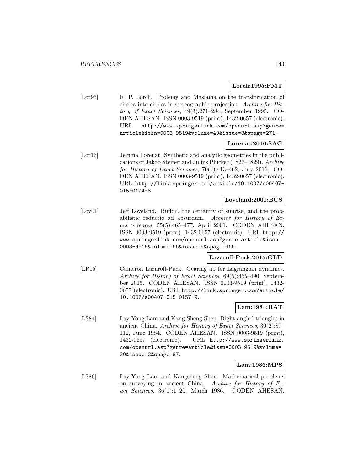## **Lorch:1995:PMT**

[Lor95] R. P. Lorch. Ptolemy and Maslama on the transformation of circles into circles in stereographic projection. Archive for History of Exact Sciences, 49(3):271–284, September 1995. CO-DEN AHESAN. ISSN 0003-9519 (print), 1432-0657 (electronic). URL http://www.springerlink.com/openurl.asp?genre= article&issn=0003-9519&volume=49&issue=3&spage=271.

# **Lorenat:2016:SAG**

[Lor16] Jemma Lorenat. Synthetic and analytic geometries in the publications of Jakob Steiner and Julius Plücker (1827–1829). Archive for History of Exact Sciences, 70(4):413–462, July 2016. CO-DEN AHESAN. ISSN 0003-9519 (print), 1432-0657 (electronic). URL http://link.springer.com/article/10.1007/s00407- 015-0174-8.

# **Loveland:2001:BCS**

[Lov01] Jeff Loveland. Buffon, the certainty of sunrise, and the probabilistic reductio ad absurdum. Archive for History of Exact Sciences, 55(5):465–477, April 2001. CODEN AHESAN. ISSN 0003-9519 (print), 1432-0657 (electronic). URL http:// www.springerlink.com/openurl.asp?genre=article&issn= 0003-9519&volume=55&issue=5&spage=465.

## **Lazaroff-Puck:2015:GLD**

[LP15] Cameron Lazaroff-Puck. Gearing up for Lagrangian dynamics. Archive for History of Exact Sciences, 69(5):455–490, September 2015. CODEN AHESAN. ISSN 0003-9519 (print), 1432- 0657 (electronic). URL http://link.springer.com/article/ 10.1007/s00407-015-0157-9.

#### **Lam:1984:RAT**

[LS84] Lay Yong Lam and Kang Sheng Shen. Right-angled triangles in ancient China. Archive for History of Exact Sciences, 30(2):87– 112, June 1984. CODEN AHESAN. ISSN 0003-9519 (print), 1432-0657 (electronic). URL http://www.springerlink. com/openurl.asp?genre=article&issn=0003-9519&volume= 30&issue=2&spage=87.

## **Lam:1986:MPS**

[LS86] Lay-Yong Lam and Kangsheng Shen. Mathematical problems on surveying in ancient China. Archive for History of Exact Sciences, 36(1):1–20, March 1986. CODEN AHESAN.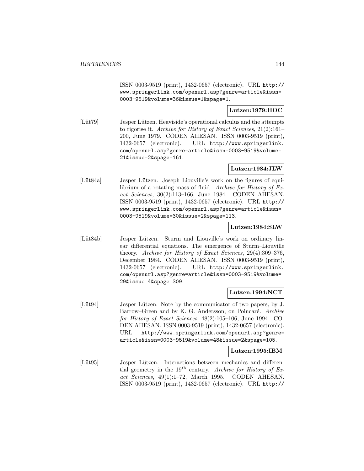ISSN 0003-9519 (print), 1432-0657 (electronic). URL http:// www.springerlink.com/openurl.asp?genre=article&issn= 0003-9519&volume=36&issue=1&spage=1.

# **Lutzen:1979:HOC**

[L¨ut79] Jesper L¨utzen. Heaviside's operational calculus and the attempts to rigorise it. Archive for History of Exact Sciences, 21(2):161– 200, June 1979. CODEN AHESAN. ISSN 0003-9519 (print), 1432-0657 (electronic). URL http://www.springerlink. com/openurl.asp?genre=article&issn=0003-9519&volume= 21&issue=2&spage=161.

## **Lutzen:1984:JLW**

[Lüt84a] Jesper Lützen. Joseph Liouville's work on the figures of equilibrium of a rotating mass of fluid. Archive for History of Exact Sciences, 30(2):113–166, June 1984. CODEN AHESAN. ISSN 0003-9519 (print), 1432-0657 (electronic). URL http:// www.springerlink.com/openurl.asp?genre=article&issn= 0003-9519&volume=30&issue=2&spage=113.

#### **Lutzen:1984:SLW**

[Lüt84b] Jesper Lützen. Sturm and Liouville's work on ordinary linear differential equations. The emergence of Sturm–Liouville theory. Archive for History of Exact Sciences, 29(4):309–376, December 1984. CODEN AHESAN. ISSN 0003-9519 (print), 1432-0657 (electronic). URL http://www.springerlink. com/openurl.asp?genre=article&issn=0003-9519&volume= 29&issue=4&spage=309.

#### **Lutzen:1994:NCT**

[Lüt94] Jesper Lützen. Note by the communicator of two papers, by J. Barrow–Green and by K. G. Andersson, on Poincaré. Archive for History of Exact Sciences, 48(2):105–106, June 1994. CO-DEN AHESAN. ISSN 0003-9519 (print), 1432-0657 (electronic). URL http://www.springerlink.com/openurl.asp?genre= article&issn=0003-9519&volume=48&issue=2&spage=105.

## **Lutzen:1995:IBM**

[Lüt95] Jesper Lützen. Interactions between mechanics and differential geometry in the 19<sup>th</sup> century. Archive for History of Exact Sciences,  $49(1):1-72$ , March 1995. CODEN AHESAN. ISSN 0003-9519 (print), 1432-0657 (electronic). URL http://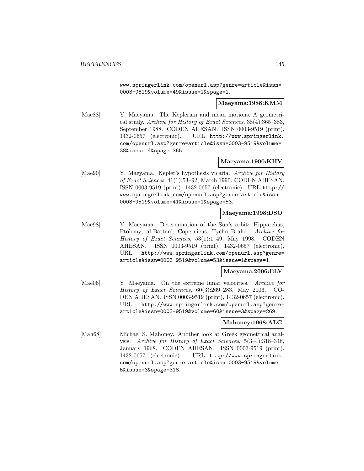www.springerlink.com/openurl.asp?genre=article&issn= 0003-9519&volume=49&issue=1&spage=1.

### **Maeyama:1988:KMM**

[Mae88] Y. Maeyama. The Keplerian and mean motions. A geometrical study. Archive for History of Exact Sciences, 38(4):365–383, September 1988. CODEN AHESAN. ISSN 0003-9519 (print), 1432-0657 (electronic). URL http://www.springerlink. com/openurl.asp?genre=article&issn=0003-9519&volume= 38&issue=4&spage=365.

## **Maeyama:1990:KHV**

[Mae90] Y. Maeyama. Kepler's hypothesis vicaria. Archive for History of Exact Sciences, 41(1):53–92, March 1990. CODEN AHESAN. ISSN 0003-9519 (print), 1432-0657 (electronic). URL http:// www.springerlink.com/openurl.asp?genre=article&issn= 0003-9519&volume=41&issue=1&spage=53.

### **Maeyama:1998:DSO**

[Mae98] Y. Maeyama. Determination of the Sun's orbit: Hipparchus, Ptolemy, al-Battani, Copernicus, Tycho Brahe. Archive for History of Exact Sciences, 53(1):1–49, May 1998. CODEN AHESAN. ISSN 0003-9519 (print), 1432-0657 (electronic). URL http://www.springerlink.com/openurl.asp?genre= article&issn=0003-9519&volume=53&issue=1&spage=1.

#### **Maeyama:2006:ELV**

[Mae06] Y. Maeyama. On the extreme lunar velocities. Archive for History of Exact Sciences, 60(3):269–283, May 2006. CO-DEN AHESAN. ISSN 0003-9519 (print), 1432-0657 (electronic). URL http://www.springerlink.com/openurl.asp?genre= article&issn=0003-9519&volume=60&issue=3&spage=269.

#### **Mahoney:1968:ALG**

[Mah68] Michael S. Mahoney. Another look at Greek geometrical analysis. Archive for History of Exact Sciences, 5(3–4):318–348, January 1968. CODEN AHESAN. ISSN 0003-9519 (print), 1432-0657 (electronic). URL http://www.springerlink. com/openurl.asp?genre=article&issn=0003-9519&volume= 5&issue=3&spage=318.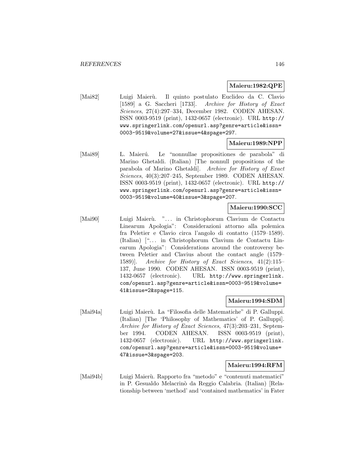### **Maieru:1982:QPE**

[Mai82] Luigi Maier`u. Il quinto postulato Euclideo da C. Clavio [1589] a G. Saccheri [1733]. Archive for History of Exact Sciences, 27(4):297–334, December 1982. CODEN AHESAN. ISSN 0003-9519 (print), 1432-0657 (electronic). URL http:// www.springerlink.com/openurl.asp?genre=article&issn= 0003-9519&volume=27&issue=4&spage=297.

### **Maieru:1989:NPP**

[Mai89] L. Maierú. Le "nonnullae propositiones de parabola" di Marino Ghetaldi. (Italian) [The nonnull propositions of the parabola of Marino Ghetaldi]. Archive for History of Exact Sciences, 40(3):207–245, September 1989. CODEN AHESAN. ISSN 0003-9519 (print), 1432-0657 (electronic). URL http:// www.springerlink.com/openurl.asp?genre=article&issn= 0003-9519&volume=40&issue=3&spage=207.

## **Maieru:1990:SCC**

[Mai90] Luigi Maier`u. "... in Christophorum Clavium de Contactu Linearum Apologia": Considerazioni attorno alla polemica fra Peletier e Clavio circa l'angolo di contatto (1579–1589). (Italian) ["... in Christophorum Clavium de Contactu Linearum Apologia": Considerations around the controversy between Peletier and Clavius about the contact angle (1579– 1589)]. Archive for History of Exact Sciences, 41(2):115– 137, June 1990. CODEN AHESAN. ISSN 0003-9519 (print), 1432-0657 (electronic). URL http://www.springerlink. com/openurl.asp?genre=article&issn=0003-9519&volume= 41&issue=2&spage=115.

### **Maieru:1994:SDM**

[Mai94a] Luigi Maier`u. La "Filosofia delle Matematiche" di P. Galluppi. (Italian) [The 'Philosophy of Mathematics' of P. Galluppi]. Archive for History of Exact Sciences, 47(3):203–231, September 1994. CODEN AHESAN. ISSN 0003-9519 (print), 1432-0657 (electronic). URL http://www.springerlink. com/openurl.asp?genre=article&issn=0003-9519&volume= 47&issue=3&spage=203.

### **Maieru:1994:RFM**

[Mai94b] Luigi Maierù. Rapporto fra "metodo" e "contenuti matematici" in P. Gesualdo Melacrinò da Reggio Calabria. (Italian) [Relationship between 'method' and 'contained mathematics' in Fater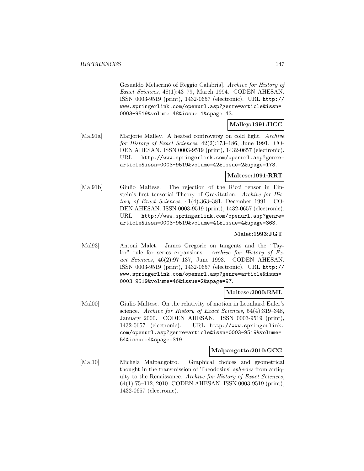Gesualdo Melacrinò of Reggio Calabria]. Archive for History of Exact Sciences, 48(1):43–79, March 1994. CODEN AHESAN. ISSN 0003-9519 (print), 1432-0657 (electronic). URL http:// www.springerlink.com/openurl.asp?genre=article&issn= 0003-9519&volume=48&issue=1&spage=43.

# **Malley:1991:HCC**

[Mal91a] Marjorie Malley. A heated controversy on cold light. Archive for History of Exact Sciences, 42(2):173–186, June 1991. CO-DEN AHESAN. ISSN 0003-9519 (print), 1432-0657 (electronic). URL http://www.springerlink.com/openurl.asp?genre= article&issn=0003-9519&volume=42&issue=2&spage=173.

# **Maltese:1991:RRT**

[Mal91b] Giulio Maltese. The rejection of the Ricci tensor in Einstein's first tensorial Theory of Gravitation. Archive for History of Exact Sciences, 41(4):363–381, December 1991. CO-DEN AHESAN. ISSN 0003-9519 (print), 1432-0657 (electronic). URL http://www.springerlink.com/openurl.asp?genre= article&issn=0003-9519&volume=41&issue=4&spage=363.

# **Malet:1993:JGT**

[Mal93] Antoni Malet. James Gregorie on tangents and the "Taylor" rule for series expansions. Archive for History of Exact Sciences, 46(2):97–137, June 1993. CODEN AHESAN. ISSN 0003-9519 (print), 1432-0657 (electronic). URL http:// www.springerlink.com/openurl.asp?genre=article&issn= 0003-9519&volume=46&issue=2&spage=97.

## **Maltese:2000:RML**

[Mal00] Giulio Maltese. On the relativity of motion in Leonhard Euler's science. Archive for History of Exact Sciences, 54(4):319–348, January 2000. CODEN AHESAN. ISSN 0003-9519 (print), 1432-0657 (electronic). URL http://www.springerlink. com/openurl.asp?genre=article&issn=0003-9519&volume= 54&issue=4&spage=319.

### **Malpangotto:2010:GCG**

[Mal10] Michela Malpangotto. Graphical choices and geometrical thought in the transmission of Theodosius' spherics from antiquity to the Renaissance. Archive for History of Exact Sciences, 64(1):75–112, 2010. CODEN AHESAN. ISSN 0003-9519 (print), 1432-0657 (electronic).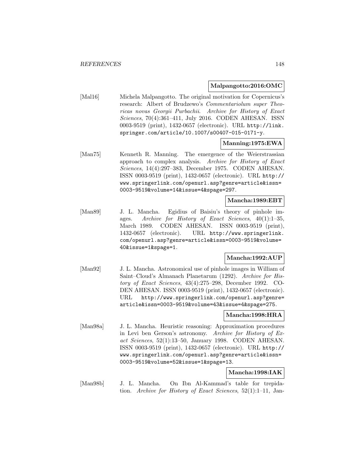## **Malpangotto:2016:OMC**

[Mal16] Michela Malpangotto. The original motivation for Copernicus's research: Albert of Brudzewo's Commentariolum super Theoricas novas Georgii Purbachii. Archive for History of Exact Sciences, 70(4):361–411, July 2016. CODEN AHESAN. ISSN 0003-9519 (print), 1432-0657 (electronic). URL http://link. springer.com/article/10.1007/s00407-015-0171-y.

# **Manning:1975:EWA**

[Man75] Kenneth R. Manning. The emergence of the Weierstrassian approach to complex analysis. Archive for History of Exact Sciences, 14(4):297–383, December 1975. CODEN AHESAN. ISSN 0003-9519 (print), 1432-0657 (electronic). URL http:// www.springerlink.com/openurl.asp?genre=article&issn= 0003-9519&volume=14&issue=4&spage=297.

### **Mancha:1989:EBT**

[Man89] J. L. Mancha. Egidius of Baisiu's theory of pinhole images. Archive for History of Exact Sciences, 40(1):1–35, March 1989. CODEN AHESAN. ISSN 0003-9519 (print), 1432-0657 (electronic). URL http://www.springerlink. com/openurl.asp?genre=article&issn=0003-9519&volume= 40&issue=1&spage=1.

# **Mancha:1992:AUP**

[Man92] J. L. Mancha. Astronomical use of pinhole images in William of Saint–Cloud's Almanach Planetarum (1292). Archive for History of Exact Sciences, 43(4):275–298, December 1992. CO-DEN AHESAN. ISSN 0003-9519 (print), 1432-0657 (electronic). URL http://www.springerlink.com/openurl.asp?genre= article&issn=0003-9519&volume=43&issue=4&spage=275.

# **Mancha:1998:HRA**

[Man98a] J. L. Mancha. Heuristic reasoning: Approximation procedures in Levi ben Gerson's astronomy. Archive for History of Exact Sciences, 52(1):13–50, January 1998. CODEN AHESAN. ISSN 0003-9519 (print), 1432-0657 (electronic). URL http:// www.springerlink.com/openurl.asp?genre=article&issn= 0003-9519&volume=52&issue=1&spage=13.

## **Mancha:1998:IAK**

[Man98b] J. L. Mancha. On Ibn Al-Kammad's table for trepidation. Archive for History of Exact Sciences, 52(1):1–11, Jan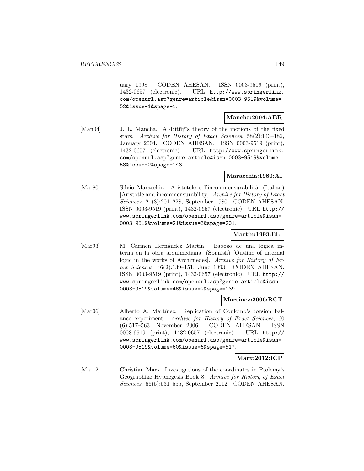uary 1998. CODEN AHESAN. ISSN 0003-9519 (print), 1432-0657 (electronic). URL http://www.springerlink. com/openurl.asp?genre=article&issn=0003-9519&volume= 52&issue=1&spage=1.

## **Mancha:2004:ABR**

[Man04] J. L. Mancha. Al-Bitujī's theory of the motions of the fixed stars. Archive for History of Exact Sciences, 58(2):143–182, January 2004. CODEN AHESAN. ISSN 0003-9519 (print), 1432-0657 (electronic). URL http://www.springerlink. com/openurl.asp?genre=article&issn=0003-9519&volume= 58&issue=2&spage=143.

## **Maracchia:1980:AI**

[Mar80] Silvio Maracchia. Aristotele e l'incommensurabilit`a. (Italian) [Aristotle and incommensurability]. Archive for History of Exact Sciences, 21(3):201–228, September 1980. CODEN AHESAN. ISSN 0003-9519 (print), 1432-0657 (electronic). URL http:// www.springerlink.com/openurl.asp?genre=article&issn= 0003-9519&volume=21&issue=3&spage=201.

# **Martin:1993:ELI**

[Mar93] M. Carmen Hern´andez Mart´ın. Esbozo de una logica interna en la obra arquimediana. (Spanish) [Outline of internal logic in the works of Archimedes]. Archive for History of Exact Sciences, 46(2):139–151, June 1993. CODEN AHESAN. ISSN 0003-9519 (print), 1432-0657 (electronic). URL http:// www.springerlink.com/openurl.asp?genre=article&issn= 0003-9519&volume=46&issue=2&spage=139.

### **Martinez:2006:RCT**

[Mar06] Alberto A. Martínez. Replication of Coulomb's torsion balance experiment. Archive for History of Exact Sciences, 60 (6):517–563, November 2006. CODEN AHESAN. ISSN 0003-9519 (print), 1432-0657 (electronic). URL http:// www.springerlink.com/openurl.asp?genre=article&issn= 0003-9519&volume=60&issue=6&spage=517.

### **Marx:2012:ICP**

[Mar12] Christian Marx. Investigations of the coordinates in Ptolemy's Geographike Hyphegesis Book 8. Archive for History of Exact Sciences, 66(5):531–555, September 2012. CODEN AHESAN.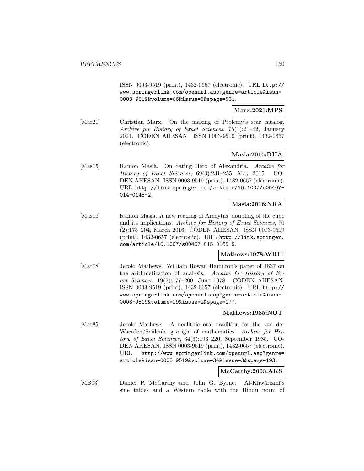ISSN 0003-9519 (print), 1432-0657 (electronic). URL http:// www.springerlink.com/openurl.asp?genre=article&issn= 0003-9519&volume=66&issue=5&spage=531.

**Marx:2021:MPS**

[Mar21] Christian Marx. On the making of Ptolemy's star catalog. Archive for History of Exact Sciences, 75(1):21–42, January 2021. CODEN AHESAN. ISSN 0003-9519 (print), 1432-0657 (electronic).

## **Masia:2015:DHA**

[Mas15] Ramon Masià. On dating Hero of Alexandria. Archive for History of Exact Sciences, 69(3):231–255, May 2015. CO-DEN AHESAN. ISSN 0003-9519 (print), 1432-0657 (electronic). URL http://link.springer.com/article/10.1007/s00407- 014-0148-2.

## **Masia:2016:NRA**

[Mas16] Ramon Masià. A new reading of Archytas' doubling of the cube and its implications. Archive for History of Exact Sciences, 70 (2):175–204, March 2016. CODEN AHESAN. ISSN 0003-9519 (print), 1432-0657 (electronic). URL http://link.springer. com/article/10.1007/s00407-015-0165-9.

## **Mathews:1978:WRH**

[Mat78] Jerold Mathews. William Rowan Hamilton's paper of 1837 on the arithmetization of analysis. Archive for History of Exact Sciences, 19(2):177–200, June 1978. CODEN AHESAN. ISSN 0003-9519 (print), 1432-0657 (electronic). URL http:// www.springerlink.com/openurl.asp?genre=article&issn= 0003-9519&volume=19&issue=2&spage=177.

# **Mathews:1985:NOT**

[Mat85] Jerold Mathews. A neolithic oral tradition for the van der Waerden/Seidenberg origin of mathematics. Archive for History of Exact Sciences, 34(3):193–220, September 1985. CO-DEN AHESAN. ISSN 0003-9519 (print), 1432-0657 (electronic). URL http://www.springerlink.com/openurl.asp?genre= article&issn=0003-9519&volume=34&issue=3&spage=193.

### **McCarthy:2003:AKS**

[MB03] Daniel P. McCarthy and John G. Byrne. Al-Khwārizmī's sine tables and a Western table with the Hindu norm of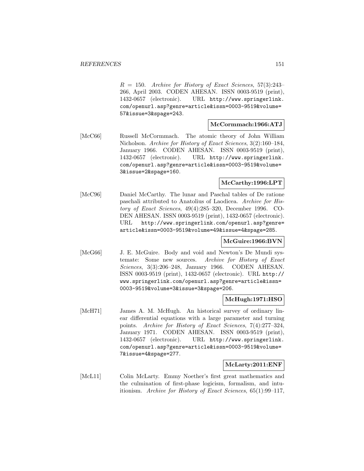$R = 150$ . Archive for History of Exact Sciences, 57(3):243– 266, April 2003. CODEN AHESAN. ISSN 0003-9519 (print), 1432-0657 (electronic). URL http://www.springerlink. com/openurl.asp?genre=article&issn=0003-9519&volume= 57&issue=3&spage=243.

## **McCormmach:1966:ATJ**

[McC66] Russell McCormmach. The atomic theory of John William Nicholson. Archive for History of Exact Sciences, 3(2):160–184, January 1966. CODEN AHESAN. ISSN 0003-9519 (print), 1432-0657 (electronic). URL http://www.springerlink. com/openurl.asp?genre=article&issn=0003-9519&volume= 3&issue=2&spage=160.

### **McCarthy:1996:LPT**

[McC96] Daniel McCarthy. The lunar and Paschal tables of De ratione paschali attributed to Anatolius of Laodicea. Archive for History of Exact Sciences, 49(4):285–320, December 1996. CO-DEN AHESAN. ISSN 0003-9519 (print), 1432-0657 (electronic). URL http://www.springerlink.com/openurl.asp?genre= article&issn=0003-9519&volume=49&issue=4&spage=285.

# **McGuire:1966:BVN**

[McG66] J. E. McGuire. Body and void and Newton's De Mundi systemate: Some new sources. Archive for History of Exact Sciences, 3(3):206–248, January 1966. CODEN AHESAN. ISSN 0003-9519 (print), 1432-0657 (electronic). URL http:// www.springerlink.com/openurl.asp?genre=article&issn= 0003-9519&volume=3&issue=3&spage=206.

### **McHugh:1971:HSO**

[McH71] James A. M. McHugh. An historical survey of ordinary linear differential equations with a large parameter and turning points. Archive for History of Exact Sciences, 7(4):277–324, January 1971. CODEN AHESAN. ISSN 0003-9519 (print), 1432-0657 (electronic). URL http://www.springerlink. com/openurl.asp?genre=article&issn=0003-9519&volume= 7&issue=4&spage=277.

### **McLarty:2011:ENF**

[McL11] Colin McLarty. Emmy Noether's first great mathematics and the culmination of first-phase logicism, formalism, and intuitionism. Archive for History of Exact Sciences, 65(1):99–117,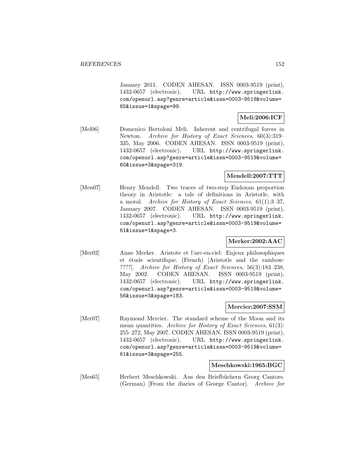January 2011. CODEN AHESAN. ISSN 0003-9519 (print), 1432-0657 (electronic). URL http://www.springerlink. com/openurl.asp?genre=article&issn=0003-9519&volume= 65&issue=1&spage=99.

# **Meli:2006:ICF**

[Mel06] Domenico Bertoloni Meli. Inherent and centrifugal forces in Newton. Archive for History of Exact Sciences, 60(3):319– 335, May 2006. CODEN AHESAN. ISSN 0003-9519 (print), 1432-0657 (electronic). URL http://www.springerlink. com/openurl.asp?genre=article&issn=0003-9519&volume= 60&issue=3&spage=319.

# **Mendell:2007:TTT**

[Men07] Henry Mendell. Two traces of two-step Eudoxan proportion theory in Aristotle: a tale of definitions in Aristotle, with a moral. Archive for History of Exact Sciences, 61(1):3–37, January 2007. CODEN AHESAN. ISSN 0003-9519 (print), 1432-0657 (electronic). URL http://www.springerlink. com/openurl.asp?genre=article&issn=0003-9519&volume= 61&issue=1&spage=3.

## **Merker:2002:AAC**

[Mer02] Anne Merker. Aristote et l'arc-en-ciel: Enjeux philosophiques et étude scientifique. (French) [Aristotle and the rainbow: ????]. Archive for History of Exact Sciences, 56(3):183–238, May 2002. CODEN AHESAN. ISSN 0003-9519 (print), 1432-0657 (electronic). URL http://www.springerlink. com/openurl.asp?genre=article&issn=0003-9519&volume= 56&issue=3&spage=183.

## **Mercier:2007:SSM**

[Mer07] Raymond Mercier. The standard scheme of the Moon and its mean quantities. Archive for History of Exact Sciences, 61(3): 255–272, May 2007. CODEN AHESAN. ISSN 0003-9519 (print), 1432-0657 (electronic). URL http://www.springerlink. com/openurl.asp?genre=article&issn=0003-9519&volume= 61&issue=3&spage=255.

### **Meschkowski:1965:BGC**

[Mes65] Herbert Meschkowski. Aus den Briefbüchern Georg Cantors. (German) [From the diaries of George Cantor]. Archive for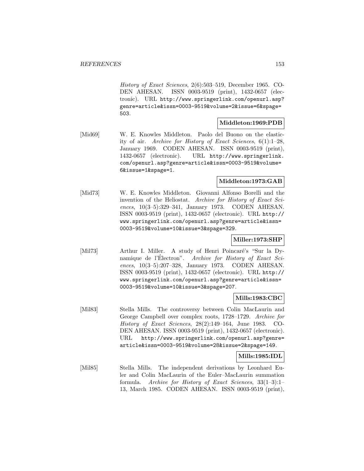History of Exact Sciences, 2(6):503–519, December 1965. CO-DEN AHESAN. ISSN 0003-9519 (print), 1432-0657 (electronic). URL http://www.springerlink.com/openurl.asp? genre=article&issn=0003-9519&volume=2&issue=6&spage= 503.

## **Middleton:1969:PDB**

[Mid69] W. E. Knowles Middleton. Paolo del Buono on the elasticity of air. Archive for History of Exact Sciences, 6(1):1–28, January 1969. CODEN AHESAN. ISSN 0003-9519 (print), 1432-0657 (electronic). URL http://www.springerlink. com/openurl.asp?genre=article&issn=0003-9519&volume= 6&issue=1&spage=1.

### **Middleton:1973:GAB**

[Mid73] W. E. Knowles Middleton. Giovanni Alfonso Borelli and the invention of the Heliostat. Archive for History of Exact Sciences, 10(3–5):329–341, January 1973. CODEN AHESAN. ISSN 0003-9519 (print), 1432-0657 (electronic). URL http:// www.springerlink.com/openurl.asp?genre=article&issn= 0003-9519&volume=10&issue=3&spage=329.

# **Miller:1973:SHP**

[Mil73] Arthur I. Miller. A study of Henri Poincaré's "Sur la Dynamique de l'Électron". Archive for History of Exact Sciences, 10(3–5):207–328, January 1973. CODEN AHESAN. ISSN 0003-9519 (print), 1432-0657 (electronic). URL http:// www.springerlink.com/openurl.asp?genre=article&issn= 0003-9519&volume=10&issue=3&spage=207.

### **Mills:1983:CBC**

[Mil83] Stella Mills. The controversy between Colin MacLaurin and George Campbell over complex roots, 1728–1729. Archive for History of Exact Sciences, 28(2):149–164, June 1983. CO-DEN AHESAN. ISSN 0003-9519 (print), 1432-0657 (electronic). URL http://www.springerlink.com/openurl.asp?genre= article&issn=0003-9519&volume=28&issue=2&spage=149.

### **Mills:1985:IDL**

[Mil85] Stella Mills. The independent derivations by Leonhard Euler and Colin MacLaurin of the Euler–MacLaurin summation formula. Archive for History of Exact Sciences, 33(1–3):1– 13, March 1985. CODEN AHESAN. ISSN 0003-9519 (print),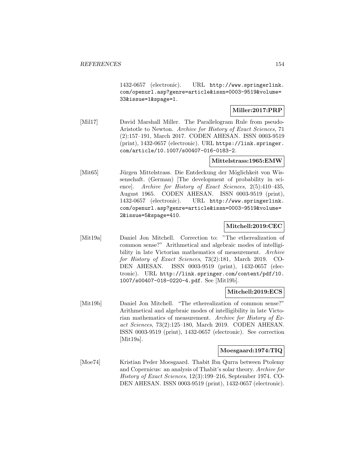1432-0657 (electronic). URL http://www.springerlink. com/openurl.asp?genre=article&issn=0003-9519&volume= 33&issue=1&spage=1.

# **Miller:2017:PRP**

[Mil17] David Marshall Miller. The Parallelogram Rule from pseudo-Aristotle to Newton. Archive for History of Exact Sciences, 71 (2):157–191, March 2017. CODEN AHESAN. ISSN 0003-9519 (print), 1432-0657 (electronic). URL https://link.springer. com/article/10.1007/s00407-016-0183-2.

## **Mittelstrass:1965:EMW**

[Mit65] Jürgen Mittelstrass. Die Entdeckung der Möglichkeit von Wissenschaft. (German) [The development of probability in science]. Archive for History of Exact Sciences, 2(5):410–435, August 1965. CODEN AHESAN. ISSN 0003-9519 (print), 1432-0657 (electronic). URL http://www.springerlink. com/openurl.asp?genre=article&issn=0003-9519&volume= 2&issue=5&spage=410.

### **Mitchell:2019:CEC**

[Mit19a] Daniel Jon Mitchell. Correction to: "The etherealization of common sense?" Arithmetical and algebraic modes of intelligibility in late Victorian mathematics of measurement. Archive for History of Exact Sciences, 73(2):181, March 2019. CO-DEN AHESAN. ISSN 0003-9519 (print), 1432-0657 (electronic). URL http://link.springer.com/content/pdf/10. 1007/s00407-018-0220-4.pdf. See [Mit19b].

### **Mitchell:2019:ECS**

[Mit19b] Daniel Jon Mitchell. "The etherealization of common sense?" Arithmetical and algebraic modes of intelligibility in late Victorian mathematics of measurement. Archive for History of Exact Sciences, 73(2):125–180, March 2019. CODEN AHESAN. ISSN 0003-9519 (print), 1432-0657 (electronic). See correction [Mit19a].

## **Moesgaard:1974:TIQ**

[Moe74] Kristian Peder Moesgaard. Thabit Ibn Qurra between Ptolemy and Copernicus: an analysis of Thabit's solar theory. Archive for History of Exact Sciences, 12(3):199–216, September 1974. CO-DEN AHESAN. ISSN 0003-9519 (print), 1432-0657 (electronic).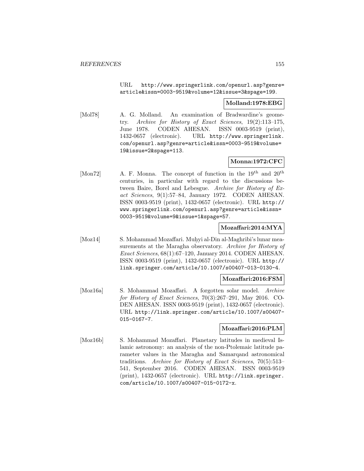URL http://www.springerlink.com/openurl.asp?genre= article&issn=0003-9519&volume=12&issue=3&spage=199.

### **Molland:1978:EBG**

[Mol78] A. G. Molland. An examination of Bradwardine's geometry. Archive for History of Exact Sciences, 19(2):113–175, June 1978. CODEN AHESAN. ISSN 0003-9519 (print), 1432-0657 (electronic). URL http://www.springerlink. com/openurl.asp?genre=article&issn=0003-9519&volume= 19&issue=2&spage=113.

# **Monna:1972:CFC**

[Mon72] A. F. Monna. The concept of function in the 19<sup>th</sup> and 20<sup>th</sup> centuries, in particular with regard to the discussions between Baire, Borel and Lebesgue. Archive for History of Exact Sciences, 9(1):57–84, January 1972. CODEN AHESAN. ISSN 0003-9519 (print), 1432-0657 (electronic). URL http:// www.springerlink.com/openurl.asp?genre=article&issn= 0003-9519&volume=9&issue=1&spage=57.

## **Mozaffari:2014:MYA**

[Moz14] S. Mohammad Mozaffari. Muhyi al-Din al-Maghribi's lunar measurements at the Maragha observatory. Archive for History of Exact Sciences, 68(1):67–120, January 2014. CODEN AHESAN. ISSN 0003-9519 (print), 1432-0657 (electronic). URL http:// link.springer.com/article/10.1007/s00407-013-0130-4.

#### **Mozaffari:2016:FSM**

[Moz16a] S. Mohammad Mozaffari. A forgotten solar model. Archive for History of Exact Sciences, 70(3):267–291, May 2016. CO-DEN AHESAN. ISSN 0003-9519 (print), 1432-0657 (electronic). URL http://link.springer.com/article/10.1007/s00407- 015-0167-7.

## **Mozaffari:2016:PLM**

[Moz16b] S. Mohammad Mozaffari. Planetary latitudes in medieval Islamic astronomy: an analysis of the non-Ptolemaic latitude parameter values in the Maragha and Samarqand astronomical traditions. Archive for History of Exact Sciences, 70(5):513– 541, September 2016. CODEN AHESAN. ISSN 0003-9519 (print), 1432-0657 (electronic). URL http://link.springer. com/article/10.1007/s00407-015-0172-x.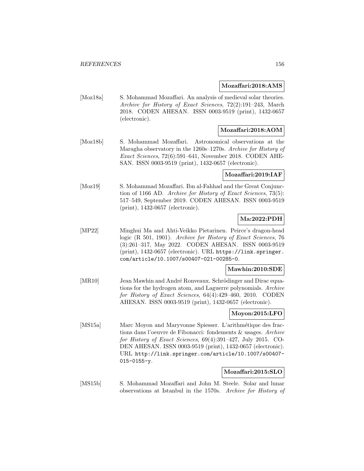#### **Mozaffari:2018:AMS**

[Moz18a] S. Mohammad Mozaffari. An analysis of medieval solar theories. Archive for History of Exact Sciences, 72(2):191–243, March 2018. CODEN AHESAN. ISSN 0003-9519 (print), 1432-0657 (electronic).

## **Mozaffari:2018:AOM**

[Moz18b] S. Mohammad Mozaffari. Astronomical observations at the Maragha observatory in the 1260s–1270s. Archive for History of Exact Sciences, 72(6):591–641, November 2018. CODEN AHE-SAN. ISSN 0003-9519 (print), 1432-0657 (electronic).

# **Mozaffari:2019:IAF**

[Moz19] S. Mohammad Mozaffari. Ibn al-Fahhad and the Great Conjunction of 1166 AD. Archive for History of Exact Sciences, 73(5): 517–549, September 2019. CODEN AHESAN. ISSN 0003-9519 (print), 1432-0657 (electronic).

## **Ma:2022:PDH**

[MP22] Minghui Ma and Ahti-Veikko Pietarinen. Peirce's dragon-head logic (R 501, 1901). Archive for History of Exact Sciences, 76 (3):261–317, May 2022. CODEN AHESAN. ISSN 0003-9519 (print), 1432-0657 (electronic). URL https://link.springer. com/article/10.1007/s00407-021-00285-0.

### **Mawhin:2010:SDE**

[MR10] Jean Mawhin and André Ronveaux. Schrödinger and Dirac equations for the hydrogen atom, and Laguerre polynomials. Archive for History of Exact Sciences, 64(4):429–460, 2010. CODEN AHESAN. ISSN 0003-9519 (print), 1432-0657 (electronic).

# **Moyon:2015:LFO**

[MS15a] Marc Moyon and Maryvonne Spiesser. L'arithmétique des fractions dans l'oeuvre de Fibonacci: fondements & usages. Archive for History of Exact Sciences, 69(4):391–427, July 2015. CO-DEN AHESAN. ISSN 0003-9519 (print), 1432-0657 (electronic). URL http://link.springer.com/article/10.1007/s00407- 015-0155-y.

### **Mozaffari:2015:SLO**

[MS15b] S. Mohammad Mozaffari and John M. Steele. Solar and lunar observations at Istanbul in the 1570s. Archive for History of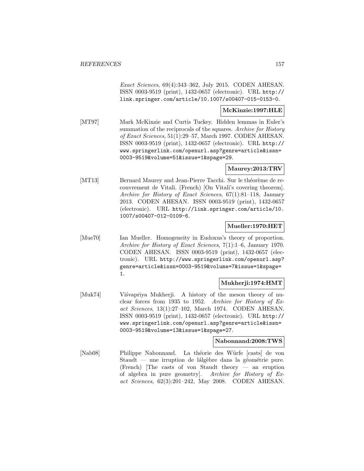Exact Sciences, 69(4):343–362, July 2015. CODEN AHESAN. ISSN 0003-9519 (print), 1432-0657 (electronic). URL http:// link.springer.com/article/10.1007/s00407-015-0153-0.

# **McKinzie:1997:HLE**

[MT97] Mark McKinzie and Curtis Tuckey. Hidden lemmas in Euler's summation of the reciprocals of the squares. Archive for History of Exact Sciences, 51(1):29–57, March 1997. CODEN AHESAN. ISSN 0003-9519 (print), 1432-0657 (electronic). URL http:// www.springerlink.com/openurl.asp?genre=article&issn= 0003-9519&volume=51&issue=1&spage=29.

## **Maurey:2013:TRV**

[MT13] Bernard Maurey and Jean-Pierre Tacchi. Sur le théorème de recouvrement de Vitali. (French) [On Vitali's covering theorem]. Archive for History of Exact Sciences, 67(1):81–118, January 2013. CODEN AHESAN. ISSN 0003-9519 (print), 1432-0657 (electronic). URL http://link.springer.com/article/10. 1007/s00407-012-0109-6.

## **Mueller:1970:HET**

[Mue70] Ian Mueller. Homogeneity in Eudoxus's theory of proportion. Archive for History of Exact Sciences, 7(1):1–6, January 1970. CODEN AHESAN. ISSN 0003-9519 (print), 1432-0657 (electronic). URL http://www.springerlink.com/openurl.asp? genre=article&issn=0003-9519&volume=7&issue=1&spage= 1.

### **Mukherji:1974:HMT**

[Muk74] Visvapriya Mukherji. A history of the meson theory of nuclear forces from 1935 to 1952. Archive for History of Exact Sciences, 13(1):27–102, March 1974. CODEN AHESAN. ISSN 0003-9519 (print), 1432-0657 (electronic). URL http:// www.springerlink.com/openurl.asp?genre=article&issn= 0003-9519&volume=13&issue=1&spage=27.

### **Nabonnand:2008:TWS**

[Nab08] Philippe Nabonnand. La théorie des Würfe [casts] de von  $Staudt$  — une irruption de lálgèbre dans la géométrie pure.  $(French)$  The casts of von Staudt theory — an eruption of algebra in pure geometry]. Archive for History of Exact Sciences, 62(3):201–242, May 2008. CODEN AHESAN.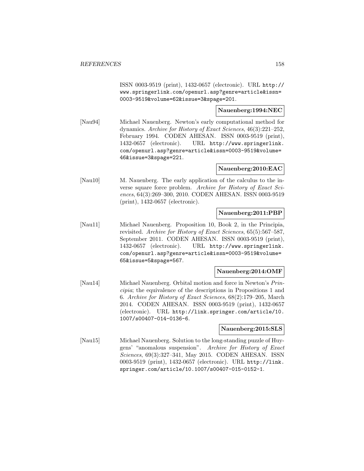ISSN 0003-9519 (print), 1432-0657 (electronic). URL http:// www.springerlink.com/openurl.asp?genre=article&issn= 0003-9519&volume=62&issue=3&spage=201.

## **Nauenberg:1994:NEC**

[Nau94] Michael Nauenberg. Newton's early computational method for dynamics. Archive for History of Exact Sciences, 46(3):221–252, February 1994. CODEN AHESAN. ISSN 0003-9519 (print), 1432-0657 (electronic). URL http://www.springerlink. com/openurl.asp?genre=article&issn=0003-9519&volume= 46&issue=3&spage=221.

# **Nauenberg:2010:EAC**

[Nau10] M. Nauenberg. The early application of the calculus to the inverse square force problem. Archive for History of Exact Sciences, 64(3):269–300, 2010. CODEN AHESAN. ISSN 0003-9519 (print), 1432-0657 (electronic).

### **Nauenberg:2011:PBP**

[Nau11] Michael Nauenberg. Proposition 10, Book 2, in the Principia, revisited. Archive for History of Exact Sciences, 65(5):567–587, September 2011. CODEN AHESAN. ISSN 0003-9519 (print), 1432-0657 (electronic). URL http://www.springerlink. com/openurl.asp?genre=article&issn=0003-9519&volume= 65&issue=5&spage=567.

### **Nauenberg:2014:OMF**

[Nau14] Michael Nauenberg. Orbital motion and force in Newton's Principia; the equivalence of the descriptions in Propositions 1 and 6. Archive for History of Exact Sciences, 68(2):179–205, March 2014. CODEN AHESAN. ISSN 0003-9519 (print), 1432-0657 (electronic). URL http://link.springer.com/article/10. 1007/s00407-014-0136-6.

### **Nauenberg:2015:SLS**

[Nau15] Michael Nauenberg. Solution to the long-standing puzzle of Huygens' "anomalous suspension". Archive for History of Exact Sciences, 69(3):327–341, May 2015. CODEN AHESAN. ISSN 0003-9519 (print), 1432-0657 (electronic). URL http://link. springer.com/article/10.1007/s00407-015-0152-1.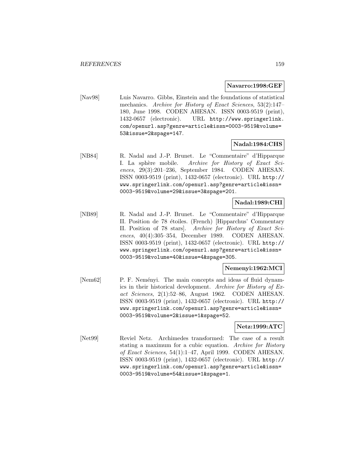### **Navarro:1998:GEF**

[Nav98] Luis Navarro. Gibbs, Einstein and the foundations of statistical mechanics. Archive for History of Exact Sciences, 53(2):147– 180, June 1998. CODEN AHESAN. ISSN 0003-9519 (print), 1432-0657 (electronic). URL http://www.springerlink. com/openurl.asp?genre=article&issn=0003-9519&volume= 53&issue=2&spage=147.

## **Nadal:1984:CHS**

[NB84] R. Nadal and J.-P. Brunet. Le "Commentaire" d'Hipparque I. La sphère mobile. Archive for History of Exact Sciences, 29(3):201–236, September 1984. CODEN AHESAN. ISSN 0003-9519 (print), 1432-0657 (electronic). URL http:// www.springerlink.com/openurl.asp?genre=article&issn= 0003-9519&volume=29&issue=3&spage=201.

## **Nadal:1989:CHI**

[NB89] R. Nadal and J.-P. Brunet. Le "Commentaire" d'Hipparque II. Position de 78 étoiles. (French) [Hipparchus' Commentary II. Position of 78 stars]. Archive for History of Exact Sciences, 40(4):305–354, December 1989. CODEN AHESAN. ISSN 0003-9519 (print), 1432-0657 (electronic). URL http:// www.springerlink.com/openurl.asp?genre=article&issn= 0003-9519&volume=40&issue=4&spage=305.

## **Nemenyi:1962:MCI**

[Nem62] P. F. Neményi. The main concepts and ideas of fluid dynamics in their historical development. Archive for History of Exact Sciences, 2(1):52–86, August 1962. CODEN AHESAN. ISSN 0003-9519 (print), 1432-0657 (electronic). URL http:// www.springerlink.com/openurl.asp?genre=article&issn= 0003-9519&volume=2&issue=1&spage=52.

### **Netz:1999:ATC**

[Net99] Reviel Netz. Archimedes transformed: The case of a result stating a maximum for a cubic equation. Archive for History of Exact Sciences, 54(1):1–47, April 1999. CODEN AHESAN. ISSN 0003-9519 (print), 1432-0657 (electronic). URL http:// www.springerlink.com/openurl.asp?genre=article&issn= 0003-9519&volume=54&issue=1&spage=1.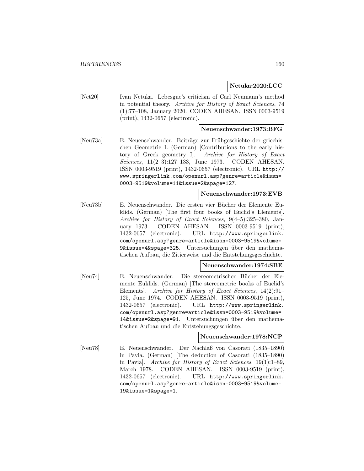### **Netuka:2020:LCC**

[Net20] Ivan Netuka. Lebesgue's criticism of Carl Neumann's method in potential theory. Archive for History of Exact Sciences, 74 (1):77–108, January 2020. CODEN AHESAN. ISSN 0003-9519 (print), 1432-0657 (electronic).

### **Neuenschwander:1973:BFG**

[Neu73a] E. Neuenschwander. Beiträge zur Frühgeschichte der griechischen Geometrie I. (German) [Contributions to the early history of Greek geometry I]. Archive for History of Exact Sciences, 11(2–3):127–133, June 1973. CODEN AHESAN. ISSN 0003-9519 (print), 1432-0657 (electronic). URL http:// www.springerlink.com/openurl.asp?genre=article&issn= 0003-9519&volume=11&issue=2&spage=127.

### **Neuenschwander:1973:EVB**

[Neu73b] E. Neuenschwander. Die ersten vier B¨ucher der Elemente Euklids. (German) [The first four books of Euclid's Elements]. Archive for History of Exact Sciences, 9(4–5):325–380, January 1973. CODEN AHESAN. ISSN 0003-9519 (print), 1432-0657 (electronic). URL http://www.springerlink. com/openurl.asp?genre=article&issn=0003-9519&volume= 9&issue=4&spage=325. Untersuchungen über den mathematischen Aufbau, die Zitierweise und die Entstehungsgeschichte.

### **Neuenschwander:1974:SBE**

[Neu74] E. Neuenschwander. Die stereometrischen Bücher der Elemente Euklids. (German) [The stereometric books of Euclid's Elements]. Archive for History of Exact Sciences, 14(2):91– 125, June 1974. CODEN AHESAN. ISSN 0003-9519 (print), 1432-0657 (electronic). URL http://www.springerlink. com/openurl.asp?genre=article&issn=0003-9519&volume= 14&issue=2&spage=91. Untersuchungen über den mathematischen Aufbau und die Entstehungsgeschichte.

#### **Neuenschwander:1978:NCP**

[Neu78] E. Neuenschwander. Der Nachlaß von Casorati (1835–1890) in Pavia. (German) [The deduction of Casorati (1835–1890) in Pavia]. Archive for History of Exact Sciences, 19(1):1–89, March 1978. CODEN AHESAN. ISSN 0003-9519 (print), 1432-0657 (electronic). URL http://www.springerlink. com/openurl.asp?genre=article&issn=0003-9519&volume= 19&issue=1&spage=1.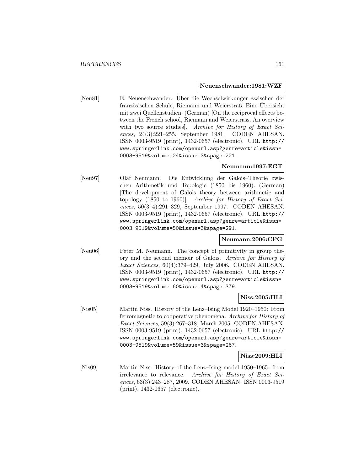#### **Neuenschwander:1981:WZF**

[Neu81] E. Neuenschwander. Uber die Wechselwirkungen zwischen der französischen Schule, Riemann und Weierstraß. Eine Ubersicht mit zwei Quellenstudien. (German) [On the reciprocal effects between the French school, Riemann and Weierstrass. An overview with two source studies. Archive for History of Exact Sciences, 24(3):221–255, September 1981. CODEN AHESAN. ISSN 0003-9519 (print), 1432-0657 (electronic). URL http:// www.springerlink.com/openurl.asp?genre=article&issn= 0003-9519&volume=24&issue=3&spage=221.

## **Neumann:1997:EGT**

[Neu97] Olaf Neumann. Die Entwicklung der Galois–Theorie zwischen Arithmetik und Topologie (1850 bis 1960). (German) [The development of Galois theory between arithmetic and topology (1850 to 1960)]. Archive for History of Exact Sciences, 50(3–4):291–329, September 1997. CODEN AHESAN. ISSN 0003-9519 (print), 1432-0657 (electronic). URL http:// www.springerlink.com/openurl.asp?genre=article&issn= 0003-9519&volume=50&issue=3&spage=291.

#### **Neumann:2006:CPG**

[Neu06] Peter M. Neumann. The concept of primitivity in group theory and the second memoir of Galois. Archive for History of Exact Sciences, 60(4):379–429, July 2006. CODEN AHESAN. ISSN 0003-9519 (print), 1432-0657 (electronic). URL http:// www.springerlink.com/openurl.asp?genre=article&issn= 0003-9519&volume=60&issue=4&spage=379.

### **Niss:2005:HLI**

[Nis05] Martin Niss. History of the Lenz–Ising Model 1920–1950: From ferromagnetic to cooperative phenomena. Archive for History of Exact Sciences, 59(3):267–318, March 2005. CODEN AHESAN. ISSN 0003-9519 (print), 1432-0657 (electronic). URL http:// www.springerlink.com/openurl.asp?genre=article&issn= 0003-9519&volume=59&issue=3&spage=267.

### **Niss:2009:HLI**

[Nis09] Martin Niss. History of the Lenz–Ising model 1950–1965: from irrelevance to relevance. Archive for History of Exact Sciences, 63(3):243–287, 2009. CODEN AHESAN. ISSN 0003-9519 (print), 1432-0657 (electronic).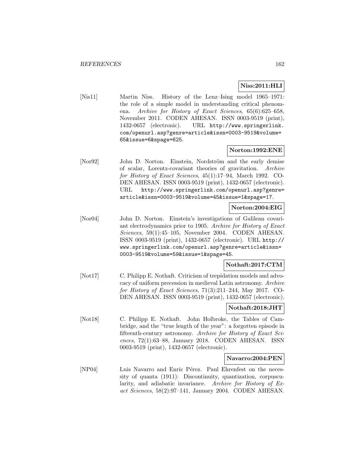## **Niss:2011:HLI**

[Nis11] Martin Niss. History of the Lenz–Ising model 1965–1971: the role of a simple model in understanding critical phenomena. Archive for History of Exact Sciences, 65(6):625–658, November 2011. CODEN AHESAN. ISSN 0003-9519 (print), 1432-0657 (electronic). URL http://www.springerlink. com/openurl.asp?genre=article&issn=0003-9519&volume= 65&issue=6&spage=625.

### **Norton:1992:ENE**

[Nor92] John D. Norton. Einstein, Nordström and the early demise of scalar, Lorentz-covariant theories of gravitation. Archive for History of Exact Sciences, 45(1):17–94, March 1992. CO-DEN AHESAN. ISSN 0003-9519 (print), 1432-0657 (electronic). URL http://www.springerlink.com/openurl.asp?genre= article&issn=0003-9519&volume=45&issue=1&spage=17.

### **Norton:2004:EIG**

[Nor04] John D. Norton. Einstein's investigations of Galilean covariant electrodynamics prior to 1905. Archive for History of Exact Sciences, 59(1):45–105, November 2004. CODEN AHESAN. ISSN 0003-9519 (print), 1432-0657 (electronic). URL http:// www.springerlink.com/openurl.asp?genre=article&issn= 0003-9519&volume=59&issue=1&spage=45.

## **Nothaft:2017:CTM**

[Not17] C. Philipp E. Nothaft. Criticism of trepidation models and advocacy of uniform precession in medieval Latin astronomy. Archive for History of Exact Sciences, 71(3):211–244, May 2017. CO-DEN AHESAN. ISSN 0003-9519 (print), 1432-0657 (electronic).

### **Nothaft:2018:JHT**

[Not18] C. Philipp E. Nothaft. John Holbroke, the Tables of Cambridge, and the "true length of the year": a forgotten episode in fifteenth-century astronomy. Archive for History of Exact Sciences, 72(1):63–88, January 2018. CODEN AHESAN. ISSN 0003-9519 (print), 1432-0657 (electronic).

### **Navarro:2004:PEN**

[NP04] Luis Navarro and Enric Pérez. Paul Ehrenfest on the necessity of quanta (1911): Discontinuity, quantization, corpuscularity, and adiabatic invariance. Archive for History of Exact Sciences,  $58(2):97-141$ , January 2004. CODEN AHESAN.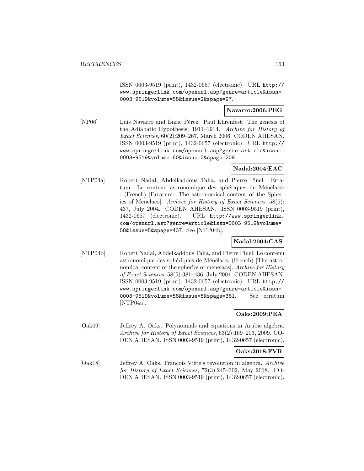ISSN 0003-9519 (print), 1432-0657 (electronic). URL http:// www.springerlink.com/openurl.asp?genre=article&issn= 0003-9519&volume=58&issue=2&spage=97.

## **Navarro:2006:PEG**

[NP06] Luis Navarro and Enric Pérez. Paul Ehrenfest: The genesis of the Adiabatic Hypothesis, 1911–1914. Archive for History of Exact Sciences, 60(2):209–267, March 2006. CODEN AHESAN. ISSN 0003-9519 (print), 1432-0657 (electronic). URL http:// www.springerlink.com/openurl.asp?genre=article&issn= 0003-9519&volume=60&issue=2&spage=209.

## **Nadal:2004:EAC**

[NTP04a] Robert Nadal, Abdelkaddous Taha, and Pierre Pinel. Erratum: Le contenu astronomique des sphériques de Ménélaos: . (French) [Erratum: The astronomical content of the Spherics of Menelaos]. Archive for History of Exact Sciences, 58(5): 437, July 2004. CODEN AHESAN. ISSN 0003-9519 (print), 1432-0657 (electronic). URL http://www.springerlink. com/openurl.asp?genre=article&issn=0003-9519&volume= 58&issue=5&spage=437. See [NTP04b].

# **Nadal:2004:CAS**

[NTP04b] Robert Nadal, Abdelkaddous Taha, and Pierre Pinel. Le contenu astronomique des sphériques de Ménélaos. (French) [The astronomical content of the spherics of menelaos]. Archive for History of Exact Sciences, 58(5):381–436, July 2004. CODEN AHESAN. ISSN 0003-9519 (print), 1432-0657 (electronic). URL http:// www.springerlink.com/openurl.asp?genre=article&issn= 0003-9519&volume=58&issue=5&spage=381. See erratum [NTP04a].

# **Oaks:2009:PEA**

[Oak09] Jeffrey A. Oaks. Polynomials and equations in Arabic algebra. Archive for History of Exact Sciences, 63(2):169–203, 2009. CO-DEN AHESAN. ISSN 0003-9519 (print), 1432-0657 (electronic).

### **Oaks:2018:FVR**

[Oak18] Jeffrey A. Oaks. François Viète's revolution in algebra. Archive for History of Exact Sciences, 72(3):245–302, May 2018. CO-DEN AHESAN. ISSN 0003-9519 (print), 1432-0657 (electronic).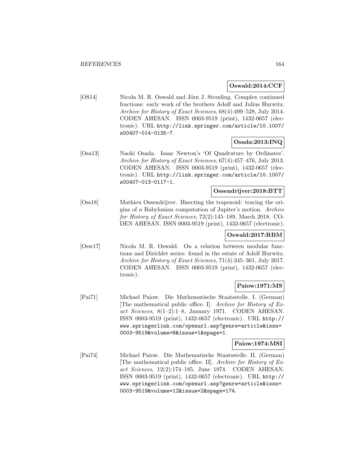## **Oswald:2014:CCF**

[OS14] Nicola M. R. Oswald and Jörn J. Steuding. Complex continued fractions: early work of the brothers Adolf and Julius Hurwitz. Archive for History of Exact Sciences, 68(4):499–528, July 2014. CODEN AHESAN. ISSN 0003-9519 (print), 1432-0657 (electronic). URL http://link.springer.com/article/10.1007/ s00407-014-0135-7.

# **Osada:2013:INQ**

[Osa13] Naoki Osada. Isaac Newton's 'Of Quadrature by Ordinates'. Archive for History of Exact Sciences, 67(4):457–476, July 2013. CODEN AHESAN. ISSN 0003-9519 (print), 1432-0657 (electronic). URL http://link.springer.com/article/10.1007/ s00407-013-0117-1.

### **Ossendrijver:2018:BTT**

[Oss18] Mathieu Ossendrijver. Bisecting the trapezoid: tracing the origins of a Babylonian computation of Jupiter's motion. Archive for History of Exact Sciences, 72(2):145–189, March 2018. CO-DEN AHESAN. ISSN 0003-9519 (print), 1432-0657 (electronic).

# **Oswald:2017:RBM**

[Osw17] Nicola M. R. Oswald. On a relation between modular functions and Dirichlet series: found in the estate of Adolf Hurwitz. Archive for History of Exact Sciences, 71(4):345–361, July 2017. CODEN AHESAN. ISSN 0003-9519 (print), 1432-0657 (electronic).

# **Paiow:1971:MS**

[Pai71] Michael Paiow. Die Mathematische Staatsstelle. I. (German) [The mathematical public office. I]. Archive for History of Exact Sciences, 8(1–2):1–8, January 1971. CODEN AHESAN. ISSN 0003-9519 (print), 1432-0657 (electronic). URL http:// www.springerlink.com/openurl.asp?genre=article&issn= 0003-9519&volume=8&issue=1&spage=1.

## **Paiow:1974:MSI**

[Pai74] Michael Paiow. Die Mathematische Staatsstelle. II. (German) [The mathematical public office. II]. Archive for History of Exact Sciences, 12(2):174–185, June 1974. CODEN AHESAN. ISSN 0003-9519 (print), 1432-0657 (electronic). URL http:// www.springerlink.com/openurl.asp?genre=article&issn= 0003-9519&volume=12&issue=2&spage=174.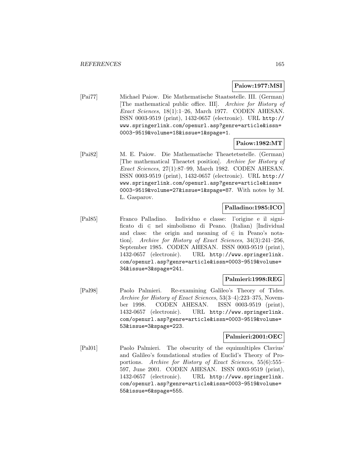## **Paiow:1977:MSI**

[Pai77] Michael Paiow. Die Mathematische Staatsstelle. III. (German) [The mathematical public office. III]. Archive for History of Exact Sciences, 18(1):1–26, March 1977. CODEN AHESAN. ISSN 0003-9519 (print), 1432-0657 (electronic). URL http:// www.springerlink.com/openurl.asp?genre=article&issn= 0003-9519&volume=18&issue=1&spage=1.

## **Paiow:1982:MT**

[Pai82] M. E. Paiow. Die Mathematische Theaetetsstelle. (German) [The mathematical Theaetet position]. Archive for History of Exact Sciences, 27(1):87–99, March 1982. CODEN AHESAN. ISSN 0003-9519 (print), 1432-0657 (electronic). URL http:// www.springerlink.com/openurl.asp?genre=article&issn= 0003-9519&volume=27&issue=1&spage=87. With notes by M. L. Gasparov.

# **Palladino:1985:ICO**

[Pal85] Franco Palladino. Individuo e classe: l'origine e il significato di ∈ nel simbolismo di Peano. (Italian) [Individual and class: the origin and meaning of  $\in$  in Peano's notation]. Archive for History of Exact Sciences, 34(3):241–256, September 1985. CODEN AHESAN. ISSN 0003-9519 (print), 1432-0657 (electronic). URL http://www.springerlink. com/openurl.asp?genre=article&issn=0003-9519&volume= 34&issue=3&spage=241.

### **Palmieri:1998:REG**

[Pal98] Paolo Palmieri. Re-examining Galileo's Theory of Tides. Archive for History of Exact Sciences, 53(3–4):223–375, November 1998. CODEN AHESAN. ISSN 0003-9519 (print), 1432-0657 (electronic). URL http://www.springerlink. com/openurl.asp?genre=article&issn=0003-9519&volume= 53&issue=3&spage=223.

# **Palmieri:2001:OEC**

[Pal01] Paolo Palmieri. The obscurity of the equimultiples Clavius' and Galileo's foundational studies of Euclid's Theory of Proportions. Archive for History of Exact Sciences, 55(6):555– 597, June 2001. CODEN AHESAN. ISSN 0003-9519 (print), 1432-0657 (electronic). URL http://www.springerlink. com/openurl.asp?genre=article&issn=0003-9519&volume= 55&issue=6&spage=555.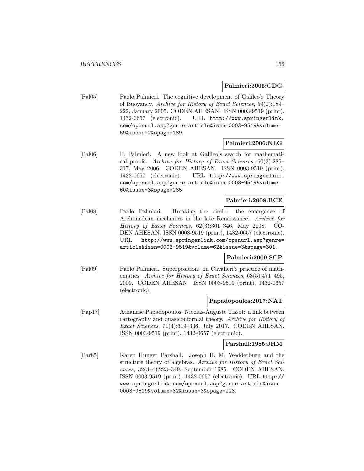## **Palmieri:2005:CDG**

[Pal05] Paolo Palmieri. The cognitive development of Galileo's Theory of Buoyancy. Archive for History of Exact Sciences, 59(2):189– 222, January 2005. CODEN AHESAN. ISSN 0003-9519 (print), 1432-0657 (electronic). URL http://www.springerlink. com/openurl.asp?genre=article&issn=0003-9519&volume= 59&issue=2&spage=189.

## **Palmieri:2006:NLG**

[Pal06] P. Palmieri. A new look at Galileo's search for mathematical proofs. Archive for History of Exact Sciences, 60(3):285– 317, May 2006. CODEN AHESAN. ISSN 0003-9519 (print), 1432-0657 (electronic). URL http://www.springerlink. com/openurl.asp?genre=article&issn=0003-9519&volume= 60&issue=3&spage=285.

### **Palmieri:2008:BCE**

[Pal08] Paolo Palmieri. Breaking the circle: the emergence of Archimedean mechanics in the late Renaissance. Archive for History of Exact Sciences, 62(3):301–346, May 2008. CO-DEN AHESAN. ISSN 0003-9519 (print), 1432-0657 (electronic). URL http://www.springerlink.com/openurl.asp?genre= article&issn=0003-9519&volume=62&issue=3&spage=301.

# **Palmieri:2009:SCP**

[Pal09] Paolo Palmieri. Superposition: on Cavalieri's practice of mathematics. Archive for History of Exact Sciences, 63(5):471–495, 2009. CODEN AHESAN. ISSN 0003-9519 (print), 1432-0657 (electronic).

### **Papadopoulos:2017:NAT**

[Pap17] Athanase Papadopoulos. Nicolas-Auguste Tissot: a link between cartography and quasiconformal theory. Archive for History of Exact Sciences, 71(4):319–336, July 2017. CODEN AHESAN. ISSN 0003-9519 (print), 1432-0657 (electronic).

### **Parshall:1985:JHM**

[Par85] Karen Hunger Parshall. Joseph H. M. Wedderburn and the structure theory of algebras. Archive for History of Exact Sciences, 32(3–4):223–349, September 1985. CODEN AHESAN. ISSN 0003-9519 (print), 1432-0657 (electronic). URL http:// www.springerlink.com/openurl.asp?genre=article&issn= 0003-9519&volume=32&issue=3&spage=223.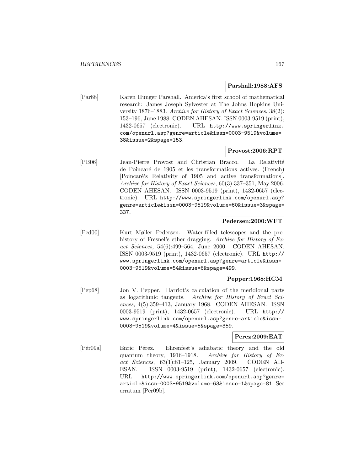### **Parshall:1988:AFS**

[Par88] Karen Hunger Parshall. America's first school of mathematical research: James Joseph Sylvester at The Johns Hopkins University 1876–1883. Archive for History of Exact Sciences, 38(2): 153–196, June 1988. CODEN AHESAN. ISSN 0003-9519 (print), 1432-0657 (electronic). URL http://www.springerlink. com/openurl.asp?genre=article&issn=0003-9519&volume= 38&issue=2&spage=153.

### **Provost:2006:RPT**

[PB06] Jean-Pierre Provost and Christian Bracco. La Relativité de Poincar´e de 1905 et les transformations actives. (French) [Poincaré's Relativity of 1905 and active transformations]. Archive for History of Exact Sciences, 60(3):337–351, May 2006. CODEN AHESAN. ISSN 0003-9519 (print), 1432-0657 (electronic). URL http://www.springerlink.com/openurl.asp? genre=article&issn=0003-9519&volume=60&issue=3&spage= 337.

### **Pedersen:2000:WFT**

[Ped00] Kurt Møller Pedersen. Water-filled telescopes and the prehistory of Fresnel's ether dragging. Archive for History of Exact Sciences, 54(6):499–564, June 2000. CODEN AHESAN. ISSN 0003-9519 (print), 1432-0657 (electronic). URL http:// www.springerlink.com/openurl.asp?genre=article&issn= 0003-9519&volume=54&issue=6&spage=499.

### **Pepper:1968:HCM**

[Pep68] Jon V. Pepper. Harriot's calculation of the meridional parts as logarithmic tangents. Archive for History of Exact Sciences, 4(5):359–413, January 1968. CODEN AHESAN. ISSN 0003-9519 (print), 1432-0657 (electronic). URL http:// www.springerlink.com/openurl.asp?genre=article&issn= 0003-9519&volume=4&issue=5&spage=359.

### **Perez:2009:EAT**

[P´er09a] Enric P´erez. Ehrenfest's adiabatic theory and the old quantum theory, 1916–1918. Archive for History of Exact Sciences, 63(1):81–125, January 2009. CODEN AH-ESAN. ISSN 0003-9519 (print), 1432-0657 (electronic). URL http://www.springerlink.com/openurl.asp?genre= article&issn=0003-9519&volume=63&issue=1&spage=81. See  $erratum$  [P $ér09b$ ].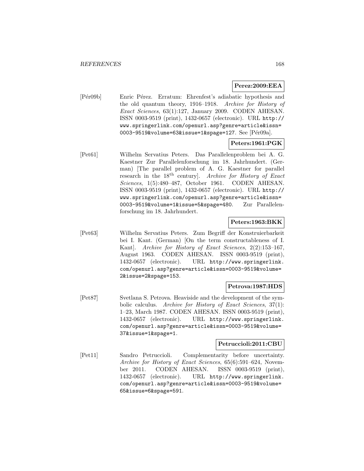## **Perez:2009:EEA**

[Pér09b] Enric Pérez. Erratum: Ehrenfest's adiabatic hypothesis and the old quantum theory, 1916–1918. Archive for History of Exact Sciences, 63(1):127, January 2009. CODEN AHESAN. ISSN 0003-9519 (print), 1432-0657 (electronic). URL http:// www.springerlink.com/openurl.asp?genre=article&issn= 0003-9519&volume=63&issue=1&spage=127. See  $\text{P\'er09a}.$ 

## **Peters:1961:PGK**

[Pet61] Wilhelm Servatius Peters. Das Parallelenproblem bei A. G. Kaestner Zur Parallelenforschung im 18. Jahrhundert. (German) [The parallel problem of A. G. Kaestner for parallel research in the  $18<sup>th</sup>$  century]. Archive for History of Exact Sciences, 1(5):480–487, October 1961. CODEN AHESAN. ISSN 0003-9519 (print), 1432-0657 (electronic). URL http:// www.springerlink.com/openurl.asp?genre=article&issn= 0003-9519&volume=1&issue=5&spage=480. Zur Parallelenforschung im 18. Jahrhundert.

### **Peters:1963:BKK**

[Pet63] Wilhelm Servatius Peters. Zum Begriff der Konstruierbarkeit bei I. Kant. (German) [On the term constructableness of I. Kant]. Archive for History of Exact Sciences, 2(2):153-167, August 1963. CODEN AHESAN. ISSN 0003-9519 (print), 1432-0657 (electronic). URL http://www.springerlink. com/openurl.asp?genre=article&issn=0003-9519&volume= 2&issue=2&spage=153.

### **Petrova:1987:HDS**

[Pet87] Svetlana S. Petrova. Heaviside and the development of the symbolic calculus. Archive for History of Exact Sciences, 37(1): 1–23, March 1987. CODEN AHESAN. ISSN 0003-9519 (print), 1432-0657 (electronic). URL http://www.springerlink. com/openurl.asp?genre=article&issn=0003-9519&volume= 37&issue=1&spage=1.

## **Petruccioli:2011:CBU**

[Pet11] Sandro Petruccioli. Complementarity before uncertainty. Archive for History of Exact Sciences, 65(6):591–624, November 2011. CODEN AHESAN. ISSN 0003-9519 (print), 1432-0657 (electronic). URL http://www.springerlink. com/openurl.asp?genre=article&issn=0003-9519&volume= 65&issue=6&spage=591.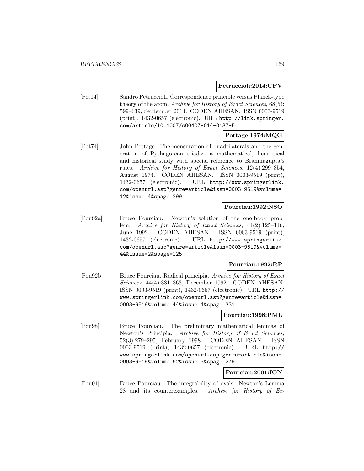## **Petruccioli:2014:CPV**

[Pet14] Sandro Petruccioli. Correspondence principle versus Planck-type theory of the atom. Archive for History of Exact Sciences, 68(5): 599–639, September 2014. CODEN AHESAN. ISSN 0003-9519 (print), 1432-0657 (electronic). URL http://link.springer. com/article/10.1007/s00407-014-0137-5.

# **Pottage:1974:MQG**

[Pot74] John Pottage. The mensuration of quadrilaterals and the generation of Pythagorean triads: a mathematical, heuristical and historical study with special reference to Brahmagupta's rules. Archive for History of Exact Sciences, 12(4):299–354, August 1974. CODEN AHESAN. ISSN 0003-9519 (print), 1432-0657 (electronic). URL http://www.springerlink. com/openurl.asp?genre=article&issn=0003-9519&volume= 12&issue=4&spage=299.

## **Pourciau:1992:NSO**

[Pou92a] Bruce Pourciau. Newton's solution of the one-body problem. Archive for History of Exact Sciences, 44(2):125–146, June 1992. CODEN AHESAN. ISSN 0003-9519 (print), 1432-0657 (electronic). URL http://www.springerlink. com/openurl.asp?genre=article&issn=0003-9519&volume= 44&issue=2&spage=125.

## **Pourciau:1992:RP**

[Pou92b] Bruce Pourciau. Radical principia. Archive for History of Exact Sciences, 44(4):331–363, December 1992. CODEN AHESAN. ISSN 0003-9519 (print), 1432-0657 (electronic). URL http:// www.springerlink.com/openurl.asp?genre=article&issn= 0003-9519&volume=44&issue=4&spage=331.

# **Pourciau:1998:PML**

[Pou98] Bruce Pourciau. The preliminary mathematical lemmas of Newton's Principia. Archive for History of Exact Sciences, 52(3):279–295, February 1998. CODEN AHESAN. ISSN 0003-9519 (print), 1432-0657 (electronic). URL http:// www.springerlink.com/openurl.asp?genre=article&issn= 0003-9519&volume=52&issue=3&spage=279.

# **Pourciau:2001:ION**

[Pou01] Bruce Pourciau. The integrability of ovals: Newton's Lemma 28 and its counterexamples. Archive for History of Ex-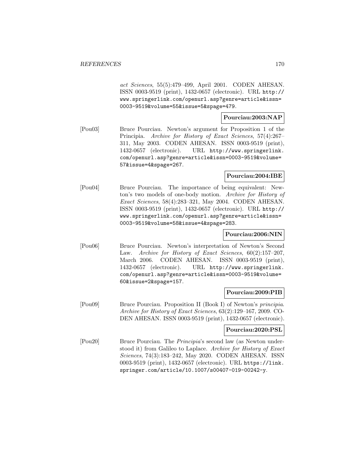act Sciences, 55(5):479–499, April 2001. CODEN AHESAN. ISSN 0003-9519 (print), 1432-0657 (electronic). URL http:// www.springerlink.com/openurl.asp?genre=article&issn= 0003-9519&volume=55&issue=5&spage=479.

**Pourciau:2003:NAP**

[Pou03] Bruce Pourciau. Newton's argument for Proposition 1 of the Principia. Archive for History of Exact Sciences, 57(4):267– 311, May 2003. CODEN AHESAN. ISSN 0003-9519 (print), 1432-0657 (electronic). URL http://www.springerlink. com/openurl.asp?genre=article&issn=0003-9519&volume= 57&issue=4&spage=267.

### **Pourciau:2004:IBE**

[Pou04] Bruce Pourciau. The importance of being equivalent: Newton's two models of one-body motion. Archive for History of Exact Sciences, 58(4):283–321, May 2004. CODEN AHESAN. ISSN 0003-9519 (print), 1432-0657 (electronic). URL http:// www.springerlink.com/openurl.asp?genre=article&issn= 0003-9519&volume=58&issue=4&spage=283.

# **Pourciau:2006:NIN**

[Pou06] Bruce Pourciau. Newton's interpretation of Newton's Second Law. Archive for History of Exact Sciences, 60(2):157–207, March 2006. CODEN AHESAN. ISSN 0003-9519 (print), 1432-0657 (electronic). URL http://www.springerlink. com/openurl.asp?genre=article&issn=0003-9519&volume= 60&issue=2&spage=157.

### **Pourciau:2009:PIB**

[Pou09] Bruce Pourciau. Proposition II (Book I) of Newton's principia. Archive for History of Exact Sciences, 63(2):129–167, 2009. CO-DEN AHESAN. ISSN 0003-9519 (print), 1432-0657 (electronic).

### **Pourciau:2020:PSL**

[Pou20] Bruce Pourciau. The Principia's second law (as Newton understood it) from Galileo to Laplace. Archive for History of Exact Sciences, 74(3):183–242, May 2020. CODEN AHESAN. ISSN 0003-9519 (print), 1432-0657 (electronic). URL https://link. springer.com/article/10.1007/s00407-019-00242-y.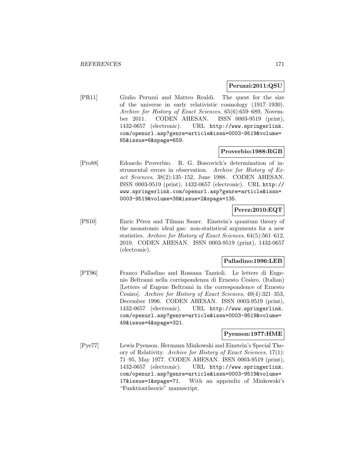### **Peruzzi:2011:QSU**

[PR11] Giulio Peruzzi and Matteo Realdi. The quest for the size of the universe in early relativistic cosmology (1917–1930). Archive for History of Exact Sciences, 65(6):659–689, November 2011. CODEN AHESAN. ISSN 0003-9519 (print), 1432-0657 (electronic). URL http://www.springerlink. com/openurl.asp?genre=article&issn=0003-9519&volume= 65&issue=6&spage=659.

### **Proverbio:1988:RGB**

[Pro88] Edoardo Proverbio. R. G. Boscovich's determination of instrumental errors in observation. Archive for History of Exact Sciences, 38(2):135–152, June 1988. CODEN AHESAN. ISSN 0003-9519 (print), 1432-0657 (electronic). URL http:// www.springerlink.com/openurl.asp?genre=article&issn= 0003-9519&volume=38&issue=2&spage=135.

## **Perez:2010:EQT**

[PS10] Enric Pérez and Tilman Sauer. Einstein's quantum theory of the monatomic ideal gas: non-statistical arguments for a new statistics. Archive for History of Exact Sciences, 64(5):561–612, 2010. CODEN AHESAN. ISSN 0003-9519 (print), 1432-0657 (electronic).

### **Palladino:1996:LEB**

[PT96] Franco Palladino and Rossana Tazzioli. Le lettere di Eugenio Beltrami nella corrispondenza di Ernesto Cesàro. (Italian) [Letters of Eugene Beltrami in the correspondence of Ernesto Cesàro]. Archive for History of Exact Sciences, 49(4):321-353, December 1996. CODEN AHESAN. ISSN 0003-9519 (print), 1432-0657 (electronic). URL http://www.springerlink. com/openurl.asp?genre=article&issn=0003-9519&volume= 49&issue=4&spage=321.

## **Pyenson:1977:HME**

[Pye77] Lewis Pyenson. Hermann Minkowski and Einstein's Special Theory of Relativity. Archive for History of Exact Sciences, 17(1): 71–95, May 1977. CODEN AHESAN. ISSN 0003-9519 (print), 1432-0657 (electronic). URL http://www.springerlink. com/openurl.asp?genre=article&issn=0003-9519&volume= 17&issue=1&spage=71. With an appendix of Minkowski's "Funktiontheorie" manuscript.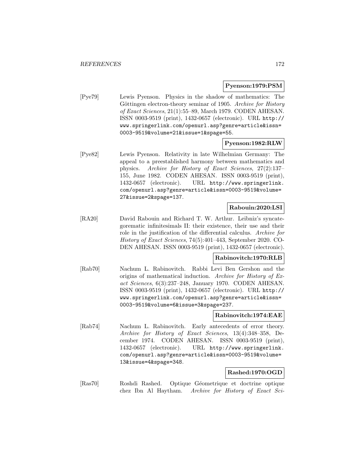## **Pyenson:1979:PSM**

[Pye79] Lewis Pyenson. Physics in the shadow of mathematics: The Göttingen electron-theory seminar of 1905. Archive for History of Exact Sciences, 21(1):55–89, March 1979. CODEN AHESAN. ISSN 0003-9519 (print), 1432-0657 (electronic). URL http:// www.springerlink.com/openurl.asp?genre=article&issn= 0003-9519&volume=21&issue=1&spage=55.

## **Pyenson:1982:RLW**

[Pye82] Lewis Pyenson. Relativity in late Wilhelmian Germany: The appeal to a preestablished harmony between mathematics and physics. Archive for History of Exact Sciences, 27(2):137– 155, June 1982. CODEN AHESAN. ISSN 0003-9519 (print), 1432-0657 (electronic). URL http://www.springerlink. com/openurl.asp?genre=article&issn=0003-9519&volume= 27&issue=2&spage=137.

## **Rabouin:2020:LSI**

[RA20] David Rabouin and Richard T. W. Arthur. Leibniz's syncategorematic infinitesimals II: their existence, their use and their role in the justification of the differential calculus. Archive for History of Exact Sciences, 74(5):401–443, September 2020. CO-DEN AHESAN. ISSN 0003-9519 (print), 1432-0657 (electronic).

## **Rabinovitch:1970:RLB**

[Rab70] Nachum L. Rabinovitch. Rabbi Levi Ben Gershon and the origins of mathematical induction. Archive for History of Exact Sciences, 6(3):237–248, January 1970. CODEN AHESAN. ISSN 0003-9519 (print), 1432-0657 (electronic). URL http:// www.springerlink.com/openurl.asp?genre=article&issn= 0003-9519&volume=6&issue=3&spage=237.

### **Rabinovitch:1974:EAE**

[Rab74] Nachum L. Rabinovitch. Early antecedents of error theory. Archive for History of Exact Sciences, 13(4):348–358, December 1974. CODEN AHESAN. ISSN 0003-9519 (print), 1432-0657 (electronic). URL http://www.springerlink. com/openurl.asp?genre=article&issn=0003-9519&volume= 13&issue=4&spage=348.

# **Rashed:1970:OGD**

[Ras70] Roshdi Rashed. Optique Géometrique et doctrine optique chez Ibn Al Haytham. Archive for History of Exact Sci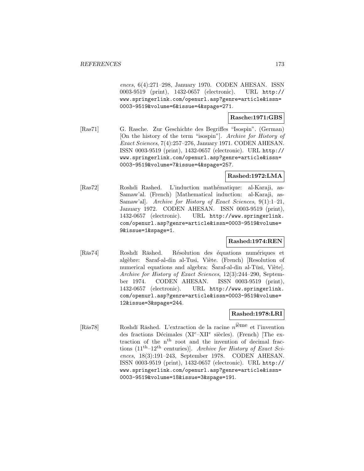ences, 6(4):271–298, January 1970. CODEN AHESAN. ISSN 0003-9519 (print), 1432-0657 (electronic). URL http:// www.springerlink.com/openurl.asp?genre=article&issn= 0003-9519&volume=6&issue=4&spage=271.

**Rasche:1971:GBS**

[Ras71] G. Rasche. Zur Geschichte des Begriffes "Isospin". (German) [On the history of the term "isospin"]. Archive for History of Exact Sciences, 7(4):257–276, January 1971. CODEN AHESAN. ISSN 0003-9519 (print), 1432-0657 (electronic). URL http:// www.springerlink.com/openurl.asp?genre=article&issn= 0003-9519&volume=7&issue=4&spage=257.

## **Rashed:1972:LMA**

[Ras72] Roshdi Rashed. L'induction math´ematique: al-Karaji, as-Samaw'al. (French) [Mathematical induction: al-Karaji, as-Samaw'al]. Archive for History of Exact Sciences, 9(1):1–21, January 1972. CODEN AHESAN. ISSN 0003-9519 (print), 1432-0657 (electronic). URL http://www.springerlink. com/openurl.asp?genre=article&issn=0003-9519&volume= 9&issue=1&spage=1.

### **Rashed:1974:REN**

[Rās74] Roshdī Rāshed. Résolution des équations numériques et algèbre: Saraf-al-din al-Tusi, Viète. (French) [Resolution of numerical equations and algebra:  $\text{S} \text{araf-al-din al-Tūs}\bar{\text{u}}, \text{Vi\`et}$ . Archive for History of Exact Sciences, 12(3):244–290, September 1974. CODEN AHESAN. ISSN 0003-9519 (print), 1432-0657 (electronic). URL http://www.springerlink. com/openurl.asp?genre=article&issn=0003-9519&volume= 12&issue=3&spage=244.

# **Rashed:1978:LRI**

[R $\bar{a}$ s78] Roshdī R $\bar{a}$ shed. L'extraction de la racine  $n^{\text{i\`eme}}$  et l'invention des fractions Décimales ( $XI^e$ –XII<sup>e</sup> siècles). (French) [The extraction of the n<sup>th</sup> root and the invention of decimal fractions (11<sup>th</sup>-12<sup>th</sup> centuries)]. Archive for History of Exact Sciences, 18(3):191–243, September 1978. CODEN AHESAN. ISSN 0003-9519 (print), 1432-0657 (electronic). URL http:// www.springerlink.com/openurl.asp?genre=article&issn= 0003-9519&volume=18&issue=3&spage=191.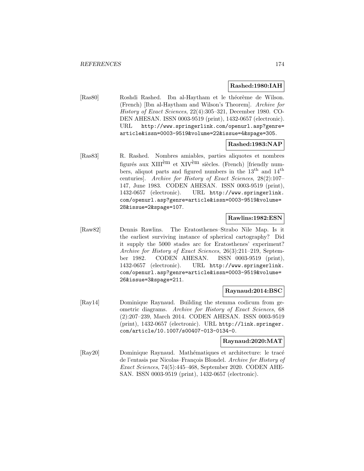### **Rashed:1980:IAH**

[Ras80] Roshdi Rashed. Ibn al-Haytham et le théorème de Wilson. (French) [Ibn al-Haytham and Wilson's Theorem]. Archive for History of Exact Sciences, 22(4):305–321, December 1980. CO-DEN AHESAN. ISSN 0003-9519 (print), 1432-0657 (electronic). URL http://www.springerlink.com/openurl.asp?genre= article&issn=0003-9519&volume=22&issue=4&spage=305.

### **Rashed:1983:NAP**

[Ras83] R. Rashed. Nombres amiables, parties aliquotes et nombres figurés aux XIII<sup>èm</sup> et XIV<sup>èm</sup> siècles. (French) [friendly numbers, aliquot parts and figured numbers in the 13th and 14th centuries]. Archive for History of Exact Sciences, 28(2):107– 147, June 1983. CODEN AHESAN. ISSN 0003-9519 (print), 1432-0657 (electronic). URL http://www.springerlink. com/openurl.asp?genre=article&issn=0003-9519&volume= 28&issue=2&spage=107.

### **Rawlins:1982:ESN**

[Raw82] Dennis Rawlins. The Eratosthenes–Strabo Nile Map. Is it the earliest surviving instance of spherical cartography? Did it supply the 5000 stades arc for Eratosthenes' experiment? Archive for History of Exact Sciences, 26(3):211–219, September 1982. CODEN AHESAN. ISSN 0003-9519 (print), 1432-0657 (electronic). URL http://www.springerlink. com/openurl.asp?genre=article&issn=0003-9519&volume= 26&issue=3&spage=211.

### **Raynaud:2014:BSC**

[Ray14] Dominique Raynaud. Building the stemma codicum from geometric diagrams. Archive for History of Exact Sciences, 68 (2):207–239, March 2014. CODEN AHESAN. ISSN 0003-9519 (print), 1432-0657 (electronic). URL http://link.springer. com/article/10.1007/s00407-013-0134-0.

### **Raynaud:2020:MAT**

[Ray20] Dominique Raynaud. Mathématiques et architecture: le tracé de l'entasis par Nicolas–François Blondel. Archive for History of Exact Sciences, 74(5):445–468, September 2020. CODEN AHE-SAN. ISSN 0003-9519 (print), 1432-0657 (electronic).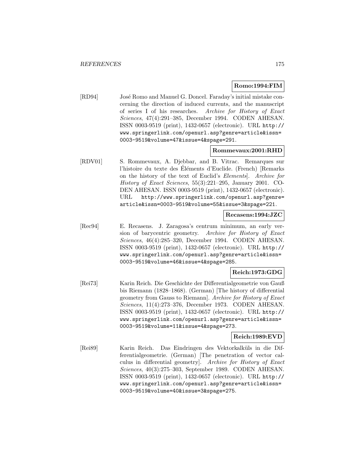### **Romo:1994:FIM**

[RD94] José Romo and Manuel G. Doncel. Faraday's initial mistake concerning the direction of induced currents, and the manuscript of series I of his researches. Archive for History of Exact Sciences, 47(4):291–385, December 1994. CODEN AHESAN. ISSN 0003-9519 (print), 1432-0657 (electronic). URL http:// www.springerlink.com/openurl.asp?genre=article&issn= 0003-9519&volume=47&issue=4&spage=291.

### **Rommevaux:2001:RHD**

[RDV01] S. Rommevaux, A. Djebbar, and B. Vitrac. Remarques sur l'histoire du texte des Eléments d'Euclide. (French) [Remarks] on the history of the text of Euclid's Elements]. Archive for History of Exact Sciences, 55(3):221–295, January 2001. CO-DEN AHESAN. ISSN 0003-9519 (print), 1432-0657 (electronic). URL http://www.springerlink.com/openurl.asp?genre= article&issn=0003-9519&volume=55&issue=3&spage=221.

# **Recasens:1994:JZC**

[Rec94] E. Recasens. J. Zaragosa's centrum minimum, an early version of barycentric geometry. Archive for History of Exact Sciences, 46(4):285–320, December 1994. CODEN AHESAN. ISSN 0003-9519 (print), 1432-0657 (electronic). URL http:// www.springerlink.com/openurl.asp?genre=article&issn= 0003-9519&volume=46&issue=4&spage=285.

### **Reich:1973:GDG**

[Rei73] Karin Reich. Die Geschichte der Differentialgeometrie von Gauß bis Riemann (1828–1868). (German) [The history of differential geometry from Gauss to Riemann]. Archive for History of Exact Sciences, 11(4):273–376, December 1973. CODEN AHESAN. ISSN 0003-9519 (print), 1432-0657 (electronic). URL http:// www.springerlink.com/openurl.asp?genre=article&issn= 0003-9519&volume=11&issue=4&spage=273.

### **Reich:1989:EVD**

[Rei89] Karin Reich. Das Eindringen des Vektorkalk¨uls in die Differentialgeometrie. (German) [The penetration of vector calculus in differential geometry]. Archive for History of Exact Sciences, 40(3):275–303, September 1989. CODEN AHESAN. ISSN 0003-9519 (print), 1432-0657 (electronic). URL http:// www.springerlink.com/openurl.asp?genre=article&issn= 0003-9519&volume=40&issue=3&spage=275.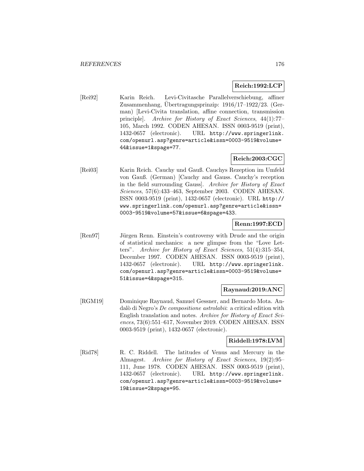# **Reich:1992:LCP**

[Rei92] Karin Reich. Levi-Civitasche Parallelverschiebung, affiner Zusammenhang, Ubertragungsprinzip:  $1916/17-1922/23$ . (German) [Levi-Civita translation, affine connection, transmission principle]. Archive for History of Exact Sciences, 44(1):77– 105, March 1992. CODEN AHESAN. ISSN 0003-9519 (print), 1432-0657 (electronic). URL http://www.springerlink. com/openurl.asp?genre=article&issn=0003-9519&volume= 44&issue=1&spage=77.

# **Reich:2003:CGC**

[Rei03] Karin Reich. Cauchy und Gauß. Cauchys Rezeption im Umfeld von Gauß. (German) [Cauchy and Gauss. Cauchy's reception in the field surrounding Gauss]. Archive for History of Exact Sciences, 57(6):433–463, September 2003. CODEN AHESAN. ISSN 0003-9519 (print), 1432-0657 (electronic). URL http:// www.springerlink.com/openurl.asp?genre=article&issn= 0003-9519&volume=57&issue=6&spage=433.

## **Renn:1997:ECD**

[Ren97] Jürgen Renn. Einstein's controversy with Drude and the origin of statistical mechanics: a new glimpse from the "Love Letters". Archive for History of Exact Sciences, 51(4):315–354, December 1997. CODEN AHESAN. ISSN 0003-9519 (print), 1432-0657 (electronic). URL http://www.springerlink. com/openurl.asp?genre=article&issn=0003-9519&volume= 51&issue=4&spage=315.

### **Raynaud:2019:ANC**

[RGM19] Dominique Raynaud, Samuel Gessner, and Bernardo Mota. Andalò di Negro's De compositione astrolabii: a critical edition with English translation and notes. Archive for History of Exact Sciences, 73(6):551–617, November 2019. CODEN AHESAN. ISSN 0003-9519 (print), 1432-0657 (electronic).

### **Riddell:1978:LVM**

[Rid78] R. C. Riddell. The latitudes of Venus and Mercury in the Almagest. Archive for History of Exact Sciences, 19(2):95– 111, June 1978. CODEN AHESAN. ISSN 0003-9519 (print), 1432-0657 (electronic). URL http://www.springerlink. com/openurl.asp?genre=article&issn=0003-9519&volume= 19&issue=2&spage=95.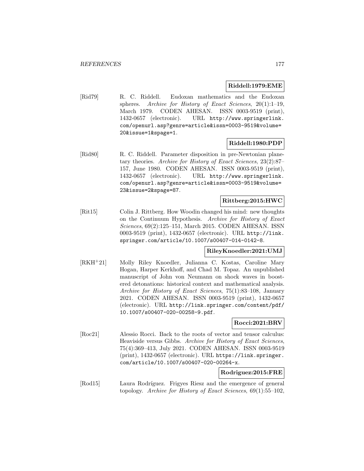### **Riddell:1979:EME**

[Rid79] R. C. Riddell. Eudoxan mathematics and the Eudoxan spheres. Archive for History of Exact Sciences, 20(1):1-19, March 1979. CODEN AHESAN. ISSN 0003-9519 (print), 1432-0657 (electronic). URL http://www.springerlink. com/openurl.asp?genre=article&issn=0003-9519&volume= 20&issue=1&spage=1.

### **Riddell:1980:PDP**

[Rid80] R. C. Riddell. Parameter disposition in pre-Newtonian planetary theories. Archive for History of Exact Sciences, 23(2):87– 157, June 1980. CODEN AHESAN. ISSN 0003-9519 (print), 1432-0657 (electronic). URL http://www.springerlink. com/openurl.asp?genre=article&issn=0003-9519&volume= 23&issue=2&spage=87.

### **Rittberg:2015:HWC**

[Rit15] Colin J. Rittberg. How Woodin changed his mind: new thoughts on the Continuum Hypothesis. Archive for History of Exact Sciences, 69(2):125–151, March 2015. CODEN AHESAN. ISSN 0003-9519 (print), 1432-0657 (electronic). URL http://link. springer.com/article/10.1007/s00407-014-0142-8.

### **RileyKnoedler:2021:UMJ**

[RKH<sup>+</sup>21] Molly Riley Knoedler, Julianna C. Kostas, Caroline Mary Hogan, Harper Kerkhoff, and Chad M. Topaz. An unpublished manuscript of John von Neumann on shock waves in boostered detonations: historical context and mathematical analysis. Archive for History of Exact Sciences, 75(1):83–108, January 2021. CODEN AHESAN. ISSN 0003-9519 (print), 1432-0657 (electronic). URL http://link.springer.com/content/pdf/ 10.1007/s00407-020-00258-9.pdf.

# **Rocci:2021:BRV**

[Roc21] Alessio Rocci. Back to the roots of vector and tensor calculus: Heaviside versus Gibbs. Archive for History of Exact Sciences, 75(4):369–413, July 2021. CODEN AHESAN. ISSN 0003-9519 (print), 1432-0657 (electronic). URL https://link.springer. com/article/10.1007/s00407-020-00264-x.

## **Rodriguez:2015:FRE**

[Rod15] Laura Rodríguez. Frigyes Riesz and the emergence of general topology. Archive for History of Exact Sciences, 69(1):55–102,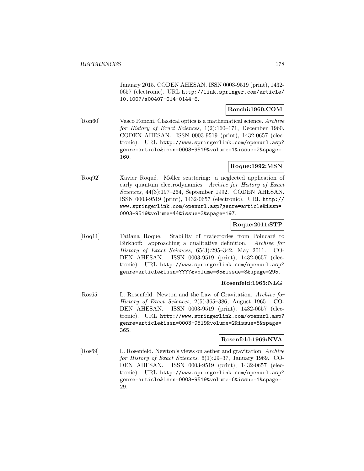January 2015. CODEN AHESAN. ISSN 0003-9519 (print), 1432- 0657 (electronic). URL http://link.springer.com/article/ 10.1007/s00407-014-0144-6.

## **Ronchi:1960:COM**

[Ron60] Vasco Ronchi. Classical optics is a mathematical science. Archive for History of Exact Sciences, 1(2):160–171, December 1960. CODEN AHESAN. ISSN 0003-9519 (print), 1432-0657 (electronic). URL http://www.springerlink.com/openurl.asp? genre=article&issn=0003-9519&volume=1&issue=2&spage= 160.

## **Roque:1992:MSN**

[Roq92] Xavier Roqué. Møller scattering: a neglected application of early quantum electrodynamics. Archive for History of Exact Sciences, 44(3):197–264, September 1992. CODEN AHESAN. ISSN 0003-9519 (print), 1432-0657 (electronic). URL http:// www.springerlink.com/openurl.asp?genre=article&issn= 0003-9519&volume=44&issue=3&spage=197.

## **Roque:2011:STP**

[Roq11] Tatiana Roque. Stability of trajectories from Poincaré to Birkhoff: approaching a qualitative definition. Archive for History of Exact Sciences, 65(3):295–342, May 2011. CO-DEN AHESAN. ISSN 0003-9519 (print), 1432-0657 (electronic). URL http://www.springerlink.com/openurl.asp? genre=article&issn=????&volume=65&issue=3&spage=295.

### **Rosenfeld:1965:NLG**

[Ros65] L. Rosenfeld. Newton and the Law of Gravitation. Archive for History of Exact Sciences, 2(5):365–386, August 1965. CO-DEN AHESAN. ISSN 0003-9519 (print), 1432-0657 (electronic). URL http://www.springerlink.com/openurl.asp? genre=article&issn=0003-9519&volume=2&issue=5&spage= 365.

## **Rosenfeld:1969:NVA**

[Ros69] L. Rosenfeld. Newton's views on aether and gravitation. Archive for History of Exact Sciences, 6(1):29–37, January 1969. CO-DEN AHESAN. ISSN 0003-9519 (print), 1432-0657 (electronic). URL http://www.springerlink.com/openurl.asp? genre=article&issn=0003-9519&volume=6&issue=1&spage= 29.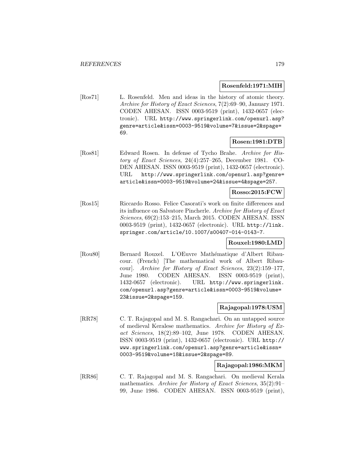### **Rosenfeld:1971:MIH**

[Ros71] L. Rosenfeld. Men and ideas in the history of atomic theory. Archive for History of Exact Sciences, 7(2):69–90, January 1971. CODEN AHESAN. ISSN 0003-9519 (print), 1432-0657 (electronic). URL http://www.springerlink.com/openurl.asp? genre=article&issn=0003-9519&volume=7&issue=2&spage= 69.

## **Rosen:1981:DTB**

[Ros81] Edward Rosen. In defense of Tycho Brahe. Archive for History of Exact Sciences, 24(4):257–265, December 1981. CO-DEN AHESAN. ISSN 0003-9519 (print), 1432-0657 (electronic). URL http://www.springerlink.com/openurl.asp?genre= article&issn=0003-9519&volume=24&issue=4&spage=257.

### **Rosso:2015:FCW**

[Ros15] Riccardo Rosso. Felice Casorati's work on finite differences and its influence on Salvatore Pincherle. Archive for History of Exact Sciences, 69(2):153–215, March 2015. CODEN AHESAN. ISSN 0003-9519 (print), 1432-0657 (electronic). URL http://link. springer.com/article/10.1007/s00407-014-0143-7.

### **Rouxel:1980:LMD**

[Rou80] Bernard Rouxel. L'OEuvre Mathématique d'Albert Ribaucour. (French) [The mathematical work of Albert Ribaucour]. Archive for History of Exact Sciences, 23(2):159–177, June 1980. CODEN AHESAN. ISSN 0003-9519 (print), 1432-0657 (electronic). URL http://www.springerlink. com/openurl.asp?genre=article&issn=0003-9519&volume= 23&issue=2&spage=159.

## **Rajagopal:1978:USM**

[RR78] C. T. Rajagopal and M. S. Rangachari. On an untapped source of medieval Keralese mathematics. Archive for History of Exact Sciences, 18(2):89–102, June 1978. CODEN AHESAN. ISSN 0003-9519 (print), 1432-0657 (electronic). URL http:// www.springerlink.com/openurl.asp?genre=article&issn= 0003-9519&volume=18&issue=2&spage=89.

### **Rajagopal:1986:MKM**

[RR86] C. T. Rajagopal and M. S. Rangachari. On medieval Kerala mathematics. Archive for History of Exact Sciences, 35(2):91– 99, June 1986. CODEN AHESAN. ISSN 0003-9519 (print),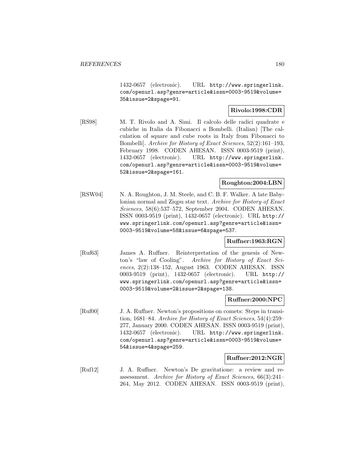1432-0657 (electronic). URL http://www.springerlink. com/openurl.asp?genre=article&issn=0003-9519&volume= 35&issue=2&spage=91.

## **Rivolo:1998:CDR**

[RS98] M. T. Rivolo and A. Simi. Il calcolo delle radici quadrate e cubiche in Italia da Fibonacci a Bombelli. (Italian) [The calculation of square and cube roots in Italy from Fibonacci to Bombelli]. Archive for History of Exact Sciences, 52(2):161–193, February 1998. CODEN AHESAN. ISSN 0003-9519 (print), 1432-0657 (electronic). URL http://www.springerlink. com/openurl.asp?genre=article&issn=0003-9519&volume= 52&issue=2&spage=161.

## **Roughton:2004:LBN**

[RSW04] N. A. Roughton, J. M. Steele, and C. B. F. Walker. A late Babylonian normal and Ziqpu star text. Archive for History of Exact Sciences, 58(6):537–572, September 2004. CODEN AHESAN. ISSN 0003-9519 (print), 1432-0657 (electronic). URL http:// www.springerlink.com/openurl.asp?genre=article&issn= 0003-9519&volume=58&issue=6&spage=537.

### **Ruffner:1963:RGN**

[Ruf63] James A. Ruffner. Reinterpretation of the genesis of Newton's "law of Cooling". Archive for History of Exact Sciences, 2(2):138–152, August 1963. CODEN AHESAN. ISSN 0003-9519 (print), 1432-0657 (electronic). URL http:// www.springerlink.com/openurl.asp?genre=article&issn= 0003-9519&volume=2&issue=2&spage=138.

### **Ruffner:2000:NPC**

[Ruf00] J. A. Ruffner. Newton's propositions on comets: Steps in transition, 1681–84. Archive for History of Exact Sciences, 54(4):259– 277, January 2000. CODEN AHESAN. ISSN 0003-9519 (print), 1432-0657 (electronic). URL http://www.springerlink. com/openurl.asp?genre=article&issn=0003-9519&volume= 54&issue=4&spage=259.

### **Ruffner:2012:NGR**

[Ruf12] J. A. Ruffner. Newton's De gravitatione: a review and reassessment. Archive for History of Exact Sciences, 66(3):241– 264, May 2012. CODEN AHESAN. ISSN 0003-9519 (print),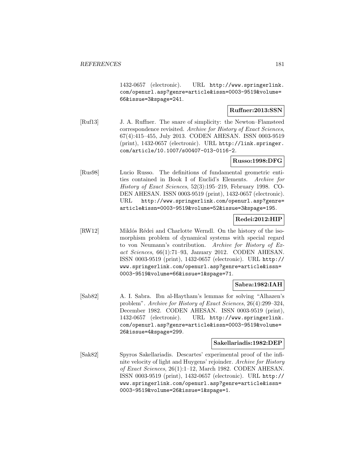1432-0657 (electronic). URL http://www.springerlink. com/openurl.asp?genre=article&issn=0003-9519&volume= 66&issue=3&spage=241.

# **Ruffner:2013:SSN**

[Ruf13] J. A. Ruffner. The snare of simplicity: the Newton–Flamsteed correspondence revisited. Archive for History of Exact Sciences, 67(4):415–455, July 2013. CODEN AHESAN. ISSN 0003-9519 (print), 1432-0657 (electronic). URL http://link.springer. com/article/10.1007/s00407-013-0116-2.

## **Russo:1998:DFG**

[Rus98] Lucio Russo. The definitions of fundamental geometric entities contained in Book I of Euclid's Elements. Archive for History of Exact Sciences, 52(3):195–219, February 1998. CO-DEN AHESAN. ISSN 0003-9519 (print), 1432-0657 (electronic). URL http://www.springerlink.com/openurl.asp?genre= article&issn=0003-9519&volume=52&issue=3&spage=195.

## **Redei:2012:HIP**

[RW12] Miklós Rédei and Charlotte Werndl. On the history of the isomorphism problem of dynamical systems with special regard to von Neumann's contribution. Archive for History of Exact Sciences, 66(1):71–93, January 2012. CODEN AHESAN. ISSN 0003-9519 (print), 1432-0657 (electronic). URL http:// www.springerlink.com/openurl.asp?genre=article&issn= 0003-9519&volume=66&issue=1&spage=71.

## **Sabra:1982:IAH**

[Sab82] A. I. Sabra. Ibn al-Haytham's lemmas for solving "Alhazen's problem". Archive for History of Exact Sciences, 26(4):299–324, December 1982. CODEN AHESAN. ISSN 0003-9519 (print), 1432-0657 (electronic). URL http://www.springerlink. com/openurl.asp?genre=article&issn=0003-9519&volume= 26&issue=4&spage=299.

## **Sakellariadis:1982:DEP**

[Sak82] Spyros Sakellariadis. Descartes' experimental proof of the infinite velocity of light and Huygens' rejoinder. Archive for History of Exact Sciences, 26(1):1–12, March 1982. CODEN AHESAN. ISSN 0003-9519 (print), 1432-0657 (electronic). URL http:// www.springerlink.com/openurl.asp?genre=article&issn= 0003-9519&volume=26&issue=1&spage=1.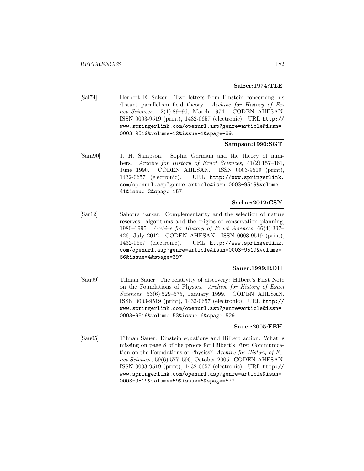## **Salzer:1974:TLE**

[Sal74] Herbert E. Salzer. Two letters from Einstein concerning his distant parallelism field theory. Archive for History of Exact Sciences, 12(1):89–96, March 1974. CODEN AHESAN. ISSN 0003-9519 (print), 1432-0657 (electronic). URL http:// www.springerlink.com/openurl.asp?genre=article&issn= 0003-9519&volume=12&issue=1&spage=89.

### **Sampson:1990:SGT**

[Sam90] J. H. Sampson. Sophie Germain and the theory of numbers. Archive for History of Exact Sciences, 41(2):157–161, June 1990. CODEN AHESAN. ISSN 0003-9519 (print), 1432-0657 (electronic). URL http://www.springerlink. com/openurl.asp?genre=article&issn=0003-9519&volume= 41&issue=2&spage=157.

## **Sarkar:2012:CSN**

[Sar12] Sahotra Sarkar. Complementarity and the selection of nature reserves: algorithms and the origins of conservation planning, 1980–1995. Archive for History of Exact Sciences, 66(4):397– 426, July 2012. CODEN AHESAN. ISSN 0003-9519 (print), 1432-0657 (electronic). URL http://www.springerlink. com/openurl.asp?genre=article&issn=0003-9519&volume= 66&issue=4&spage=397.

## **Sauer:1999:RDH**

[Sau99] Tilman Sauer. The relativity of discovery: Hilbert's First Note on the Foundations of Physics. Archive for History of Exact Sciences, 53(6):529–575, January 1999. CODEN AHESAN. ISSN 0003-9519 (print), 1432-0657 (electronic). URL http:// www.springerlink.com/openurl.asp?genre=article&issn= 0003-9519&volume=53&issue=6&spage=529.

## **Sauer:2005:EEH**

[Sau05] Tilman Sauer. Einstein equations and Hilbert action: What is missing on page 8 of the proofs for Hilbert's First Communication on the Foundations of Physics? Archive for History of Exact Sciences, 59(6):577–590, October 2005. CODEN AHESAN. ISSN 0003-9519 (print), 1432-0657 (electronic). URL http:// www.springerlink.com/openurl.asp?genre=article&issn= 0003-9519&volume=59&issue=6&spage=577.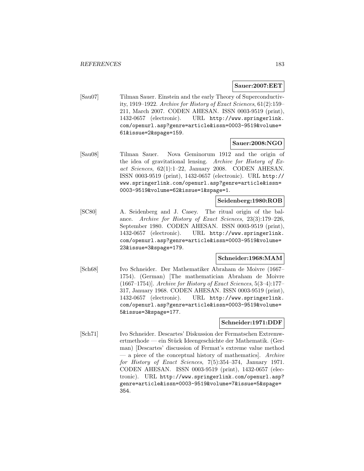### **Sauer:2007:EET**

[Sau07] Tilman Sauer. Einstein and the early Theory of Superconductivity, 1919–1922. Archive for History of Exact Sciences, 61(2):159– 211, March 2007. CODEN AHESAN. ISSN 0003-9519 (print), 1432-0657 (electronic). URL http://www.springerlink. com/openurl.asp?genre=article&issn=0003-9519&volume= 61&issue=2&spage=159.

### **Sauer:2008:NGO**

[Sau08] Tilman Sauer. Nova Geminorum 1912 and the origin of the idea of gravitational lensing. Archive for History of Exact Sciences, 62(1):1–22, January 2008. CODEN AHESAN. ISSN 0003-9519 (print), 1432-0657 (electronic). URL http:// www.springerlink.com/openurl.asp?genre=article&issn= 0003-9519&volume=62&issue=1&spage=1.

#### **Seidenberg:1980:ROB**

[SC80] A. Seidenberg and J. Casey. The ritual origin of the balance. Archive for History of Exact Sciences, 23(3):179–226, September 1980. CODEN AHESAN. ISSN 0003-9519 (print), 1432-0657 (electronic). URL http://www.springerlink. com/openurl.asp?genre=article&issn=0003-9519&volume= 23&issue=3&spage=179.

## **Schneider:1968:MAM**

[Sch68] Ivo Schneider. Der Mathematiker Abraham de Moivre (1667– 1754). (German) [The mathematician Abraham de Moivre  $(1667-1754)$ . Archive for History of Exact Sciences,  $5(3-4)$ :177– 317, January 1968. CODEN AHESAN. ISSN 0003-9519 (print), 1432-0657 (electronic). URL http://www.springerlink. com/openurl.asp?genre=article&issn=0003-9519&volume= 5&issue=3&spage=177.

### **Schneider:1971:DDF**

[Sch71] Ivo Schneider. Descartes' Diskussion der Fermatschen Extremwertmethode — ein Stück Ideengeschichte der Mathematik. (German) [Descartes' discussion of Fermat's extreme value method — a piece of the conceptual history of mathematics]. Archive for History of Exact Sciences, 7(5):354–374, January 1971. CODEN AHESAN. ISSN 0003-9519 (print), 1432-0657 (electronic). URL http://www.springerlink.com/openurl.asp? genre=article&issn=0003-9519&volume=7&issue=5&spage= 354.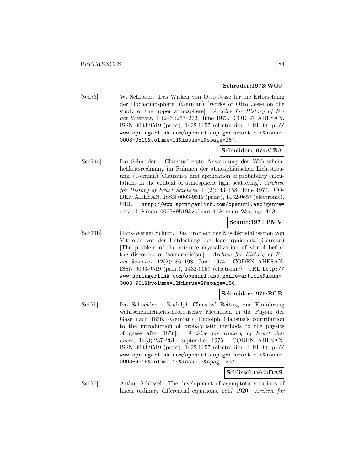### **Schroder:1973:WOJ**

[Sch73] W. Schröder. Das Wirken von Otto Jesse für die Erforschung der Hochatmosphäre. (German) [Works of Otto Jesse on the study of the upper atmosphere]. Archive for History of Exact Sciences, 11(2–3):267–272, June 1973. CODEN AHESAN. ISSN 0003-9519 (print), 1432-0657 (electronic). URL http:// www.springerlink.com/openurl.asp?genre=article&issn= 0003-9519&volume=11&issue=2&spage=267.

## **Schneider:1974:CEA**

[Sch74a] Ivo Schneider. Clausius' erste Anwendung der Wahrscheinlichkeitsrechnung im Rahmen der atmosphärischen Lichtstreuung. (German) [Clausius's first application of probability calculations in the context of atmospheric light scattering]. Archive for History of Exact Sciences, 14(2):143–158, June 1974. CO-DEN AHESAN. ISSN 0003-9519 (print), 1432-0657 (electronic). URL http://www.springerlink.com/openurl.asp?genre= article&issn=0003-9519&volume=14&issue=2&spage=143.

### **Schutt:1974:PMV**

[Sch74b] Hans-Werner Sch¨utt. Das Problem der Mischkristallisation von Vitriolen vor der Entdeckung des Isomorphismus. (German) [The problem of the mixture crystallization of vitriol before the discovery of isomorphicism]. Archive for History of Exact Sciences, 12(2):186–198, June 1974. CODEN AHESAN. ISSN 0003-9519 (print), 1432-0657 (electronic). URL http:// www.springerlink.com/openurl.asp?genre=article&issn= 0003-9519&volume=12&issue=2&spage=186.

# **Schneider:1975:RCB**

[Sch75] Ivo Schneider. Rudolph Clausius' Beitrag zur Einführung wahrscheinlichkeitstheoretischer Methoden in die Physik der Gase nach 1856. (German) [Rudolph Clausius's contribution to the introduction of probabilistic methods to the physics of gases after 1856]. Archive for History of Exact Sciences, 14(3):237–261, September 1975. CODEN AHESAN. ISSN 0003-9519 (print), 1432-0657 (electronic). URL http:// www.springerlink.com/openurl.asp?genre=article&issn= 0003-9519&volume=14&issue=3&spage=237.

### **Schlissel:1977:DAS**

[Sch77] Arthur Schlissel. The development of asymptotic solutions of linear ordinary differential equations, 1817–1920. Archive for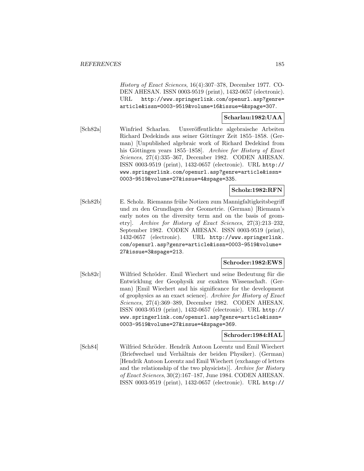History of Exact Sciences, 16(4):307–378, December 1977. CO-DEN AHESAN. ISSN 0003-9519 (print), 1432-0657 (electronic). URL http://www.springerlink.com/openurl.asp?genre= article&issn=0003-9519&volume=16&issue=4&spage=307.

# **Scharlau:1982:UAA**

[Sch82a] Winfried Scharlau. Unveröffentlichte algebraische Arbeiten Richard Dedekinds aus seiner Göttinger Zeit 1855–1858. (German) [Unpublished algebraic work of Richard Dedekind from his Göttingen years 1855–1858. Archive for History of Exact Sciences, 27(4):335–367, December 1982. CODEN AHESAN. ISSN 0003-9519 (print), 1432-0657 (electronic). URL http:// www.springerlink.com/openurl.asp?genre=article&issn= 0003-9519&volume=27&issue=4&spage=335.

## **Scholz:1982:RFN**

[Sch82b] E. Scholz. Riemanns frühe Notizen zum Mannigfaltigkeitsbegriff und zu den Grundlagen der Geometrie. (German) [Riemann's early notes on the diversity term and on the basis of geometry]. Archive for History of Exact Sciences, 27(3):213–232, September 1982. CODEN AHESAN. ISSN 0003-9519 (print), 1432-0657 (electronic). URL http://www.springerlink. com/openurl.asp?genre=article&issn=0003-9519&volume= 27&issue=3&spage=213.

## **Schroder:1982:EWS**

[Sch82c] Wilfried Schröder. Emil Wiechert und seine Bedeutung für die Entwicklung der Geophysik zur exakten Wissenschaft. (German) [Emil Wiechert and his significance for the development of geophysics as an exact science]. Archive for History of Exact Sciences, 27(4):369–389, December 1982. CODEN AHESAN. ISSN 0003-9519 (print), 1432-0657 (electronic). URL http:// www.springerlink.com/openurl.asp?genre=article&issn= 0003-9519&volume=27&issue=4&spage=369.

# **Schroder:1984:HAL**

[Sch84] Wilfried Schröder. Hendrik Antoon Lorentz und Emil Wiechert (Briefwechsel und Verhältnis der beiden Physiker). (German) [Hendrik Antoon Lorentz and Emil Wiechert (exchange of letters and the relationship of the two physicists)]. Archive for History of Exact Sciences, 30(2):167–187, June 1984. CODEN AHESAN. ISSN 0003-9519 (print), 1432-0657 (electronic). URL http://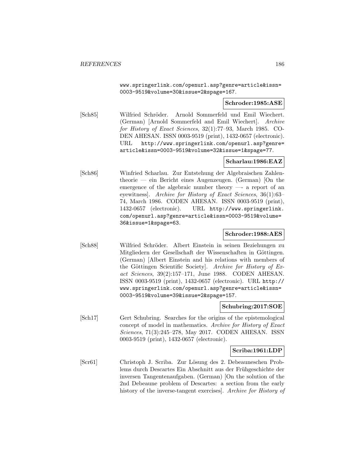www.springerlink.com/openurl.asp?genre=article&issn= 0003-9519&volume=30&issue=2&spage=167.

### **Schroder:1985:ASE**

[Sch85] Wilfried Schröder. Arnold Sommerfeld und Emil Wiechert. (German) [Arnold Sommerfeld and Emil Wiechert]. Archive for History of Exact Sciences, 32(1):77–93, March 1985. CO-DEN AHESAN. ISSN 0003-9519 (print), 1432-0657 (electronic). URL http://www.springerlink.com/openurl.asp?genre= article&issn=0003-9519&volume=32&issue=1&spage=77.

# **Scharlau:1986:EAZ**

[Sch86] Winfried Scharlau. Zur Entstehung der Algebraischen Zahlentheorie — ein Bericht eines Augenzeugen. (German) [On the emergence of the algebraic number theory —- a report of an eyewitness]. Archive for History of Exact Sciences, 36(1):63– 74, March 1986. CODEN AHESAN. ISSN 0003-9519 (print), 1432-0657 (electronic). URL http://www.springerlink. com/openurl.asp?genre=article&issn=0003-9519&volume= 36&issue=1&spage=63.

## **Schroder:1988:AES**

[Sch88] Wilfried Schröder. Albert Einstein in seinen Beziehungen zu Mitgliedern der Gesellschaft der Wissenschaften in Göttingen. (German) [Albert Einstein and his relations with members of the Göttingen Scientific Society]. Archive for History of Exact Sciences, 39(2):157–171, June 1988. CODEN AHESAN. ISSN 0003-9519 (print), 1432-0657 (electronic). URL http:// www.springerlink.com/openurl.asp?genre=article&issn= 0003-9519&volume=39&issue=2&spage=157.

#### **Schubring:2017:SOE**

[Sch17] Gert Schubring. Searches for the origins of the epistemological concept of model in mathematics. Archive for History of Exact Sciences, 71(3):245–278, May 2017. CODEN AHESAN. ISSN 0003-9519 (print), 1432-0657 (electronic).

#### **Scriba:1961:LDP**

[Scr61] Christoph J. Scriba. Zur Lösung des 2. Debeauneschen Problems durch Descartes Ein Abschnitt aus der Frühgeschichte der inversen Tangentenaufgaben. (German) [On the solution of the 2nd Debeaune problem of Descartes: a section from the early history of the inverse-tangent exercises]. Archive for History of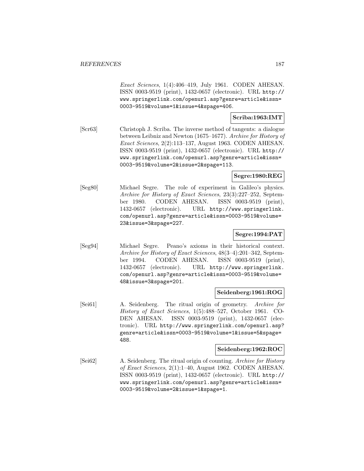Exact Sciences, 1(4):406–419, July 1961. CODEN AHESAN. ISSN 0003-9519 (print), 1432-0657 (electronic). URL http:// www.springerlink.com/openurl.asp?genre=article&issn= 0003-9519&volume=1&issue=4&spage=406.

# **Scriba:1963:IMT**

[Scr63] Christoph J. Scriba. The inverse method of tangents: a dialogue between Leibniz and Newton (1675–1677). Archive for History of Exact Sciences, 2(2):113–137, August 1963. CODEN AHESAN. ISSN 0003-9519 (print), 1432-0657 (electronic). URL http:// www.springerlink.com/openurl.asp?genre=article&issn= 0003-9519&volume=2&issue=2&spage=113.

# **Segre:1980:REG**

[Seg80] Michael Segre. The role of experiment in Galileo's physics. Archive for History of Exact Sciences, 23(3):227–252, September 1980. CODEN AHESAN. ISSN 0003-9519 (print), 1432-0657 (electronic). URL http://www.springerlink. com/openurl.asp?genre=article&issn=0003-9519&volume= 23&issue=3&spage=227.

# **Segre:1994:PAT**

[Seg94] Michael Segre. Peano's axioms in their historical context. Archive for History of Exact Sciences, 48(3–4):201–342, September 1994. CODEN AHESAN. ISSN 0003-9519 (print), 1432-0657 (electronic). URL http://www.springerlink. com/openurl.asp?genre=article&issn=0003-9519&volume= 48&issue=3&spage=201.

#### **Seidenberg:1961:ROG**

[Sei61] A. Seidenberg. The ritual origin of geometry. Archive for History of Exact Sciences, 1(5):488–527, October 1961. CO-DEN AHESAN. ISSN 0003-9519 (print), 1432-0657 (electronic). URL http://www.springerlink.com/openurl.asp? genre=article&issn=0003-9519&volume=1&issue=5&spage= 488.

### **Seidenberg:1962:ROC**

[Sei62] A. Seidenberg. The ritual origin of counting. Archive for History of Exact Sciences, 2(1):1–40, August 1962. CODEN AHESAN. ISSN 0003-9519 (print), 1432-0657 (electronic). URL http:// www.springerlink.com/openurl.asp?genre=article&issn= 0003-9519&volume=2&issue=1&spage=1.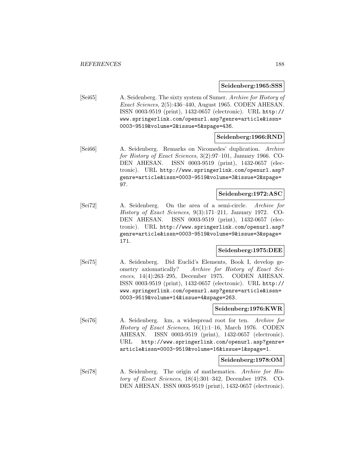#### **Seidenberg:1965:SSS**

[Sei65] A. Seidenberg. The sixty system of Sumer. Archive for History of Exact Sciences, 2(5):436–440, August 1965. CODEN AHESAN. ISSN 0003-9519 (print), 1432-0657 (electronic). URL http:// www.springerlink.com/openurl.asp?genre=article&issn= 0003-9519&volume=2&issue=5&spage=436.

## **Seidenberg:1966:RND**

[Sei66] A. Seidenberg. Remarks on Nicomedes' duplication. Archive for History of Exact Sciences, 3(2):97–101, January 1966. CO-DEN AHESAN. ISSN 0003-9519 (print), 1432-0657 (electronic). URL http://www.springerlink.com/openurl.asp? genre=article&issn=0003-9519&volume=3&issue=2&spage= 97.

## **Seidenberg:1972:ASC**

[Sei72] A. Seidenberg. On the area of a semi-circle. Archive for History of Exact Sciences, 9(3):171–211, January 1972. CO-DEN AHESAN. ISSN 0003-9519 (print), 1432-0657 (electronic). URL http://www.springerlink.com/openurl.asp? genre=article&issn=0003-9519&volume=9&issue=3&spage= 171.

#### **Seidenberg:1975:DEE**

[Sei75] A. Seidenberg. Did Euclid's Elements, Book I, develop geometry axiomatically? Archive for History of Exact Sciences, 14(4):263–295, December 1975. CODEN AHESAN. ISSN 0003-9519 (print), 1432-0657 (electronic). URL http:// www.springerlink.com/openurl.asp?genre=article&issn= 0003-9519&volume=14&issue=4&spage=263.

#### **Seidenberg:1976:KWR**

[Sei76] A. Seidenberg. km, a widespread root for ten. Archive for History of Exact Sciences, 16(1):1–16, March 1976. CODEN AHESAN. ISSN 0003-9519 (print), 1432-0657 (electronic). URL http://www.springerlink.com/openurl.asp?genre= article&issn=0003-9519&volume=16&issue=1&spage=1.

#### **Seidenberg:1978:OM**

[Sei78] A. Seidenberg. The origin of mathematics. Archive for History of Exact Sciences, 18(4):301–342, December 1978. CO-DEN AHESAN. ISSN 0003-9519 (print), 1432-0657 (electronic).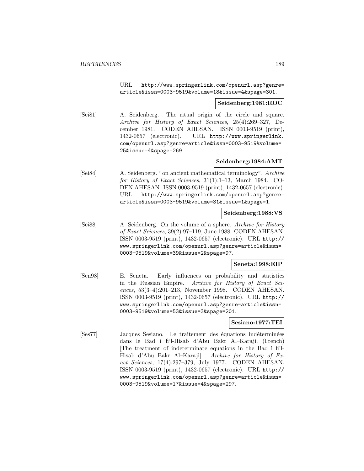URL http://www.springerlink.com/openurl.asp?genre= article&issn=0003-9519&volume=18&issue=4&spage=301.

### **Seidenberg:1981:ROC**

[Sei81] A. Seidenberg. The ritual origin of the circle and square. Archive for History of Exact Sciences, 25(4):269–327, December 1981. CODEN AHESAN. ISSN 0003-9519 (print), 1432-0657 (electronic). URL http://www.springerlink. com/openurl.asp?genre=article&issn=0003-9519&volume= 25&issue=4&spage=269.

# **Seidenberg:1984:AMT**

[Sei84] A. Seidenberg. "on ancient mathematical terminology". Archive for History of Exact Sciences, 31(1):1–13, March 1984. CO-DEN AHESAN. ISSN 0003-9519 (print), 1432-0657 (electronic). URL http://www.springerlink.com/openurl.asp?genre= article&issn=0003-9519&volume=31&issue=1&spage=1.

## **Seidenberg:1988:VS**

[Sei88] A. Seidenberg. On the volume of a sphere. Archive for History of Exact Sciences, 39(2):97–119, June 1988. CODEN AHESAN. ISSN 0003-9519 (print), 1432-0657 (electronic). URL http:// www.springerlink.com/openurl.asp?genre=article&issn= 0003-9519&volume=39&issue=2&spage=97.

## **Seneta:1998:EIP**

[Sen98] E. Seneta. Early influences on probability and statistics in the Russian Empire. Archive for History of Exact Sciences, 53(3–4):201–213, November 1998. CODEN AHESAN. ISSN 0003-9519 (print), 1432-0657 (electronic). URL http:// www.springerlink.com/openurl.asp?genre=article&issn= 0003-9519&volume=53&issue=3&spage=201.

## **Sesiano:1977:TEI**

[Ses77] Jacques Sesiano. Le traitement des équations indéterminées dans le Bad i fi'l-Hisab d'Abu Bakr Al–Karaji. (French) [The treatment of indeterminate equations in the Bad i fi'l-Hisab d'Abu Bakr Al–Karaji]. Archive for History of Exact Sciences, 17(4):297–379, July 1977. CODEN AHESAN. ISSN 0003-9519 (print), 1432-0657 (electronic). URL http:// www.springerlink.com/openurl.asp?genre=article&issn= 0003-9519&volume=17&issue=4&spage=297.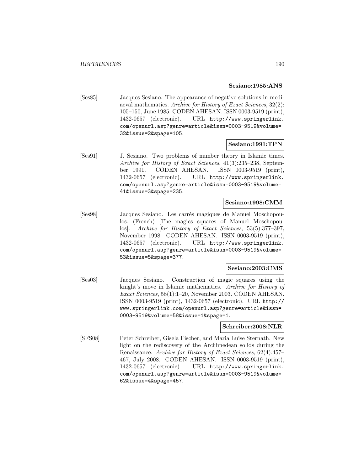#### **Sesiano:1985:ANS**

[Ses85] Jacques Sesiano. The appearance of negative solutions in mediaeval mathematics. Archive for History of Exact Sciences, 32(2): 105–150, June 1985. CODEN AHESAN. ISSN 0003-9519 (print), 1432-0657 (electronic). URL http://www.springerlink. com/openurl.asp?genre=article&issn=0003-9519&volume= 32&issue=2&spage=105.

#### **Sesiano:1991:TPN**

[Ses91] J. Sesiano. Two problems of number theory in Islamic times. Archive for History of Exact Sciences, 41(3):235–238, September 1991. CODEN AHESAN. ISSN 0003-9519 (print), 1432-0657 (electronic). URL http://www.springerlink. com/openurl.asp?genre=article&issn=0003-9519&volume= 41&issue=3&spage=235.

### **Sesiano:1998:CMM**

[Ses98] Jacques Sesiano. Les carrés magiques de Manuel Moschopoulos. (French) [The magics squares of Manuel Moschopoulos]. Archive for History of Exact Sciences, 53(5):377–397, November 1998. CODEN AHESAN. ISSN 0003-9519 (print), 1432-0657 (electronic). URL http://www.springerlink. com/openurl.asp?genre=article&issn=0003-9519&volume= 53&issue=5&spage=377.

## **Sesiano:2003:CMS**

[Ses03] Jacques Sesiano. Construction of magic squares using the knight's move in Islamic mathematics. Archive for History of Exact Sciences, 58(1):1–20, November 2003. CODEN AHESAN. ISSN 0003-9519 (print), 1432-0657 (electronic). URL http:// www.springerlink.com/openurl.asp?genre=article&issn= 0003-9519&volume=58&issue=1&spage=1.

## **Schreiber:2008:NLR**

[SFS08] Peter Schreiber, Gisela Fischer, and Maria Luise Sternath. New light on the rediscovery of the Archimedean solids during the Renaissance. Archive for History of Exact Sciences, 62(4):457– 467, July 2008. CODEN AHESAN. ISSN 0003-9519 (print), 1432-0657 (electronic). URL http://www.springerlink. com/openurl.asp?genre=article&issn=0003-9519&volume= 62&issue=4&spage=457.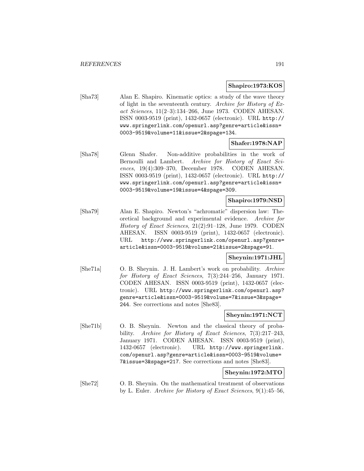## **Shapiro:1973:KOS**

[Sha73] Alan E. Shapiro. Kinematic optics: a study of the wave theory of light in the seventeenth century. Archive for History of Exact Sciences, 11(2–3):134–266, June 1973. CODEN AHESAN. ISSN 0003-9519 (print), 1432-0657 (electronic). URL http:// www.springerlink.com/openurl.asp?genre=article&issn= 0003-9519&volume=11&issue=2&spage=134.

# **Shafer:1978:NAP**

[Sha78] Glenn Shafer. Non-additive probabilities in the work of Bernoulli and Lambert. Archive for History of Exact Sciences, 19(4):309–370, December 1978. CODEN AHESAN. ISSN 0003-9519 (print), 1432-0657 (electronic). URL http:// www.springerlink.com/openurl.asp?genre=article&issn= 0003-9519&volume=19&issue=4&spage=309.

### **Shapiro:1979:NSD**

[Sha79] Alan E. Shapiro. Newton's "achromatic" dispersion law: Theoretical background and experimental evidence. Archive for History of Exact Sciences, 21(2):91–128, June 1979. CODEN AHESAN. ISSN 0003-9519 (print), 1432-0657 (electronic). URL http://www.springerlink.com/openurl.asp?genre= article&issn=0003-9519&volume=21&issue=2&spage=91.

## **Sheynin:1971:JHL**

[She71a] O. B. Sheynin. J. H. Lambert's work on probability. Archive for History of Exact Sciences, 7(3):244–256, January 1971. CODEN AHESAN. ISSN 0003-9519 (print), 1432-0657 (electronic). URL http://www.springerlink.com/openurl.asp? genre=article&issn=0003-9519&volume=7&issue=3&spage= 244. See corrections and notes [She83].

## **Sheynin:1971:NCT**

[She71b] O. B. Sheynin. Newton and the classical theory of probability. Archive for History of Exact Sciences, 7(3):217–243, January 1971. CODEN AHESAN. ISSN 0003-9519 (print), 1432-0657 (electronic). URL http://www.springerlink. com/openurl.asp?genre=article&issn=0003-9519&volume= 7&issue=3&spage=217. See corrections and notes [She83].

## **Sheynin:1972:MTO**

[She72] O. B. Sheynin. On the mathematical treatment of observations by L. Euler. Archive for History of Exact Sciences, 9(1):45–56,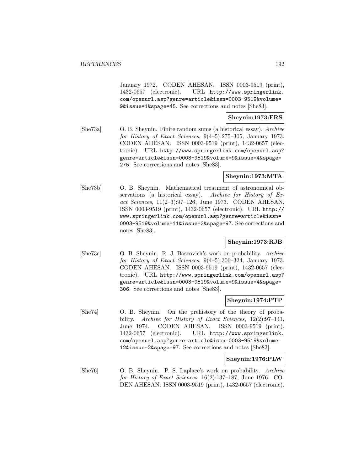January 1972. CODEN AHESAN. ISSN 0003-9519 (print), 1432-0657 (electronic). URL http://www.springerlink. com/openurl.asp?genre=article&issn=0003-9519&volume= 9&issue=1&spage=45. See corrections and notes [She83].

## **Sheynin:1973:FRS**

[She73a] O. B. Sheynin. Finite random sums (a historical essay). Archive for History of Exact Sciences, 9(4–5):275–305, January 1973. CODEN AHESAN. ISSN 0003-9519 (print), 1432-0657 (electronic). URL http://www.springerlink.com/openurl.asp? genre=article&issn=0003-9519&volume=9&issue=4&spage= 275. See corrections and notes [She83].

# **Sheynin:1973:MTA**

[She73b] O. B. Sheynin. Mathematical treatment of astronomical observations (a historical essay). Archive for History of Exact Sciences, 11(2–3):97–126, June 1973. CODEN AHESAN. ISSN 0003-9519 (print), 1432-0657 (electronic). URL http:// www.springerlink.com/openurl.asp?genre=article&issn= 0003-9519&volume=11&issue=2&spage=97. See corrections and notes [She83].

## **Sheynin:1973:RJB**

[She73c] O. B. Sheynin. R. J. Boscovich's work on probability. Archive for History of Exact Sciences, 9(4–5):306–324, January 1973. CODEN AHESAN. ISSN 0003-9519 (print), 1432-0657 (electronic). URL http://www.springerlink.com/openurl.asp? genre=article&issn=0003-9519&volume=9&issue=4&spage= 306. See corrections and notes [She83].

## **Sheynin:1974:PTP**

[She74] O. B. Sheynin. On the prehistory of the theory of probability. Archive for History of Exact Sciences, 12(2):97-141, June 1974. CODEN AHESAN. ISSN 0003-9519 (print), 1432-0657 (electronic). URL http://www.springerlink. com/openurl.asp?genre=article&issn=0003-9519&volume= 12&issue=2&spage=97. See corrections and notes [She83].

## **Sheynin:1976:PLW**

[She76] O. B. Sheynin. P. S. Laplace's work on probability. Archive for History of Exact Sciences, 16(2):137–187, June 1976. CO-DEN AHESAN. ISSN 0003-9519 (print), 1432-0657 (electronic).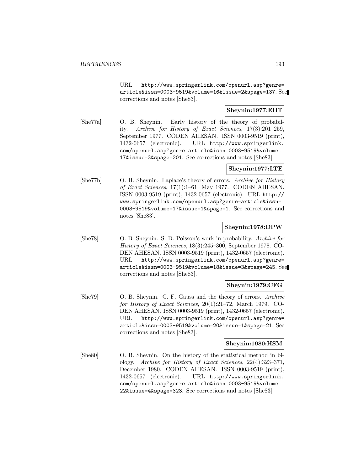URL http://www.springerlink.com/openurl.asp?genre= article&issn=0003-9519&volume=16&issue=2&spage=137. See corrections and notes [She83].

# **Sheynin:1977:EHT**

[She77a] O. B. Sheynin. Early history of the theory of probability. Archive for History of Exact Sciences, 17(3):201–259, September 1977. CODEN AHESAN. ISSN 0003-9519 (print), 1432-0657 (electronic). URL http://www.springerlink. com/openurl.asp?genre=article&issn=0003-9519&volume= 17&issue=3&spage=201. See corrections and notes [She83].

## **Sheynin:1977:LTE**

[She77b] O. B. Sheynin. Laplace's theory of errors. Archive for History of Exact Sciences, 17(1):1–61, May 1977. CODEN AHESAN. ISSN 0003-9519 (print), 1432-0657 (electronic). URL http:// www.springerlink.com/openurl.asp?genre=article&issn= 0003-9519&volume=17&issue=1&spage=1. See corrections and notes [She83].

# **Sheynin:1978:DPW**

[She78] O. B. Sheynin. S. D. Poisson's work in probability. Archive for History of Exact Sciences, 18(3):245–300, September 1978. CO-DEN AHESAN. ISSN 0003-9519 (print), 1432-0657 (electronic). URL http://www.springerlink.com/openurl.asp?genre= article&issn=0003-9519&volume=18&issue=3&spage=245. See corrections and notes [She83].

## **Sheynin:1979:CFG**

[She79] O. B. Sheynin. C. F. Gauss and the theory of errors. Archive for History of Exact Sciences, 20(1):21–72, March 1979. CO-DEN AHESAN. ISSN 0003-9519 (print), 1432-0657 (electronic). URL http://www.springerlink.com/openurl.asp?genre= article&issn=0003-9519&volume=20&issue=1&spage=21. See corrections and notes [She83].

# **Sheynin:1980:HSM**

[She80] O. B. Sheynin. On the history of the statistical method in biology. Archive for History of Exact Sciences, 22(4):323–371, December 1980. CODEN AHESAN. ISSN 0003-9519 (print), 1432-0657 (electronic). URL http://www.springerlink. com/openurl.asp?genre=article&issn=0003-9519&volume= 22&issue=4&spage=323. See corrections and notes [She83].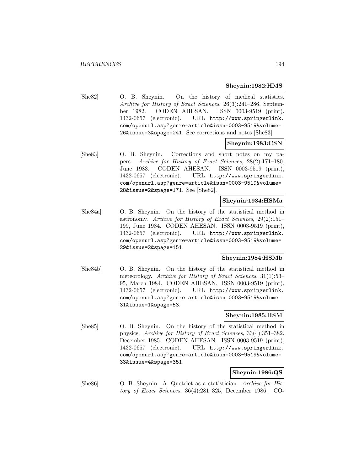### **Sheynin:1982:HMS**

[She82] O. B. Sheynin. On the history of medical statistics. Archive for History of Exact Sciences, 26(3):241–286, September 1982. CODEN AHESAN. ISSN 0003-9519 (print), 1432-0657 (electronic). URL http://www.springerlink. com/openurl.asp?genre=article&issn=0003-9519&volume= 26&issue=3&spage=241. See corrections and notes [She83].

### **Sheynin:1983:CSN**

[She83] O. B. Sheynin. Corrections and short notes on my papers. Archive for History of Exact Sciences, 28(2):171–180, June 1983. CODEN AHESAN. ISSN 0003-9519 (print), 1432-0657 (electronic). URL http://www.springerlink. com/openurl.asp?genre=article&issn=0003-9519&volume= 28&issue=2&spage=171. See [She82].

#### **Sheynin:1984:HSMa**

[She84a] O. B. Sheynin. On the history of the statistical method in astronomy. Archive for History of Exact Sciences, 29(2):151– 199, June 1984. CODEN AHESAN. ISSN 0003-9519 (print), 1432-0657 (electronic). URL http://www.springerlink. com/openurl.asp?genre=article&issn=0003-9519&volume= 29&issue=2&spage=151.

## **Sheynin:1984:HSMb**

[She84b] O. B. Sheynin. On the history of the statistical method in meteorology. Archive for History of Exact Sciences, 31(1):53– 95, March 1984. CODEN AHESAN. ISSN 0003-9519 (print), 1432-0657 (electronic). URL http://www.springerlink. com/openurl.asp?genre=article&issn=0003-9519&volume= 31&issue=1&spage=53.

## **Sheynin:1985:HSM**

[She85] O. B. Sheynin. On the history of the statistical method in physics. Archive for History of Exact Sciences, 33(4):351–382, December 1985. CODEN AHESAN. ISSN 0003-9519 (print), 1432-0657 (electronic). URL http://www.springerlink. com/openurl.asp?genre=article&issn=0003-9519&volume= 33&issue=4&spage=351.

### **Sheynin:1986:QS**

[She86] O. B. Sheynin. A. Quetelet as a statistician. Archive for History of Exact Sciences, 36(4):281–325, December 1986. CO-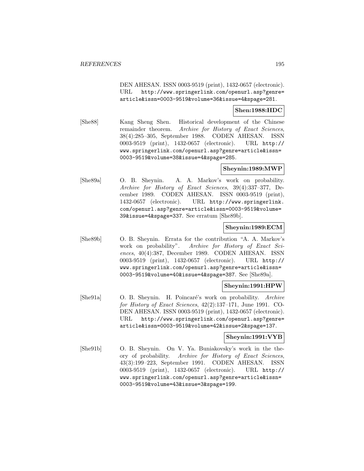DEN AHESAN. ISSN 0003-9519 (print), 1432-0657 (electronic). URL http://www.springerlink.com/openurl.asp?genre= article&issn=0003-9519&volume=36&issue=4&spage=281.

# **Shen:1988:HDC**

[She88] Kang Sheng Shen. Historical development of the Chinese remainder theorem. Archive for History of Exact Sciences, 38(4):285–305, September 1988. CODEN AHESAN. ISSN 0003-9519 (print), 1432-0657 (electronic). URL http:// www.springerlink.com/openurl.asp?genre=article&issn= 0003-9519&volume=38&issue=4&spage=285.

## **Sheynin:1989:MWP**

[She89a] O. B. Sheynin. A. A. Markov's work on probability. Archive for History of Exact Sciences, 39(4):337–377, December 1989. CODEN AHESAN. ISSN 0003-9519 (print), 1432-0657 (electronic). URL http://www.springerlink. com/openurl.asp?genre=article&issn=0003-9519&volume= 39&issue=4&spage=337. See erratum [She89b].

## **Sheynin:1989:ECM**

[She89b] O. B. Sheynin. Errata for the contribution "A. A. Markov's work on probability". Archive for History of Exact Sciences, 40(4):387, December 1989. CODEN AHESAN. ISSN 0003-9519 (print), 1432-0657 (electronic). URL http:// www.springerlink.com/openurl.asp?genre=article&issn= 0003-9519&volume=40&issue=4&spage=387. See [She89a].

## **Sheynin:1991:HPW**

[She91a] O. B. Sheynin. H. Poincaré's work on probability. Archive for History of Exact Sciences, 42(2):137–171, June 1991. CO-DEN AHESAN. ISSN 0003-9519 (print), 1432-0657 (electronic). URL http://www.springerlink.com/openurl.asp?genre= article&issn=0003-9519&volume=42&issue=2&spage=137.

## **Sheynin:1991:VYB**

[She91b] O. B. Sheynin. On V. Ya. Buniakovsky's work in the theory of probability. Archive for History of Exact Sciences, 43(3):199–223, September 1991. CODEN AHESAN. ISSN 0003-9519 (print), 1432-0657 (electronic). URL http:// www.springerlink.com/openurl.asp?genre=article&issn= 0003-9519&volume=43&issue=3&spage=199.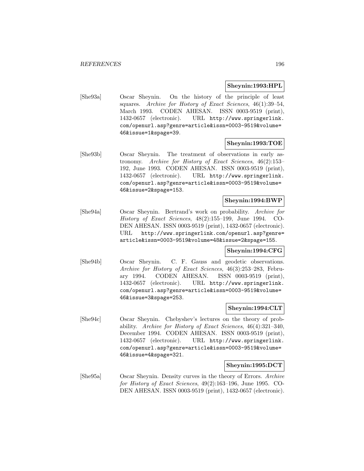### **Sheynin:1993:HPL**

[She93a] Oscar Sheynin. On the history of the principle of least squares. Archive for History of Exact Sciences, 46(1):39–54, March 1993. CODEN AHESAN. ISSN 0003-9519 (print), 1432-0657 (electronic). URL http://www.springerlink. com/openurl.asp?genre=article&issn=0003-9519&volume= 46&issue=1&spage=39.

## **Sheynin:1993:TOE**

[She93b] Oscar Sheynin. The treatment of observations in early astronomy. Archive for History of Exact Sciences, 46(2):153– 192, June 1993. CODEN AHESAN. ISSN 0003-9519 (print), 1432-0657 (electronic). URL http://www.springerlink. com/openurl.asp?genre=article&issn=0003-9519&volume= 46&issue=2&spage=153.

## **Sheynin:1994:BWP**

[She94a] Oscar Sheynin. Bertrand's work on probability. Archive for History of Exact Sciences, 48(2):155–199, June 1994. CO-DEN AHESAN. ISSN 0003-9519 (print), 1432-0657 (electronic). URL http://www.springerlink.com/openurl.asp?genre= article&issn=0003-9519&volume=48&issue=2&spage=155.

## **Sheynin:1994:CFG**

[She94b] Oscar Sheynin. C. F. Gauss and geodetic observations. Archive for History of Exact Sciences, 46(3):253–283, February 1994. CODEN AHESAN. ISSN 0003-9519 (print), 1432-0657 (electronic). URL http://www.springerlink. com/openurl.asp?genre=article&issn=0003-9519&volume= 46&issue=3&spage=253.

### **Sheynin:1994:CLT**

[She94c] Oscar Sheynin. Chebyshev's lectures on the theory of probability. Archive for History of Exact Sciences, 46(4):321–340, December 1994. CODEN AHESAN. ISSN 0003-9519 (print), 1432-0657 (electronic). URL http://www.springerlink. com/openurl.asp?genre=article&issn=0003-9519&volume= 46&issue=4&spage=321.

## **Sheynin:1995:DCT**

[She95a] Oscar Sheynin. Density curves in the theory of Errors. Archive for History of Exact Sciences, 49(2):163–196, June 1995. CO-DEN AHESAN. ISSN 0003-9519 (print), 1432-0657 (electronic).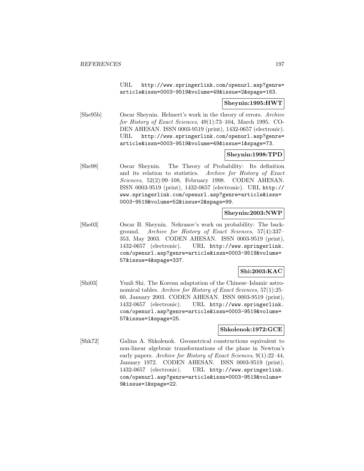URL http://www.springerlink.com/openurl.asp?genre= article&issn=0003-9519&volume=49&issue=2&spage=163.

## **Sheynin:1995:HWT**

[She95b] Oscar Sheynin. Helmert's work in the theory of errors. Archive for History of Exact Sciences, 49(1):73–104, March 1995. CO-DEN AHESAN. ISSN 0003-9519 (print), 1432-0657 (electronic). URL http://www.springerlink.com/openurl.asp?genre= article&issn=0003-9519&volume=49&issue=1&spage=73.

## **Sheynin:1998:TPD**

[She98] Oscar Sheynin. The Theory of Probability: Its definition and its relation to statistics. Archive for History of Exact Sciences, 52(2):99–108, February 1998. CODEN AHESAN. ISSN 0003-9519 (print), 1432-0657 (electronic). URL http:// www.springerlink.com/openurl.asp?genre=article&issn= 0003-9519&volume=52&issue=2&spage=99.

### **Sheynin:2003:NWP**

[She03] Oscar B. Sheynin. Nekrasov's work on probability: The background. Archive for History of Exact Sciences, 57(4):337– 353, May 2003. CODEN AHESAN. ISSN 0003-9519 (print), 1432-0657 (electronic). URL http://www.springerlink. com/openurl.asp?genre=article&issn=0003-9519&volume= 57&issue=4&spage=337.

# **Shi:2003:KAC**

[Shi03] Yunli Shi. The Korean adaptation of the Chinese–Islamic astronomical tables. Archive for History of Exact Sciences, 57(1):25– 60, January 2003. CODEN AHESAN. ISSN 0003-9519 (print), 1432-0657 (electronic). URL http://www.springerlink. com/openurl.asp?genre=article&issn=0003-9519&volume= 57&issue=1&spage=25.

#### **Shkolenok:1972:GCE**

[Shk72] Galina A. Shkolenok. Geometrical constructions equivalent to non-linear algebraic transformations of the plane in Newton's early papers. Archive for History of Exact Sciences, 9(1):22–44, January 1972. CODEN AHESAN. ISSN 0003-9519 (print), 1432-0657 (electronic). URL http://www.springerlink. com/openurl.asp?genre=article&issn=0003-9519&volume= 9&issue=1&spage=22.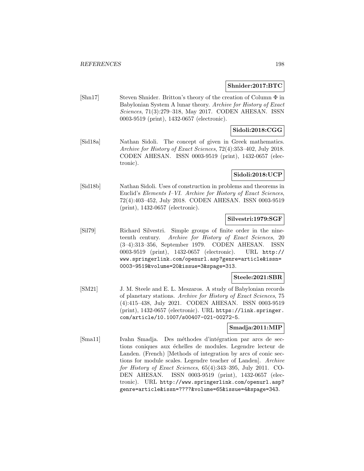### **Shnider:2017:BTC**

[Shn17] Steven Shnider. Britton's theory of the creation of Column Φ in Babylonian System A lunar theory. Archive for History of Exact Sciences, 71(3):279–318, May 2017. CODEN AHESAN. ISSN 0003-9519 (print), 1432-0657 (electronic).

# **Sidoli:2018:CGG**

[Sid18a] Nathan Sidoli. The concept of given in Greek mathematics. Archive for History of Exact Sciences, 72(4):353-402, July 2018. CODEN AHESAN. ISSN 0003-9519 (print), 1432-0657 (electronic).

## **Sidoli:2018:UCP**

[Sid18b] Nathan Sidoli. Uses of construction in problems and theorems in Euclid's Elements I–VI. Archive for History of Exact Sciences, 72(4):403–452, July 2018. CODEN AHESAN. ISSN 0003-9519 (print), 1432-0657 (electronic).

## **Silvestri:1979:SGF**

[Sil79] Richard Silvestri. Simple groups of finite order in the nineteenth century. Archive for History of Exact Sciences, 20 (3–4):313–356, September 1979. CODEN AHESAN. ISSN 0003-9519 (print), 1432-0657 (electronic). URL http:// www.springerlink.com/openurl.asp?genre=article&issn= 0003-9519&volume=20&issue=3&spage=313.

## **Steele:2021:SBR**

[SM21] J. M. Steele and E. L. Meszaros. A study of Babylonian records of planetary stations. Archive for History of Exact Sciences, 75 (4):415–438, July 2021. CODEN AHESAN. ISSN 0003-9519 (print), 1432-0657 (electronic). URL https://link.springer. com/article/10.1007/s00407-021-00272-5.

## **Smadja:2011:MIP**

[Sma11] Ivahn Smadja. Des méthodes d'intégration par arcs de sections coniques aux échelles de modules. Legendre lecteur de Landen. (French) [Methods of integration by arcs of conic sections for module scales. Legendre teacher of Landen]. Archive for History of Exact Sciences, 65(4):343–395, July 2011. CO-DEN AHESAN. ISSN 0003-9519 (print), 1432-0657 (electronic). URL http://www.springerlink.com/openurl.asp? genre=article&issn=????&volume=65&issue=4&spage=343.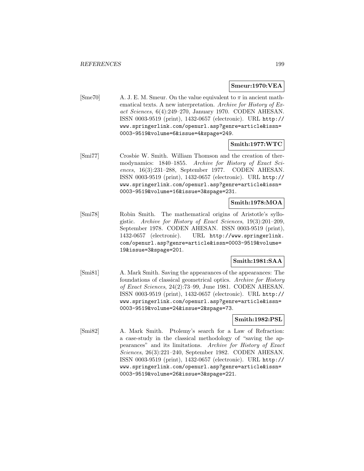### **Smeur:1970:VEA**

[Sme70] A. J. E. M. Smeur. On the value equivalent to  $\pi$  in ancient mathematical texts. A new interpretation. Archive for History of Exact Sciences, 6(4):249–270, January 1970. CODEN AHESAN. ISSN 0003-9519 (print), 1432-0657 (electronic). URL http:// www.springerlink.com/openurl.asp?genre=article&issn= 0003-9519&volume=6&issue=4&spage=249.

## **Smith:1977:WTC**

[Smi77] Crosbie W. Smith. William Thomson and the creation of thermodynamics: 1840–1855. Archive for History of Exact Sciences, 16(3):231–288, September 1977. CODEN AHESAN. ISSN 0003-9519 (print), 1432-0657 (electronic). URL http:// www.springerlink.com/openurl.asp?genre=article&issn= 0003-9519&volume=16&issue=3&spage=231.

# **Smith:1978:MOA**

[Smi78] Robin Smith. The mathematical origins of Aristotle's syllogistic. Archive for History of Exact Sciences, 19(3):201–209, September 1978. CODEN AHESAN. ISSN 0003-9519 (print), 1432-0657 (electronic). URL http://www.springerlink. com/openurl.asp?genre=article&issn=0003-9519&volume= 19&issue=3&spage=201.

# **Smith:1981:SAA**

[Smi81] A. Mark Smith. Saving the appearances of the appearances: The foundations of classical geometrical optics. Archive for History of Exact Sciences, 24(2):73–99, June 1981. CODEN AHESAN. ISSN 0003-9519 (print), 1432-0657 (electronic). URL http:// www.springerlink.com/openurl.asp?genre=article&issn= 0003-9519&volume=24&issue=2&spage=73.

## **Smith:1982:PSL**

[Smi82] A. Mark Smith. Ptolemy's search for a Law of Refraction: a case-study in the classical methodology of "saving the appearances" and its limitations. Archive for History of Exact Sciences, 26(3):221–240, September 1982. CODEN AHESAN. ISSN 0003-9519 (print), 1432-0657 (electronic). URL http:// www.springerlink.com/openurl.asp?genre=article&issn= 0003-9519&volume=26&issue=3&spage=221.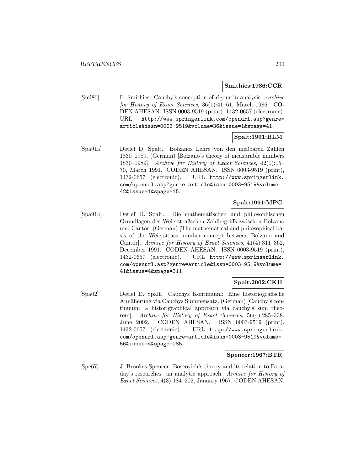### **Smithies:1986:CCR**

[Smi86] F. Smithies. Cauchy's conception of rigour in analysis. Archive for History of Exact Sciences, 36(1):41–61, March 1986. CO-DEN AHESAN. ISSN 0003-9519 (print), 1432-0657 (electronic). URL http://www.springerlink.com/openurl.asp?genre= article&issn=0003-9519&volume=36&issue=1&spage=41.

# **Spalt:1991:BLM**

[Spa91a] Detlef D. Spalt. Bolzanos Lehre von den meßbaren Zahlen 1830–1989. (German) [Bolzano's theory of measurable numbers 1830–1989]. Archive for History of Exact Sciences, 42(1):15– 70, March 1991. CODEN AHESAN. ISSN 0003-9519 (print), 1432-0657 (electronic). URL http://www.springerlink. com/openurl.asp?genre=article&issn=0003-9519&volume= 42&issue=1&spage=15.

# **Spalt:1991:MPG**

[Spa91b] Detlef D. Spalt. Die mathematischen und philosophischen Grundlagen des Weierstraßschen Zahlbegriffs zwischen Bolzano und Cantor. (German) [The mathematical and philosophical basis of the Weierstrass number concept between Bolzano and Cantor]. Archive for History of Exact Sciences, 41(4):311–362, December 1991. CODEN AHESAN. ISSN 0003-9519 (print), 1432-0657 (electronic). URL http://www.springerlink. com/openurl.asp?genre=article&issn=0003-9519&volume= 41&issue=4&spage=311.

# **Spalt:2002:CKH**

[Spa02] Detlef D. Spalt. Cauchys Kontinuum: Eine historiografische Annäherung via Cauchys Summensatz. (German) [Cauchy's continuum: a historigraphical approach via cauchy's sum theorem]. Archive for History of Exact Sciences, 56(4):285–338, June 2002. CODEN AHESAN. ISSN 0003-9519 (print), 1432-0657 (electronic). URL http://www.springerlink. com/openurl.asp?genre=article&issn=0003-9519&volume= 56&issue=4&spage=285.

## **Spencer:1967:BTR**

[Spe67] J. Brookes Spencer. Boscovich's theory and its relation to Faraday's researches: an analytic approach. Archive for History of Exact Sciences, 4(3):184–202, January 1967. CODEN AHESAN.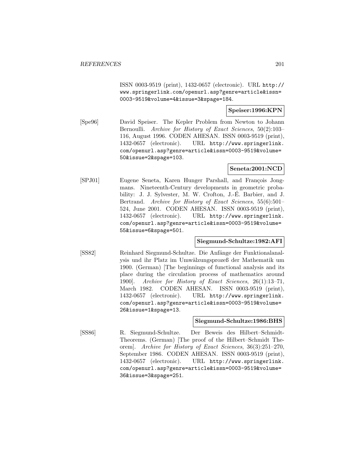ISSN 0003-9519 (print), 1432-0657 (electronic). URL http:// www.springerlink.com/openurl.asp?genre=article&issn= 0003-9519&volume=4&issue=3&spage=184.

**Speiser:1996:KPN**

[Spe96] David Speiser. The Kepler Problem from Newton to Johann Bernoulli. Archive for History of Exact Sciences, 50(2):103– 116, August 1996. CODEN AHESAN. ISSN 0003-9519 (print), 1432-0657 (electronic). URL http://www.springerlink. com/openurl.asp?genre=article&issn=0003-9519&volume= 50&issue=2&spage=103.

## **Seneta:2001:NCD**

[SPJ01] Eugene Seneta, Karen Hunger Parshall, and François Jongmans. Nineteenth-Century developments in geometric probability: J. J. Sylvester, M. W. Crofton, J.-E. Barbier, and J. Bertrand. Archive for History of Exact Sciences, 55(6):501– 524, June 2001. CODEN AHESAN. ISSN 0003-9519 (print), 1432-0657 (electronic). URL http://www.springerlink. com/openurl.asp?genre=article&issn=0003-9519&volume= 55&issue=6&spage=501.

### **Siegmund-Schultze:1982:AFI**

[SS82] Reinhard Siegmund-Schultze. Die Anfänge der Funktionalanalysis und ihr Platz im Umwälzungsprozeß der Mathematik um 1900. (German) [The beginnings of functional analysis and its place during the circulation process of mathematics around 1900]. Archive for History of Exact Sciences, 26(1):13–71, March 1982. CODEN AHESAN. ISSN 0003-9519 (print), 1432-0657 (electronic). URL http://www.springerlink. com/openurl.asp?genre=article&issn=0003-9519&volume= 26&issue=1&spage=13.

## **Siegmund-Schultze:1986:BHS**

[SS86] R. Siegmund-Schultze. Der Beweis des Hilbert–Schmidt-Theorems. (German) [The proof of the Hilbert–Schmidt Theorem]. Archive for History of Exact Sciences, 36(3):251–270, September 1986. CODEN AHESAN. ISSN 0003-9519 (print), 1432-0657 (electronic). URL http://www.springerlink. com/openurl.asp?genre=article&issn=0003-9519&volume= 36&issue=3&spage=251.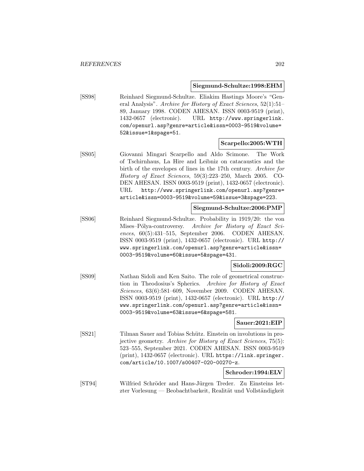## **Siegmund-Schultze:1998:EHM**

[SS98] Reinhard Siegmund-Schultze. Eliakim Hastings Moore's "General Analysis". Archive for History of Exact Sciences, 52(1):51– 89, January 1998. CODEN AHESAN. ISSN 0003-9519 (print), 1432-0657 (electronic). URL http://www.springerlink. com/openurl.asp?genre=article&issn=0003-9519&volume= 52&issue=1&spage=51.

## **Scarpello:2005:WTH**

[SS05] Giovanni Mingari Scarpello and Aldo Scimone. The Work of Tschirnhaus, La Hire and Leibniz on catacaustics and the birth of the envelopes of lines in the 17th century. Archive for History of Exact Sciences, 59(3):223–250, March 2005. CO-DEN AHESAN. ISSN 0003-9519 (print), 1432-0657 (electronic). URL http://www.springerlink.com/openurl.asp?genre= article&issn=0003-9519&volume=59&issue=3&spage=223.

## **Siegmund-Schultze:2006:PMP**

[SS06] Reinhard Siegmund-Schultze. Probability in 1919/20: the von Mises–Pólya-controversy. Archive for History of Exact Sciences, 60(5):431–515, September 2006. CODEN AHESAN. ISSN 0003-9519 (print), 1432-0657 (electronic). URL http:// www.springerlink.com/openurl.asp?genre=article&issn= 0003-9519&volume=60&issue=5&spage=431.

# **Sidoli:2009:RGC**

[SS09] Nathan Sidoli and Ken Saito. The role of geometrical construction in Theodosius's Spherics. Archive for History of Exact Sciences, 63(6):581–609, November 2009. CODEN AHESAN. ISSN 0003-9519 (print), 1432-0657 (electronic). URL http:// www.springerlink.com/openurl.asp?genre=article&issn= 0003-9519&volume=63&issue=6&spage=581.

## **Sauer:2021:EIP**

[SS21] Tilman Sauer and Tobias Schütz. Einstein on involutions in projective geometry. Archive for History of Exact Sciences, 75(5): 523–555, September 2021. CODEN AHESAN. ISSN 0003-9519 (print), 1432-0657 (electronic). URL https://link.springer. com/article/10.1007/s00407-020-00270-z.

**Schroder:1994:ELV**

[ST94] Wilfried Schröder and Hans-Jürgen Treder. Zu Einsteins letzter Vorlesung — Beobachtbarkeit, Realität und Vollständigkeit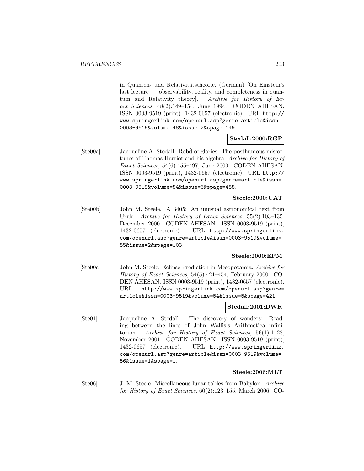in Quanten- und Relativitätstheorie. (German) [On Einstein's last lecture — observability, reality, and completeness in quantum and Relativity theory]. Archive for History of Exact Sciences, 48(2):149–154, June 1994. CODEN AHESAN. ISSN 0003-9519 (print), 1432-0657 (electronic). URL http:// www.springerlink.com/openurl.asp?genre=article&issn= 0003-9519&volume=48&issue=2&spage=149.

## **Stedall:2000:RGP**

[Ste00a] Jacqueline A. Stedall. Robd of glories: The posthumous misfortunes of Thomas Harriot and his algebra. Archive for History of Exact Sciences, 54(6):455–497, June 2000. CODEN AHESAN. ISSN 0003-9519 (print), 1432-0657 (electronic). URL http:// www.springerlink.com/openurl.asp?genre=article&issn= 0003-9519&volume=54&issue=6&spage=455.

### **Steele:2000:UAT**

[Ste00b] John M. Steele. A 3405: An unusual astronomical text from Uruk. Archive for History of Exact Sciences, 55(2):103–135, December 2000. CODEN AHESAN. ISSN 0003-9519 (print), 1432-0657 (electronic). URL http://www.springerlink. com/openurl.asp?genre=article&issn=0003-9519&volume= 55&issue=2&spage=103.

# **Steele:2000:EPM**

[Ste00c] John M. Steele. Eclipse Prediction in Mesopotamia. Archive for History of Exact Sciences, 54(5):421–454, February 2000. CO-DEN AHESAN. ISSN 0003-9519 (print), 1432-0657 (electronic). URL http://www.springerlink.com/openurl.asp?genre= article&issn=0003-9519&volume=54&issue=5&spage=421.

#### **Stedall:2001:DWR**

[Ste01] Jacqueline A. Stedall. The discovery of wonders: Reading between the lines of John Wallis's Arithmetica infinitorum. Archive for History of Exact Sciences, 56(1):1–28, November 2001. CODEN AHESAN. ISSN 0003-9519 (print), 1432-0657 (electronic). URL http://www.springerlink. com/openurl.asp?genre=article&issn=0003-9519&volume= 56&issue=1&spage=1.

## **Steele:2006:MLT**

[Ste06] J. M. Steele. Miscellaneous lunar tables from Babylon. Archive for History of Exact Sciences, 60(2):123–155, March 2006. CO-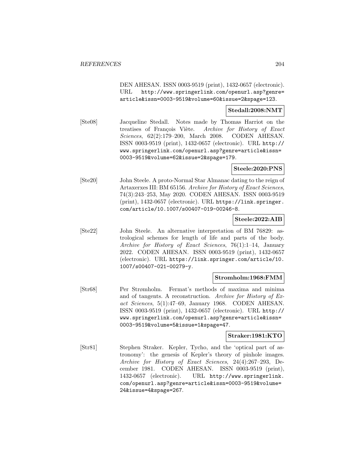DEN AHESAN. ISSN 0003-9519 (print), 1432-0657 (electronic). URL http://www.springerlink.com/openurl.asp?genre= article&issn=0003-9519&volume=60&issue=2&spage=123.

## **Stedall:2008:NMT**

[Ste08] Jacqueline Stedall. Notes made by Thomas Harriot on the treatises of François Viète. Archive for History of Exact Sciences, 62(2):179–200, March 2008. CODEN AHESAN. ISSN 0003-9519 (print), 1432-0657 (electronic). URL http:// www.springerlink.com/openurl.asp?genre=article&issn= 0003-9519&volume=62&issue=2&spage=179.

## **Steele:2020:PNS**

[Ste20] John Steele. A proto-Normal Star Almanac dating to the reign of Artaxerxes III: BM 65156. Archive for History of Exact Sciences, 74(3):243–253, May 2020. CODEN AHESAN. ISSN 0003-9519 (print), 1432-0657 (electronic). URL https://link.springer. com/article/10.1007/s00407-019-00246-8.

## **Steele:2022:AIB**

[Ste22] John Steele. An alternative interpretation of BM 76829: astrological schemes for length of life and parts of the body. Archive for History of Exact Sciences, 76(1):1–14, January 2022. CODEN AHESAN. ISSN 0003-9519 (print), 1432-0657 (electronic). URL https://link.springer.com/article/10. 1007/s00407-021-00279-y.

## **Stromholm:1968:FMM**

[Str68] Per Strømholm. Fermat's methods of maxima and minima and of tangents. A reconstruction. Archive for History of Exact Sciences, 5(1):47–69, January 1968. CODEN AHESAN. ISSN 0003-9519 (print), 1432-0657 (electronic). URL http:// www.springerlink.com/openurl.asp?genre=article&issn= 0003-9519&volume=5&issue=1&spage=47.

## **Straker:1981:KTO**

[Str81] Stephen Straker. Kepler, Tycho, and the 'optical part of astronomy': the genesis of Kepler's theory of pinhole images. Archive for History of Exact Sciences, 24(4):267–293, December 1981. CODEN AHESAN. ISSN 0003-9519 (print), 1432-0657 (electronic). URL http://www.springerlink. com/openurl.asp?genre=article&issn=0003-9519&volume= 24&issue=4&spage=267.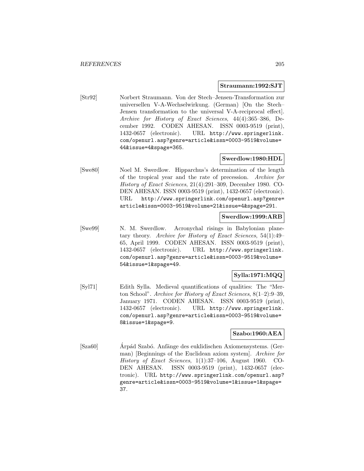#### **Straumann:1992:SJT**

[Str92] Norbert Straumann. Von der Stech–Jensen-Transformation zur universellen V-A-Wechselwirkung. (German) [On the Stech– Jensen transformation to the universal V-A-reciprocal effect]. Archive for History of Exact Sciences, 44(4):365–386, December 1992. CODEN AHESAN. ISSN 0003-9519 (print), 1432-0657 (electronic). URL http://www.springerlink. com/openurl.asp?genre=article&issn=0003-9519&volume= 44&issue=4&spage=365.

## **Swerdlow:1980:HDL**

[Swe80] Noel M. Swerdlow. Hipparchus's determination of the length of the tropical year and the rate of precession. Archive for History of Exact Sciences, 21(4):291–309, December 1980. CO-DEN AHESAN. ISSN 0003-9519 (print), 1432-0657 (electronic). URL http://www.springerlink.com/openurl.asp?genre= article&issn=0003-9519&volume=21&issue=4&spage=291.

## **Swerdlow:1999:ARB**

[Swe99] N. M. Swerdlow. Acronychal risings in Babylonian planetary theory. Archive for History of Exact Sciences, 54(1):49– 65, April 1999. CODEN AHESAN. ISSN 0003-9519 (print), 1432-0657 (electronic). URL http://www.springerlink. com/openurl.asp?genre=article&issn=0003-9519&volume= 54&issue=1&spage=49.

# **Sylla:1971:MQQ**

[Syl71] Edith Sylla. Medieval quantifications of qualities: The "Merton School". Archive for History of Exact Sciences, 8(1–2):9–39, January 1971. CODEN AHESAN. ISSN 0003-9519 (print), 1432-0657 (electronic). URL http://www.springerlink. com/openurl.asp?genre=article&issn=0003-9519&volume= 8&issue=1&spage=9.

## **Szabo:1960:AEA**

[Sza60] Arpád Szabó. Anfänge des euklidischen Axiomensystems. (German) [Beginnings of the Euclidean axiom system]. Archive for History of Exact Sciences, 1(1):37–106, August 1960. CO-DEN AHESAN. ISSN 0003-9519 (print), 1432-0657 (electronic). URL http://www.springerlink.com/openurl.asp? genre=article&issn=0003-9519&volume=1&issue=1&spage= 37.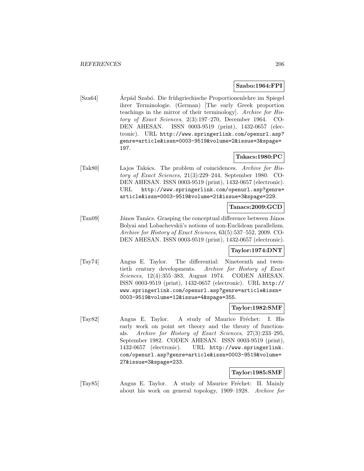### **Szabo:1964:FPI**

[Sza64] Árpád Szabó. Die frühgriechische Proportionenlehre im Spiegel ihrer Terminologie. (German) [The early Greek proportion teachings in the mirror of their terminology]. Archive for History of Exact Sciences, 2(3):197–270, December 1964. CO-DEN AHESAN. ISSN 0003-9519 (print), 1432-0657 (electronic). URL http://www.springerlink.com/openurl.asp? genre=article&issn=0003-9519&volume=2&issue=3&spage= 197.

# **Takacs:1980:PC**

[Tak80] Lajos Takács. The problem of coincidences. Archive for History of Exact Sciences, 21(3):229–244, September 1980. CO-DEN AHESAN. ISSN 0003-9519 (print), 1432-0657 (electronic). URL http://www.springerlink.com/openurl.asp?genre= article&issn=0003-9519&volume=21&issue=3&spage=229.

### **Tanacs:2009:GCD**

[Tan09] János Tanács. Grasping the conceptual difference between János Bolyai and Lobachevskii's notions of non-Euclidean parallelism. Archive for History of Exact Sciences, 63(5):537–552, 2009. CO-DEN AHESAN. ISSN 0003-9519 (print), 1432-0657 (electronic).

## **Taylor:1974:DNT**

[Tay74] Angus E. Taylor. The differential: Nineteenth and twentieth century developments. Archive for History of Exact Sciences, 12(4):355–383, August 1974. CODEN AHESAN. ISSN 0003-9519 (print), 1432-0657 (electronic). URL http:// www.springerlink.com/openurl.asp?genre=article&issn= 0003-9519&volume=12&issue=4&spage=355.

### **Taylor:1982:SMF**

[Tay82] Angus E. Taylor. A study of Maurice Fréchet: I. His early work on point set theory and the theory of functionals. Archive for History of Exact Sciences, 27(3):233–295, September 1982. CODEN AHESAN. ISSN 0003-9519 (print), 1432-0657 (electronic). URL http://www.springerlink. com/openurl.asp?genre=article&issn=0003-9519&volume= 27&issue=3&spage=233.

## **Taylor:1985:SMF**

[Tay85] Angus E. Taylor. A study of Maurice Fréchet: II. Mainly about his work on general topology, 1909–1928. Archive for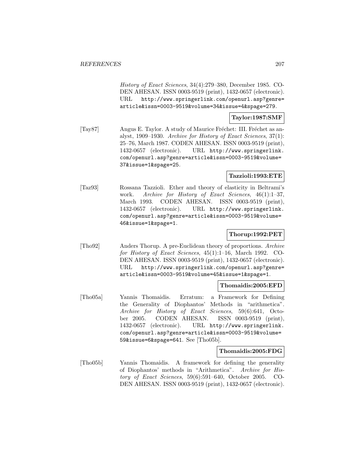History of Exact Sciences, 34(4):279–380, December 1985. CO-DEN AHESAN. ISSN 0003-9519 (print), 1432-0657 (electronic). URL http://www.springerlink.com/openurl.asp?genre= article&issn=0003-9519&volume=34&issue=4&spage=279.

**Taylor:1987:SMF**

[Tay87] Angus E. Taylor. A study of Maurice Fréchet: III. Fréchet as analyst, 1909–1930. Archive for History of Exact Sciences, 37(1): 25–76, March 1987. CODEN AHESAN. ISSN 0003-9519 (print), 1432-0657 (electronic). URL http://www.springerlink. com/openurl.asp?genre=article&issn=0003-9519&volume= 37&issue=1&spage=25.

## **Tazzioli:1993:ETE**

[Taz93] Rossana Tazzioli. Ether and theory of elasticity in Beltrami's work. Archive for History of Exact Sciences, 46(1):1–37, March 1993. CODEN AHESAN. ISSN 0003-9519 (print), 1432-0657 (electronic). URL http://www.springerlink. com/openurl.asp?genre=article&issn=0003-9519&volume= 46&issue=1&spage=1.

### **Thorup:1992:PET**

[Tho92] Anders Thorup. A pre-Euclidean theory of proportions. Archive for History of Exact Sciences, 45(1):1–16, March 1992. CO-DEN AHESAN. ISSN 0003-9519 (print), 1432-0657 (electronic). URL http://www.springerlink.com/openurl.asp?genre= article&issn=0003-9519&volume=45&issue=1&spage=1.

#### **Thomaidis:2005:EFD**

[Tho05a] Yannis Thomaidis. Erratum: a Framework for Defining the Generality of Diophantos' Methods in "arithmetica". Archive for History of Exact Sciences, 59(6):641, October 2005. CODEN AHESAN. ISSN 0003-9519 (print), 1432-0657 (electronic). URL http://www.springerlink. com/openurl.asp?genre=article&issn=0003-9519&volume= 59&issue=6&spage=641. See [Tho05b].

#### **Thomaidis:2005:FDG**

[Tho05b] Yannis Thomaidis. A framework for defining the generality of Diophantos' methods in "Arithmetica". Archive for History of Exact Sciences, 59(6):591–640, October 2005. CO-DEN AHESAN. ISSN 0003-9519 (print), 1432-0657 (electronic).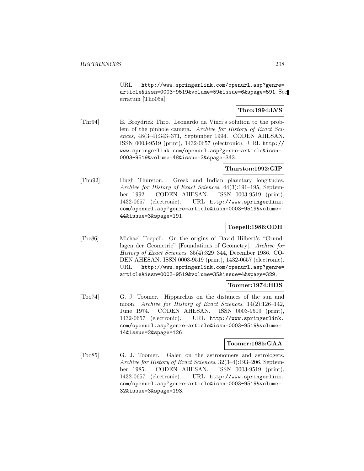URL http://www.springerlink.com/openurl.asp?genre= article&issn=0003-9519&volume=59&issue=6&spage=591. See erratum [Tho05a].

# **Thro:1994:LVS**

[Thr94] E. Broydrick Thro. Leonardo da Vinci's solution to the problem of the pinhole camera. Archive for History of Exact Sciences, 48(3–4):343–371, September 1994. CODEN AHESAN. ISSN 0003-9519 (print), 1432-0657 (electronic). URL http:// www.springerlink.com/openurl.asp?genre=article&issn= 0003-9519&volume=48&issue=3&spage=343.

## **Thurston:1992:GIP**

[Thu92] Hugh Thurston. Greek and Indian planetary longitudes. Archive for History of Exact Sciences, 44(3):191–195, September 1992. CODEN AHESAN. ISSN 0003-9519 (print), 1432-0657 (electronic). URL http://www.springerlink. com/openurl.asp?genre=article&issn=0003-9519&volume= 44&issue=3&spage=191.

## **Toepell:1986:ODH**

[Toe86] Michael Toepell. On the origins of David Hilbert's "Grundlagen der Geometrie" [Foundations of Geometry]. Archive for History of Exact Sciences, 35(4):329–344, December 1986. CO-DEN AHESAN. ISSN 0003-9519 (print), 1432-0657 (electronic). URL http://www.springerlink.com/openurl.asp?genre= article&issn=0003-9519&volume=35&issue=4&spage=329.

#### **Toomer:1974:HDS**

[Too74] G. J. Toomer. Hipparchus on the distances of the sun and moon. Archive for History of Exact Sciences, 14(2):126-142, June 1974. CODEN AHESAN. ISSN 0003-9519 (print), 1432-0657 (electronic). URL http://www.springerlink. com/openurl.asp?genre=article&issn=0003-9519&volume= 14&issue=2&spage=126.

# **Toomer:1985:GAA**

[Too85] G. J. Toomer. Galen on the astronomers and astrologers. Archive for History of Exact Sciences, 32(3–4):193–206, September 1985. CODEN AHESAN. ISSN 0003-9519 (print), 1432-0657 (electronic). URL http://www.springerlink. com/openurl.asp?genre=article&issn=0003-9519&volume= 32&issue=3&spage=193.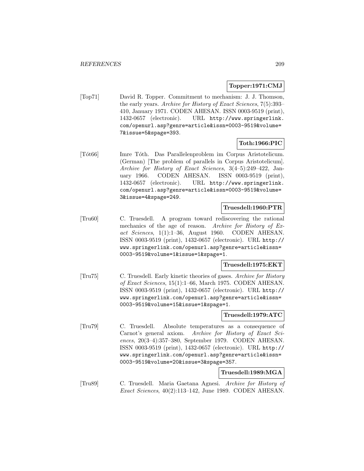## **Topper:1971:CMJ**

[Top71] David R. Topper. Commitment to mechanism: J. J. Thomson, the early years. Archive for History of Exact Sciences, 7(5):393– 410, January 1971. CODEN AHESAN. ISSN 0003-9519 (print), 1432-0657 (electronic). URL http://www.springerlink. com/openurl.asp?genre=article&issn=0003-9519&volume= 7&issue=5&spage=393.

# **Toth:1966:PIC**

[T´ot66] Imre T´oth. Das Parallelenproblem im Corpus Aristotelicum. (German) [The problem of parallels in Corpus Aristotelicum]. Archive for History of Exact Sciences, 3(4–5):249–422, January 1966. CODEN AHESAN. ISSN 0003-9519 (print), 1432-0657 (electronic). URL http://www.springerlink. com/openurl.asp?genre=article&issn=0003-9519&volume= 3&issue=4&spage=249.

### **Truesdell:1960:PTR**

[Tru60] C. Truesdell. A program toward rediscovering the rational mechanics of the age of reason. Archive for History of Exact Sciences,  $1(1):1-36$ , August 1960. CODEN AHESAN. ISSN 0003-9519 (print), 1432-0657 (electronic). URL http:// www.springerlink.com/openurl.asp?genre=article&issn= 0003-9519&volume=1&issue=1&spage=1.

**Truesdell:1975:EKT**

[Tru75] C. Truesdell. Early kinetic theories of gases. Archive for History of Exact Sciences, 15(1):1–66, March 1975. CODEN AHESAN. ISSN 0003-9519 (print), 1432-0657 (electronic). URL http:// www.springerlink.com/openurl.asp?genre=article&issn= 0003-9519&volume=15&issue=1&spage=1.

# **Truesdell:1979:ATC**

[Tru79] C. Truesdell. Absolute temperatures as a consequence of Carnot's general axiom. Archive for History of Exact Sciences, 20(3–4):357–380, September 1979. CODEN AHESAN. ISSN 0003-9519 (print), 1432-0657 (electronic). URL http:// www.springerlink.com/openurl.asp?genre=article&issn= 0003-9519&volume=20&issue=3&spage=357.

**Truesdell:1989:MGA**

[Tru89] C. Truesdell. Maria Gaetana Agnesi. Archive for History of Exact Sciences, 40(2):113–142, June 1989. CODEN AHESAN.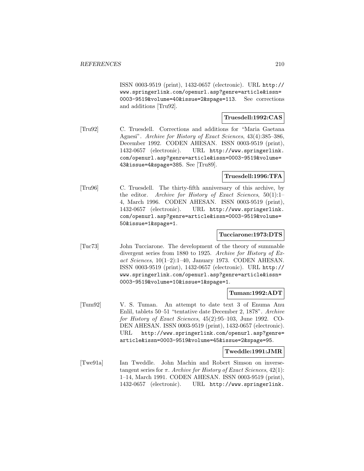ISSN 0003-9519 (print), 1432-0657 (electronic). URL http:// www.springerlink.com/openurl.asp?genre=article&issn= 0003-9519&volume=40&issue=2&spage=113. See corrections and additions [Tru92].

### **Truesdell:1992:CAS**

[Tru92] C. Truesdell. Corrections and additions for "Maria Gaetana Agnesi". Archive for History of Exact Sciences, 43(4):385–386, December 1992. CODEN AHESAN. ISSN 0003-9519 (print), 1432-0657 (electronic). URL http://www.springerlink. com/openurl.asp?genre=article&issn=0003-9519&volume= 43&issue=4&spage=385. See [Tru89].

# **Truesdell:1996:TFA**

[Tru96] C. Truesdell. The thirty-fifth anniversary of this archive, by the editor. Archive for History of Exact Sciences,  $50(1):1-$ 4, March 1996. CODEN AHESAN. ISSN 0003-9519 (print), 1432-0657 (electronic). URL http://www.springerlink. com/openurl.asp?genre=article&issn=0003-9519&volume= 50&issue=1&spage=1.

## **Tucciarone:1973:DTS**

[Tuc73] John Tucciarone. The development of the theory of summable divergent series from 1880 to 1925. Archive for History of Exact Sciences,  $10(1-2)$ :1-40, January 1973. CODEN AHESAN. ISSN 0003-9519 (print), 1432-0657 (electronic). URL http:// www.springerlink.com/openurl.asp?genre=article&issn= 0003-9519&volume=10&issue=1&spage=1.

#### **Tuman:1992:ADT**

[Tum92] V. S. Tuman. An attempt to date text 3 of Enuma Anu Enlil, tablets 50–51 "tentative date December 2, 1878". Archive for History of Exact Sciences, 45(2):95–103, June 1992. CO-DEN AHESAN. ISSN 0003-9519 (print), 1432-0657 (electronic). URL http://www.springerlink.com/openurl.asp?genre= article&issn=0003-9519&volume=45&issue=2&spage=95.

## **Tweddle:1991:JMR**

[Twe91a] Ian Tweddle. John Machin and Robert Simson on inversetangent series for  $\pi$ . Archive for History of Exact Sciences, 42(1): 1–14, March 1991. CODEN AHESAN. ISSN 0003-9519 (print), 1432-0657 (electronic). URL http://www.springerlink.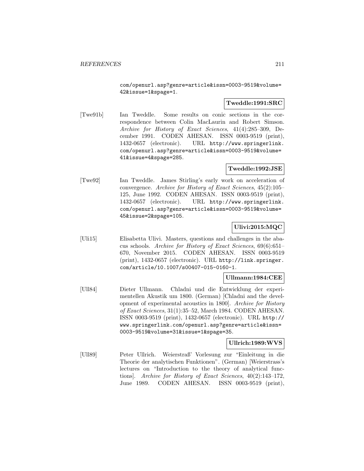com/openurl.asp?genre=article&issn=0003-9519&volume= 42&issue=1&spage=1.

## **Tweddle:1991:SRC**

[Twe91b] Ian Tweddle. Some results on conic sections in the correspondence between Colin MacLaurin and Robert Simson. Archive for History of Exact Sciences, 41(4):285–309, December 1991. CODEN AHESAN. ISSN 0003-9519 (print), 1432-0657 (electronic). URL http://www.springerlink. com/openurl.asp?genre=article&issn=0003-9519&volume= 41&issue=4&spage=285.

## **Tweddle:1992:JSE**

[Twe92] Ian Tweddle. James Stirling's early work on acceleration of convergence. Archive for History of Exact Sciences, 45(2):105– 125, June 1992. CODEN AHESAN. ISSN 0003-9519 (print), 1432-0657 (electronic). URL http://www.springerlink. com/openurl.asp?genre=article&issn=0003-9519&volume= 45&issue=2&spage=105.

## **Ulivi:2015:MQC**

[Uli15] Elisabetta Ulivi. Masters, questions and challenges in the abacus schools. Archive for History of Exact Sciences, 69(6):651– 670, November 2015. CODEN AHESAN. ISSN 0003-9519 (print), 1432-0657 (electronic). URL http://link.springer. com/article/10.1007/s00407-015-0160-1.

## **Ullmann:1984:CEE**

[Ull84] Dieter Ullmann. Chladni und die Entwicklung der experimentellen Akustik um 1800. (German) [Chladni and the development of experimental acoustics in 1800]. Archive for History of Exact Sciences, 31(1):35–52, March 1984. CODEN AHESAN. ISSN 0003-9519 (print), 1432-0657 (electronic). URL http:// www.springerlink.com/openurl.asp?genre=article&issn= 0003-9519&volume=31&issue=1&spage=35.

# **Ullrich:1989:WVS**

[Ull89] Peter Ullrich. Weierstraß' Vorlesung zur "Einleitung in die Theorie der analytischen Funktionen". (German) [Weierstrass's lectures on "Introduction to the theory of analytical functions]. Archive for History of Exact Sciences, 40(2):143–172, June 1989. CODEN AHESAN. ISSN 0003-9519 (print),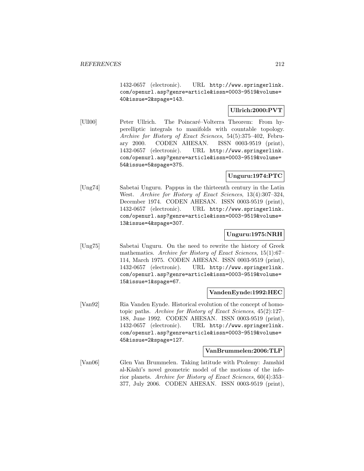1432-0657 (electronic). URL http://www.springerlink. com/openurl.asp?genre=article&issn=0003-9519&volume= 40&issue=2&spage=143.

## **Ullrich:2000:PVT**

[Ull00] Peter Ullrich. The Poincaré–Volterra Theorem: From hyperelliptic integrals to manifolds with countable topology. Archive for History of Exact Sciences, 54(5):375–402, February 2000. CODEN AHESAN. ISSN 0003-9519 (print), 1432-0657 (electronic). URL http://www.springerlink. com/openurl.asp?genre=article&issn=0003-9519&volume= 54&issue=5&spage=375.

# **Unguru:1974:PTC**

[Ung74] Sabetai Unguru. Pappus in the thirteenth century in the Latin West. Archive for History of Exact Sciences, 13(4):307–324, December 1974. CODEN AHESAN. ISSN 0003-9519 (print), 1432-0657 (electronic). URL http://www.springerlink. com/openurl.asp?genre=article&issn=0003-9519&volume= 13&issue=4&spage=307.

## **Unguru:1975:NRH**

[Ung75] Sabetai Unguru. On the need to rewrite the history of Greek mathematics. Archive for History of Exact Sciences, 15(1):67– 114, March 1975. CODEN AHESAN. ISSN 0003-9519 (print), 1432-0657 (electronic). URL http://www.springerlink. com/openurl.asp?genre=article&issn=0003-9519&volume= 15&issue=1&spage=67.

## **VandenEynde:1992:HEC**

[Van92] Ria Vanden Eynde. Historical evolution of the concept of homotopic paths. Archive for History of Exact Sciences, 45(2):127– 188, June 1992. CODEN AHESAN. ISSN 0003-9519 (print), 1432-0657 (electronic). URL http://www.springerlink. com/openurl.asp?genre=article&issn=0003-9519&volume= 45&issue=2&spage=127.

#### **VanBrummelen:2006:TLP**

[Van06] Glen Van Brummelen. Taking latitude with Ptolemy: Jamshīd al-Kāshī's novel geometric model of the motions of the inferior planets. Archive for History of Exact Sciences, 60(4):353– 377, July 2006. CODEN AHESAN. ISSN 0003-9519 (print),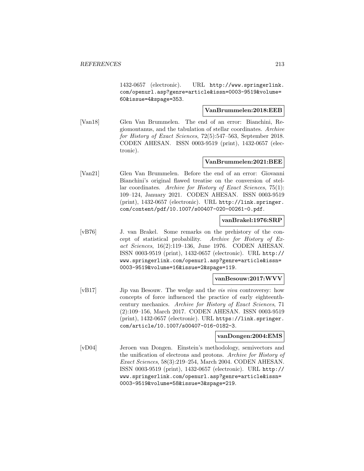1432-0657 (electronic). URL http://www.springerlink. com/openurl.asp?genre=article&issn=0003-9519&volume= 60&issue=4&spage=353.

## **VanBrummelen:2018:EEB**

[Van18] Glen Van Brummelen. The end of an error: Bianchini, Regiomontanus, and the tabulation of stellar coordinates. Archive for History of Exact Sciences, 72(5):547–563, September 2018. CODEN AHESAN. ISSN 0003-9519 (print), 1432-0657 (electronic).

## **VanBrummelen:2021:BEE**

[Van21] Glen Van Brummelen. Before the end of an error: Giovanni Bianchini's original flawed treatise on the conversion of stellar coordinates. Archive for History of Exact Sciences, 75(1): 109–124, January 2021. CODEN AHESAN. ISSN 0003-9519 (print), 1432-0657 (electronic). URL http://link.springer. com/content/pdf/10.1007/s00407-020-00261-0.pdf.

## **vanBrakel:1976:SRP**

[vB76] J. van Brakel. Some remarks on the prehistory of the concept of statistical probability. Archive for History of Exact Sciences, 16(2):119–136, June 1976. CODEN AHESAN. ISSN 0003-9519 (print), 1432-0657 (electronic). URL http:// www.springerlink.com/openurl.asp?genre=article&issn= 0003-9519&volume=16&issue=2&spage=119.

## **vanBesouw:2017:WVV**

[vB17] Jip van Besouw. The wedge and the vis viva controversy: how concepts of force influenced the practice of early eighteenthcentury mechanics. Archive for History of Exact Sciences, 71 (2):109–156, March 2017. CODEN AHESAN. ISSN 0003-9519 (print), 1432-0657 (electronic). URL https://link.springer. com/article/10.1007/s00407-016-0182-3.

## **vanDongen:2004:EMS**

[vD04] Jeroen van Dongen. Einstein's methodology, semivectors and the unification of electrons and protons. Archive for History of Exact Sciences, 58(3):219–254, March 2004. CODEN AHESAN. ISSN 0003-9519 (print), 1432-0657 (electronic). URL http:// www.springerlink.com/openurl.asp?genre=article&issn= 0003-9519&volume=58&issue=3&spage=219.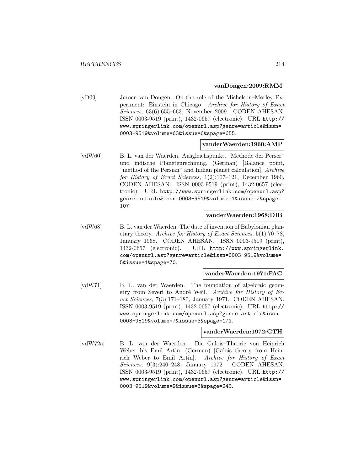#### **vanDongen:2009:RMM**

[vD09] Jeroen van Dongen. On the role of the Michelson–Morley Experiment: Einstein in Chicago. Archive for History of Exact Sciences, 63(6):655–663, November 2009. CODEN AHESAN. ISSN 0003-9519 (print), 1432-0657 (electronic). URL http:// www.springerlink.com/openurl.asp?genre=article&issn= 0003-9519&volume=63&issue=6&spage=655.

#### **vanderWaerden:1960:AMP**

[vdW60] B. L. van der Waerden. Ausgleichspunkt, "Methode der Perser" und indische Planetenrechnung. (German) [Balance point, "method of the Persian" and Indian planet calculation]. Archive for History of Exact Sciences, 1(2):107–121, December 1960. CODEN AHESAN. ISSN 0003-9519 (print), 1432-0657 (electronic). URL http://www.springerlink.com/openurl.asp? genre=article&issn=0003-9519&volume=1&issue=2&spage= 107.

### **vanderWaerden:1968:DIB**

[vdW68] B. L. van der Waerden. The date of invention of Babylonian planetary theory. Archive for History of Exact Sciences, 5(1):70–78, January 1968. CODEN AHESAN. ISSN 0003-9519 (print), 1432-0657 (electronic). URL http://www.springerlink. com/openurl.asp?genre=article&issn=0003-9519&volume= 5&issue=1&spage=70.

## **vanderWaerden:1971:FAG**

[vdW71] B. L. van der Waerden. The foundation of algebraic geometry from Severi to André Weil. Archive for History of Exact Sciences, 7(3):171–180, January 1971. CODEN AHESAN. ISSN 0003-9519 (print), 1432-0657 (electronic). URL http:// www.springerlink.com/openurl.asp?genre=article&issn= 0003-9519&volume=7&issue=3&spage=171.

#### **vanderWaerden:1972:GTH**

[vdW72a] B. L. van der Waerden. Die Galois–Theorie von Heinrich Weber bis Emil Artin. (German) [Galois theory from Heinrich Weber to Emil Artin]. Archive for History of Exact Sciences, 9(3):240–248, January 1972. CODEN AHESAN. ISSN 0003-9519 (print), 1432-0657 (electronic). URL http:// www.springerlink.com/openurl.asp?genre=article&issn= 0003-9519&volume=9&issue=3&spage=240.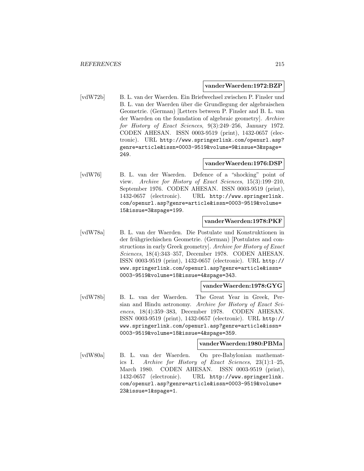#### **vanderWaerden:1972:BZP**

[vdW72b] B. L. van der Waerden. Ein Briefwechsel zwischen P. Finsler und B. L. van der Waerden über die Grundlegung der algebraischen Geometrie. (German) [Letters between P. Finsler and B. L. van der Waerden on the foundation of algebraic geometry]. Archive for History of Exact Sciences, 9(3):249–256, January 1972. CODEN AHESAN. ISSN 0003-9519 (print), 1432-0657 (electronic). URL http://www.springerlink.com/openurl.asp? genre=article&issn=0003-9519&volume=9&issue=3&spage= 249.

### **vanderWaerden:1976:DSP**

[vdW76] B. L. van der Waerden. Defence of a "shocking" point of view. Archive for History of Exact Sciences, 15(3):199–210, September 1976. CODEN AHESAN. ISSN 0003-9519 (print), 1432-0657 (electronic). URL http://www.springerlink. com/openurl.asp?genre=article&issn=0003-9519&volume= 15&issue=3&spage=199.

## **vanderWaerden:1978:PKF**

[vdW78a] B. L. van der Waerden. Die Postulate und Konstruktionen in der frühgriechischen Geometrie. (German) [Postulates and constructions in early Greek geometry]. Archive for History of Exact Sciences, 18(4):343–357, December 1978. CODEN AHESAN. ISSN 0003-9519 (print), 1432-0657 (electronic). URL http:// www.springerlink.com/openurl.asp?genre=article&issn= 0003-9519&volume=18&issue=4&spage=343.

## **vanderWaerden:1978:GYG**

[vdW78b] B. L. van der Waerden. The Great Year in Greek, Persian and Hindu astronomy. Archive for History of Exact Sciences, 18(4):359–383, December 1978. CODEN AHESAN. ISSN 0003-9519 (print), 1432-0657 (electronic). URL http:// www.springerlink.com/openurl.asp?genre=article&issn= 0003-9519&volume=18&issue=4&spage=359.

## **vanderWaerden:1980:PBMa**

[vdW80a] B. L. van der Waerden. On pre-Babylonian mathematics I. Archive for History of Exact Sciences, 23(1):1–25, March 1980. CODEN AHESAN. ISSN 0003-9519 (print), 1432-0657 (electronic). URL http://www.springerlink. com/openurl.asp?genre=article&issn=0003-9519&volume= 23&issue=1&spage=1.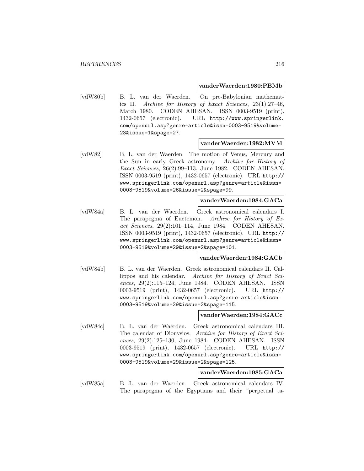#### **vanderWaerden:1980:PBMb**

[vdW80b] B. L. van der Waerden. On pre-Babylonian mathematics II. Archive for History of Exact Sciences, 23(1):27–46, March 1980. CODEN AHESAN. ISSN 0003-9519 (print), 1432-0657 (electronic). URL http://www.springerlink. com/openurl.asp?genre=article&issn=0003-9519&volume= 23&issue=1&spage=27.

#### **vanderWaerden:1982:MVM**

[vdW82] B. L. van der Waerden. The motion of Venus, Mercury and the Sun in early Greek astronomy. Archive for History of Exact Sciences, 26(2):99–113, June 1982. CODEN AHESAN. ISSN 0003-9519 (print), 1432-0657 (electronic). URL http:// www.springerlink.com/openurl.asp?genre=article&issn= 0003-9519&volume=26&issue=2&spage=99.

#### **vanderWaerden:1984:GACa**

[vdW84a] B. L. van der Waerden. Greek astronomical calendars I. The parapegma of Euctemon. Archive for History of Exact Sciences, 29(2):101–114, June 1984. CODEN AHESAN. ISSN 0003-9519 (print), 1432-0657 (electronic). URL http:// www.springerlink.com/openurl.asp?genre=article&issn= 0003-9519&volume=29&issue=2&spage=101.

# **vanderWaerden:1984:GACb**

[vdW84b] B. L. van der Waerden. Greek astronomical calendars II. Callippos and his calendar. Archive for History of Exact Sciences, 29(2):115–124, June 1984. CODEN AHESAN. ISSN 0003-9519 (print), 1432-0657 (electronic). URL http:// www.springerlink.com/openurl.asp?genre=article&issn= 0003-9519&volume=29&issue=2&spage=115.

#### **vanderWaerden:1984:GACc**

[vdW84c] B. L. van der Waerden. Greek astronomical calendars III. The calendar of Dionysios. Archive for History of Exact Sciences, 29(2):125–130, June 1984. CODEN AHESAN. ISSN 0003-9519 (print), 1432-0657 (electronic). URL http:// www.springerlink.com/openurl.asp?genre=article&issn= 0003-9519&volume=29&issue=2&spage=125.

### **vanderWaerden:1985:GACa**

[vdW85a] B. L. van der Waerden. Greek astronomical calendars IV. The parapegma of the Egyptians and their "perpetual ta-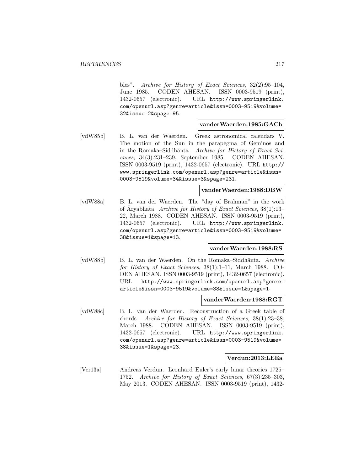bles". Archive for History of Exact Sciences, 32(2):95–104, June 1985. CODEN AHESAN. ISSN 0003-9519 (print), 1432-0657 (electronic). URL http://www.springerlink. com/openurl.asp?genre=article&issn=0003-9519&volume= 32&issue=2&spage=95.

#### **vanderWaerden:1985:GACb**

[vdW85b] B. L. van der Waerden. Greek astronomical calendars V. The motion of the Sun in the parapegma of Geminos and in the Romaka–Siddhānta. Archive for History of Exact Sciences, 34(3):231–239, September 1985. CODEN AHESAN. ISSN 0003-9519 (print), 1432-0657 (electronic). URL http:// www.springerlink.com/openurl.asp?genre=article&issn= 0003-9519&volume=34&issue=3&spage=231.

## **vanderWaerden:1988:DBW**

[vdW88a] B. L. van der Waerden. The "day of Brahman" in the work of Aryabhata. Archive for History of Exact Sciences,  $38(1):13-$ 22, March 1988. CODEN AHESAN. ISSN 0003-9519 (print), 1432-0657 (electronic). URL http://www.springerlink. com/openurl.asp?genre=article&issn=0003-9519&volume= 38&issue=1&spage=13.

## **vanderWaerden:1988:RS**

[vdW88b] B. L. van der Waerden. On the Romaka–Siddhānta. Archive for History of Exact Sciences, 38(1):1–11, March 1988. CO-DEN AHESAN. ISSN 0003-9519 (print), 1432-0657 (electronic). URL http://www.springerlink.com/openurl.asp?genre= article&issn=0003-9519&volume=38&issue=1&spage=1.

#### **vanderWaerden:1988:RGT**

[vdW88c] B. L. van der Waerden. Reconstruction of a Greek table of chords. Archive for History of Exact Sciences, 38(1):23–38, March 1988. CODEN AHESAN. ISSN 0003-9519 (print), 1432-0657 (electronic). URL http://www.springerlink. com/openurl.asp?genre=article&issn=0003-9519&volume= 38&issue=1&spage=23.

#### **Verdun:2013:LEEa**

[Ver13a] Andreas Verdun. Leonhard Euler's early lunar theories 1725– 1752. Archive for History of Exact Sciences, 67(3):235–303, May 2013. CODEN AHESAN. ISSN 0003-9519 (print), 1432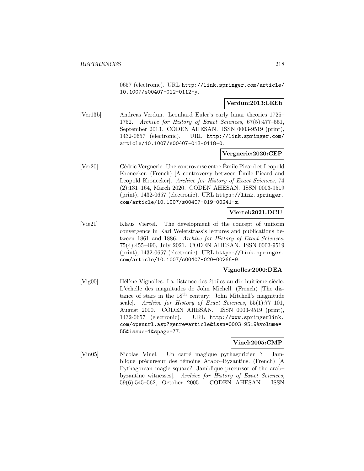0657 (electronic). URL http://link.springer.com/article/ 10.1007/s00407-012-0112-y.

## **Verdun:2013:LEEb**

[Ver13b] Andreas Verdun. Leonhard Euler's early lunar theories 1725– 1752. Archive for History of Exact Sciences, 67(5):477–551, September 2013. CODEN AHESAN. ISSN 0003-9519 (print), 1432-0657 (electronic). URL http://link.springer.com/ article/10.1007/s00407-013-0118-0.

## **Vergnerie:2020:CEP**

[Ver20] Cédric Vergnerie. Une controverse entre Émile Picard et Leopold Kronecker. (French) [A controversy between Emile Picard and ´ Leopold Kronecker]. Archive for History of Exact Sciences, 74 (2):131–164, March 2020. CODEN AHESAN. ISSN 0003-9519 (print), 1432-0657 (electronic). URL https://link.springer. com/article/10.1007/s00407-019-00241-z.

## **Viertel:2021:DCU**

[Vie21] Klaus Viertel. The development of the concept of uniform convergence in Karl Weierstrass's lectures and publications between 1861 and 1886. Archive for History of Exact Sciences, 75(4):455–490, July 2021. CODEN AHESAN. ISSN 0003-9519 (print), 1432-0657 (electronic). URL https://link.springer. com/article/10.1007/s00407-020-00266-9.

## **Vignolles:2000:DEA**

[Vig00] Hélène Vignolles. La distance des étoiles au dix-huitième siècle: L'échelle des magnitudes de John Michell. (French) [The distance of stars in the 18<sup>th</sup> century: John Mitchell's magnitude scale]. Archive for History of Exact Sciences, 55(1):77–101, August 2000. CODEN AHESAN. ISSN 0003-9519 (print), 1432-0657 (electronic). URL http://www.springerlink. com/openurl.asp?genre=article&issn=0003-9519&volume= 55&issue=1&spage=77.

## **Vinel:2005:CMP**

[Vin05] Nicolas Vinel. Un carré magique pythagoricien ? Jamblique précurseur des témoins Arabo–Byzantins. (French) [A Pythagorean magic square? Jamblique precursor of the arab– byzantine witnesses]. Archive for History of Exact Sciences, 59(6):545–562, October 2005. CODEN AHESAN. ISSN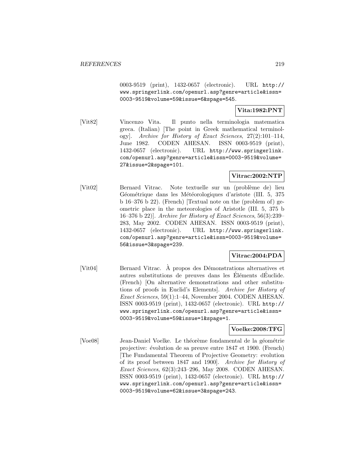0003-9519 (print), 1432-0657 (electronic). URL http:// www.springerlink.com/openurl.asp?genre=article&issn= 0003-9519&volume=59&issue=6&spage=545.

**Vita:1982:PNT**

[Vit82] Vincenzo Vita. Il punto nella terminologia matematica greca. (Italian) [The point in Greek mathematical terminology]. Archive for History of Exact Sciences, 27(2):101–114, June 1982. CODEN AHESAN. ISSN 0003-9519 (print), 1432-0657 (electronic). URL http://www.springerlink. com/openurl.asp?genre=article&issn=0003-9519&volume= 27&issue=2&spage=101.

**Vitrac:2002:NTP**

[Vit02] Bernard Vitrac. Note textuelle sur un (problème de) lieu Géométrique dans les Météorologiques d'aristote (III. 5, 375 b 16–376 b 22). (French) [Textual note on the (problem of) geometric place in the meteorologies of Aristotle (III. 5, 375 b 16–376 b 22)]. Archive for History of Exact Sciences, 56(3):239– 283, May 2002. CODEN AHESAN. ISSN 0003-9519 (print), 1432-0657 (electronic). URL http://www.springerlink. com/openurl.asp?genre=article&issn=0003-9519&volume= 56&issue=3&spage=239.

**Vitrac:2004:PDA**

[Vit04] Bernard Vitrac. A propos des Démonstrations alternatives et autres substitutions de preuves dans les Éléments dÉuclide. (French) [On alternative demonstrations and other substitutions of proofs in Euclid's Elements]. Archive for History of Exact Sciences, 59(1):1–44, November 2004. CODEN AHESAN. ISSN 0003-9519 (print), 1432-0657 (electronic). URL http:// www.springerlink.com/openurl.asp?genre=article&issn= 0003-9519&volume=59&issue=1&spage=1.

**Voelke:2008:TFG**

[Voe08] Jean-Daniel Voelke. Le théorème fondamental de la géométrie projective: évolution de sa preuve entre 1847 et 1900. (French) [The Fundamental Theorem of Projective Geometry: evolution of its proof between 1847 and 1900]. Archive for History of Exact Sciences, 62(3):243–296, May 2008. CODEN AHESAN. ISSN 0003-9519 (print), 1432-0657 (electronic). URL http:// www.springerlink.com/openurl.asp?genre=article&issn= 0003-9519&volume=62&issue=3&spage=243.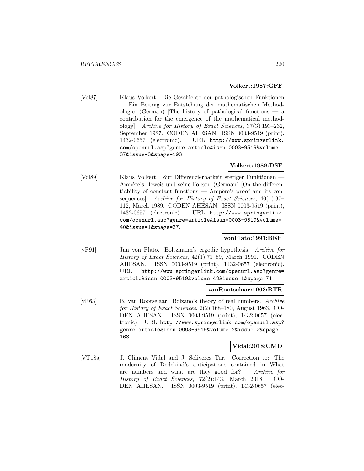#### **Volkert:1987:GPF**

[Vol87] Klaus Volkert. Die Geschichte der pathologischen Funktionen — Ein Beitrag zur Entstehung der mathematischen Methodologie. (German) [The history of pathological functions  $-$  a contribution for the emergence of the mathematical methodology]. Archive for History of Exact Sciences, 37(3):193–232, September 1987. CODEN AHESAN. ISSN 0003-9519 (print), 1432-0657 (electronic). URL http://www.springerlink. com/openurl.asp?genre=article&issn=0003-9519&volume= 37&issue=3&spage=193.

## **Volkert:1989:DSF**

[Vol89] Klaus Volkert. Zur Differenzierbarkeit stetiger Funktionen — Ampère's Beweis und seine Folgen. (German) [On the differentiability of constant functions  $-$  Ampère's proof and its consequences]. Archive for History of Exact Sciences, 40(1):37-112, March 1989. CODEN AHESAN. ISSN 0003-9519 (print), 1432-0657 (electronic). URL http://www.springerlink. com/openurl.asp?genre=article&issn=0003-9519&volume= 40&issue=1&spage=37.

# **vonPlato:1991:BEH**

[vP91] Jan von Plato. Boltzmann's ergodic hypothesis. Archive for History of Exact Sciences, 42(1):71–89, March 1991. CODEN AHESAN. ISSN 0003-9519 (print), 1432-0657 (electronic). URL http://www.springerlink.com/openurl.asp?genre= article&issn=0003-9519&volume=42&issue=1&spage=71.

#### **vanRootselaar:1963:BTR**

[vR63] B. van Rootselaar. Bolzano's theory of real numbers. Archive for History of Exact Sciences, 2(2):168–180, August 1963. CO-DEN AHESAN. ISSN 0003-9519 (print), 1432-0657 (electronic). URL http://www.springerlink.com/openurl.asp? genre=article&issn=0003-9519&volume=2&issue=2&spage= 168.

## **Vidal:2018:CMD**

[VT18a] J. Climent Vidal and J. Soliveres Tur. Correction to: The modernity of Dedekind's anticipations contained in What are numbers and what are they good for? Archive for History of Exact Sciences, 72(2):143, March 2018. CO-DEN AHESAN. ISSN 0003-9519 (print), 1432-0657 (elec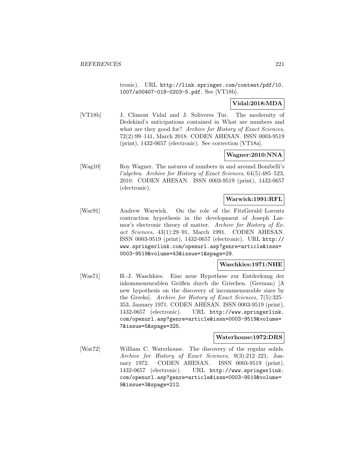tronic). URL http://link.springer.com/content/pdf/10. 1007/s00407-018-0203-5.pdf. See [VT18b].

# **Vidal:2018:MDA**

[VT18b] J. Climent Vidal and J. Soliveres Tur. The modernity of Dedekind's anticipations contained in What are numbers and what are they good for? Archive for History of Exact Sciences, 72(2):99–141, March 2018. CODEN AHESAN. ISSN 0003-9519 (print), 1432-0657 (electronic). See correction [VT18a].

## **Wagner:2010:NNA**

[Wag10] Roy Wagner. The natures of numbers in and around Bombelli's l'algebra. Archive for History of Exact Sciences, 64(5):485–523, 2010. CODEN AHESAN. ISSN 0003-9519 (print), 1432-0657 (electronic).

## **Warwick:1991:RFL**

[War91] Andrew Warwick. On the role of the FitzGerald–Lorentz contraction hypothesis in the development of Joseph Larmor's electronic theory of matter. Archive for History of Exact Sciences, 43(1):29–91, March 1991. CODEN AHESAN. ISSN 0003-9519 (print), 1432-0657 (electronic). URL http:// www.springerlink.com/openurl.asp?genre=article&issn= 0003-9519&volume=43&issue=1&spage=29.

## **Waschkies:1971:NHE**

[Was71] H.-J. Waschkies. Eine neue Hypothese zur Entdeckung der inkommensurablen Größen durch die Griechen. (German) [A new hypothesis on the discovery of incommensurable sizes by the Greeks]. Archive for History of Exact Sciences, 7(5):325– 353, January 1971. CODEN AHESAN. ISSN 0003-9519 (print), 1432-0657 (electronic). URL http://www.springerlink. com/openurl.asp?genre=article&issn=0003-9519&volume= 7&issue=5&spage=325.

#### **Waterhouse:1972:DRS**

[Wat72] William C. Waterhouse. The discovery of the regular solids. Archive for History of Exact Sciences, 9(3):212–221, January 1972. CODEN AHESAN. ISSN 0003-9519 (print), 1432-0657 (electronic). URL http://www.springerlink. com/openurl.asp?genre=article&issn=0003-9519&volume= 9&issue=3&spage=212.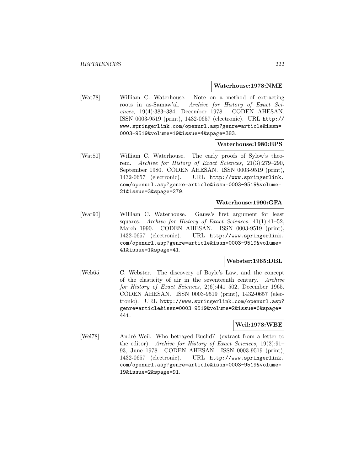#### **Waterhouse:1978:NME**

[Wat78] William C. Waterhouse. Note on a method of extracting roots in as-Samaw'al. Archive for History of Exact Sciences, 19(4):383–384, December 1978. CODEN AHESAN. ISSN 0003-9519 (print), 1432-0657 (electronic). URL http:// www.springerlink.com/openurl.asp?genre=article&issn= 0003-9519&volume=19&issue=4&spage=383.

#### **Waterhouse:1980:EPS**

[Wat80] William C. Waterhouse. The early proofs of Sylow's theorem. Archive for History of Exact Sciences, 21(3):279–290, September 1980. CODEN AHESAN. ISSN 0003-9519 (print), 1432-0657 (electronic). URL http://www.springerlink. com/openurl.asp?genre=article&issn=0003-9519&volume= 21&issue=3&spage=279.

#### **Waterhouse:1990:GFA**

[Wat90] William C. Waterhouse. Gauss's first argument for least squares. Archive for History of Exact Sciences, 41(1):41-52, March 1990. CODEN AHESAN. ISSN 0003-9519 (print), 1432-0657 (electronic). URL http://www.springerlink. com/openurl.asp?genre=article&issn=0003-9519&volume= 41&issue=1&spage=41.

## **Webster:1965:DBL**

[Web65] C. Webster. The discovery of Boyle's Law, and the concept of the elasticity of air in the seventeenth century. Archive for History of Exact Sciences, 2(6):441–502, December 1965. CODEN AHESAN. ISSN 0003-9519 (print), 1432-0657 (electronic). URL http://www.springerlink.com/openurl.asp? genre=article&issn=0003-9519&volume=2&issue=6&spage= 441.

## **Weil:1978:WBE**

[Wei78] André Weil. Who betrayed Euclid? (extract from a letter to the editor). Archive for History of Exact Sciences, 19(2):91– 93, June 1978. CODEN AHESAN. ISSN 0003-9519 (print), 1432-0657 (electronic). URL http://www.springerlink. com/openurl.asp?genre=article&issn=0003-9519&volume= 19&issue=2&spage=91.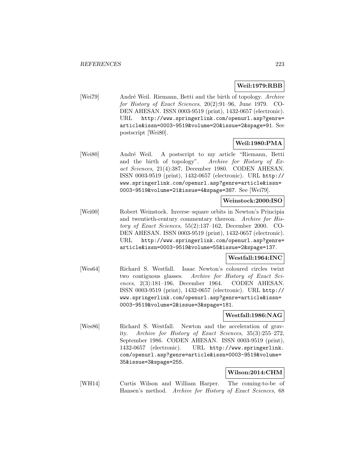## **Weil:1979:RBB**

[Wei79] André Weil. Riemann, Betti and the birth of topology. Archive for History of Exact Sciences, 20(2):91–96, June 1979. CO-DEN AHESAN. ISSN 0003-9519 (print), 1432-0657 (electronic). URL http://www.springerlink.com/openurl.asp?genre= article&issn=0003-9519&volume=20&issue=2&spage=91. See postscript [Wei80].

# **Weil:1980:PMA**

[Wei80] André Weil. A postscript to my article "Riemann, Betti and the birth of topology". Archive for History of Exact Sciences, 21(4):387, December 1980. CODEN AHESAN. ISSN 0003-9519 (print), 1432-0657 (electronic). URL http:// www.springerlink.com/openurl.asp?genre=article&issn= 0003-9519&volume=21&issue=4&spage=387. See [Wei79].

#### **Weinstock:2000:ISO**

[Wei00] Robert Weinstock. Inverse–square orbits in Newton's Principia and twentieth-century commentary thereon. Archive for History of Exact Sciences, 55(2):137–162, December 2000. CO-DEN AHESAN. ISSN 0003-9519 (print), 1432-0657 (electronic). URL http://www.springerlink.com/openurl.asp?genre= article&issn=0003-9519&volume=55&issue=2&spage=137.

# **Westfall:1964:INC**

[Wes64] Richard S. Westfall. Isaac Newton's coloured circles twixt two contiguous glasses. Archive for History of Exact Sciences, 2(3):181–196, December 1964. CODEN AHESAN. ISSN 0003-9519 (print), 1432-0657 (electronic). URL http:// www.springerlink.com/openurl.asp?genre=article&issn= 0003-9519&volume=2&issue=3&spage=181.

## **Westfall:1986:NAG**

[Wes86] Richard S. Westfall. Newton and the acceleration of gravity. Archive for History of Exact Sciences, 35(3):255–272, September 1986. CODEN AHESAN. ISSN 0003-9519 (print), 1432-0657 (electronic). URL http://www.springerlink. com/openurl.asp?genre=article&issn=0003-9519&volume= 35&issue=3&spage=255.

# **Wilson:2014:CHM**

[WH14] Curtis Wilson and William Harper. The coming-to-be of Hansen's method. Archive for History of Exact Sciences, 68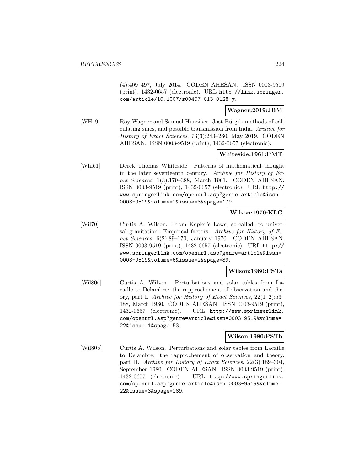(4):409–497, July 2014. CODEN AHESAN. ISSN 0003-9519 (print), 1432-0657 (electronic). URL http://link.springer. com/article/10.1007/s00407-013-0128-y.

## **Wagner:2019:JBM**

[WH19] Roy Wagner and Samuel Hunziker. Jost Bürgi's methods of calculating sines, and possible transmission from India. Archive for History of Exact Sciences, 73(3):243–260, May 2019. CODEN AHESAN. ISSN 0003-9519 (print), 1432-0657 (electronic).

## **Whiteside:1961:PMT**

[Whi61] Derek Thomas Whiteside. Patterns of mathematical thought in the later seventeenth century. Archive for History of Exact Sciences, 1(3):179–388, March 1961. CODEN AHESAN. ISSN 0003-9519 (print), 1432-0657 (electronic). URL http:// www.springerlink.com/openurl.asp?genre=article&issn= 0003-9519&volume=1&issue=3&spage=179.

## **Wilson:1970:KLC**

[Wil70] Curtis A. Wilson. From Kepler's Laws, so-called, to universal gravitation: Empirical factors. Archive for History of Exact Sciences, 6(2):89–170, January 1970. CODEN AHESAN. ISSN 0003-9519 (print), 1432-0657 (electronic). URL http:// www.springerlink.com/openurl.asp?genre=article&issn= 0003-9519&volume=6&issue=2&spage=89.

## **Wilson:1980:PSTa**

[Wil80a] Curtis A. Wilson. Perturbations and solar tables from Lacaille to Delambre: the rapprochement of observation and theory, part I. Archive for History of Exact Sciences, 22(1–2):53– 188, March 1980. CODEN AHESAN. ISSN 0003-9519 (print), 1432-0657 (electronic). URL http://www.springerlink. com/openurl.asp?genre=article&issn=0003-9519&volume= 22&issue=1&spage=53.

## **Wilson:1980:PSTb**

[Wil80b] Curtis A. Wilson. Perturbations and solar tables from Lacaille to Delambre: the rapprochement of observation and theory, part II. Archive for History of Exact Sciences, 22(3):189–304, September 1980. CODEN AHESAN. ISSN 0003-9519 (print), 1432-0657 (electronic). URL http://www.springerlink. com/openurl.asp?genre=article&issn=0003-9519&volume= 22&issue=3&spage=189.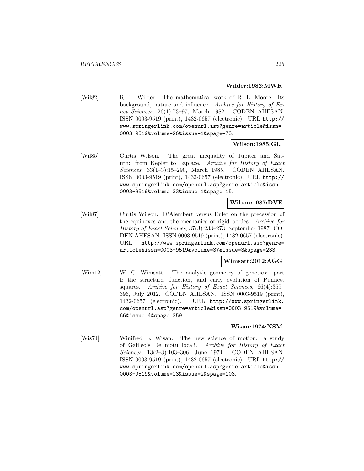#### **Wilder:1982:MWR**

[Wil82] R. L. Wilder. The mathematical work of R. L. Moore: Its background, nature and influence. Archive for History of Exact Sciences, 26(1):73–97, March 1982. CODEN AHESAN. ISSN 0003-9519 (print), 1432-0657 (electronic). URL http:// www.springerlink.com/openurl.asp?genre=article&issn= 0003-9519&volume=26&issue=1&spage=73.

**Wilson:1985:GIJ**

[Wil85] Curtis Wilson. The great inequality of Jupiter and Saturn: from Kepler to Laplace. Archive for History of Exact Sciences, 33(1–3):15–290, March 1985. CODEN AHESAN. ISSN 0003-9519 (print), 1432-0657 (electronic). URL http:// www.springerlink.com/openurl.asp?genre=article&issn= 0003-9519&volume=33&issue=1&spage=15.

## **Wilson:1987:DVE**

[Wil87] Curtis Wilson. D'Alembert versus Euler on the precession of the equinoxes and the mechanics of rigid bodies. Archive for History of Exact Sciences, 37(3):233–273, September 1987. CO-DEN AHESAN. ISSN 0003-9519 (print), 1432-0657 (electronic). URL http://www.springerlink.com/openurl.asp?genre= article&issn=0003-9519&volume=37&issue=3&spage=233.

## **Wimsatt:2012:AGG**

[Wim12] W. C. Wimsatt. The analytic geometry of genetics: part I: the structure, function, and early evolution of Punnett squares. Archive for History of Exact Sciences, 66(4):359– 396, July 2012. CODEN AHESAN. ISSN 0003-9519 (print), 1432-0657 (electronic). URL http://www.springerlink. com/openurl.asp?genre=article&issn=0003-9519&volume= 66&issue=4&spage=359.

## **Wisan:1974:NSM**

[Wis74] Winifred L. Wisan. The new science of motion: a study of Galileo's De motu locali. Archive for History of Exact Sciences, 13(2–3):103–306, June 1974. CODEN AHESAN. ISSN 0003-9519 (print), 1432-0657 (electronic). URL http:// www.springerlink.com/openurl.asp?genre=article&issn= 0003-9519&volume=13&issue=2&spage=103.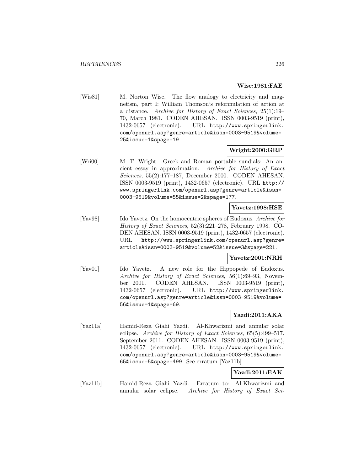#### **Wise:1981:FAE**

[Wis81] M. Norton Wise. The flow analogy to electricity and magnetism, part I: William Thomson's reformulation of action at a distance. Archive for History of Exact Sciences, 25(1):19– 70, March 1981. CODEN AHESAN. ISSN 0003-9519 (print), 1432-0657 (electronic). URL http://www.springerlink. com/openurl.asp?genre=article&issn=0003-9519&volume= 25&issue=1&spage=19.

## **Wright:2000:GRP**

[Wri00] M. T. Wright. Greek and Roman portable sundials: An ancient essay in approximation. Archive for History of Exact Sciences, 55(2):177–187, December 2000. CODEN AHESAN. ISSN 0003-9519 (print), 1432-0657 (electronic). URL http:// www.springerlink.com/openurl.asp?genre=article&issn= 0003-9519&volume=55&issue=2&spage=177.

# **Yavetz:1998:HSE**

[Yav98] Ido Yavetz. On the homocentric spheres of Eudoxus. Archive for History of Exact Sciences, 52(3):221–278, February 1998. CO-DEN AHESAN. ISSN 0003-9519 (print), 1432-0657 (electronic). URL http://www.springerlink.com/openurl.asp?genre= article&issn=0003-9519&volume=52&issue=3&spage=221.

## **Yavetz:2001:NRH**

[Yav01] Ido Yavetz. A new role for the Hippopede of Eudoxus. Archive for History of Exact Sciences, 56(1):69–93, November 2001. CODEN AHESAN. ISSN 0003-9519 (print), 1432-0657 (electronic). URL http://www.springerlink. com/openurl.asp?genre=article&issn=0003-9519&volume= 56&issue=1&spage=69.

## **Yazdi:2011:AKA**

[Yaz11a] Hamid-Reza Giahi Yazdi. Al-Khwarizmi and annular solar eclipse. Archive for History of Exact Sciences, 65(5):499–517, September 2011. CODEN AHESAN. ISSN 0003-9519 (print), 1432-0657 (electronic). URL http://www.springerlink. com/openurl.asp?genre=article&issn=0003-9519&volume= 65&issue=5&spage=499. See erratum [Yaz11b].

## **Yazdi:2011:EAK**

[Yaz11b] Hamid-Reza Giahi Yazdi. Erratum to: Al-Khwarizmi and annular solar eclipse. Archive for History of Exact Sci-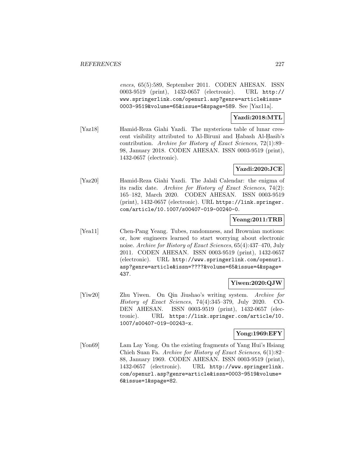ences, 65(5):589, September 2011. CODEN AHESAN. ISSN 0003-9519 (print), 1432-0657 (electronic). URL http:// www.springerlink.com/openurl.asp?genre=article&issn= 0003-9519&volume=65&issue=5&spage=589. See [Yaz11a].

**Yazdi:2018:MTL**

[Yaz18] Hamid-Reza Giahi Yazdi. The mysterious table of lunar crescent visibility attributed to Al-Bīrunī and Habash Al-Hasib's contribution. Archive for History of Exact Sciences, 72(1):89– 98, January 2018. CODEN AHESAN. ISSN 0003-9519 (print), 1432-0657 (electronic).

# **Yazdi:2020:JCE**

[Yaz20] Hamid-Reza Giahi Yazdi. The Jalali Calendar: the enigma of its radix date. Archive for History of Exact Sciences, 74(2): 165–182, March 2020. CODEN AHESAN. ISSN 0003-9519 (print), 1432-0657 (electronic). URL https://link.springer. com/article/10.1007/s00407-019-00240-0.

## **Yeang:2011:TRB**

[Yea11] Chen-Pang Yeang. Tubes, randomness, and Brownian motions: or, how engineers learned to start worrying about electronic noise. Archive for History of Exact Sciences, 65(4):437–470, July 2011. CODEN AHESAN. ISSN 0003-9519 (print), 1432-0657 (electronic). URL http://www.springerlink.com/openurl. asp?genre=article&issn=????&volume=65&issue=4&spage= 437.

## **Yiwen:2020:QJW**

[Yiw20] Zhu Yiwen. On Qin Jiushao's writing system. Archive for History of Exact Sciences, 74(4):345–379, July 2020. CO-DEN AHESAN. ISSN 0003-9519 (print), 1432-0657 (electronic). URL https://link.springer.com/article/10. 1007/s00407-019-00243-x.

## **Yong:1969:EFY**

[Yon69] Lam Lay Yong. On the existing fragments of Yang Hui's Hsiang Chieh Suan Fa. Archive for History of Exact Sciences, 6(1):82– 88, January 1969. CODEN AHESAN. ISSN 0003-9519 (print), 1432-0657 (electronic). URL http://www.springerlink. com/openurl.asp?genre=article&issn=0003-9519&volume= 6&issue=1&spage=82.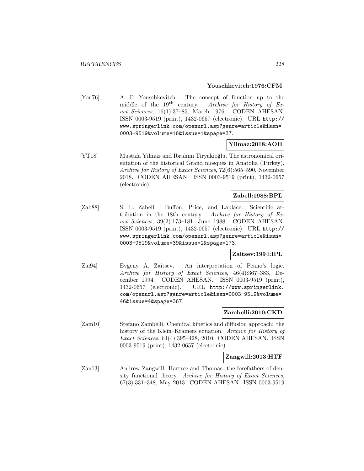#### **Youschkevitch:1976:CFM**

[You76] A. P. Youschkevitch. The concept of function up to the middle of the 19th century. Archive for History of Exact Sciences, 16(1):37–85, March 1976. CODEN AHESAN. ISSN 0003-9519 (print), 1432-0657 (electronic). URL http:// www.springerlink.com/openurl.asp?genre=article&issn= 0003-9519&volume=16&issue=1&spage=37.

## **Yilmaz:2018:AOH**

[YT18] Mustafa Yilmaz and Ibrahim Tiryakioğlu. The astronomical orientation of the historical Grand mosques in Anatolia (Turkey). Archive for History of Exact Sciences, 72(6):565–590, November 2018. CODEN AHESAN. ISSN 0003-9519 (print), 1432-0657 (electronic).

# **Zabell:1988:BPL**

[Zab88] S. L. Zabell. Buffon, Price, and Laplace: Scientific attribution in the 18th century. Archive for History of Exact Sciences, 39(2):173–181, June 1988. CODEN AHESAN. ISSN 0003-9519 (print), 1432-0657 (electronic). URL http:// www.springerlink.com/openurl.asp?genre=article&issn= 0003-9519&volume=39&issue=2&spage=173.

# **Zaitsev:1994:IPL**

[Zai94] Evgeny A. Zaitsev. An interpretation of Peano's logic. Archive for History of Exact Sciences, 46(4):367–383, December 1994. CODEN AHESAN. ISSN 0003-9519 (print), 1432-0657 (electronic). URL http://www.springerlink. com/openurl.asp?genre=article&issn=0003-9519&volume= 46&issue=4&spage=367.

## **Zambelli:2010:CKD**

[Zam10] Stefano Zambelli. Chemical kinetics and diffusion approach: the history of the Klein–Kramers equation. Archive for History of Exact Sciences, 64(4):395–428, 2010. CODEN AHESAN. ISSN 0003-9519 (print), 1432-0657 (electronic).

## **Zangwill:2013:HTF**

[Zan13] Andrew Zangwill. Hartree and Thomas: the forefathers of density functional theory. Archive for History of Exact Sciences, 67(3):331–348, May 2013. CODEN AHESAN. ISSN 0003-9519